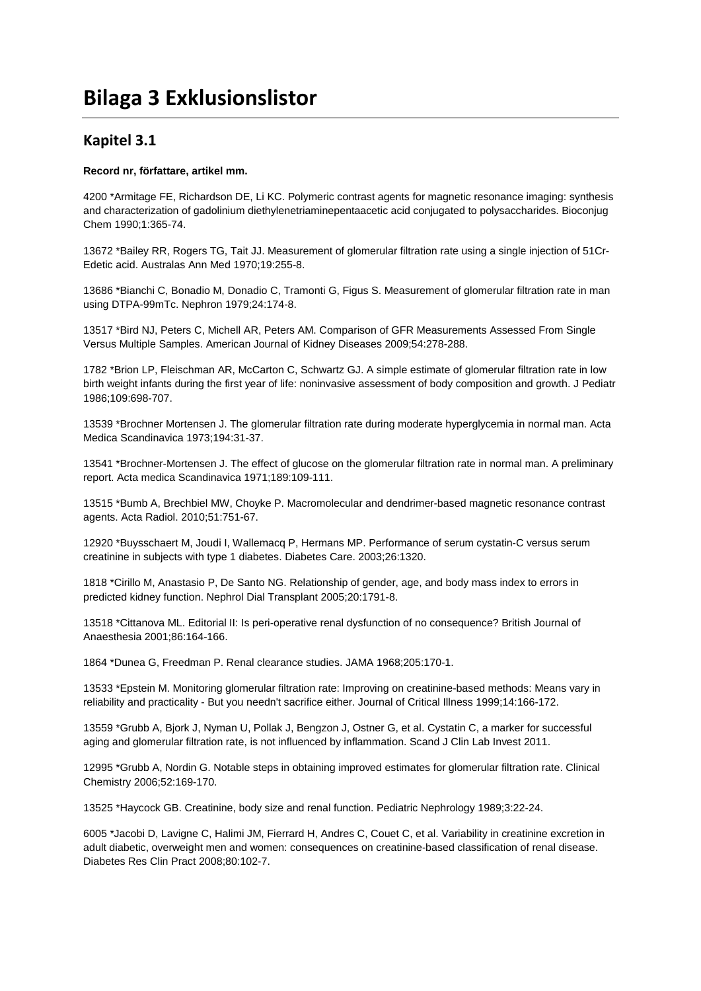# **Bilaga 3 Exklusionslistor**

### **Kapitel 3.1**

#### **Record nr, författare, artikel mm.**

4200 \*Armitage FE, Richardson DE, Li KC. Polymeric contrast agents for magnetic resonance imaging: synthesis and characterization of gadolinium diethylenetriaminepentaacetic acid conjugated to polysaccharides. Bioconjug Chem 1990;1:365-74.

13672 \*Bailey RR, Rogers TG, Tait JJ. Measurement of glomerular filtration rate using a single injection of 51Cr-Edetic acid. Australas Ann Med 1970;19:255-8.

13686 \*Bianchi C, Bonadio M, Donadio C, Tramonti G, Figus S. Measurement of glomerular filtration rate in man using DTPA-99mTc. Nephron 1979;24:174-8.

13517 \*Bird NJ, Peters C, Michell AR, Peters AM. Comparison of GFR Measurements Assessed From Single Versus Multiple Samples. American Journal of Kidney Diseases 2009;54:278-288.

1782 \*Brion LP, Fleischman AR, McCarton C, Schwartz GJ. A simple estimate of glomerular filtration rate in low birth weight infants during the first year of life: noninvasive assessment of body composition and growth. J Pediatr 1986;109:698-707.

13539 \*Brochner Mortensen J. The glomerular filtration rate during moderate hyperglycemia in normal man. Acta Medica Scandinavica 1973;194:31-37.

13541 \*Brochner-Mortensen J. The effect of glucose on the glomerular filtration rate in normal man. A preliminary report. Acta medica Scandinavica 1971;189:109-111.

13515 \*Bumb A, Brechbiel MW, Choyke P. Macromolecular and dendrimer-based magnetic resonance contrast agents. Acta Radiol. 2010;51:751-67.

12920 \*Buysschaert M, Joudi I, Wallemacq P, Hermans MP. Performance of serum cystatin-C versus serum creatinine in subjects with type 1 diabetes. Diabetes Care. 2003;26:1320.

1818 \*Cirillo M, Anastasio P, De Santo NG. Relationship of gender, age, and body mass index to errors in predicted kidney function. Nephrol Dial Transplant 2005;20:1791-8.

13518 \*Cittanova ML. Editorial II: Is peri-operative renal dysfunction of no consequence? British Journal of Anaesthesia 2001;86:164-166.

1864 \*Dunea G, Freedman P. Renal clearance studies. JAMA 1968;205:170-1.

13533 \*Epstein M. Monitoring glomerular filtration rate: Improving on creatinine-based methods: Means vary in reliability and practicality - But you needn't sacrifice either. Journal of Critical Illness 1999;14:166-172.

13559 \*Grubb A, Bjork J, Nyman U, Pollak J, Bengzon J, Ostner G, et al. Cystatin C, a marker for successful aging and glomerular filtration rate, is not influenced by inflammation. Scand J Clin Lab Invest 2011.

12995 \*Grubb A, Nordin G. Notable steps in obtaining improved estimates for glomerular filtration rate. Clinical Chemistry 2006;52:169-170.

13525 \*Haycock GB. Creatinine, body size and renal function. Pediatric Nephrology 1989;3:22-24.

6005 \*Jacobi D, Lavigne C, Halimi JM, Fierrard H, Andres C, Couet C, et al. Variability in creatinine excretion in adult diabetic, overweight men and women: consequences on creatinine-based classification of renal disease. Diabetes Res Clin Pract 2008;80:102-7.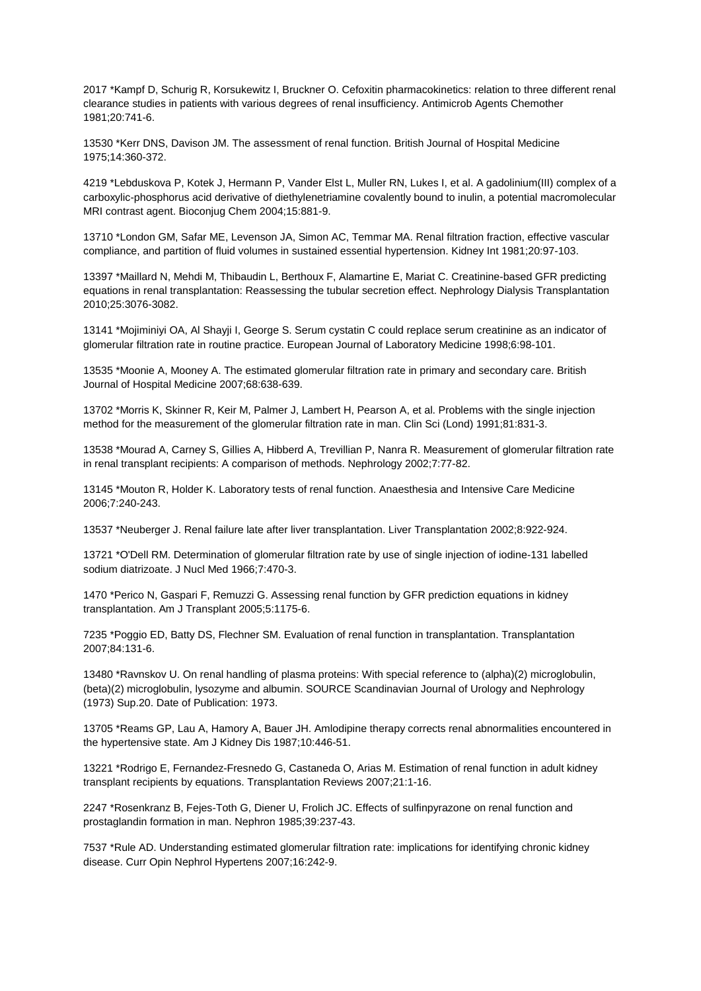2017 \*Kampf D, Schurig R, Korsukewitz I, Bruckner O. Cefoxitin pharmacokinetics: relation to three different renal clearance studies in patients with various degrees of renal insufficiency. Antimicrob Agents Chemother 1981;20:741-6.

13530 \*Kerr DNS, Davison JM. The assessment of renal function. British Journal of Hospital Medicine 1975;14:360-372.

4219 \*Lebduskova P, Kotek J, Hermann P, Vander Elst L, Muller RN, Lukes I, et al. A gadolinium(III) complex of a carboxylic-phosphorus acid derivative of diethylenetriamine covalently bound to inulin, a potential macromolecular MRI contrast agent. Bioconjug Chem 2004;15:881-9.

13710 \*London GM, Safar ME, Levenson JA, Simon AC, Temmar MA. Renal filtration fraction, effective vascular compliance, and partition of fluid volumes in sustained essential hypertension. Kidney Int 1981;20:97-103.

13397 \*Maillard N, Mehdi M, Thibaudin L, Berthoux F, Alamartine E, Mariat C. Creatinine-based GFR predicting equations in renal transplantation: Reassessing the tubular secretion effect. Nephrology Dialysis Transplantation 2010;25:3076-3082.

13141 \*Mojiminiyi OA, Al Shayji I, George S. Serum cystatin C could replace serum creatinine as an indicator of glomerular filtration rate in routine practice. European Journal of Laboratory Medicine 1998;6:98-101.

13535 \*Moonie A, Mooney A. The estimated glomerular filtration rate in primary and secondary care. British Journal of Hospital Medicine 2007;68:638-639.

13702 \*Morris K, Skinner R, Keir M, Palmer J, Lambert H, Pearson A, et al. Problems with the single injection method for the measurement of the glomerular filtration rate in man. Clin Sci (Lond) 1991;81:831-3.

13538 \*Mourad A, Carney S, Gillies A, Hibberd A, Trevillian P, Nanra R. Measurement of glomerular filtration rate in renal transplant recipients: A comparison of methods. Nephrology 2002;7:77-82.

13145 \*Mouton R, Holder K. Laboratory tests of renal function. Anaesthesia and Intensive Care Medicine 2006;7:240-243.

13537 \*Neuberger J. Renal failure late after liver transplantation. Liver Transplantation 2002;8:922-924.

13721 \*O'Dell RM. Determination of glomerular filtration rate by use of single injection of iodine-131 labelled sodium diatrizoate. J Nucl Med 1966;7:470-3.

1470 \*Perico N, Gaspari F, Remuzzi G. Assessing renal function by GFR prediction equations in kidney transplantation. Am J Transplant 2005;5:1175-6.

7235 \*Poggio ED, Batty DS, Flechner SM. Evaluation of renal function in transplantation. Transplantation 2007;84:131-6.

13480 \*Ravnskov U. On renal handling of plasma proteins: With special reference to (alpha)(2) microglobulin, (beta)(2) microglobulin, lysozyme and albumin. SOURCE Scandinavian Journal of Urology and Nephrology (1973) Sup.20. Date of Publication: 1973.

13705 \*Reams GP, Lau A, Hamory A, Bauer JH. Amlodipine therapy corrects renal abnormalities encountered in the hypertensive state. Am J Kidney Dis 1987;10:446-51.

13221 \*Rodrigo E, Fernandez-Fresnedo G, Castaneda O, Arias M. Estimation of renal function in adult kidney transplant recipients by equations. Transplantation Reviews 2007;21:1-16.

2247 \*Rosenkranz B, Fejes-Toth G, Diener U, Frolich JC. Effects of sulfinpyrazone on renal function and prostaglandin formation in man. Nephron 1985;39:237-43.

7537 \*Rule AD. Understanding estimated glomerular filtration rate: implications for identifying chronic kidney disease. Curr Opin Nephrol Hypertens 2007;16:242-9.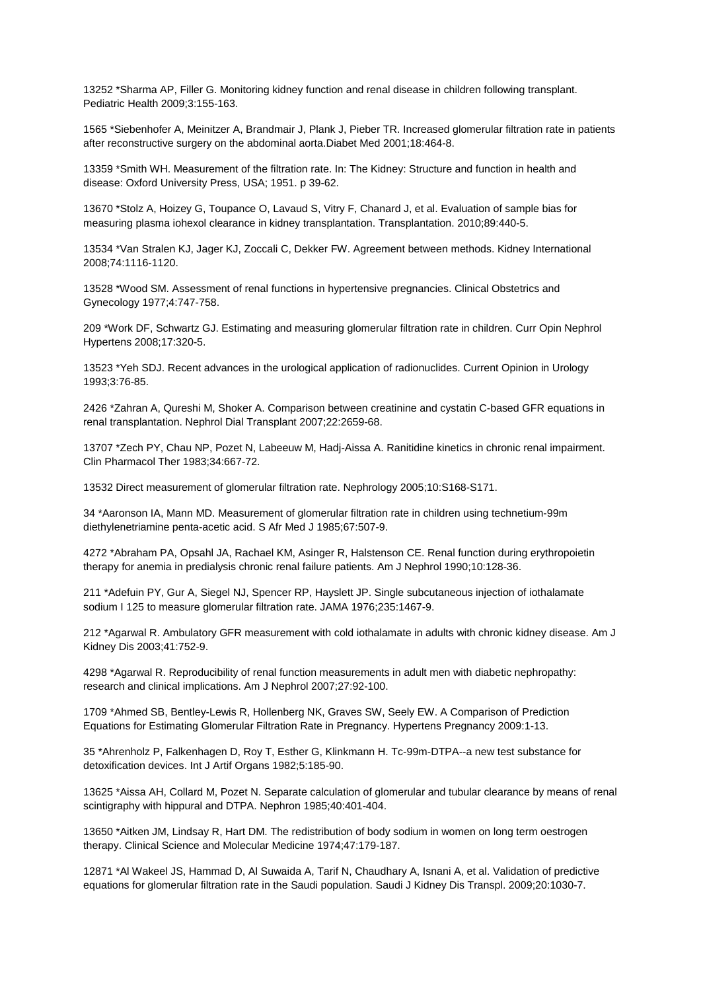13252 \*Sharma AP, Filler G. Monitoring kidney function and renal disease in children following transplant. Pediatric Health 2009;3:155-163.

1565 \*Siebenhofer A, Meinitzer A, Brandmair J, Plank J, Pieber TR. Increased glomerular filtration rate in patients after reconstructive surgery on the abdominal aorta.Diabet Med 2001;18:464-8.

13359 \*Smith WH. Measurement of the filtration rate. In: The Kidney: Structure and function in health and disease: Oxford University Press, USA; 1951. p 39-62.

13670 \*Stolz A, Hoizey G, Toupance O, Lavaud S, Vitry F, Chanard J, et al. Evaluation of sample bias for measuring plasma iohexol clearance in kidney transplantation. Transplantation. 2010;89:440-5.

13534 \*Van Stralen KJ, Jager KJ, Zoccali C, Dekker FW. Agreement between methods. Kidney International 2008;74:1116-1120.

13528 \*Wood SM. Assessment of renal functions in hypertensive pregnancies. Clinical Obstetrics and Gynecology 1977;4:747-758.

209 \*Work DF, Schwartz GJ. Estimating and measuring glomerular filtration rate in children. Curr Opin Nephrol Hypertens 2008;17:320-5.

13523 \*Yeh SDJ. Recent advances in the urological application of radionuclides. Current Opinion in Urology 1993;3:76-85.

2426 \*Zahran A, Qureshi M, Shoker A. Comparison between creatinine and cystatin C-based GFR equations in renal transplantation. Nephrol Dial Transplant 2007;22:2659-68.

13707 \*Zech PY, Chau NP, Pozet N, Labeeuw M, Hadj-Aissa A. Ranitidine kinetics in chronic renal impairment. Clin Pharmacol Ther 1983;34:667-72.

13532 Direct measurement of glomerular filtration rate. Nephrology 2005;10:S168-S171.

34 \*Aaronson IA, Mann MD. Measurement of glomerular filtration rate in children using technetium-99m diethylenetriamine penta-acetic acid. S Afr Med J 1985;67:507-9.

4272 \*Abraham PA, Opsahl JA, Rachael KM, Asinger R, Halstenson CE. Renal function during erythropoietin therapy for anemia in predialysis chronic renal failure patients. Am J Nephrol 1990;10:128-36.

211 \*Adefuin PY, Gur A, Siegel NJ, Spencer RP, Hayslett JP. Single subcutaneous injection of iothalamate sodium I 125 to measure glomerular filtration rate. JAMA 1976;235:1467-9.

212 \*Agarwal R. Ambulatory GFR measurement with cold iothalamate in adults with chronic kidney disease. Am J Kidney Dis 2003;41:752-9.

4298 \*Agarwal R. Reproducibility of renal function measurements in adult men with diabetic nephropathy: research and clinical implications. Am J Nephrol 2007;27:92-100.

1709 \*Ahmed SB, Bentley-Lewis R, Hollenberg NK, Graves SW, Seely EW. A Comparison of Prediction Equations for Estimating Glomerular Filtration Rate in Pregnancy. Hypertens Pregnancy 2009:1-13.

35 \*Ahrenholz P, Falkenhagen D, Roy T, Esther G, Klinkmann H. Tc-99m-DTPA--a new test substance for detoxification devices. Int J Artif Organs 1982;5:185-90.

13625 \*Aissa AH, Collard M, Pozet N. Separate calculation of glomerular and tubular clearance by means of renal scintigraphy with hippural and DTPA. Nephron 1985;40:401-404.

13650 \*Aitken JM, Lindsay R, Hart DM. The redistribution of body sodium in women on long term oestrogen therapy. Clinical Science and Molecular Medicine 1974;47:179-187.

12871 \*Al Wakeel JS, Hammad D, Al Suwaida A, Tarif N, Chaudhary A, Isnani A, et al. Validation of predictive equations for glomerular filtration rate in the Saudi population. Saudi J Kidney Dis Transpl. 2009;20:1030-7.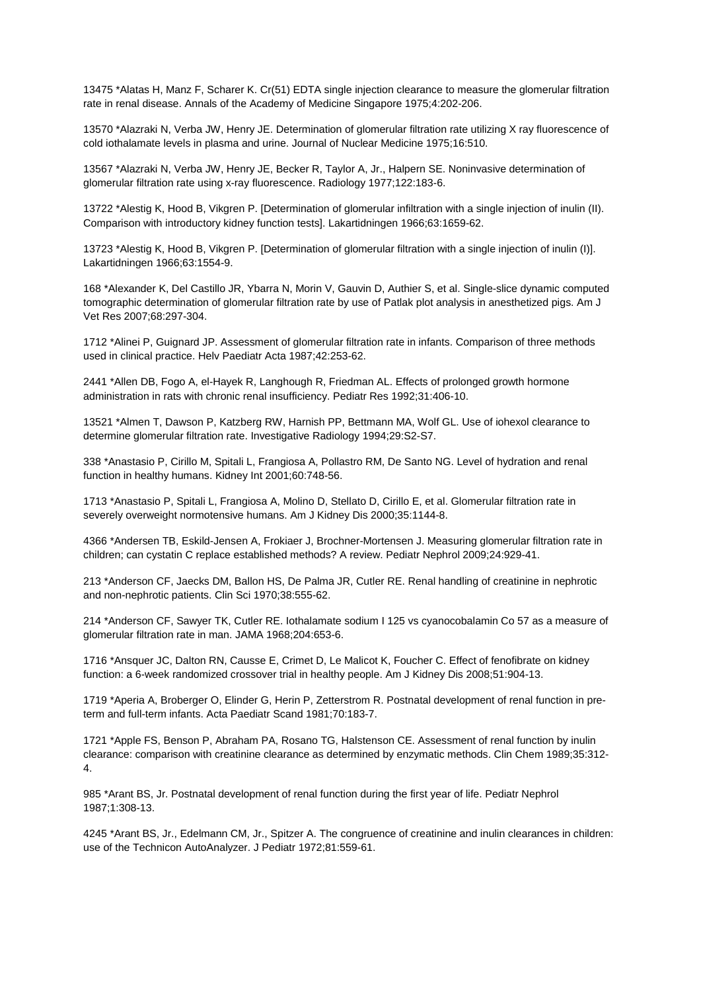13475 \*Alatas H, Manz F, Scharer K. Cr(51) EDTA single injection clearance to measure the glomerular filtration rate in renal disease. Annals of the Academy of Medicine Singapore 1975;4:202-206.

13570 \*Alazraki N, Verba JW, Henry JE. Determination of glomerular filtration rate utilizing X ray fluorescence of cold iothalamate levels in plasma and urine. Journal of Nuclear Medicine 1975;16:510.

13567 \*Alazraki N, Verba JW, Henry JE, Becker R, Taylor A, Jr., Halpern SE. Noninvasive determination of glomerular filtration rate using x-ray fluorescence. Radiology 1977;122:183-6.

13722 \*Alestig K, Hood B, Vikgren P. [Determination of glomerular infiltration with a single injection of inulin (II). Comparison with introductory kidney function tests]. Lakartidningen 1966;63:1659-62.

13723 \*Alestig K, Hood B, Vikgren P. [Determination of glomerular filtration with a single injection of inulin (I)]. Lakartidningen 1966;63:1554-9.

168 \*Alexander K, Del Castillo JR, Ybarra N, Morin V, Gauvin D, Authier S, et al. Single-slice dynamic computed tomographic determination of glomerular filtration rate by use of Patlak plot analysis in anesthetized pigs. Am J Vet Res 2007;68:297-304.

1712 \*Alinei P, Guignard JP. Assessment of glomerular filtration rate in infants. Comparison of three methods used in clinical practice. Helv Paediatr Acta 1987;42:253-62.

2441 \*Allen DB, Fogo A, el-Hayek R, Langhough R, Friedman AL. Effects of prolonged growth hormone administration in rats with chronic renal insufficiency. Pediatr Res 1992;31:406-10.

13521 \*Almen T, Dawson P, Katzberg RW, Harnish PP, Bettmann MA, Wolf GL. Use of iohexol clearance to determine glomerular filtration rate. Investigative Radiology 1994;29:S2-S7.

338 \*Anastasio P, Cirillo M, Spitali L, Frangiosa A, Pollastro RM, De Santo NG. Level of hydration and renal function in healthy humans. Kidney Int 2001;60:748-56.

1713 \*Anastasio P, Spitali L, Frangiosa A, Molino D, Stellato D, Cirillo E, et al. Glomerular filtration rate in severely overweight normotensive humans. Am J Kidney Dis 2000;35:1144-8.

4366 \*Andersen TB, Eskild-Jensen A, Frokiaer J, Brochner-Mortensen J. Measuring glomerular filtration rate in children; can cystatin C replace established methods? A review. Pediatr Nephrol 2009;24:929-41.

213 \*Anderson CF, Jaecks DM, Ballon HS, De Palma JR, Cutler RE. Renal handling of creatinine in nephrotic and non-nephrotic patients. Clin Sci 1970;38:555-62.

214 \*Anderson CF, Sawyer TK, Cutler RE. Iothalamate sodium I 125 vs cyanocobalamin Co 57 as a measure of glomerular filtration rate in man. JAMA 1968;204:653-6.

1716 \*Ansquer JC, Dalton RN, Causse E, Crimet D, Le Malicot K, Foucher C. Effect of fenofibrate on kidney function: a 6-week randomized crossover trial in healthy people. Am J Kidney Dis 2008;51:904-13.

1719 \*Aperia A, Broberger O, Elinder G, Herin P, Zetterstrom R. Postnatal development of renal function in preterm and full-term infants. Acta Paediatr Scand 1981;70:183-7.

1721 \*Apple FS, Benson P, Abraham PA, Rosano TG, Halstenson CE. Assessment of renal function by inulin clearance: comparison with creatinine clearance as determined by enzymatic methods. Clin Chem 1989;35:312- 4.

985 \*Arant BS, Jr. Postnatal development of renal function during the first year of life. Pediatr Nephrol 1987;1:308-13.

4245 \*Arant BS, Jr., Edelmann CM, Jr., Spitzer A. The congruence of creatinine and inulin clearances in children: use of the Technicon AutoAnalyzer. J Pediatr 1972;81:559-61.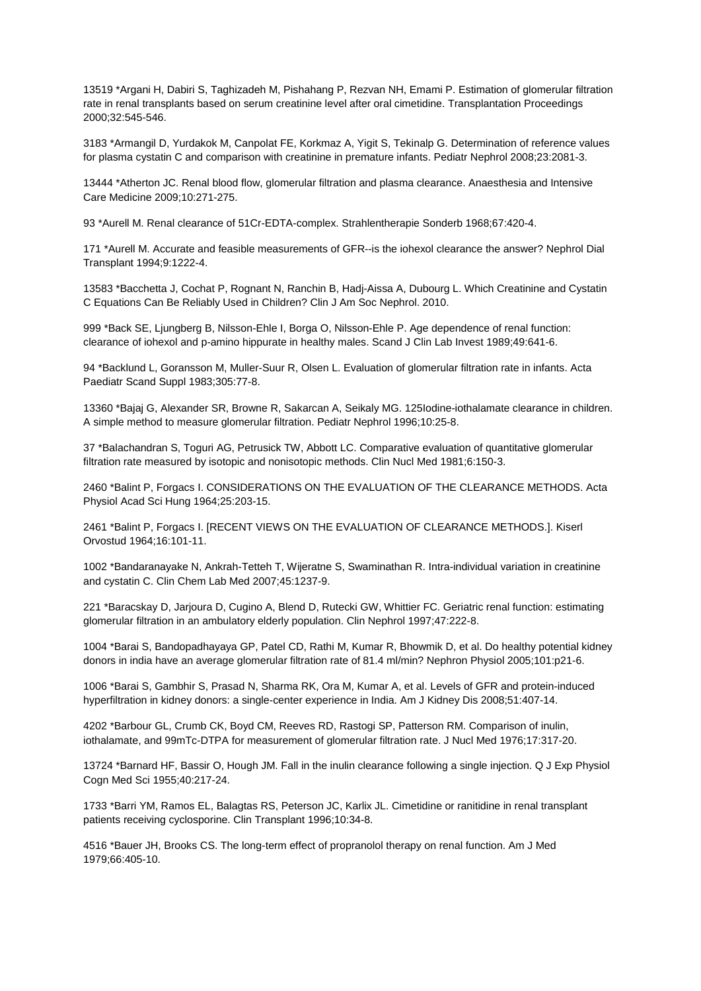13519 \*Argani H, Dabiri S, Taghizadeh M, Pishahang P, Rezvan NH, Emami P. Estimation of glomerular filtration rate in renal transplants based on serum creatinine level after oral cimetidine. Transplantation Proceedings 2000;32:545-546.

3183 \*Armangil D, Yurdakok M, Canpolat FE, Korkmaz A, Yigit S, Tekinalp G. Determination of reference values for plasma cystatin C and comparison with creatinine in premature infants. Pediatr Nephrol 2008;23:2081-3.

13444 \*Atherton JC. Renal blood flow, glomerular filtration and plasma clearance. Anaesthesia and Intensive Care Medicine 2009;10:271-275.

93 \*Aurell M. Renal clearance of 51Cr-EDTA-complex. Strahlentherapie Sonderb 1968;67:420-4.

171 \*Aurell M. Accurate and feasible measurements of GFR--is the iohexol clearance the answer? Nephrol Dial Transplant 1994;9:1222-4.

13583 \*Bacchetta J, Cochat P, Rognant N, Ranchin B, Hadj-Aissa A, Dubourg L. Which Creatinine and Cystatin C Equations Can Be Reliably Used in Children? Clin J Am Soc Nephrol. 2010.

999 \*Back SE, Ljungberg B, Nilsson-Ehle I, Borga O, Nilsson-Ehle P. Age dependence of renal function: clearance of iohexol and p-amino hippurate in healthy males. Scand J Clin Lab Invest 1989;49:641-6.

94 \*Backlund L, Goransson M, Muller-Suur R, Olsen L. Evaluation of glomerular filtration rate in infants. Acta Paediatr Scand Suppl 1983;305:77-8.

13360 \*Bajaj G, Alexander SR, Browne R, Sakarcan A, Seikaly MG. 125Iodine-iothalamate clearance in children. A simple method to measure glomerular filtration. Pediatr Nephrol 1996;10:25-8.

37 \*Balachandran S, Toguri AG, Petrusick TW, Abbott LC. Comparative evaluation of quantitative glomerular filtration rate measured by isotopic and nonisotopic methods. Clin Nucl Med 1981;6:150-3.

2460 \*Balint P, Forgacs I. CONSIDERATIONS ON THE EVALUATION OF THE CLEARANCE METHODS. Acta Physiol Acad Sci Hung 1964;25:203-15.

2461 \*Balint P, Forgacs I. [RECENT VIEWS ON THE EVALUATION OF CLEARANCE METHODS.]. Kiserl Orvostud 1964;16:101-11.

1002 \*Bandaranayake N, Ankrah-Tetteh T, Wijeratne S, Swaminathan R. Intra-individual variation in creatinine and cystatin C. Clin Chem Lab Med 2007;45:1237-9.

221 \*Baracskay D, Jarjoura D, Cugino A, Blend D, Rutecki GW, Whittier FC. Geriatric renal function: estimating glomerular filtration in an ambulatory elderly population. Clin Nephrol 1997;47:222-8.

1004 \*Barai S, Bandopadhayaya GP, Patel CD, Rathi M, Kumar R, Bhowmik D, et al. Do healthy potential kidney donors in india have an average glomerular filtration rate of 81.4 ml/min? Nephron Physiol 2005;101:p21-6.

1006 \*Barai S, Gambhir S, Prasad N, Sharma RK, Ora M, Kumar A, et al. Levels of GFR and protein-induced hyperfiltration in kidney donors: a single-center experience in India. Am J Kidney Dis 2008;51:407-14.

4202 \*Barbour GL, Crumb CK, Boyd CM, Reeves RD, Rastogi SP, Patterson RM. Comparison of inulin, iothalamate, and 99mTc-DTPA for measurement of glomerular filtration rate. J Nucl Med 1976;17:317-20.

13724 \*Barnard HF, Bassir O, Hough JM. Fall in the inulin clearance following a single injection. Q J Exp Physiol Cogn Med Sci 1955;40:217-24.

1733 \*Barri YM, Ramos EL, Balagtas RS, Peterson JC, Karlix JL. Cimetidine or ranitidine in renal transplant patients receiving cyclosporine. Clin Transplant 1996;10:34-8.

4516 \*Bauer JH, Brooks CS. The long-term effect of propranolol therapy on renal function. Am J Med 1979;66:405-10.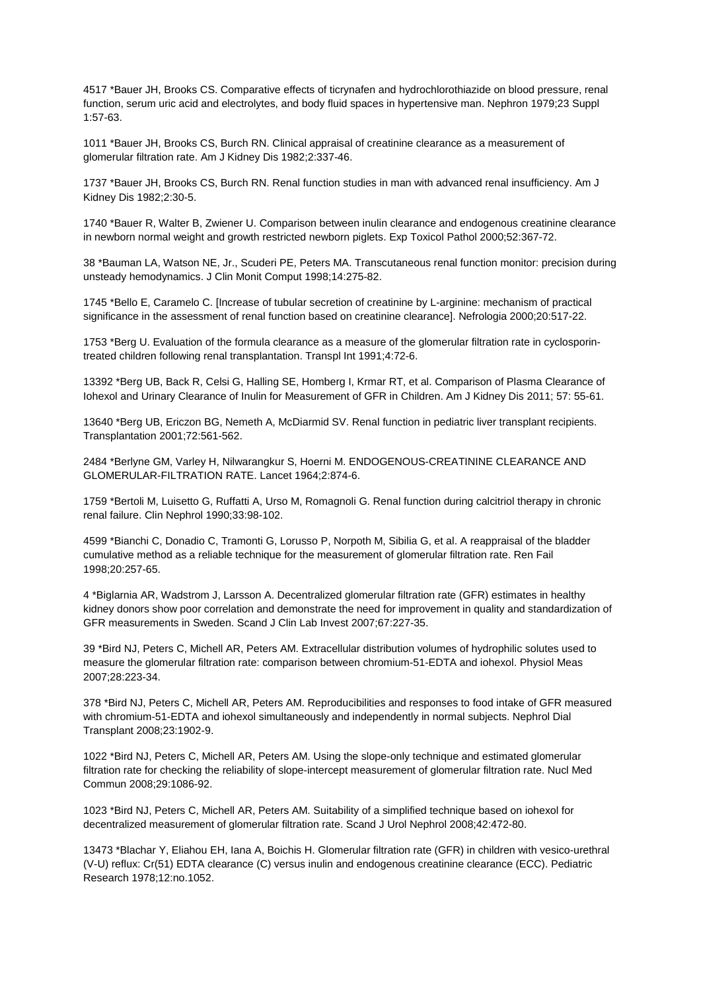4517 \*Bauer JH, Brooks CS. Comparative effects of ticrynafen and hydrochlorothiazide on blood pressure, renal function, serum uric acid and electrolytes, and body fluid spaces in hypertensive man. Nephron 1979;23 Suppl 1:57-63.

1011 \*Bauer JH, Brooks CS, Burch RN. Clinical appraisal of creatinine clearance as a measurement of glomerular filtration rate. Am J Kidney Dis 1982;2:337-46.

1737 \*Bauer JH, Brooks CS, Burch RN. Renal function studies in man with advanced renal insufficiency. Am J Kidney Dis 1982;2:30-5.

1740 \*Bauer R, Walter B, Zwiener U. Comparison between inulin clearance and endogenous creatinine clearance in newborn normal weight and growth restricted newborn piglets. Exp Toxicol Pathol 2000;52:367-72.

38 \*Bauman LA, Watson NE, Jr., Scuderi PE, Peters MA. Transcutaneous renal function monitor: precision during unsteady hemodynamics. J Clin Monit Comput 1998;14:275-82.

1745 \*Bello E, Caramelo C. [Increase of tubular secretion of creatinine by L-arginine: mechanism of practical significance in the assessment of renal function based on creatinine clearance]. Nefrologia 2000;20:517-22.

1753 \*Berg U. Evaluation of the formula clearance as a measure of the glomerular filtration rate in cyclosporintreated children following renal transplantation. Transpl Int 1991;4:72-6.

13392 \*Berg UB, Back R, Celsi G, Halling SE, Homberg I, Krmar RT, et al. Comparison of Plasma Clearance of Iohexol and Urinary Clearance of Inulin for Measurement of GFR in Children. Am J Kidney Dis 2011; 57: 55-61.

13640 \*Berg UB, Ericzon BG, Nemeth A, McDiarmid SV. Renal function in pediatric liver transplant recipients. Transplantation 2001;72:561-562.

2484 \*Berlyne GM, Varley H, Nilwarangkur S, Hoerni M. ENDOGENOUS-CREATININE CLEARANCE AND GLOMERULAR-FILTRATION RATE. Lancet 1964;2:874-6.

1759 \*Bertoli M, Luisetto G, Ruffatti A, Urso M, Romagnoli G. Renal function during calcitriol therapy in chronic renal failure. Clin Nephrol 1990;33:98-102.

4599 \*Bianchi C, Donadio C, Tramonti G, Lorusso P, Norpoth M, Sibilia G, et al. A reappraisal of the bladder cumulative method as a reliable technique for the measurement of glomerular filtration rate. Ren Fail 1998;20:257-65.

4 \*Biglarnia AR, Wadstrom J, Larsson A. Decentralized glomerular filtration rate (GFR) estimates in healthy kidney donors show poor correlation and demonstrate the need for improvement in quality and standardization of GFR measurements in Sweden. Scand J Clin Lab Invest 2007;67:227-35.

39 \*Bird NJ, Peters C, Michell AR, Peters AM. Extracellular distribution volumes of hydrophilic solutes used to measure the glomerular filtration rate: comparison between chromium-51-EDTA and iohexol. Physiol Meas 2007;28:223-34.

378 \*Bird NJ, Peters C, Michell AR, Peters AM. Reproducibilities and responses to food intake of GFR measured with chromium-51-EDTA and iohexol simultaneously and independently in normal subjects. Nephrol Dial Transplant 2008;23:1902-9.

1022 \*Bird NJ, Peters C, Michell AR, Peters AM. Using the slope-only technique and estimated glomerular filtration rate for checking the reliability of slope-intercept measurement of glomerular filtration rate. Nucl Med Commun 2008;29:1086-92.

1023 \*Bird NJ, Peters C, Michell AR, Peters AM. Suitability of a simplified technique based on iohexol for decentralized measurement of glomerular filtration rate. Scand J Urol Nephrol 2008;42:472-80.

13473 \*Blachar Y, Eliahou EH, Iana A, Boichis H. Glomerular filtration rate (GFR) in children with vesico-urethral (V-U) reflux: Cr(51) EDTA clearance (C) versus inulin and endogenous creatinine clearance (ECC). Pediatric Research 1978;12:no.1052.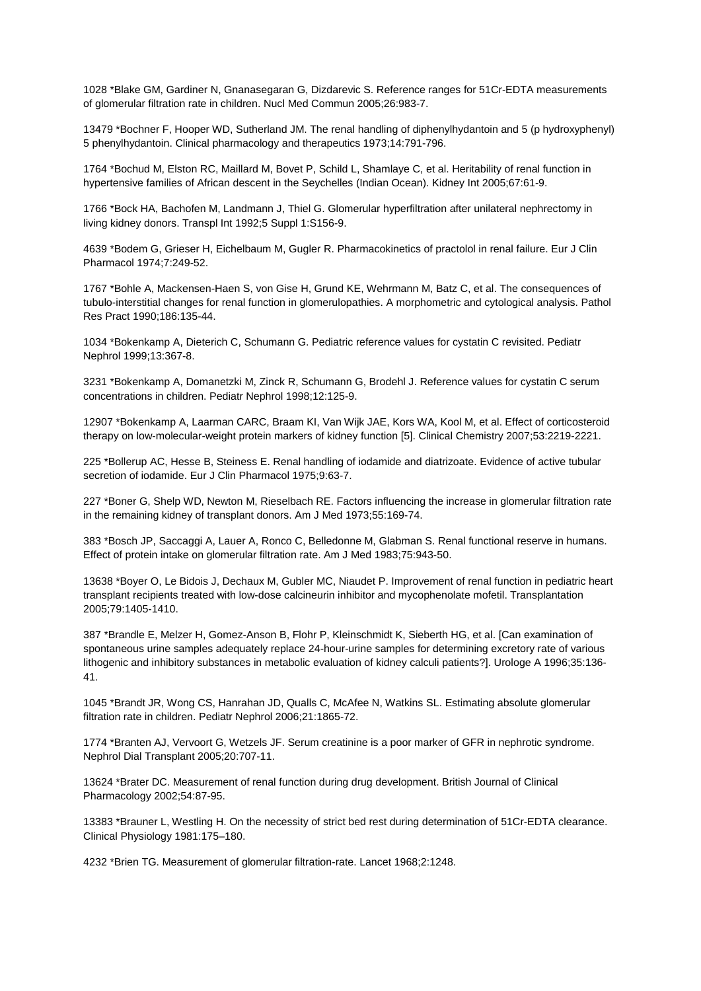1028 \*Blake GM, Gardiner N, Gnanasegaran G, Dizdarevic S. Reference ranges for 51Cr-EDTA measurements of glomerular filtration rate in children. Nucl Med Commun 2005;26:983-7.

13479 \*Bochner F, Hooper WD, Sutherland JM. The renal handling of diphenylhydantoin and 5 (p hydroxyphenyl) 5 phenylhydantoin. Clinical pharmacology and therapeutics 1973;14:791-796.

1764 \*Bochud M, Elston RC, Maillard M, Bovet P, Schild L, Shamlaye C, et al. Heritability of renal function in hypertensive families of African descent in the Seychelles (Indian Ocean). Kidney Int 2005;67:61-9.

1766 \*Bock HA, Bachofen M, Landmann J, Thiel G. Glomerular hyperfiltration after unilateral nephrectomy in living kidney donors. Transpl Int 1992;5 Suppl 1:S156-9.

4639 \*Bodem G, Grieser H, Eichelbaum M, Gugler R. Pharmacokinetics of practolol in renal failure. Eur J Clin Pharmacol 1974;7:249-52.

1767 \*Bohle A, Mackensen-Haen S, von Gise H, Grund KE, Wehrmann M, Batz C, et al. The consequences of tubulo-interstitial changes for renal function in glomerulopathies. A morphometric and cytological analysis. Pathol Res Pract 1990;186:135-44.

1034 \*Bokenkamp A, Dieterich C, Schumann G. Pediatric reference values for cystatin C revisited. Pediatr Nephrol 1999;13:367-8.

3231 \*Bokenkamp A, Domanetzki M, Zinck R, Schumann G, Brodehl J. Reference values for cystatin C serum concentrations in children. Pediatr Nephrol 1998;12:125-9.

12907 \*Bokenkamp A, Laarman CARC, Braam KI, Van Wijk JAE, Kors WA, Kool M, et al. Effect of corticosteroid therapy on low-molecular-weight protein markers of kidney function [5]. Clinical Chemistry 2007;53:2219-2221.

225 \*Bollerup AC, Hesse B, Steiness E. Renal handling of iodamide and diatrizoate. Evidence of active tubular secretion of iodamide. Eur J Clin Pharmacol 1975;9:63-7.

227 \*Boner G, Shelp WD, Newton M, Rieselbach RE. Factors influencing the increase in glomerular filtration rate in the remaining kidney of transplant donors. Am J Med 1973;55:169-74.

383 \*Bosch JP, Saccaggi A, Lauer A, Ronco C, Belledonne M, Glabman S. Renal functional reserve in humans. Effect of protein intake on glomerular filtration rate. Am J Med 1983;75:943-50.

13638 \*Boyer O, Le Bidois J, Dechaux M, Gubler MC, Niaudet P. Improvement of renal function in pediatric heart transplant recipients treated with low-dose calcineurin inhibitor and mycophenolate mofetil. Transplantation 2005;79:1405-1410.

387 \*Brandle E, Melzer H, Gomez-Anson B, Flohr P, Kleinschmidt K, Sieberth HG, et al. [Can examination of spontaneous urine samples adequately replace 24-hour-urine samples for determining excretory rate of various lithogenic and inhibitory substances in metabolic evaluation of kidney calculi patients?]. Urologe A 1996;35:136- 41.

1045 \*Brandt JR, Wong CS, Hanrahan JD, Qualls C, McAfee N, Watkins SL. Estimating absolute glomerular filtration rate in children. Pediatr Nephrol 2006;21:1865-72.

1774 \*Branten AJ, Vervoort G, Wetzels JF. Serum creatinine is a poor marker of GFR in nephrotic syndrome. Nephrol Dial Transplant 2005;20:707-11.

13624 \*Brater DC. Measurement of renal function during drug development. British Journal of Clinical Pharmacology 2002;54:87-95.

13383 \*Brauner L, Westling H. On the necessity of strict bed rest during determination of 51Cr-EDTA clearance. Clinical Physiology 1981:175–180.

4232 \*Brien TG. Measurement of glomerular filtration-rate. Lancet 1968;2:1248.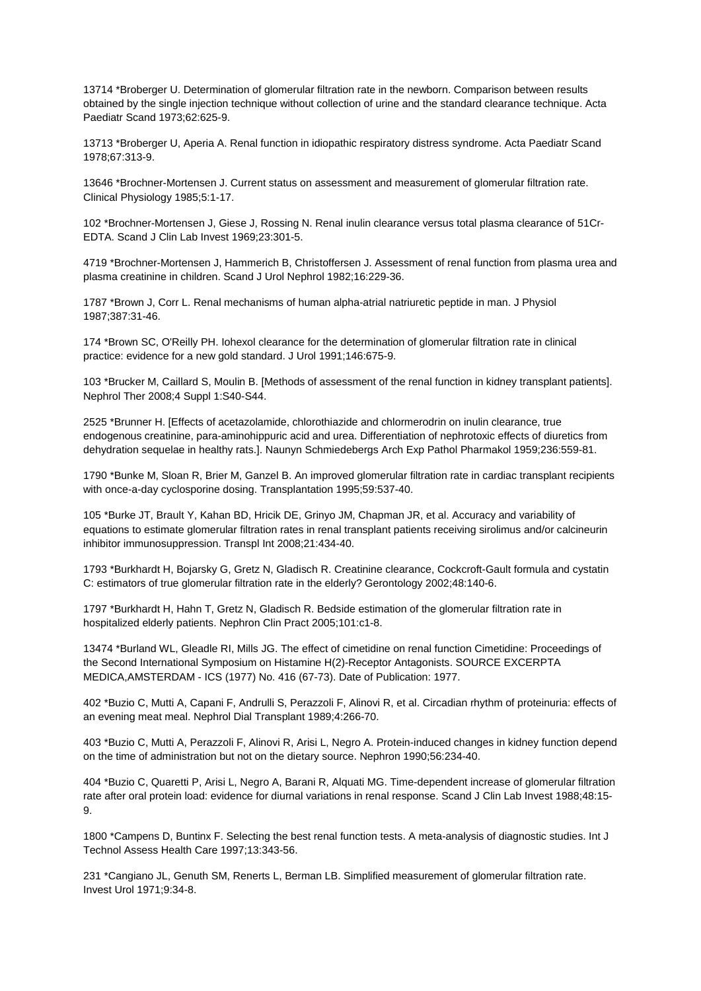13714 \*Broberger U. Determination of glomerular filtration rate in the newborn. Comparison between results obtained by the single injection technique without collection of urine and the standard clearance technique. Acta Paediatr Scand 1973;62:625-9.

13713 \*Broberger U, Aperia A. Renal function in idiopathic respiratory distress syndrome. Acta Paediatr Scand 1978;67:313-9.

13646 \*Brochner-Mortensen J. Current status on assessment and measurement of glomerular filtration rate. Clinical Physiology 1985;5:1-17.

102 \*Brochner-Mortensen J, Giese J, Rossing N. Renal inulin clearance versus total plasma clearance of 51Cr-EDTA. Scand J Clin Lab Invest 1969;23:301-5.

4719 \*Brochner-Mortensen J, Hammerich B, Christoffersen J. Assessment of renal function from plasma urea and plasma creatinine in children. Scand J Urol Nephrol 1982;16:229-36.

1787 \*Brown J, Corr L. Renal mechanisms of human alpha-atrial natriuretic peptide in man. J Physiol 1987;387:31-46.

174 \*Brown SC, O'Reilly PH. Iohexol clearance for the determination of glomerular filtration rate in clinical practice: evidence for a new gold standard. J Urol 1991;146:675-9.

103 \*Brucker M, Caillard S, Moulin B. [Methods of assessment of the renal function in kidney transplant patients]. Nephrol Ther 2008;4 Suppl 1:S40-S44.

2525 \*Brunner H. [Effects of acetazolamide, chlorothiazide and chlormerodrin on inulin clearance, true endogenous creatinine, para-aminohippuric acid and urea. Differentiation of nephrotoxic effects of diuretics from dehydration sequelae in healthy rats.]. Naunyn Schmiedebergs Arch Exp Pathol Pharmakol 1959;236:559-81.

1790 \*Bunke M, Sloan R, Brier M, Ganzel B. An improved glomerular filtration rate in cardiac transplant recipients with once-a-day cyclosporine dosing. Transplantation 1995;59:537-40.

105 \*Burke JT, Brault Y, Kahan BD, Hricik DE, Grinyo JM, Chapman JR, et al. Accuracy and variability of equations to estimate glomerular filtration rates in renal transplant patients receiving sirolimus and/or calcineurin inhibitor immunosuppression. Transpl Int 2008;21:434-40.

1793 \*Burkhardt H, Bojarsky G, Gretz N, Gladisch R. Creatinine clearance, Cockcroft-Gault formula and cystatin C: estimators of true glomerular filtration rate in the elderly? Gerontology 2002;48:140-6.

1797 \*Burkhardt H, Hahn T, Gretz N, Gladisch R. Bedside estimation of the glomerular filtration rate in hospitalized elderly patients. Nephron Clin Pract 2005;101:c1-8.

13474 \*Burland WL, Gleadle RI, Mills JG. The effect of cimetidine on renal function Cimetidine: Proceedings of the Second International Symposium on Histamine H(2)-Receptor Antagonists. SOURCE EXCERPTA MEDICA,AMSTERDAM - ICS (1977) No. 416 (67-73). Date of Publication: 1977.

402 \*Buzio C, Mutti A, Capani F, Andrulli S, Perazzoli F, Alinovi R, et al. Circadian rhythm of proteinuria: effects of an evening meat meal. Nephrol Dial Transplant 1989;4:266-70.

403 \*Buzio C, Mutti A, Perazzoli F, Alinovi R, Arisi L, Negro A. Protein-induced changes in kidney function depend on the time of administration but not on the dietary source. Nephron 1990;56:234-40.

404 \*Buzio C, Quaretti P, Arisi L, Negro A, Barani R, Alquati MG. Time-dependent increase of glomerular filtration rate after oral protein load: evidence for diurnal variations in renal response. Scand J Clin Lab Invest 1988;48:15- 9.

1800 \*Campens D, Buntinx F. Selecting the best renal function tests. A meta-analysis of diagnostic studies. Int J Technol Assess Health Care 1997;13:343-56.

231 \*Cangiano JL, Genuth SM, Renerts L, Berman LB. Simplified measurement of glomerular filtration rate. Invest Urol 1971;9:34-8.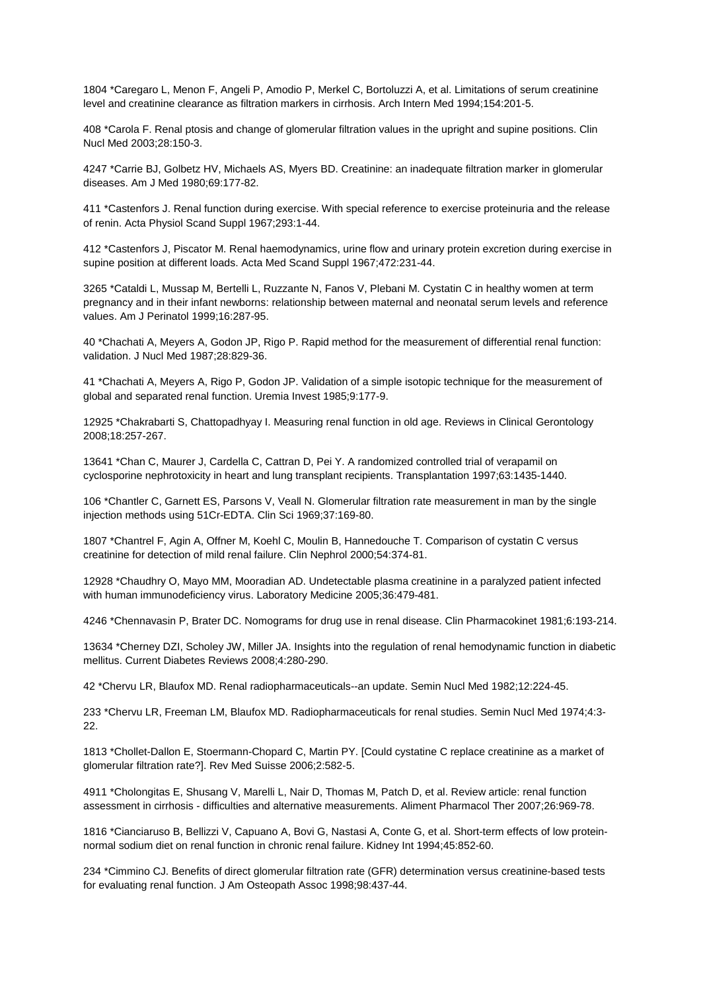1804 \*Caregaro L, Menon F, Angeli P, Amodio P, Merkel C, Bortoluzzi A, et al. Limitations of serum creatinine level and creatinine clearance as filtration markers in cirrhosis. Arch Intern Med 1994;154:201-5.

408 \*Carola F. Renal ptosis and change of glomerular filtration values in the upright and supine positions. Clin Nucl Med 2003;28:150-3.

4247 \*Carrie BJ, Golbetz HV, Michaels AS, Myers BD. Creatinine: an inadequate filtration marker in glomerular diseases. Am J Med 1980;69:177-82.

411 \*Castenfors J. Renal function during exercise. With special reference to exercise proteinuria and the release of renin. Acta Physiol Scand Suppl 1967;293:1-44.

412 \*Castenfors J, Piscator M. Renal haemodynamics, urine flow and urinary protein excretion during exercise in supine position at different loads. Acta Med Scand Suppl 1967;472:231-44.

3265 \*Cataldi L, Mussap M, Bertelli L, Ruzzante N, Fanos V, Plebani M. Cystatin C in healthy women at term pregnancy and in their infant newborns: relationship between maternal and neonatal serum levels and reference values. Am J Perinatol 1999;16:287-95.

40 \*Chachati A, Meyers A, Godon JP, Rigo P. Rapid method for the measurement of differential renal function: validation. J Nucl Med 1987;28:829-36.

41 \*Chachati A, Meyers A, Rigo P, Godon JP. Validation of a simple isotopic technique for the measurement of global and separated renal function. Uremia Invest 1985;9:177-9.

12925 \*Chakrabarti S, Chattopadhyay I. Measuring renal function in old age. Reviews in Clinical Gerontology 2008;18:257-267.

13641 \*Chan C, Maurer J, Cardella C, Cattran D, Pei Y. A randomized controlled trial of verapamil on cyclosporine nephrotoxicity in heart and lung transplant recipients. Transplantation 1997;63:1435-1440.

106 \*Chantler C, Garnett ES, Parsons V, Veall N. Glomerular filtration rate measurement in man by the single injection methods using 51Cr-EDTA. Clin Sci 1969;37:169-80.

1807 \*Chantrel F, Agin A, Offner M, Koehl C, Moulin B, Hannedouche T. Comparison of cystatin C versus creatinine for detection of mild renal failure. Clin Nephrol 2000;54:374-81.

12928 \*Chaudhry O, Mayo MM, Mooradian AD. Undetectable plasma creatinine in a paralyzed patient infected with human immunodeficiency virus. Laboratory Medicine 2005;36:479-481.

4246 \*Chennavasin P, Brater DC. Nomograms for drug use in renal disease. Clin Pharmacokinet 1981;6:193-214.

13634 \*Cherney DZI, Scholey JW, Miller JA. Insights into the regulation of renal hemodynamic function in diabetic mellitus. Current Diabetes Reviews 2008;4:280-290.

42 \*Chervu LR, Blaufox MD. Renal radiopharmaceuticals--an update. Semin Nucl Med 1982;12:224-45.

233 \*Chervu LR, Freeman LM, Blaufox MD. Radiopharmaceuticals for renal studies. Semin Nucl Med 1974;4:3- 22.

1813 \*Chollet-Dallon E, Stoermann-Chopard C, Martin PY. [Could cystatine C replace creatinine as a market of glomerular filtration rate?]. Rev Med Suisse 2006;2:582-5.

4911 \*Cholongitas E, Shusang V, Marelli L, Nair D, Thomas M, Patch D, et al. Review article: renal function assessment in cirrhosis - difficulties and alternative measurements. Aliment Pharmacol Ther 2007;26:969-78.

1816 \*Cianciaruso B, Bellizzi V, Capuano A, Bovi G, Nastasi A, Conte G, et al. Short-term effects of low proteinnormal sodium diet on renal function in chronic renal failure. Kidney Int 1994;45:852-60.

234 \*Cimmino CJ. Benefits of direct glomerular filtration rate (GFR) determination versus creatinine-based tests for evaluating renal function. J Am Osteopath Assoc 1998;98:437-44.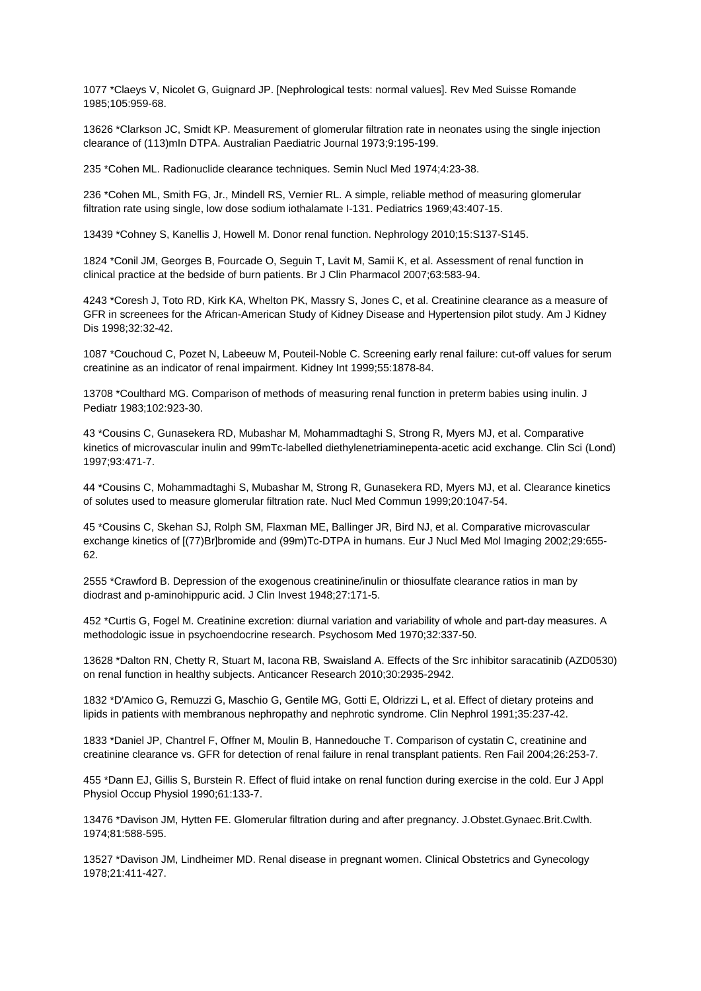1077 \*Claeys V, Nicolet G, Guignard JP. [Nephrological tests: normal values]. Rev Med Suisse Romande 1985;105:959-68.

13626 \*Clarkson JC, Smidt KP. Measurement of glomerular filtration rate in neonates using the single injection clearance of (113)mIn DTPA. Australian Paediatric Journal 1973;9:195-199.

235 \*Cohen ML. Radionuclide clearance techniques. Semin Nucl Med 1974;4:23-38.

236 \*Cohen ML, Smith FG, Jr., Mindell RS, Vernier RL. A simple, reliable method of measuring glomerular filtration rate using single, low dose sodium iothalamate I-131. Pediatrics 1969;43:407-15.

13439 \*Cohney S, Kanellis J, Howell M. Donor renal function. Nephrology 2010;15:S137-S145.

1824 \*Conil JM, Georges B, Fourcade O, Seguin T, Lavit M, Samii K, et al. Assessment of renal function in clinical practice at the bedside of burn patients. Br J Clin Pharmacol 2007;63:583-94.

4243 \*Coresh J, Toto RD, Kirk KA, Whelton PK, Massry S, Jones C, et al. Creatinine clearance as a measure of GFR in screenees for the African-American Study of Kidney Disease and Hypertension pilot study. Am J Kidney Dis 1998;32:32-42.

1087 \*Couchoud C, Pozet N, Labeeuw M, Pouteil-Noble C. Screening early renal failure: cut-off values for serum creatinine as an indicator of renal impairment. Kidney Int 1999;55:1878-84.

13708 \*Coulthard MG. Comparison of methods of measuring renal function in preterm babies using inulin. J Pediatr 1983;102:923-30.

43 \*Cousins C, Gunasekera RD, Mubashar M, Mohammadtaghi S, Strong R, Myers MJ, et al. Comparative kinetics of microvascular inulin and 99mTc-labelled diethylenetriaminepenta-acetic acid exchange. Clin Sci (Lond) 1997;93:471-7.

44 \*Cousins C, Mohammadtaghi S, Mubashar M, Strong R, Gunasekera RD, Myers MJ, et al. Clearance kinetics of solutes used to measure glomerular filtration rate. Nucl Med Commun 1999;20:1047-54.

45 \*Cousins C, Skehan SJ, Rolph SM, Flaxman ME, Ballinger JR, Bird NJ, et al. Comparative microvascular exchange kinetics of [(77)Br]bromide and (99m)Tc-DTPA in humans. Eur J Nucl Med Mol Imaging 2002;29:655-62.

2555 \*Crawford B. Depression of the exogenous creatinine/inulin or thiosulfate clearance ratios in man by diodrast and p-aminohippuric acid. J Clin Invest 1948;27:171-5.

452 \*Curtis G, Fogel M. Creatinine excretion: diurnal variation and variability of whole and part-day measures. A methodologic issue in psychoendocrine research. Psychosom Med 1970;32:337-50.

13628 \*Dalton RN, Chetty R, Stuart M, Iacona RB, Swaisland A. Effects of the Src inhibitor saracatinib (AZD0530) on renal function in healthy subjects. Anticancer Research 2010;30:2935-2942.

1832 \*D'Amico G, Remuzzi G, Maschio G, Gentile MG, Gotti E, Oldrizzi L, et al. Effect of dietary proteins and lipids in patients with membranous nephropathy and nephrotic syndrome. Clin Nephrol 1991;35:237-42.

1833 \*Daniel JP, Chantrel F, Offner M, Moulin B, Hannedouche T. Comparison of cystatin C, creatinine and creatinine clearance vs. GFR for detection of renal failure in renal transplant patients. Ren Fail 2004;26:253-7.

455 \*Dann EJ, Gillis S, Burstein R. Effect of fluid intake on renal function during exercise in the cold. Eur J Appl Physiol Occup Physiol 1990;61:133-7.

13476 \*Davison JM, Hytten FE. Glomerular filtration during and after pregnancy. J.Obstet.Gynaec.Brit.Cwlth. 1974;81:588-595.

13527 \*Davison JM, Lindheimer MD. Renal disease in pregnant women. Clinical Obstetrics and Gynecology 1978;21:411-427.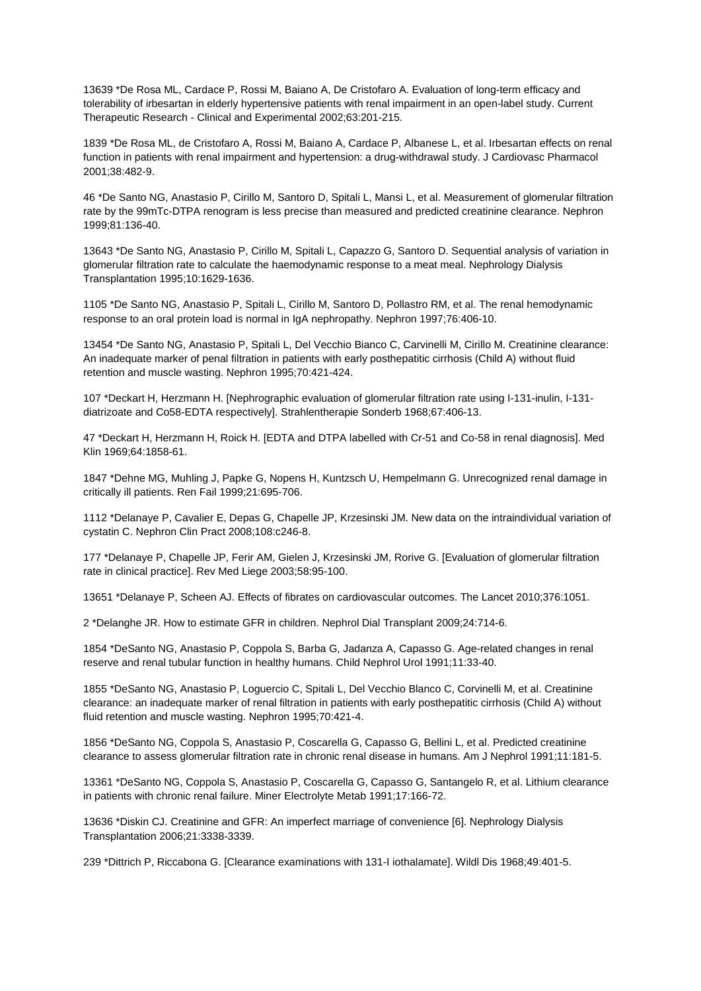13639 \*De Rosa ML, Cardace P, Rossi M, Baiano A, De Cristofaro A. Evaluation of long-term efficacy and tolerability of irbesartan in elderly hypertensive patients with renal impairment in an open-label study. Current Therapeutic Research - Clinical and Experimental 2002;63:201-215.

1839 \*De Rosa ML, de Cristofaro A, Rossi M, Baiano A, Cardace P, Albanese L, et al. Irbesartan effects on renal function in patients with renal impairment and hypertension: a drug-withdrawal study. J Cardiovasc Pharmacol 2001;38:482-9.

46 \*De Santo NG, Anastasio P, Cirillo M, Santoro D, Spitali L, Mansi L, et al. Measurement of glomerular filtration rate by the 99mTc-DTPA renogram is less precise than measured and predicted creatinine clearance. Nephron 1999;81:136-40.

13643 \*De Santo NG, Anastasio P, Cirillo M, Spitali L, Capazzo G, Santoro D. Sequential analysis of variation in glomerular filtration rate to calculate the haemodynamic response to a meat meal. Nephrology Dialysis Transplantation 1995;10:1629-1636.

1105 \*De Santo NG, Anastasio P, Spitali L, Cirillo M, Santoro D, Pollastro RM, et al. The renal hemodynamic response to an oral protein load is normal in IgA nephropathy. Nephron 1997;76:406-10.

13454 \*De Santo NG, Anastasio P, Spitali L, Del Vecchio Bianco C, Carvinelli M, Cirillo M. Creatinine clearance: An inadequate marker of penal filtration in patients with early posthepatitic cirrhosis (Child A) without fluid retention and muscle wasting. Nephron 1995;70:421-424.

107 \*Deckart H, Herzmann H. [Nephrographic evaluation of glomerular filtration rate using I-131-inulin, I-131 diatrizoate and Co58-EDTA respectively]. Strahlentherapie Sonderb 1968;67:406-13.

47 \*Deckart H, Herzmann H, Roick H. [EDTA and DTPA labelled with Cr-51 and Co-58 in renal diagnosis]. Med Klin 1969;64:1858-61.

1847 \*Dehne MG, Muhling J, Papke G, Nopens H, Kuntzsch U, Hempelmann G. Unrecognized renal damage in critically ill patients. Ren Fail 1999;21:695-706.

1112 \*Delanaye P, Cavalier E, Depas G, Chapelle JP, Krzesinski JM. New data on the intraindividual variation of cystatin C. Nephron Clin Pract 2008;108:c246-8.

177 \*Delanaye P, Chapelle JP, Ferir AM, Gielen J, Krzesinski JM, Rorive G. [Evaluation of glomerular filtration rate in clinical practice]. Rev Med Liege 2003;58:95-100.

13651 \*Delanaye P, Scheen AJ. Effects of fibrates on cardiovascular outcomes. The Lancet 2010;376:1051.

2 \*Delanghe JR. How to estimate GFR in children. Nephrol Dial Transplant 2009;24:714-6.

1854 \*DeSanto NG, Anastasio P, Coppola S, Barba G, Jadanza A, Capasso G. Age-related changes in renal reserve and renal tubular function in healthy humans. Child Nephrol Urol 1991;11:33-40.

1855 \*DeSanto NG, Anastasio P, Loguercio C, Spitali L, Del Vecchio Blanco C, Corvinelli M, et al. Creatinine clearance: an inadequate marker of renal filtration in patients with early posthepatitic cirrhosis (Child A) without fluid retention and muscle wasting. Nephron 1995;70:421-4.

1856 \*DeSanto NG, Coppola S, Anastasio P, Coscarella G, Capasso G, Bellini L, et al. Predicted creatinine clearance to assess glomerular filtration rate in chronic renal disease in humans. Am J Nephrol 1991;11:181-5.

13361 \*DeSanto NG, Coppola S, Anastasio P, Coscarella G, Capasso G, Santangelo R, et al. Lithium clearance in patients with chronic renal failure. Miner Electrolyte Metab 1991;17:166-72.

13636 \*Diskin CJ. Creatinine and GFR: An imperfect marriage of convenience [6]. Nephrology Dialysis Transplantation 2006;21:3338-3339.

239 \*Dittrich P, Riccabona G. [Clearance examinations with 131-I iothalamate]. Wildl Dis 1968;49:401-5.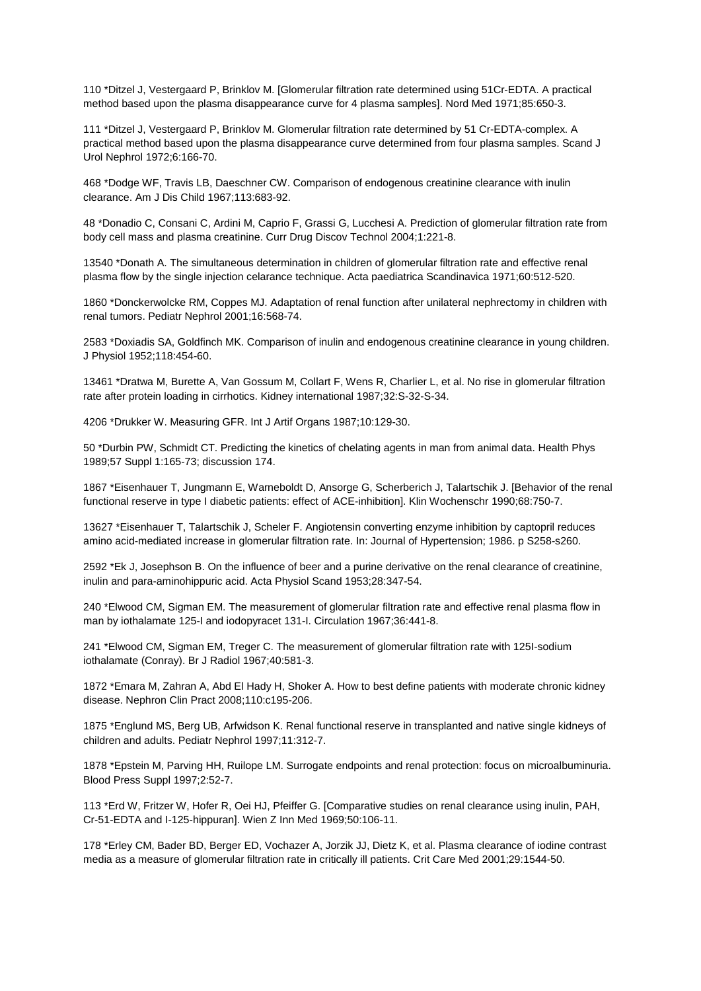110 \*Ditzel J, Vestergaard P, Brinklov M. [Glomerular filtration rate determined using 51Cr-EDTA. A practical method based upon the plasma disappearance curve for 4 plasma samples]. Nord Med 1971;85:650-3.

111 \*Ditzel J, Vestergaard P, Brinklov M. Glomerular filtration rate determined by 51 Cr-EDTA-complex. A practical method based upon the plasma disappearance curve determined from four plasma samples. Scand J Urol Nephrol 1972;6:166-70.

468 \*Dodge WF, Travis LB, Daeschner CW. Comparison of endogenous creatinine clearance with inulin clearance. Am J Dis Child 1967;113:683-92.

48 \*Donadio C, Consani C, Ardini M, Caprio F, Grassi G, Lucchesi A. Prediction of glomerular filtration rate from body cell mass and plasma creatinine. Curr Drug Discov Technol 2004;1:221-8.

13540 \*Donath A. The simultaneous determination in children of glomerular filtration rate and effective renal plasma flow by the single injection celarance technique. Acta paediatrica Scandinavica 1971;60:512-520.

1860 \*Donckerwolcke RM, Coppes MJ. Adaptation of renal function after unilateral nephrectomy in children with renal tumors. Pediatr Nephrol 2001;16:568-74.

2583 \*Doxiadis SA, Goldfinch MK. Comparison of inulin and endogenous creatinine clearance in young children. J Physiol 1952;118:454-60.

13461 \*Dratwa M, Burette A, Van Gossum M, Collart F, Wens R, Charlier L, et al. No rise in glomerular filtration rate after protein loading in cirrhotics. Kidney international 1987;32:S-32-S-34.

4206 \*Drukker W. Measuring GFR. Int J Artif Organs 1987;10:129-30.

50 \*Durbin PW, Schmidt CT. Predicting the kinetics of chelating agents in man from animal data. Health Phys 1989;57 Suppl 1:165-73; discussion 174.

1867 \*Eisenhauer T, Jungmann E, Warneboldt D, Ansorge G, Scherberich J, Talartschik J. [Behavior of the renal functional reserve in type I diabetic patients: effect of ACE-inhibition]. Klin Wochenschr 1990;68:750-7.

13627 \*Eisenhauer T, Talartschik J, Scheler F. Angiotensin converting enzyme inhibition by captopril reduces amino acid-mediated increase in glomerular filtration rate. In: Journal of Hypertension; 1986. p S258-s260.

2592 \*Ek J, Josephson B. On the influence of beer and a purine derivative on the renal clearance of creatinine, inulin and para-aminohippuric acid. Acta Physiol Scand 1953;28:347-54.

240 \*Elwood CM, Sigman EM. The measurement of glomerular filtration rate and effective renal plasma flow in man by iothalamate 125-I and iodopyracet 131-I. Circulation 1967;36:441-8.

241 \*Elwood CM, Sigman EM, Treger C. The measurement of glomerular filtration rate with 125I-sodium iothalamate (Conray). Br J Radiol 1967;40:581-3.

1872 \*Emara M, Zahran A, Abd El Hady H, Shoker A. How to best define patients with moderate chronic kidney disease. Nephron Clin Pract 2008;110:c195-206.

1875 \*Englund MS, Berg UB, Arfwidson K. Renal functional reserve in transplanted and native single kidneys of children and adults. Pediatr Nephrol 1997;11:312-7.

1878 \*Epstein M, Parving HH, Ruilope LM. Surrogate endpoints and renal protection: focus on microalbuminuria. Blood Press Suppl 1997;2:52-7.

113 \*Erd W, Fritzer W, Hofer R, Oei HJ, Pfeiffer G. [Comparative studies on renal clearance using inulin, PAH, Cr-51-EDTA and I-125-hippuran]. Wien Z Inn Med 1969;50:106-11.

178 \*Erley CM, Bader BD, Berger ED, Vochazer A, Jorzik JJ, Dietz K, et al. Plasma clearance of iodine contrast media as a measure of glomerular filtration rate in critically ill patients. Crit Care Med 2001;29:1544-50.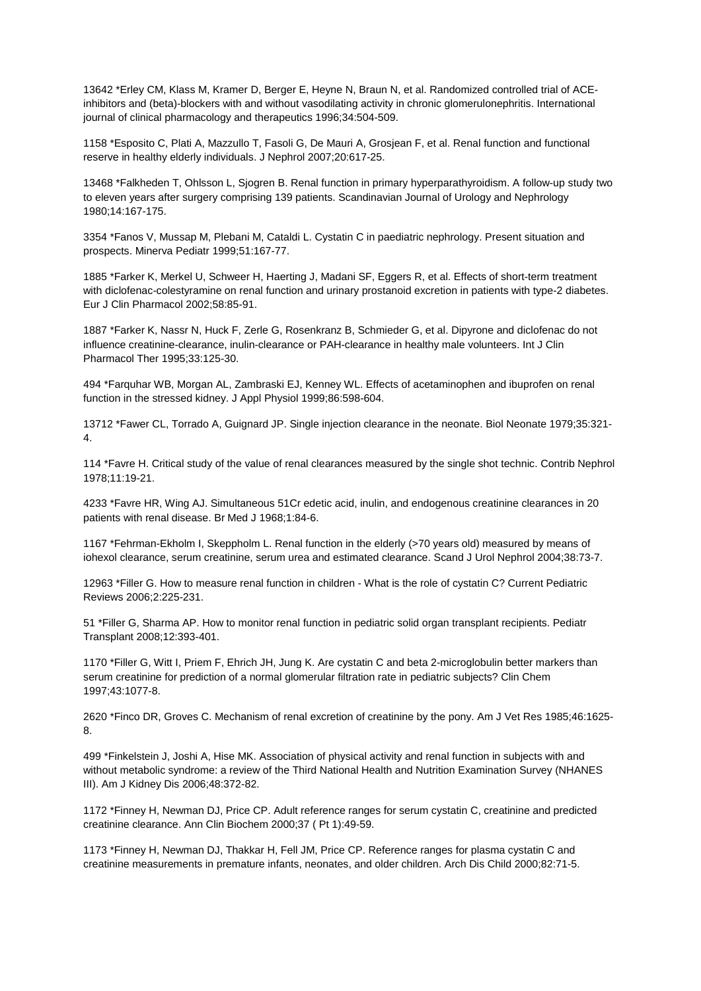13642 \*Erley CM, Klass M, Kramer D, Berger E, Heyne N, Braun N, et al. Randomized controlled trial of ACEinhibitors and (beta)-blockers with and without vasodilating activity in chronic glomerulonephritis. International journal of clinical pharmacology and therapeutics 1996;34:504-509.

1158 \*Esposito C, Plati A, Mazzullo T, Fasoli G, De Mauri A, Grosjean F, et al. Renal function and functional reserve in healthy elderly individuals. J Nephrol 2007;20:617-25.

13468 \*Falkheden T, Ohlsson L, Sjogren B. Renal function in primary hyperparathyroidism. A follow-up study two to eleven years after surgery comprising 139 patients. Scandinavian Journal of Urology and Nephrology 1980;14:167-175.

3354 \*Fanos V, Mussap M, Plebani M, Cataldi L. Cystatin C in paediatric nephrology. Present situation and prospects. Minerva Pediatr 1999;51:167-77.

1885 \*Farker K, Merkel U, Schweer H, Haerting J, Madani SF, Eggers R, et al. Effects of short-term treatment with diclofenac-colestyramine on renal function and urinary prostanoid excretion in patients with type-2 diabetes. Eur J Clin Pharmacol 2002;58:85-91.

1887 \*Farker K, Nassr N, Huck F, Zerle G, Rosenkranz B, Schmieder G, et al. Dipyrone and diclofenac do not influence creatinine-clearance, inulin-clearance or PAH-clearance in healthy male volunteers. Int J Clin Pharmacol Ther 1995;33:125-30.

494 \*Farquhar WB, Morgan AL, Zambraski EJ, Kenney WL. Effects of acetaminophen and ibuprofen on renal function in the stressed kidney. J Appl Physiol 1999;86:598-604.

13712 \*Fawer CL, Torrado A, Guignard JP. Single injection clearance in the neonate. Biol Neonate 1979;35:321- 4.

114 \*Favre H. Critical study of the value of renal clearances measured by the single shot technic. Contrib Nephrol 1978;11:19-21.

4233 \*Favre HR, Wing AJ. Simultaneous 51Cr edetic acid, inulin, and endogenous creatinine clearances in 20 patients with renal disease. Br Med J 1968;1:84-6.

1167 \*Fehrman-Ekholm I, Skeppholm L. Renal function in the elderly (>70 years old) measured by means of iohexol clearance, serum creatinine, serum urea and estimated clearance. Scand J Urol Nephrol 2004;38:73-7.

12963 \*Filler G. How to measure renal function in children - What is the role of cystatin C? Current Pediatric Reviews 2006;2:225-231.

51 \*Filler G, Sharma AP. How to monitor renal function in pediatric solid organ transplant recipients. Pediatr Transplant 2008;12:393-401.

1170 \*Filler G, Witt I, Priem F, Ehrich JH, Jung K. Are cystatin C and beta 2-microglobulin better markers than serum creatinine for prediction of a normal glomerular filtration rate in pediatric subjects? Clin Chem 1997;43:1077-8.

2620 \*Finco DR, Groves C. Mechanism of renal excretion of creatinine by the pony. Am J Vet Res 1985;46:1625- 8.

499 \*Finkelstein J, Joshi A, Hise MK. Association of physical activity and renal function in subjects with and without metabolic syndrome: a review of the Third National Health and Nutrition Examination Survey (NHANES III). Am J Kidney Dis 2006;48:372-82.

1172 \*Finney H, Newman DJ, Price CP. Adult reference ranges for serum cystatin C, creatinine and predicted creatinine clearance. Ann Clin Biochem 2000;37 ( Pt 1):49-59.

1173 \*Finney H, Newman DJ, Thakkar H, Fell JM, Price CP. Reference ranges for plasma cystatin C and creatinine measurements in premature infants, neonates, and older children. Arch Dis Child 2000;82:71-5.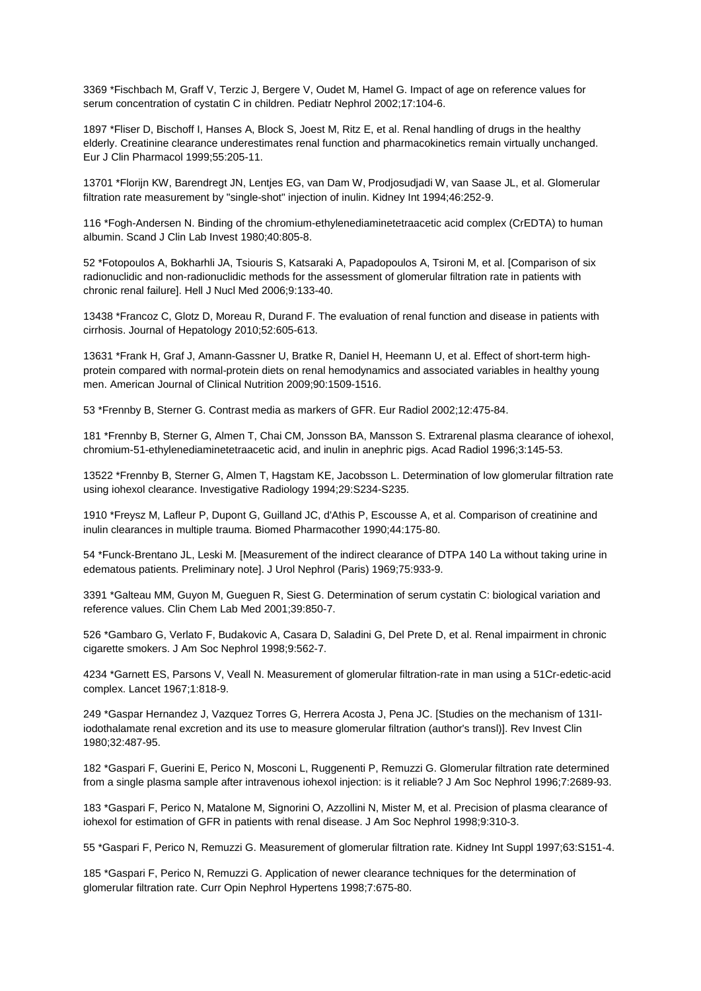3369 \*Fischbach M, Graff V, Terzic J, Bergere V, Oudet M, Hamel G. Impact of age on reference values for serum concentration of cystatin C in children. Pediatr Nephrol 2002;17:104-6.

1897 \*Fliser D, Bischoff I, Hanses A, Block S, Joest M, Ritz E, et al. Renal handling of drugs in the healthy elderly. Creatinine clearance underestimates renal function and pharmacokinetics remain virtually unchanged. Eur J Clin Pharmacol 1999;55:205-11.

13701 \*Florijn KW, Barendregt JN, Lentjes EG, van Dam W, Prodjosudjadi W, van Saase JL, et al. Glomerular filtration rate measurement by "single-shot" injection of inulin. Kidney Int 1994;46:252-9.

116 \*Fogh-Andersen N. Binding of the chromium-ethylenediaminetetraacetic acid complex (CrEDTA) to human albumin. Scand J Clin Lab Invest 1980;40:805-8.

52 \*Fotopoulos A, Bokharhli JA, Tsiouris S, Katsaraki A, Papadopoulos A, Tsironi M, et al. [Comparison of six radionuclidic and non-radionuclidic methods for the assessment of glomerular filtration rate in patients with chronic renal failure]. Hell J Nucl Med 2006;9:133-40.

13438 \*Francoz C, Glotz D, Moreau R, Durand F. The evaluation of renal function and disease in patients with cirrhosis. Journal of Hepatology 2010;52:605-613.

13631 \*Frank H, Graf J, Amann-Gassner U, Bratke R, Daniel H, Heemann U, et al. Effect of short-term highprotein compared with normal-protein diets on renal hemodynamics and associated variables in healthy young men. American Journal of Clinical Nutrition 2009;90:1509-1516.

53 \*Frennby B, Sterner G. Contrast media as markers of GFR. Eur Radiol 2002;12:475-84.

181 \*Frennby B, Sterner G, Almen T, Chai CM, Jonsson BA, Mansson S. Extrarenal plasma clearance of iohexol, chromium-51-ethylenediaminetetraacetic acid, and inulin in anephric pigs. Acad Radiol 1996;3:145-53.

13522 \*Frennby B, Sterner G, Almen T, Hagstam KE, Jacobsson L. Determination of low glomerular filtration rate using iohexol clearance. Investigative Radiology 1994;29:S234-S235.

1910 \*Freysz M, Lafleur P, Dupont G, Guilland JC, d'Athis P, Escousse A, et al. Comparison of creatinine and inulin clearances in multiple trauma. Biomed Pharmacother 1990;44:175-80.

54 \*Funck-Brentano JL, Leski M. [Measurement of the indirect clearance of DTPA 140 La without taking urine in edematous patients. Preliminary note]. J Urol Nephrol (Paris) 1969;75:933-9.

3391 \*Galteau MM, Guyon M, Gueguen R, Siest G. Determination of serum cystatin C: biological variation and reference values. Clin Chem Lab Med 2001;39:850-7.

526 \*Gambaro G, Verlato F, Budakovic A, Casara D, Saladini G, Del Prete D, et al. Renal impairment in chronic cigarette smokers. J Am Soc Nephrol 1998;9:562-7.

4234 \*Garnett ES, Parsons V, Veall N. Measurement of glomerular filtration-rate in man using a 51Cr-edetic-acid complex. Lancet 1967;1:818-9.

249 \*Gaspar Hernandez J, Vazquez Torres G, Herrera Acosta J, Pena JC. [Studies on the mechanism of 131Iiodothalamate renal excretion and its use to measure glomerular filtration (author's transl)]. Rev Invest Clin 1980;32:487-95.

182 \*Gaspari F, Guerini E, Perico N, Mosconi L, Ruggenenti P, Remuzzi G. Glomerular filtration rate determined from a single plasma sample after intravenous iohexol injection: is it reliable? J Am Soc Nephrol 1996;7:2689-93.

183 \*Gaspari F, Perico N, Matalone M, Signorini O, Azzollini N, Mister M, et al. Precision of plasma clearance of iohexol for estimation of GFR in patients with renal disease. J Am Soc Nephrol 1998;9:310-3.

55 \*Gaspari F, Perico N, Remuzzi G. Measurement of glomerular filtration rate. Kidney Int Suppl 1997;63:S151-4.

185 \*Gaspari F, Perico N, Remuzzi G. Application of newer clearance techniques for the determination of glomerular filtration rate. Curr Opin Nephrol Hypertens 1998;7:675-80.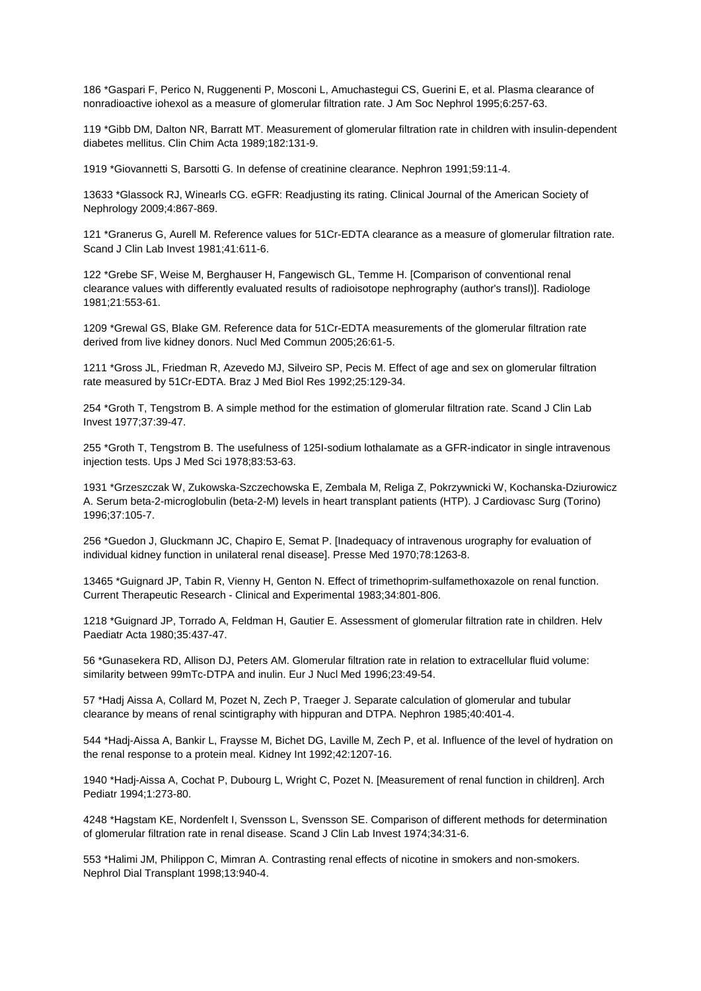186 \*Gaspari F, Perico N, Ruggenenti P, Mosconi L, Amuchastegui CS, Guerini E, et al. Plasma clearance of nonradioactive iohexol as a measure of glomerular filtration rate. J Am Soc Nephrol 1995;6:257-63.

119 \*Gibb DM, Dalton NR, Barratt MT. Measurement of glomerular filtration rate in children with insulin-dependent diabetes mellitus. Clin Chim Acta 1989;182:131-9.

1919 \*Giovannetti S, Barsotti G. In defense of creatinine clearance. Nephron 1991;59:11-4.

13633 \*Glassock RJ, Winearls CG. eGFR: Readjusting its rating. Clinical Journal of the American Society of Nephrology 2009;4:867-869.

121 \*Granerus G, Aurell M. Reference values for 51Cr-EDTA clearance as a measure of glomerular filtration rate. Scand J Clin Lab Invest 1981;41:611-6.

122 \*Grebe SF, Weise M, Berghauser H, Fangewisch GL, Temme H. [Comparison of conventional renal clearance values with differently evaluated results of radioisotope nephrography (author's transl)]. Radiologe 1981;21:553-61.

1209 \*Grewal GS, Blake GM. Reference data for 51Cr-EDTA measurements of the glomerular filtration rate derived from live kidney donors. Nucl Med Commun 2005;26:61-5.

1211 \*Gross JL, Friedman R, Azevedo MJ, Silveiro SP, Pecis M. Effect of age and sex on glomerular filtration rate measured by 51Cr-EDTA. Braz J Med Biol Res 1992;25:129-34.

254 \*Groth T, Tengstrom B. A simple method for the estimation of glomerular filtration rate. Scand J Clin Lab Invest 1977;37:39-47.

255 \*Groth T, Tengstrom B. The usefulness of 125I-sodium lothalamate as a GFR-indicator in single intravenous injection tests. Ups J Med Sci 1978;83:53-63.

1931 \*Grzeszczak W, Zukowska-Szczechowska E, Zembala M, Religa Z, Pokrzywnicki W, Kochanska-Dziurowicz A. Serum beta-2-microglobulin (beta-2-M) levels in heart transplant patients (HTP). J Cardiovasc Surg (Torino) 1996;37:105-7.

256 \*Guedon J, Gluckmann JC, Chapiro E, Semat P. [Inadequacy of intravenous urography for evaluation of individual kidney function in unilateral renal disease]. Presse Med 1970;78:1263-8.

13465 \*Guignard JP, Tabin R, Vienny H, Genton N. Effect of trimethoprim-sulfamethoxazole on renal function. Current Therapeutic Research - Clinical and Experimental 1983;34:801-806.

1218 \*Guignard JP, Torrado A, Feldman H, Gautier E. Assessment of glomerular filtration rate in children. Helv Paediatr Acta 1980;35:437-47.

56 \*Gunasekera RD, Allison DJ, Peters AM. Glomerular filtration rate in relation to extracellular fluid volume: similarity between 99mTc-DTPA and inulin. Eur J Nucl Med 1996;23:49-54.

57 \*Hadj Aissa A, Collard M, Pozet N, Zech P, Traeger J. Separate calculation of glomerular and tubular clearance by means of renal scintigraphy with hippuran and DTPA. Nephron 1985;40:401-4.

544 \*Hadj-Aissa A, Bankir L, Fraysse M, Bichet DG, Laville M, Zech P, et al. Influence of the level of hydration on the renal response to a protein meal. Kidney Int 1992;42:1207-16.

1940 \*Hadj-Aissa A, Cochat P, Dubourg L, Wright C, Pozet N. [Measurement of renal function in children]. Arch Pediatr 1994;1:273-80.

4248 \*Hagstam KE, Nordenfelt I, Svensson L, Svensson SE. Comparison of different methods for determination of glomerular filtration rate in renal disease. Scand J Clin Lab Invest 1974;34:31-6.

553 \*Halimi JM, Philippon C, Mimran A. Contrasting renal effects of nicotine in smokers and non-smokers. Nephrol Dial Transplant 1998;13:940-4.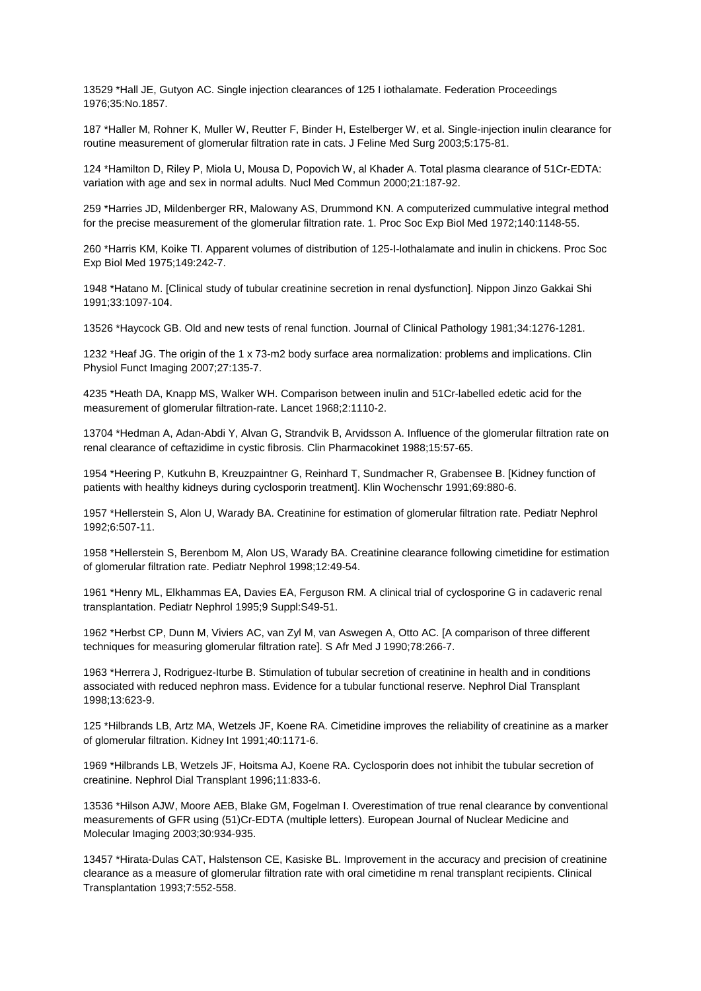13529 \*Hall JE, Gutyon AC. Single injection clearances of 125 I iothalamate. Federation Proceedings 1976;35:No.1857.

187 \*Haller M, Rohner K, Muller W, Reutter F, Binder H, Estelberger W, et al. Single-injection inulin clearance for routine measurement of glomerular filtration rate in cats. J Feline Med Surg 2003;5:175-81.

124 \*Hamilton D, Riley P, Miola U, Mousa D, Popovich W, al Khader A. Total plasma clearance of 51Cr-EDTA: variation with age and sex in normal adults. Nucl Med Commun 2000;21:187-92.

259 \*Harries JD, Mildenberger RR, Malowany AS, Drummond KN. A computerized cummulative integral method for the precise measurement of the glomerular filtration rate. 1. Proc Soc Exp Biol Med 1972;140:1148-55.

260 \*Harris KM, Koike TI. Apparent volumes of distribution of 125-I-lothalamate and inulin in chickens. Proc Soc Exp Biol Med 1975;149:242-7.

1948 \*Hatano M. [Clinical study of tubular creatinine secretion in renal dysfunction]. Nippon Jinzo Gakkai Shi 1991;33:1097-104.

13526 \*Haycock GB. Old and new tests of renal function. Journal of Clinical Pathology 1981;34:1276-1281.

1232 \*Heaf JG. The origin of the 1 x 73-m2 body surface area normalization: problems and implications. Clin Physiol Funct Imaging 2007;27:135-7.

4235 \*Heath DA, Knapp MS, Walker WH. Comparison between inulin and 51Cr-labelled edetic acid for the measurement of glomerular filtration-rate. Lancet 1968;2:1110-2.

13704 \*Hedman A, Adan-Abdi Y, Alvan G, Strandvik B, Arvidsson A. Influence of the glomerular filtration rate on renal clearance of ceftazidime in cystic fibrosis. Clin Pharmacokinet 1988;15:57-65.

1954 \*Heering P, Kutkuhn B, Kreuzpaintner G, Reinhard T, Sundmacher R, Grabensee B. [Kidney function of patients with healthy kidneys during cyclosporin treatment]. Klin Wochenschr 1991;69:880-6.

1957 \*Hellerstein S, Alon U, Warady BA. Creatinine for estimation of glomerular filtration rate. Pediatr Nephrol 1992;6:507-11.

1958 \*Hellerstein S, Berenbom M, Alon US, Warady BA. Creatinine clearance following cimetidine for estimation of glomerular filtration rate. Pediatr Nephrol 1998;12:49-54.

1961 \*Henry ML, Elkhammas EA, Davies EA, Ferguson RM. A clinical trial of cyclosporine G in cadaveric renal transplantation. Pediatr Nephrol 1995;9 Suppl:S49-51.

1962 \*Herbst CP, Dunn M, Viviers AC, van Zyl M, van Aswegen A, Otto AC. [A comparison of three different techniques for measuring glomerular filtration rate]. S Afr Med J 1990;78:266-7.

1963 \*Herrera J, Rodriguez-Iturbe B. Stimulation of tubular secretion of creatinine in health and in conditions associated with reduced nephron mass. Evidence for a tubular functional reserve. Nephrol Dial Transplant 1998;13:623-9.

125 \*Hilbrands LB, Artz MA, Wetzels JF, Koene RA. Cimetidine improves the reliability of creatinine as a marker of glomerular filtration. Kidney Int 1991;40:1171-6.

1969 \*Hilbrands LB, Wetzels JF, Hoitsma AJ, Koene RA. Cyclosporin does not inhibit the tubular secretion of creatinine. Nephrol Dial Transplant 1996;11:833-6.

13536 \*Hilson AJW, Moore AEB, Blake GM, Fogelman I. Overestimation of true renal clearance by conventional measurements of GFR using (51)Cr-EDTA (multiple letters). European Journal of Nuclear Medicine and Molecular Imaging 2003;30:934-935.

13457 \*Hirata-Dulas CAT, Halstenson CE, Kasiske BL. Improvement in the accuracy and precision of creatinine clearance as a measure of glomerular filtration rate with oral cimetidine m renal transplant recipients. Clinical Transplantation 1993;7:552-558.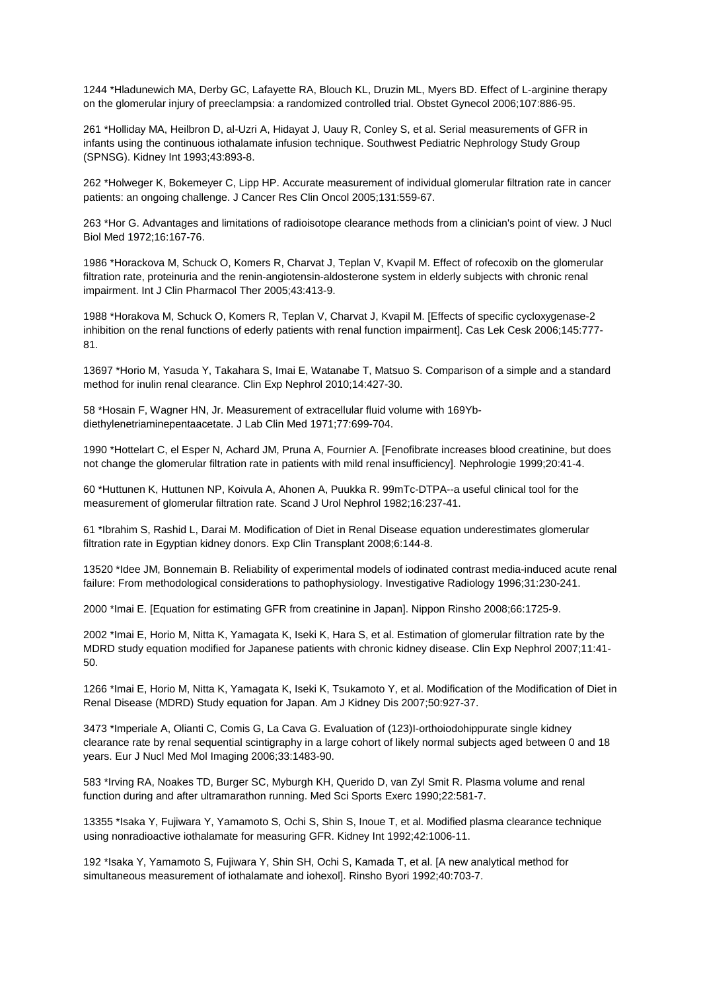1244 \*Hladunewich MA, Derby GC, Lafayette RA, Blouch KL, Druzin ML, Myers BD. Effect of L-arginine therapy on the glomerular injury of preeclampsia: a randomized controlled trial. Obstet Gynecol 2006;107:886-95.

261 \*Holliday MA, Heilbron D, al-Uzri A, Hidayat J, Uauy R, Conley S, et al. Serial measurements of GFR in infants using the continuous iothalamate infusion technique. Southwest Pediatric Nephrology Study Group (SPNSG). Kidney Int 1993;43:893-8.

262 \*Holweger K, Bokemeyer C, Lipp HP. Accurate measurement of individual glomerular filtration rate in cancer patients: an ongoing challenge. J Cancer Res Clin Oncol 2005;131:559-67.

263 \*Hor G. Advantages and limitations of radioisotope clearance methods from a clinician's point of view. J Nucl Biol Med 1972;16:167-76.

1986 \*Horackova M, Schuck O, Komers R, Charvat J, Teplan V, Kvapil M. Effect of rofecoxib on the glomerular filtration rate, proteinuria and the renin-angiotensin-aldosterone system in elderly subjects with chronic renal impairment. Int J Clin Pharmacol Ther 2005;43:413-9.

1988 \*Horakova M, Schuck O, Komers R, Teplan V, Charvat J, Kvapil M. [Effects of specific cycloxygenase-2 inhibition on the renal functions of ederly patients with renal function impairment]. Cas Lek Cesk 2006;145:777- 81.

13697 \*Horio M, Yasuda Y, Takahara S, Imai E, Watanabe T, Matsuo S. Comparison of a simple and a standard method for inulin renal clearance. Clin Exp Nephrol 2010;14:427-30.

58 \*Hosain F, Wagner HN, Jr. Measurement of extracellular fluid volume with 169Ybdiethylenetriaminepentaacetate. J Lab Clin Med 1971;77:699-704.

1990 \*Hottelart C, el Esper N, Achard JM, Pruna A, Fournier A. [Fenofibrate increases blood creatinine, but does not change the glomerular filtration rate in patients with mild renal insufficiency]. Nephrologie 1999;20:41-4.

60 \*Huttunen K, Huttunen NP, Koivula A, Ahonen A, Puukka R. 99mTc-DTPA--a useful clinical tool for the measurement of glomerular filtration rate. Scand J Urol Nephrol 1982;16:237-41.

61 \*Ibrahim S, Rashid L, Darai M. Modification of Diet in Renal Disease equation underestimates glomerular filtration rate in Egyptian kidney donors. Exp Clin Transplant 2008;6:144-8.

13520 \*Idee JM, Bonnemain B. Reliability of experimental models of iodinated contrast media-induced acute renal failure: From methodological considerations to pathophysiology. Investigative Radiology 1996;31:230-241.

2000 \*Imai E. [Equation for estimating GFR from creatinine in Japan]. Nippon Rinsho 2008;66:1725-9.

2002 \*Imai E, Horio M, Nitta K, Yamagata K, Iseki K, Hara S, et al. Estimation of glomerular filtration rate by the MDRD study equation modified for Japanese patients with chronic kidney disease. Clin Exp Nephrol 2007;11:41- 50.

1266 \*Imai E, Horio M, Nitta K, Yamagata K, Iseki K, Tsukamoto Y, et al. Modification of the Modification of Diet in Renal Disease (MDRD) Study equation for Japan. Am J Kidney Dis 2007;50:927-37.

3473 \*Imperiale A, Olianti C, Comis G, La Cava G. Evaluation of (123)I-orthoiodohippurate single kidney clearance rate by renal sequential scintigraphy in a large cohort of likely normal subjects aged between 0 and 18 years. Eur J Nucl Med Mol Imaging 2006;33:1483-90.

583 \*Irving RA, Noakes TD, Burger SC, Myburgh KH, Querido D, van Zyl Smit R. Plasma volume and renal function during and after ultramarathon running. Med Sci Sports Exerc 1990;22:581-7.

13355 \*Isaka Y, Fujiwara Y, Yamamoto S, Ochi S, Shin S, Inoue T, et al. Modified plasma clearance technique using nonradioactive iothalamate for measuring GFR. Kidney Int 1992;42:1006-11.

192 \*Isaka Y, Yamamoto S, Fujiwara Y, Shin SH, Ochi S, Kamada T, et al. [A new analytical method for simultaneous measurement of iothalamate and iohexol]. Rinsho Byori 1992;40:703-7.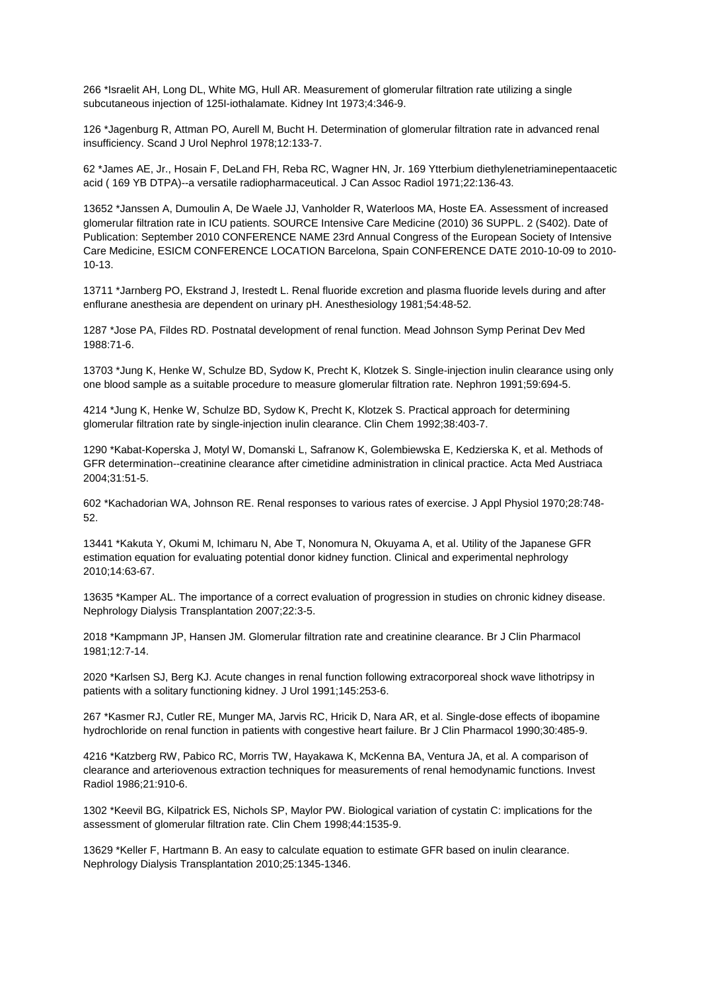266 \*Israelit AH, Long DL, White MG, Hull AR. Measurement of glomerular filtration rate utilizing a single subcutaneous injection of 125I-iothalamate. Kidney Int 1973;4:346-9.

126 \*Jagenburg R, Attman PO, Aurell M, Bucht H. Determination of glomerular filtration rate in advanced renal insufficiency. Scand J Urol Nephrol 1978;12:133-7.

62 \*James AE, Jr., Hosain F, DeLand FH, Reba RC, Wagner HN, Jr. 169 Ytterbium diethylenetriaminepentaacetic acid ( 169 YB DTPA)--a versatile radiopharmaceutical. J Can Assoc Radiol 1971;22:136-43.

13652 \*Janssen A, Dumoulin A, De Waele JJ, Vanholder R, Waterloos MA, Hoste EA. Assessment of increased glomerular filtration rate in ICU patients. SOURCE Intensive Care Medicine (2010) 36 SUPPL. 2 (S402). Date of Publication: September 2010 CONFERENCE NAME 23rd Annual Congress of the European Society of Intensive Care Medicine, ESICM CONFERENCE LOCATION Barcelona, Spain CONFERENCE DATE 2010-10-09 to 2010- 10-13.

13711 \*Jarnberg PO, Ekstrand J, Irestedt L. Renal fluoride excretion and plasma fluoride levels during and after enflurane anesthesia are dependent on urinary pH. Anesthesiology 1981;54:48-52.

1287 \*Jose PA, Fildes RD. Postnatal development of renal function. Mead Johnson Symp Perinat Dev Med 1988:71-6.

13703 \*Jung K, Henke W, Schulze BD, Sydow K, Precht K, Klotzek S. Single-injection inulin clearance using only one blood sample as a suitable procedure to measure glomerular filtration rate. Nephron 1991;59:694-5.

4214 \*Jung K, Henke W, Schulze BD, Sydow K, Precht K, Klotzek S. Practical approach for determining glomerular filtration rate by single-injection inulin clearance. Clin Chem 1992;38:403-7.

1290 \*Kabat-Koperska J, Motyl W, Domanski L, Safranow K, Golembiewska E, Kedzierska K, et al. Methods of GFR determination--creatinine clearance after cimetidine administration in clinical practice. Acta Med Austriaca 2004;31:51-5.

602 \*Kachadorian WA, Johnson RE. Renal responses to various rates of exercise. J Appl Physiol 1970;28:748- 52.

13441 \*Kakuta Y, Okumi M, Ichimaru N, Abe T, Nonomura N, Okuyama A, et al. Utility of the Japanese GFR estimation equation for evaluating potential donor kidney function. Clinical and experimental nephrology 2010;14:63-67.

13635 \*Kamper AL. The importance of a correct evaluation of progression in studies on chronic kidney disease. Nephrology Dialysis Transplantation 2007;22:3-5.

2018 \*Kampmann JP, Hansen JM. Glomerular filtration rate and creatinine clearance. Br J Clin Pharmacol 1981;12:7-14.

2020 \*Karlsen SJ, Berg KJ. Acute changes in renal function following extracorporeal shock wave lithotripsy in patients with a solitary functioning kidney. J Urol 1991;145:253-6.

267 \*Kasmer RJ, Cutler RE, Munger MA, Jarvis RC, Hricik D, Nara AR, et al. Single-dose effects of ibopamine hydrochloride on renal function in patients with congestive heart failure. Br J Clin Pharmacol 1990;30:485-9.

4216 \*Katzberg RW, Pabico RC, Morris TW, Hayakawa K, McKenna BA, Ventura JA, et al. A comparison of clearance and arteriovenous extraction techniques for measurements of renal hemodynamic functions. Invest Radiol 1986;21:910-6.

1302 \*Keevil BG, Kilpatrick ES, Nichols SP, Maylor PW. Biological variation of cystatin C: implications for the assessment of glomerular filtration rate. Clin Chem 1998;44:1535-9.

13629 \*Keller F, Hartmann B. An easy to calculate equation to estimate GFR based on inulin clearance. Nephrology Dialysis Transplantation 2010;25:1345-1346.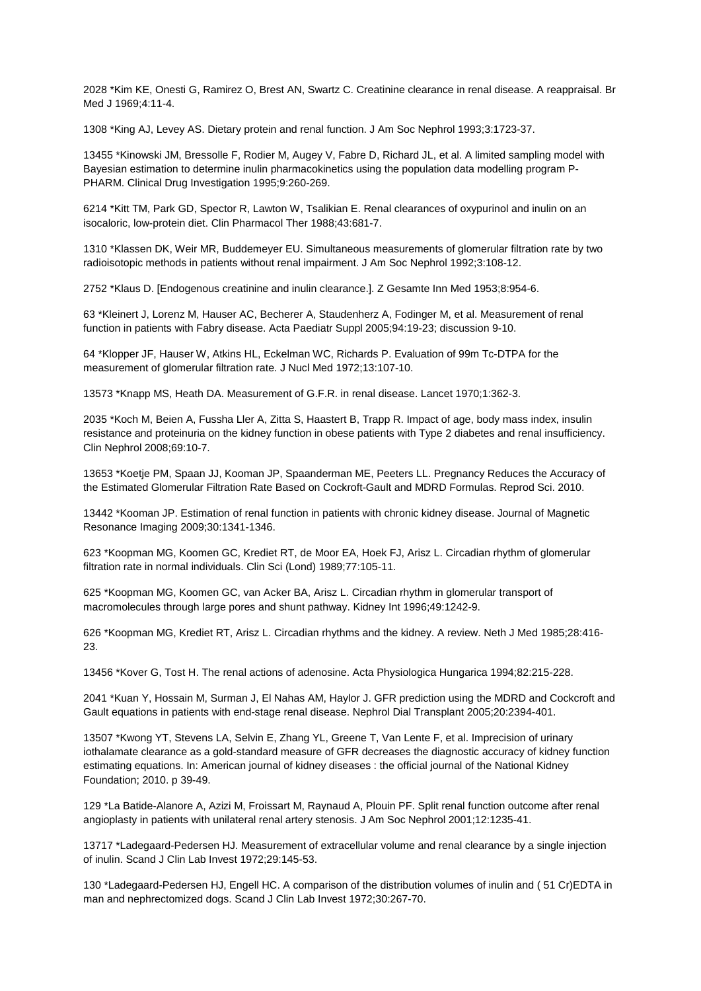2028 \*Kim KE, Onesti G, Ramirez O, Brest AN, Swartz C. Creatinine clearance in renal disease. A reappraisal. Br Med J 1969;4:11-4.

1308 \*King AJ, Levey AS. Dietary protein and renal function. J Am Soc Nephrol 1993;3:1723-37.

13455 \*Kinowski JM, Bressolle F, Rodier M, Augey V, Fabre D, Richard JL, et al. A limited sampling model with Bayesian estimation to determine inulin pharmacokinetics using the population data modelling program P-PHARM. Clinical Drug Investigation 1995;9:260-269.

6214 \*Kitt TM, Park GD, Spector R, Lawton W, Tsalikian E. Renal clearances of oxypurinol and inulin on an isocaloric, low-protein diet. Clin Pharmacol Ther 1988;43:681-7.

1310 \*Klassen DK, Weir MR, Buddemeyer EU. Simultaneous measurements of glomerular filtration rate by two radioisotopic methods in patients without renal impairment. J Am Soc Nephrol 1992;3:108-12.

2752 \*Klaus D. [Endogenous creatinine and inulin clearance.]. Z Gesamte Inn Med 1953;8:954-6.

63 \*Kleinert J, Lorenz M, Hauser AC, Becherer A, Staudenherz A, Fodinger M, et al. Measurement of renal function in patients with Fabry disease. Acta Paediatr Suppl 2005;94:19-23; discussion 9-10.

64 \*Klopper JF, Hauser W, Atkins HL, Eckelman WC, Richards P. Evaluation of 99m Tc-DTPA for the measurement of glomerular filtration rate. J Nucl Med 1972;13:107-10.

13573 \*Knapp MS, Heath DA. Measurement of G.F.R. in renal disease. Lancet 1970;1:362-3.

2035 \*Koch M, Beien A, Fussha Ller A, Zitta S, Haastert B, Trapp R. Impact of age, body mass index, insulin resistance and proteinuria on the kidney function in obese patients with Type 2 diabetes and renal insufficiency. Clin Nephrol 2008;69:10-7.

13653 \*Koetje PM, Spaan JJ, Kooman JP, Spaanderman ME, Peeters LL. Pregnancy Reduces the Accuracy of the Estimated Glomerular Filtration Rate Based on Cockroft-Gault and MDRD Formulas. Reprod Sci. 2010.

13442 \*Kooman JP. Estimation of renal function in patients with chronic kidney disease. Journal of Magnetic Resonance Imaging 2009;30:1341-1346.

623 \*Koopman MG, Koomen GC, Krediet RT, de Moor EA, Hoek FJ, Arisz L. Circadian rhythm of glomerular filtration rate in normal individuals. Clin Sci (Lond) 1989;77:105-11.

625 \*Koopman MG, Koomen GC, van Acker BA, Arisz L. Circadian rhythm in glomerular transport of macromolecules through large pores and shunt pathway. Kidney Int 1996;49:1242-9.

626 \*Koopman MG, Krediet RT, Arisz L. Circadian rhythms and the kidney. A review. Neth J Med 1985;28:416- 23.

13456 \*Kover G, Tost H. The renal actions of adenosine. Acta Physiologica Hungarica 1994;82:215-228.

2041 \*Kuan Y, Hossain M, Surman J, El Nahas AM, Haylor J. GFR prediction using the MDRD and Cockcroft and Gault equations in patients with end-stage renal disease. Nephrol Dial Transplant 2005;20:2394-401.

13507 \*Kwong YT, Stevens LA, Selvin E, Zhang YL, Greene T, Van Lente F, et al. Imprecision of urinary iothalamate clearance as a gold-standard measure of GFR decreases the diagnostic accuracy of kidney function estimating equations. In: American journal of kidney diseases : the official journal of the National Kidney Foundation; 2010. p 39-49.

129 \*La Batide-Alanore A, Azizi M, Froissart M, Raynaud A, Plouin PF. Split renal function outcome after renal angioplasty in patients with unilateral renal artery stenosis. J Am Soc Nephrol 2001;12:1235-41.

13717 \*Ladegaard-Pedersen HJ. Measurement of extracellular volume and renal clearance by a single injection of inulin. Scand J Clin Lab Invest 1972;29:145-53.

130 \*Ladegaard-Pedersen HJ, Engell HC. A comparison of the distribution volumes of inulin and ( 51 Cr)EDTA in man and nephrectomized dogs. Scand J Clin Lab Invest 1972;30:267-70.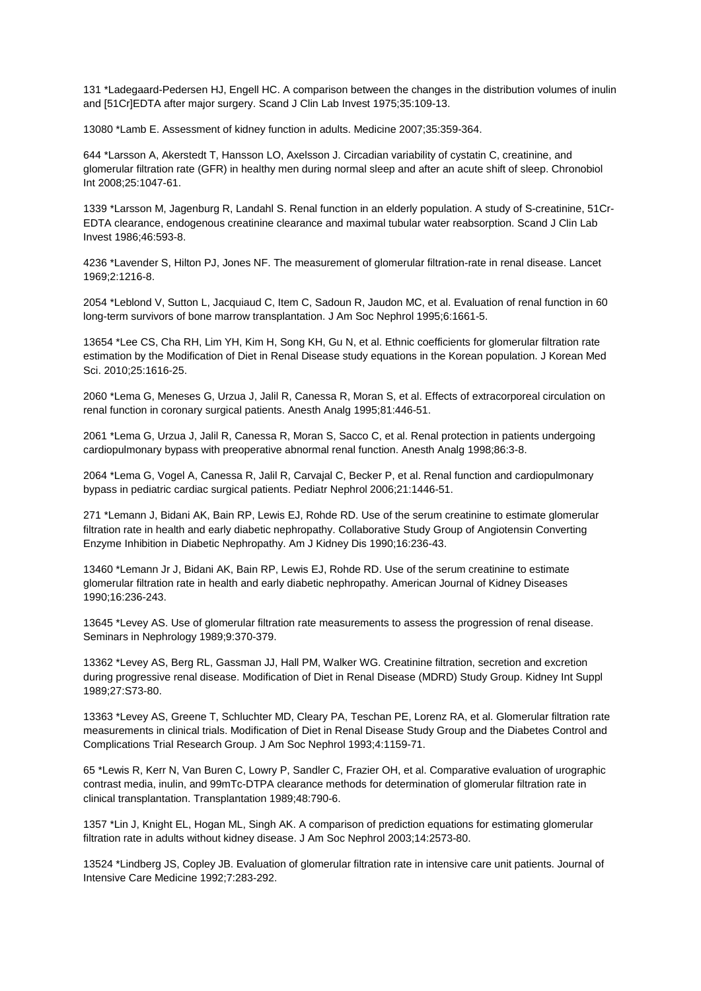131 \*Ladegaard-Pedersen HJ, Engell HC. A comparison between the changes in the distribution volumes of inulin and [51Cr]EDTA after major surgery. Scand J Clin Lab Invest 1975;35:109-13.

13080 \*Lamb E. Assessment of kidney function in adults. Medicine 2007;35:359-364.

644 \*Larsson A, Akerstedt T, Hansson LO, Axelsson J. Circadian variability of cystatin C, creatinine, and glomerular filtration rate (GFR) in healthy men during normal sleep and after an acute shift of sleep. Chronobiol Int 2008;25:1047-61.

1339 \*Larsson M, Jagenburg R, Landahl S. Renal function in an elderly population. A study of S-creatinine, 51Cr-EDTA clearance, endogenous creatinine clearance and maximal tubular water reabsorption. Scand J Clin Lab Invest 1986;46:593-8.

4236 \*Lavender S, Hilton PJ, Jones NF. The measurement of glomerular filtration-rate in renal disease. Lancet 1969;2:1216-8.

2054 \*Leblond V, Sutton L, Jacquiaud C, Item C, Sadoun R, Jaudon MC, et al. Evaluation of renal function in 60 long-term survivors of bone marrow transplantation. J Am Soc Nephrol 1995;6:1661-5.

13654 \*Lee CS, Cha RH, Lim YH, Kim H, Song KH, Gu N, et al. Ethnic coefficients for glomerular filtration rate estimation by the Modification of Diet in Renal Disease study equations in the Korean population. J Korean Med Sci. 2010;25:1616-25.

2060 \*Lema G, Meneses G, Urzua J, Jalil R, Canessa R, Moran S, et al. Effects of extracorporeal circulation on renal function in coronary surgical patients. Anesth Analg 1995;81:446-51.

2061 \*Lema G, Urzua J, Jalil R, Canessa R, Moran S, Sacco C, et al. Renal protection in patients undergoing cardiopulmonary bypass with preoperative abnormal renal function. Anesth Analg 1998;86:3-8.

2064 \*Lema G, Vogel A, Canessa R, Jalil R, Carvajal C, Becker P, et al. Renal function and cardiopulmonary bypass in pediatric cardiac surgical patients. Pediatr Nephrol 2006;21:1446-51.

271 \*Lemann J, Bidani AK, Bain RP, Lewis EJ, Rohde RD. Use of the serum creatinine to estimate glomerular filtration rate in health and early diabetic nephropathy. Collaborative Study Group of Angiotensin Converting Enzyme Inhibition in Diabetic Nephropathy. Am J Kidney Dis 1990;16:236-43.

13460 \*Lemann Jr J, Bidani AK, Bain RP, Lewis EJ, Rohde RD. Use of the serum creatinine to estimate glomerular filtration rate in health and early diabetic nephropathy. American Journal of Kidney Diseases 1990;16:236-243.

13645 \*Levey AS. Use of glomerular filtration rate measurements to assess the progression of renal disease. Seminars in Nephrology 1989;9:370-379.

13362 \*Levey AS, Berg RL, Gassman JJ, Hall PM, Walker WG. Creatinine filtration, secretion and excretion during progressive renal disease. Modification of Diet in Renal Disease (MDRD) Study Group. Kidney Int Suppl 1989;27:S73-80.

13363 \*Levey AS, Greene T, Schluchter MD, Cleary PA, Teschan PE, Lorenz RA, et al. Glomerular filtration rate measurements in clinical trials. Modification of Diet in Renal Disease Study Group and the Diabetes Control and Complications Trial Research Group. J Am Soc Nephrol 1993;4:1159-71.

65 \*Lewis R, Kerr N, Van Buren C, Lowry P, Sandler C, Frazier OH, et al. Comparative evaluation of urographic contrast media, inulin, and 99mTc-DTPA clearance methods for determination of glomerular filtration rate in clinical transplantation. Transplantation 1989;48:790-6.

1357 \*Lin J, Knight EL, Hogan ML, Singh AK. A comparison of prediction equations for estimating glomerular filtration rate in adults without kidney disease. J Am Soc Nephrol 2003;14:2573-80.

13524 \*Lindberg JS, Copley JB. Evaluation of glomerular filtration rate in intensive care unit patients. Journal of Intensive Care Medicine 1992;7:283-292.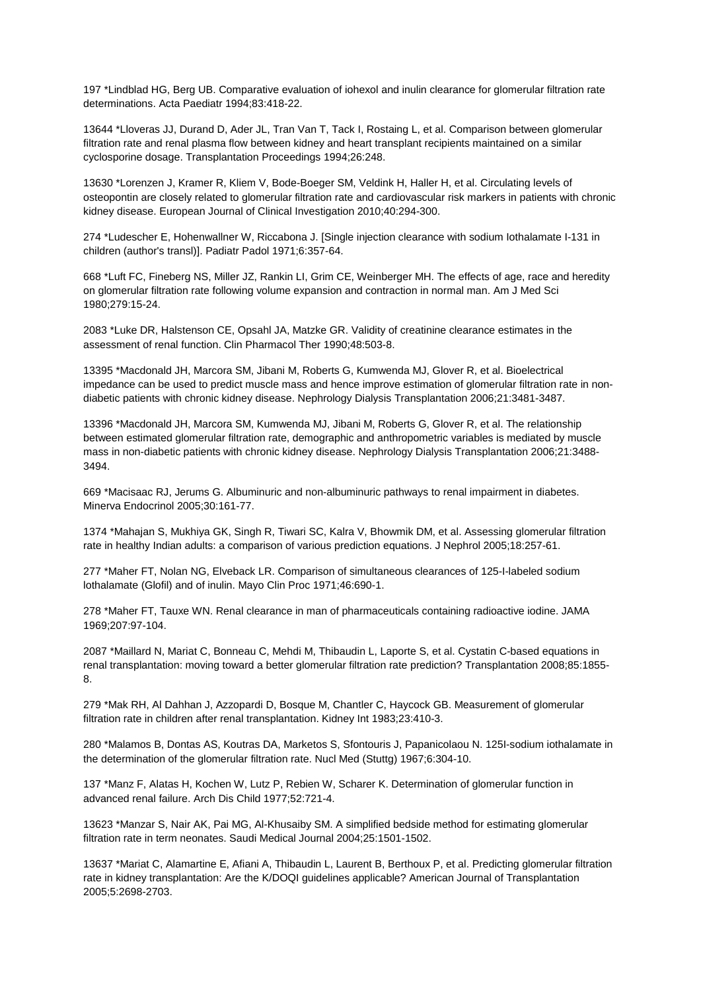197 \*Lindblad HG, Berg UB. Comparative evaluation of iohexol and inulin clearance for glomerular filtration rate determinations. Acta Paediatr 1994;83:418-22.

13644 \*Lloveras JJ, Durand D, Ader JL, Tran Van T, Tack I, Rostaing L, et al. Comparison between glomerular filtration rate and renal plasma flow between kidney and heart transplant recipients maintained on a similar cyclosporine dosage. Transplantation Proceedings 1994;26:248.

13630 \*Lorenzen J, Kramer R, Kliem V, Bode-Boeger SM, Veldink H, Haller H, et al. Circulating levels of osteopontin are closely related to glomerular filtration rate and cardiovascular risk markers in patients with chronic kidney disease. European Journal of Clinical Investigation 2010;40:294-300.

274 \*Ludescher E, Hohenwallner W, Riccabona J. [Single injection clearance with sodium Iothalamate I-131 in children (author's transl)]. Padiatr Padol 1971;6:357-64.

668 \*Luft FC, Fineberg NS, Miller JZ, Rankin LI, Grim CE, Weinberger MH. The effects of age, race and heredity on glomerular filtration rate following volume expansion and contraction in normal man. Am J Med Sci 1980;279:15-24.

2083 \*Luke DR, Halstenson CE, Opsahl JA, Matzke GR. Validity of creatinine clearance estimates in the assessment of renal function. Clin Pharmacol Ther 1990;48:503-8.

13395 \*Macdonald JH, Marcora SM, Jibani M, Roberts G, Kumwenda MJ, Glover R, et al. Bioelectrical impedance can be used to predict muscle mass and hence improve estimation of glomerular filtration rate in nondiabetic patients with chronic kidney disease. Nephrology Dialysis Transplantation 2006;21:3481-3487.

13396 \*Macdonald JH, Marcora SM, Kumwenda MJ, Jibani M, Roberts G, Glover R, et al. The relationship between estimated glomerular filtration rate, demographic and anthropometric variables is mediated by muscle mass in non-diabetic patients with chronic kidney disease. Nephrology Dialysis Transplantation 2006;21:3488- 3494.

669 \*Macisaac RJ, Jerums G. Albuminuric and non-albuminuric pathways to renal impairment in diabetes. Minerva Endocrinol 2005;30:161-77.

1374 \*Mahajan S, Mukhiya GK, Singh R, Tiwari SC, Kalra V, Bhowmik DM, et al. Assessing glomerular filtration rate in healthy Indian adults: a comparison of various prediction equations. J Nephrol 2005;18:257-61.

277 \*Maher FT, Nolan NG, Elveback LR. Comparison of simultaneous clearances of 125-I-labeled sodium lothalamate (Glofil) and of inulin. Mayo Clin Proc 1971;46:690-1.

278 \*Maher FT, Tauxe WN. Renal clearance in man of pharmaceuticals containing radioactive iodine. JAMA 1969;207:97-104.

2087 \*Maillard N, Mariat C, Bonneau C, Mehdi M, Thibaudin L, Laporte S, et al. Cystatin C-based equations in renal transplantation: moving toward a better glomerular filtration rate prediction? Transplantation 2008;85:1855- 8.

279 \*Mak RH, Al Dahhan J, Azzopardi D, Bosque M, Chantler C, Haycock GB. Measurement of glomerular filtration rate in children after renal transplantation. Kidney Int 1983;23:410-3.

280 \*Malamos B, Dontas AS, Koutras DA, Marketos S, Sfontouris J, Papanicolaou N. 125I-sodium iothalamate in the determination of the glomerular filtration rate. Nucl Med (Stuttg) 1967;6:304-10.

137 \*Manz F, Alatas H, Kochen W, Lutz P, Rebien W, Scharer K. Determination of glomerular function in advanced renal failure. Arch Dis Child 1977;52:721-4.

13623 \*Manzar S, Nair AK, Pai MG, Al-Khusaiby SM. A simplified bedside method for estimating glomerular filtration rate in term neonates. Saudi Medical Journal 2004;25:1501-1502.

13637 \*Mariat C, Alamartine E, Afiani A, Thibaudin L, Laurent B, Berthoux P, et al. Predicting glomerular filtration rate in kidney transplantation: Are the K/DOQI guidelines applicable? American Journal of Transplantation 2005;5:2698-2703.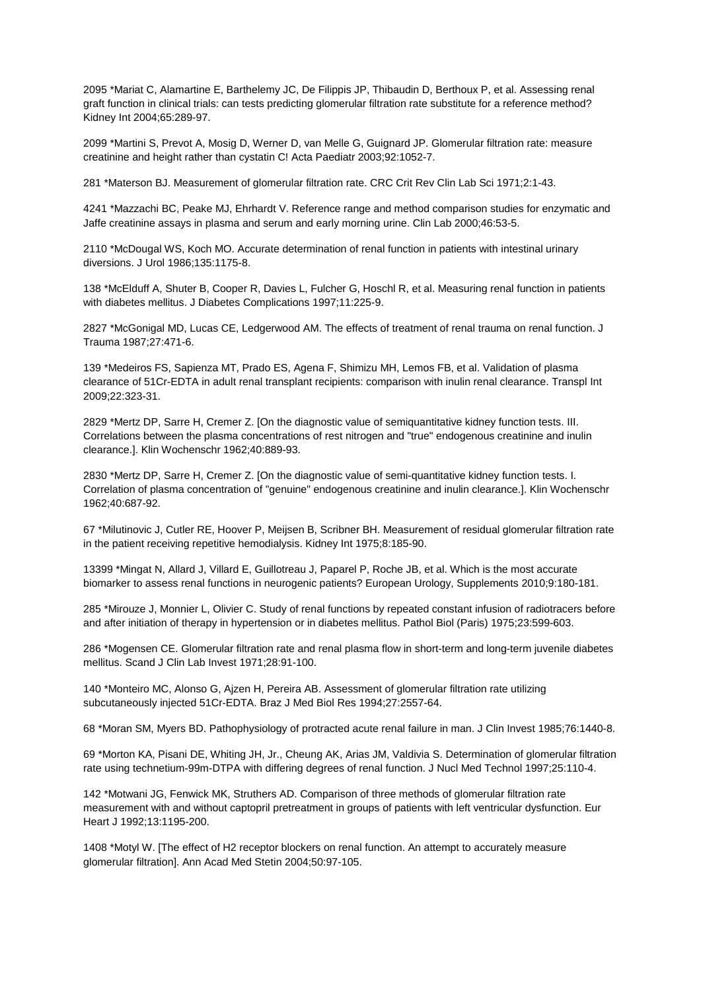2095 \*Mariat C, Alamartine E, Barthelemy JC, De Filippis JP, Thibaudin D, Berthoux P, et al. Assessing renal graft function in clinical trials: can tests predicting glomerular filtration rate substitute for a reference method? Kidney Int 2004;65:289-97.

2099 \*Martini S, Prevot A, Mosig D, Werner D, van Melle G, Guignard JP. Glomerular filtration rate: measure creatinine and height rather than cystatin C! Acta Paediatr 2003;92:1052-7.

281 \*Materson BJ. Measurement of glomerular filtration rate. CRC Crit Rev Clin Lab Sci 1971;2:1-43.

4241 \*Mazzachi BC, Peake MJ, Ehrhardt V. Reference range and method comparison studies for enzymatic and Jaffe creatinine assays in plasma and serum and early morning urine. Clin Lab 2000;46:53-5.

2110 \*McDougal WS, Koch MO. Accurate determination of renal function in patients with intestinal urinary diversions. J Urol 1986;135:1175-8.

138 \*McElduff A, Shuter B, Cooper R, Davies L, Fulcher G, Hoschl R, et al. Measuring renal function in patients with diabetes mellitus. J Diabetes Complications 1997;11:225-9.

2827 \*McGonigal MD, Lucas CE, Ledgerwood AM. The effects of treatment of renal trauma on renal function. J Trauma 1987;27:471-6.

139 \*Medeiros FS, Sapienza MT, Prado ES, Agena F, Shimizu MH, Lemos FB, et al. Validation of plasma clearance of 51Cr-EDTA in adult renal transplant recipients: comparison with inulin renal clearance. Transpl Int 2009;22:323-31.

2829 \*Mertz DP, Sarre H, Cremer Z. [On the diagnostic value of semiquantitative kidney function tests. III. Correlations between the plasma concentrations of rest nitrogen and "true" endogenous creatinine and inulin clearance.]. Klin Wochenschr 1962;40:889-93.

2830 \*Mertz DP, Sarre H, Cremer Z. [On the diagnostic value of semi-quantitative kidney function tests. I. Correlation of plasma concentration of "genuine" endogenous creatinine and inulin clearance.]. Klin Wochenschr 1962;40:687-92.

67 \*Milutinovic J, Cutler RE, Hoover P, Meijsen B, Scribner BH. Measurement of residual glomerular filtration rate in the patient receiving repetitive hemodialysis. Kidney Int 1975;8:185-90.

13399 \*Mingat N, Allard J, Villard E, Guillotreau J, Paparel P, Roche JB, et al. Which is the most accurate biomarker to assess renal functions in neurogenic patients? European Urology, Supplements 2010;9:180-181.

285 \*Mirouze J, Monnier L, Olivier C. Study of renal functions by repeated constant infusion of radiotracers before and after initiation of therapy in hypertension or in diabetes mellitus. Pathol Biol (Paris) 1975;23:599-603.

286 \*Mogensen CE. Glomerular filtration rate and renal plasma flow in short-term and long-term juvenile diabetes mellitus. Scand J Clin Lab Invest 1971;28:91-100.

140 \*Monteiro MC, Alonso G, Ajzen H, Pereira AB. Assessment of glomerular filtration rate utilizing subcutaneously injected 51Cr-EDTA. Braz J Med Biol Res 1994;27:2557-64.

68 \*Moran SM, Myers BD. Pathophysiology of protracted acute renal failure in man. J Clin Invest 1985;76:1440-8.

69 \*Morton KA, Pisani DE, Whiting JH, Jr., Cheung AK, Arias JM, Valdivia S. Determination of glomerular filtration rate using technetium-99m-DTPA with differing degrees of renal function. J Nucl Med Technol 1997;25:110-4.

142 \*Motwani JG, Fenwick MK, Struthers AD. Comparison of three methods of glomerular filtration rate measurement with and without captopril pretreatment in groups of patients with left ventricular dysfunction. Eur Heart J 1992;13:1195-200.

1408 \*Motyl W. [The effect of H2 receptor blockers on renal function. An attempt to accurately measure glomerular filtration]. Ann Acad Med Stetin 2004;50:97-105.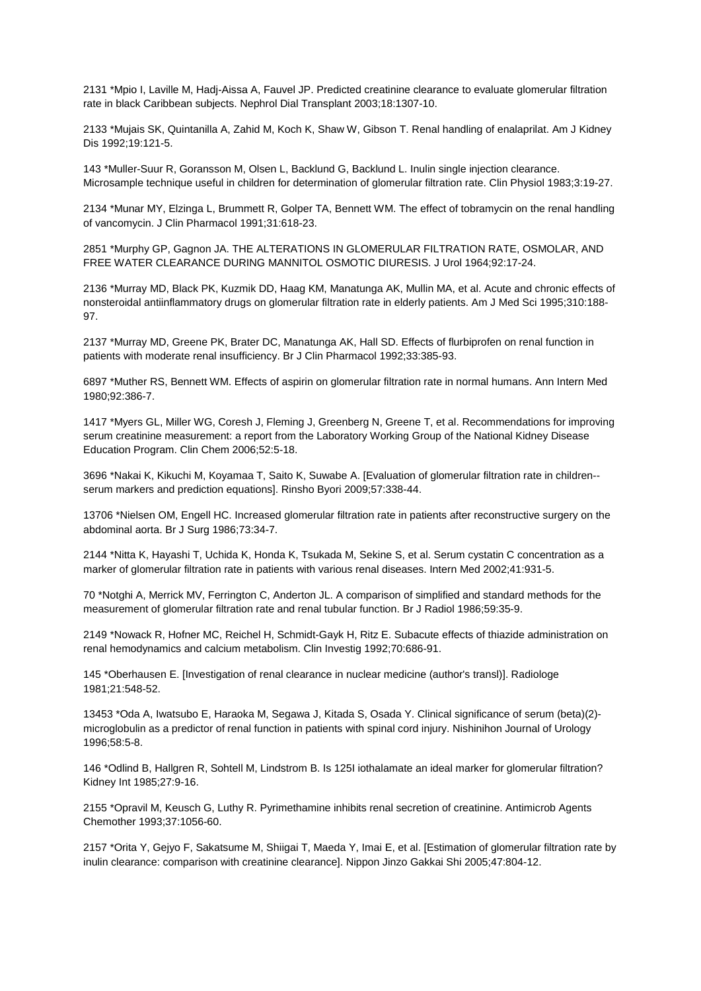2131 \*Mpio I, Laville M, Hadj-Aissa A, Fauvel JP. Predicted creatinine clearance to evaluate glomerular filtration rate in black Caribbean subjects. Nephrol Dial Transplant 2003;18:1307-10.

2133 \*Mujais SK, Quintanilla A, Zahid M, Koch K, Shaw W, Gibson T. Renal handling of enalaprilat. Am J Kidney Dis 1992;19:121-5.

143 \*Muller-Suur R, Goransson M, Olsen L, Backlund G, Backlund L. Inulin single injection clearance. Microsample technique useful in children for determination of glomerular filtration rate. Clin Physiol 1983;3:19-27.

2134 \*Munar MY, Elzinga L, Brummett R, Golper TA, Bennett WM. The effect of tobramycin on the renal handling of vancomycin. J Clin Pharmacol 1991;31:618-23.

2851 \*Murphy GP, Gagnon JA. THE ALTERATIONS IN GLOMERULAR FILTRATION RATE, OSMOLAR, AND FREE WATER CLEARANCE DURING MANNITOL OSMOTIC DIURESIS. J Urol 1964;92:17-24.

2136 \*Murray MD, Black PK, Kuzmik DD, Haag KM, Manatunga AK, Mullin MA, et al. Acute and chronic effects of nonsteroidal antiinflammatory drugs on glomerular filtration rate in elderly patients. Am J Med Sci 1995;310:188- 97.

2137 \*Murray MD, Greene PK, Brater DC, Manatunga AK, Hall SD. Effects of flurbiprofen on renal function in patients with moderate renal insufficiency. Br J Clin Pharmacol 1992;33:385-93.

6897 \*Muther RS, Bennett WM. Effects of aspirin on glomerular filtration rate in normal humans. Ann Intern Med 1980;92:386-7.

1417 \*Myers GL, Miller WG, Coresh J, Fleming J, Greenberg N, Greene T, et al. Recommendations for improving serum creatinine measurement: a report from the Laboratory Working Group of the National Kidney Disease Education Program. Clin Chem 2006;52:5-18.

3696 \*Nakai K, Kikuchi M, Koyamaa T, Saito K, Suwabe A. [Evaluation of glomerular filtration rate in children- serum markers and prediction equations]. Rinsho Byori 2009;57:338-44.

13706 \*Nielsen OM, Engell HC. Increased glomerular filtration rate in patients after reconstructive surgery on the abdominal aorta. Br J Surg 1986;73:34-7.

2144 \*Nitta K, Hayashi T, Uchida K, Honda K, Tsukada M, Sekine S, et al. Serum cystatin C concentration as a marker of glomerular filtration rate in patients with various renal diseases. Intern Med 2002;41:931-5.

70 \*Notghi A, Merrick MV, Ferrington C, Anderton JL. A comparison of simplified and standard methods for the measurement of glomerular filtration rate and renal tubular function. Br J Radiol 1986;59:35-9.

2149 \*Nowack R, Hofner MC, Reichel H, Schmidt-Gayk H, Ritz E. Subacute effects of thiazide administration on renal hemodynamics and calcium metabolism. Clin Investig 1992;70:686-91.

145 \*Oberhausen E. [Investigation of renal clearance in nuclear medicine (author's transl)]. Radiologe 1981;21:548-52.

13453 \*Oda A, Iwatsubo E, Haraoka M, Segawa J, Kitada S, Osada Y. Clinical significance of serum (beta)(2) microglobulin as a predictor of renal function in patients with spinal cord injury. Nishinihon Journal of Urology 1996;58:5-8.

146 \*Odlind B, Hallgren R, Sohtell M, Lindstrom B. Is 125I iothalamate an ideal marker for glomerular filtration? Kidney Int 1985;27:9-16.

2155 \*Opravil M, Keusch G, Luthy R. Pyrimethamine inhibits renal secretion of creatinine. Antimicrob Agents Chemother 1993;37:1056-60.

2157 \*Orita Y, Gejyo F, Sakatsume M, Shiigai T, Maeda Y, Imai E, et al. [Estimation of glomerular filtration rate by inulin clearance: comparison with creatinine clearance]. Nippon Jinzo Gakkai Shi 2005;47:804-12.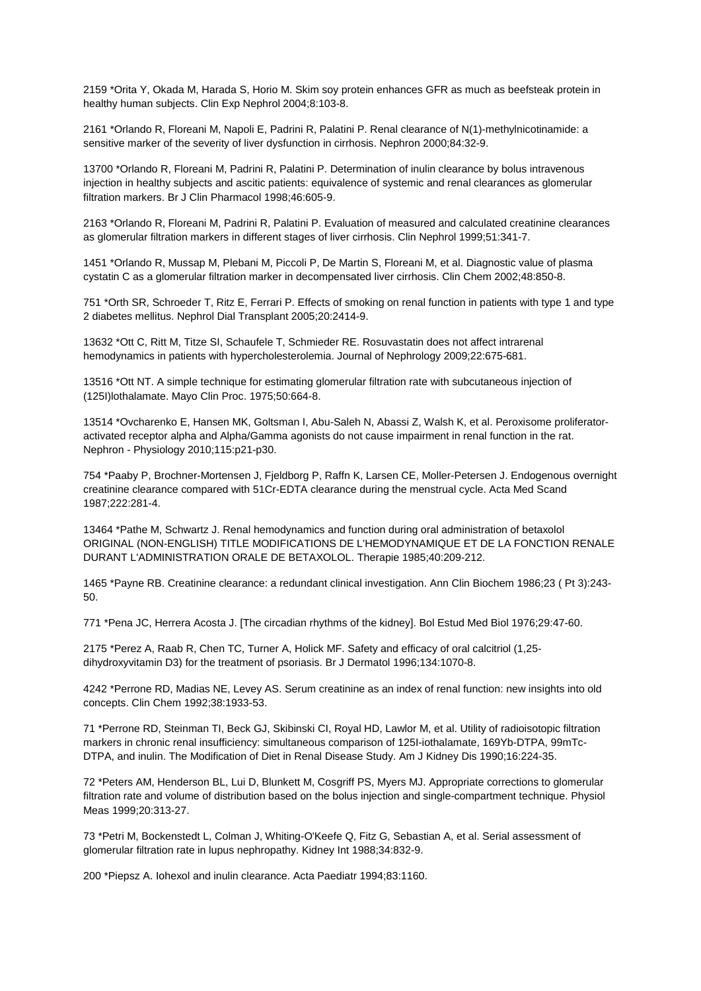2159 \*Orita Y, Okada M, Harada S, Horio M. Skim soy protein enhances GFR as much as beefsteak protein in healthy human subjects. Clin Exp Nephrol 2004;8:103-8.

2161 \*Orlando R, Floreani M, Napoli E, Padrini R, Palatini P. Renal clearance of N(1)-methylnicotinamide: a sensitive marker of the severity of liver dysfunction in cirrhosis. Nephron 2000;84:32-9.

13700 \*Orlando R, Floreani M, Padrini R, Palatini P. Determination of inulin clearance by bolus intravenous injection in healthy subjects and ascitic patients: equivalence of systemic and renal clearances as glomerular filtration markers. Br J Clin Pharmacol 1998;46:605-9.

2163 \*Orlando R, Floreani M, Padrini R, Palatini P. Evaluation of measured and calculated creatinine clearances as glomerular filtration markers in different stages of liver cirrhosis. Clin Nephrol 1999;51:341-7.

1451 \*Orlando R, Mussap M, Plebani M, Piccoli P, De Martin S, Floreani M, et al. Diagnostic value of plasma cystatin C as a glomerular filtration marker in decompensated liver cirrhosis. Clin Chem 2002;48:850-8.

751 \*Orth SR, Schroeder T, Ritz E, Ferrari P. Effects of smoking on renal function in patients with type 1 and type 2 diabetes mellitus. Nephrol Dial Transplant 2005;20:2414-9.

13632 \*Ott C, Ritt M, Titze SI, Schaufele T, Schmieder RE. Rosuvastatin does not affect intrarenal hemodynamics in patients with hypercholesterolemia. Journal of Nephrology 2009;22:675-681.

13516 \*Ott NT. A simple technique for estimating glomerular filtration rate with subcutaneous injection of (125I)lothalamate. Mayo Clin Proc. 1975;50:664-8.

13514 \*Ovcharenko E, Hansen MK, Goltsman I, Abu-Saleh N, Abassi Z, Walsh K, et al. Peroxisome proliferatoractivated receptor alpha and Alpha/Gamma agonists do not cause impairment in renal function in the rat. Nephron - Physiology 2010;115:p21-p30.

754 \*Paaby P, Brochner-Mortensen J, Fjeldborg P, Raffn K, Larsen CE, Moller-Petersen J. Endogenous overnight creatinine clearance compared with 51Cr-EDTA clearance during the menstrual cycle. Acta Med Scand 1987;222:281-4.

13464 \*Pathe M, Schwartz J. Renal hemodynamics and function during oral administration of betaxolol ORIGINAL (NON-ENGLISH) TITLE MODIFICATIONS DE L'HEMODYNAMIQUE ET DE LA FONCTION RENALE DURANT L'ADMINISTRATION ORALE DE BETAXOLOL. Therapie 1985;40:209-212.

1465 \*Payne RB. Creatinine clearance: a redundant clinical investigation. Ann Clin Biochem 1986;23 ( Pt 3):243- 50.

771 \*Pena JC, Herrera Acosta J. [The circadian rhythms of the kidney]. Bol Estud Med Biol 1976;29:47-60.

2175 \*Perez A, Raab R, Chen TC, Turner A, Holick MF. Safety and efficacy of oral calcitriol (1,25 dihydroxyvitamin D3) for the treatment of psoriasis. Br J Dermatol 1996;134:1070-8.

4242 \*Perrone RD, Madias NE, Levey AS. Serum creatinine as an index of renal function: new insights into old concepts. Clin Chem 1992;38:1933-53.

71 \*Perrone RD, Steinman TI, Beck GJ, Skibinski CI, Royal HD, Lawlor M, et al. Utility of radioisotopic filtration markers in chronic renal insufficiency: simultaneous comparison of 125I-iothalamate, 169Yb-DTPA, 99mTc-DTPA, and inulin. The Modification of Diet in Renal Disease Study. Am J Kidney Dis 1990;16:224-35.

72 \*Peters AM, Henderson BL, Lui D, Blunkett M, Cosgriff PS, Myers MJ. Appropriate corrections to glomerular filtration rate and volume of distribution based on the bolus injection and single-compartment technique. Physiol Meas 1999;20:313-27.

73 \*Petri M, Bockenstedt L, Colman J, Whiting-O'Keefe Q, Fitz G, Sebastian A, et al. Serial assessment of glomerular filtration rate in lupus nephropathy. Kidney Int 1988;34:832-9.

200 \*Piepsz A. Iohexol and inulin clearance. Acta Paediatr 1994;83:1160.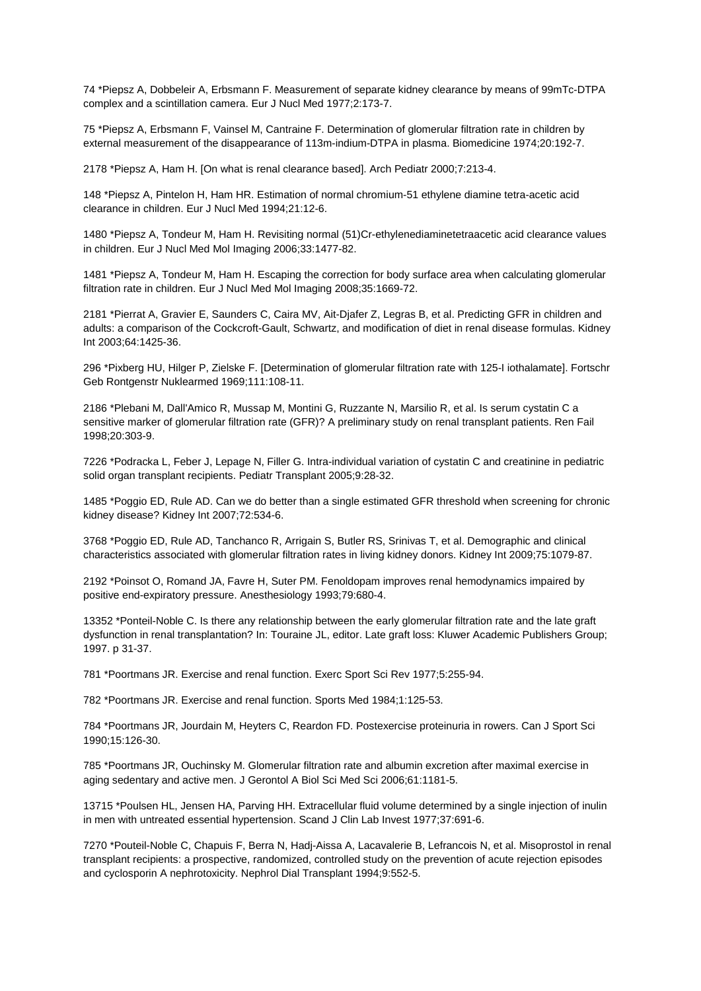74 \*Piepsz A, Dobbeleir A, Erbsmann F. Measurement of separate kidney clearance by means of 99mTc-DTPA complex and a scintillation camera. Eur J Nucl Med 1977;2:173-7.

75 \*Piepsz A, Erbsmann F, Vainsel M, Cantraine F. Determination of glomerular filtration rate in children by external measurement of the disappearance of 113m-indium-DTPA in plasma. Biomedicine 1974;20:192-7.

2178 \*Piepsz A, Ham H. [On what is renal clearance based]. Arch Pediatr 2000;7:213-4.

148 \*Piepsz A, Pintelon H, Ham HR. Estimation of normal chromium-51 ethylene diamine tetra-acetic acid clearance in children. Eur J Nucl Med 1994;21:12-6.

1480 \*Piepsz A, Tondeur M, Ham H. Revisiting normal (51)Cr-ethylenediaminetetraacetic acid clearance values in children. Eur J Nucl Med Mol Imaging 2006;33:1477-82.

1481 \*Piepsz A, Tondeur M, Ham H. Escaping the correction for body surface area when calculating glomerular filtration rate in children. Eur J Nucl Med Mol Imaging 2008;35:1669-72.

2181 \*Pierrat A, Gravier E, Saunders C, Caira MV, Ait-Djafer Z, Legras B, et al. Predicting GFR in children and adults: a comparison of the Cockcroft-Gault, Schwartz, and modification of diet in renal disease formulas. Kidney Int 2003;64:1425-36.

296 \*Pixberg HU, Hilger P, Zielske F. [Determination of glomerular filtration rate with 125-I iothalamate]. Fortschr Geb Rontgenstr Nuklearmed 1969;111:108-11.

2186 \*Plebani M, Dall'Amico R, Mussap M, Montini G, Ruzzante N, Marsilio R, et al. Is serum cystatin C a sensitive marker of glomerular filtration rate (GFR)? A preliminary study on renal transplant patients. Ren Fail 1998;20:303-9.

7226 \*Podracka L, Feber J, Lepage N, Filler G. Intra-individual variation of cystatin C and creatinine in pediatric solid organ transplant recipients. Pediatr Transplant 2005;9:28-32.

1485 \*Poggio ED, Rule AD. Can we do better than a single estimated GFR threshold when screening for chronic kidney disease? Kidney Int 2007;72:534-6.

3768 \*Poggio ED, Rule AD, Tanchanco R, Arrigain S, Butler RS, Srinivas T, et al. Demographic and clinical characteristics associated with glomerular filtration rates in living kidney donors. Kidney Int 2009;75:1079-87.

2192 \*Poinsot O, Romand JA, Favre H, Suter PM. Fenoldopam improves renal hemodynamics impaired by positive end-expiratory pressure. Anesthesiology 1993;79:680-4.

13352 \*Ponteil-Noble C. Is there any relationship between the early glomerular filtration rate and the late graft dysfunction in renal transplantation? In: Touraine JL, editor. Late graft loss: Kluwer Academic Publishers Group; 1997. p 31-37.

781 \*Poortmans JR. Exercise and renal function. Exerc Sport Sci Rev 1977;5:255-94.

782 \*Poortmans JR. Exercise and renal function. Sports Med 1984;1:125-53.

784 \*Poortmans JR, Jourdain M, Heyters C, Reardon FD. Postexercise proteinuria in rowers. Can J Sport Sci 1990;15:126-30.

785 \*Poortmans JR, Ouchinsky M. Glomerular filtration rate and albumin excretion after maximal exercise in aging sedentary and active men. J Gerontol A Biol Sci Med Sci 2006;61:1181-5.

13715 \*Poulsen HL, Jensen HA, Parving HH. Extracellular fluid volume determined by a single injection of inulin in men with untreated essential hypertension. Scand J Clin Lab Invest 1977;37:691-6.

7270 \*Pouteil-Noble C, Chapuis F, Berra N, Hadj-Aissa A, Lacavalerie B, Lefrancois N, et al. Misoprostol in renal transplant recipients: a prospective, randomized, controlled study on the prevention of acute rejection episodes and cyclosporin A nephrotoxicity. Nephrol Dial Transplant 1994;9:552-5.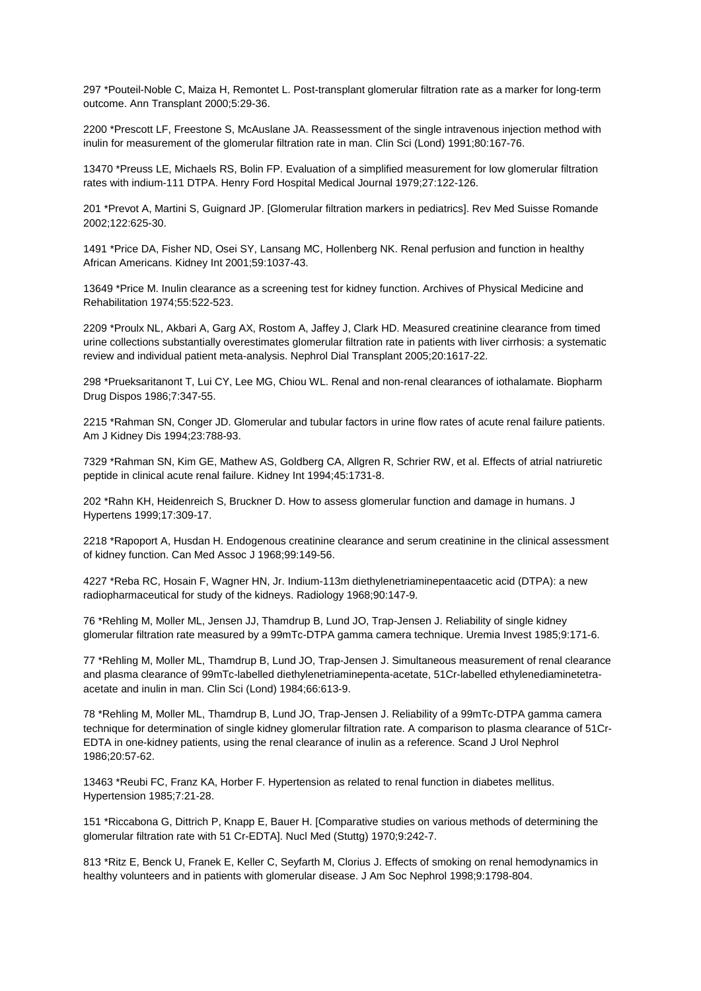297 \*Pouteil-Noble C, Maiza H, Remontet L. Post-transplant glomerular filtration rate as a marker for long-term outcome. Ann Transplant 2000;5:29-36.

2200 \*Prescott LF, Freestone S, McAuslane JA. Reassessment of the single intravenous injection method with inulin for measurement of the glomerular filtration rate in man. Clin Sci (Lond) 1991;80:167-76.

13470 \*Preuss LE, Michaels RS, Bolin FP. Evaluation of a simplified measurement for low glomerular filtration rates with indium-111 DTPA. Henry Ford Hospital Medical Journal 1979;27:122-126.

201 \*Prevot A, Martini S, Guignard JP. [Glomerular filtration markers in pediatrics]. Rev Med Suisse Romande 2002;122:625-30.

1491 \*Price DA, Fisher ND, Osei SY, Lansang MC, Hollenberg NK. Renal perfusion and function in healthy African Americans. Kidney Int 2001;59:1037-43.

13649 \*Price M. Inulin clearance as a screening test for kidney function. Archives of Physical Medicine and Rehabilitation 1974;55:522-523.

2209 \*Proulx NL, Akbari A, Garg AX, Rostom A, Jaffey J, Clark HD. Measured creatinine clearance from timed urine collections substantially overestimates glomerular filtration rate in patients with liver cirrhosis: a systematic review and individual patient meta-analysis. Nephrol Dial Transplant 2005;20:1617-22.

298 \*Prueksaritanont T, Lui CY, Lee MG, Chiou WL. Renal and non-renal clearances of iothalamate. Biopharm Drug Dispos 1986;7:347-55.

2215 \*Rahman SN, Conger JD. Glomerular and tubular factors in urine flow rates of acute renal failure patients. Am J Kidney Dis 1994;23:788-93.

7329 \*Rahman SN, Kim GE, Mathew AS, Goldberg CA, Allgren R, Schrier RW, et al. Effects of atrial natriuretic peptide in clinical acute renal failure. Kidney Int 1994;45:1731-8.

202 \*Rahn KH, Heidenreich S, Bruckner D. How to assess glomerular function and damage in humans. J Hypertens 1999;17:309-17.

2218 \*Rapoport A, Husdan H. Endogenous creatinine clearance and serum creatinine in the clinical assessment of kidney function. Can Med Assoc J 1968;99:149-56.

4227 \*Reba RC, Hosain F, Wagner HN, Jr. Indium-113m diethylenetriaminepentaacetic acid (DTPA): a new radiopharmaceutical for study of the kidneys. Radiology 1968;90:147-9.

76 \*Rehling M, Moller ML, Jensen JJ, Thamdrup B, Lund JO, Trap-Jensen J. Reliability of single kidney glomerular filtration rate measured by a 99mTc-DTPA gamma camera technique. Uremia Invest 1985;9:171-6.

77 \*Rehling M, Moller ML, Thamdrup B, Lund JO, Trap-Jensen J. Simultaneous measurement of renal clearance and plasma clearance of 99mTc-labelled diethylenetriaminepenta-acetate, 51Cr-labelled ethylenediaminetetraacetate and inulin in man. Clin Sci (Lond) 1984;66:613-9.

78 \*Rehling M, Moller ML, Thamdrup B, Lund JO, Trap-Jensen J. Reliability of a 99mTc-DTPA gamma camera technique for determination of single kidney glomerular filtration rate. A comparison to plasma clearance of 51Cr-EDTA in one-kidney patients, using the renal clearance of inulin as a reference. Scand J Urol Nephrol 1986;20:57-62.

13463 \*Reubi FC, Franz KA, Horber F. Hypertension as related to renal function in diabetes mellitus. Hypertension 1985;7:21-28.

151 \*Riccabona G, Dittrich P, Knapp E, Bauer H. [Comparative studies on various methods of determining the glomerular filtration rate with 51 Cr-EDTA]. Nucl Med (Stuttg) 1970;9:242-7.

813 \*Ritz E, Benck U, Franek E, Keller C, Seyfarth M, Clorius J. Effects of smoking on renal hemodynamics in healthy volunteers and in patients with glomerular disease. J Am Soc Nephrol 1998;9:1798-804.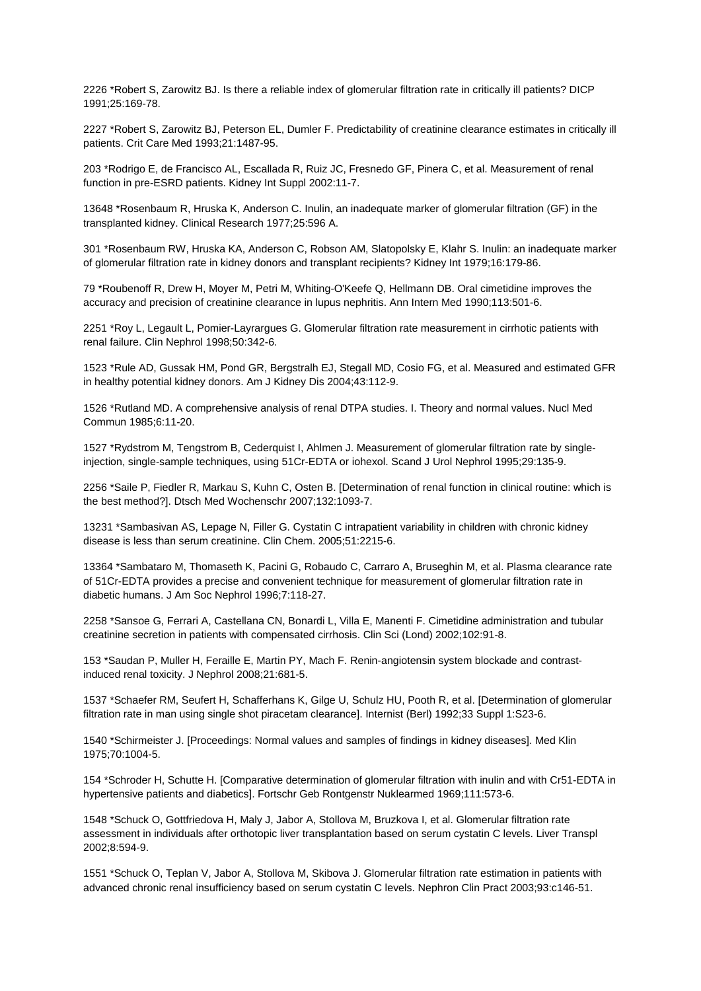2226 \*Robert S, Zarowitz BJ. Is there a reliable index of glomerular filtration rate in critically ill patients? DICP 1991;25:169-78.

2227 \*Robert S, Zarowitz BJ, Peterson EL, Dumler F. Predictability of creatinine clearance estimates in critically ill patients. Crit Care Med 1993;21:1487-95.

203 \*Rodrigo E, de Francisco AL, Escallada R, Ruiz JC, Fresnedo GF, Pinera C, et al. Measurement of renal function in pre-ESRD patients. Kidney Int Suppl 2002:11-7.

13648 \*Rosenbaum R, Hruska K, Anderson C. Inulin, an inadequate marker of glomerular filtration (GF) in the transplanted kidney. Clinical Research 1977;25:596 A.

301 \*Rosenbaum RW, Hruska KA, Anderson C, Robson AM, Slatopolsky E, Klahr S. Inulin: an inadequate marker of glomerular filtration rate in kidney donors and transplant recipients? Kidney Int 1979;16:179-86.

79 \*Roubenoff R, Drew H, Moyer M, Petri M, Whiting-O'Keefe Q, Hellmann DB. Oral cimetidine improves the accuracy and precision of creatinine clearance in lupus nephritis. Ann Intern Med 1990;113:501-6.

2251 \*Roy L, Legault L, Pomier-Layrargues G. Glomerular filtration rate measurement in cirrhotic patients with renal failure. Clin Nephrol 1998;50:342-6.

1523 \*Rule AD, Gussak HM, Pond GR, Bergstralh EJ, Stegall MD, Cosio FG, et al. Measured and estimated GFR in healthy potential kidney donors. Am J Kidney Dis 2004;43:112-9.

1526 \*Rutland MD. A comprehensive analysis of renal DTPA studies. I. Theory and normal values. Nucl Med Commun 1985;6:11-20.

1527 \*Rydstrom M, Tengstrom B, Cederquist I, Ahlmen J. Measurement of glomerular filtration rate by singleinjection, single-sample techniques, using 51Cr-EDTA or iohexol. Scand J Urol Nephrol 1995;29:135-9.

2256 \*Saile P, Fiedler R, Markau S, Kuhn C, Osten B. [Determination of renal function in clinical routine: which is the best method?]. Dtsch Med Wochenschr 2007;132:1093-7.

13231 \*Sambasivan AS, Lepage N, Filler G. Cystatin C intrapatient variability in children with chronic kidney disease is less than serum creatinine. Clin Chem. 2005;51:2215-6.

13364 \*Sambataro M, Thomaseth K, Pacini G, Robaudo C, Carraro A, Bruseghin M, et al. Plasma clearance rate of 51Cr-EDTA provides a precise and convenient technique for measurement of glomerular filtration rate in diabetic humans. J Am Soc Nephrol 1996;7:118-27.

2258 \*Sansoe G, Ferrari A, Castellana CN, Bonardi L, Villa E, Manenti F. Cimetidine administration and tubular creatinine secretion in patients with compensated cirrhosis. Clin Sci (Lond) 2002;102:91-8.

153 \*Saudan P, Muller H, Feraille E, Martin PY, Mach F. Renin-angiotensin system blockade and contrastinduced renal toxicity. J Nephrol 2008;21:681-5.

1537 \*Schaefer RM, Seufert H, Schafferhans K, Gilge U, Schulz HU, Pooth R, et al. [Determination of glomerular filtration rate in man using single shot piracetam clearance]. Internist (Berl) 1992;33 Suppl 1:S23-6.

1540 \*Schirmeister J. [Proceedings: Normal values and samples of findings in kidney diseases]. Med Klin 1975;70:1004-5.

154 \*Schroder H, Schutte H. [Comparative determination of glomerular filtration with inulin and with Cr51-EDTA in hypertensive patients and diabetics]. Fortschr Geb Rontgenstr Nuklearmed 1969;111:573-6.

1548 \*Schuck O, Gottfriedova H, Maly J, Jabor A, Stollova M, Bruzkova I, et al. Glomerular filtration rate assessment in individuals after orthotopic liver transplantation based on serum cystatin C levels. Liver Transpl 2002;8:594-9.

1551 \*Schuck O, Teplan V, Jabor A, Stollova M, Skibova J. Glomerular filtration rate estimation in patients with advanced chronic renal insufficiency based on serum cystatin C levels. Nephron Clin Pract 2003;93:c146-51.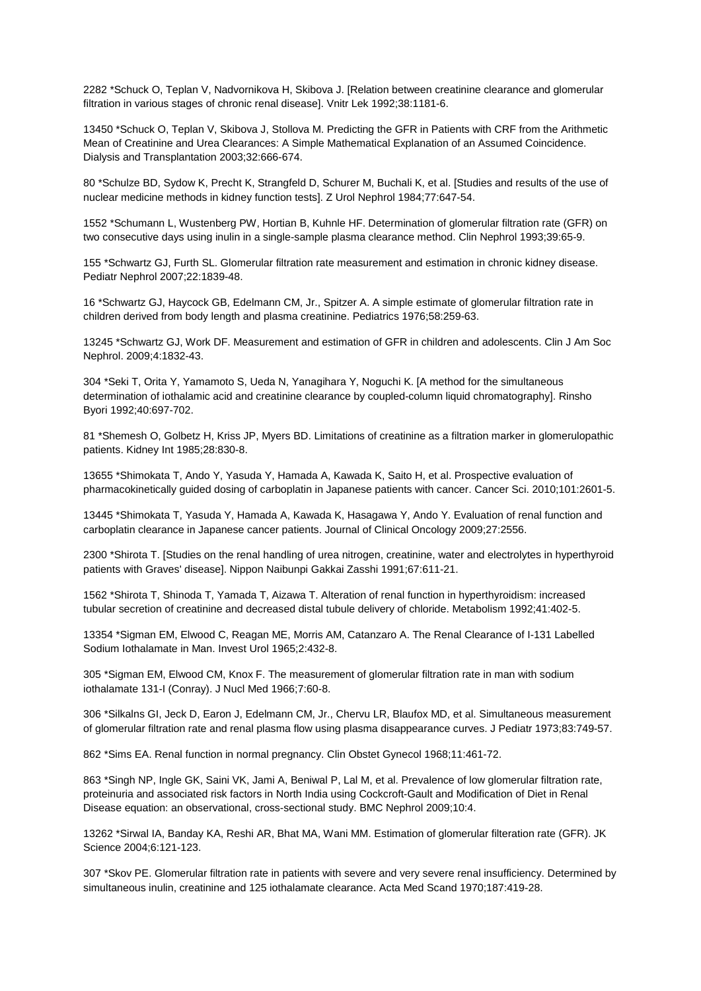2282 \*Schuck O, Teplan V, Nadvornikova H, Skibova J. [Relation between creatinine clearance and glomerular filtration in various stages of chronic renal disease]. Vnitr Lek 1992;38:1181-6.

13450 \*Schuck O, Teplan V, Skibova J, Stollova M. Predicting the GFR in Patients with CRF from the Arithmetic Mean of Creatinine and Urea Clearances: A Simple Mathematical Explanation of an Assumed Coincidence. Dialysis and Transplantation 2003;32:666-674.

80 \*Schulze BD, Sydow K, Precht K, Strangfeld D, Schurer M, Buchali K, et al. [Studies and results of the use of nuclear medicine methods in kidney function tests]. Z Urol Nephrol 1984;77:647-54.

1552 \*Schumann L, Wustenberg PW, Hortian B, Kuhnle HF. Determination of glomerular filtration rate (GFR) on two consecutive days using inulin in a single-sample plasma clearance method. Clin Nephrol 1993;39:65-9.

155 \*Schwartz GJ, Furth SL. Glomerular filtration rate measurement and estimation in chronic kidney disease. Pediatr Nephrol 2007;22:1839-48.

16 \*Schwartz GJ, Haycock GB, Edelmann CM, Jr., Spitzer A. A simple estimate of glomerular filtration rate in children derived from body length and plasma creatinine. Pediatrics 1976;58:259-63.

13245 \*Schwartz GJ, Work DF. Measurement and estimation of GFR in children and adolescents. Clin J Am Soc Nephrol. 2009;4:1832-43.

304 \*Seki T, Orita Y, Yamamoto S, Ueda N, Yanagihara Y, Noguchi K. [A method for the simultaneous determination of iothalamic acid and creatinine clearance by coupled-column liquid chromatography]. Rinsho Byori 1992;40:697-702.

81 \*Shemesh O, Golbetz H, Kriss JP, Myers BD. Limitations of creatinine as a filtration marker in glomerulopathic patients. Kidney Int 1985;28:830-8.

13655 \*Shimokata T, Ando Y, Yasuda Y, Hamada A, Kawada K, Saito H, et al. Prospective evaluation of pharmacokinetically guided dosing of carboplatin in Japanese patients with cancer. Cancer Sci. 2010;101:2601-5.

13445 \*Shimokata T, Yasuda Y, Hamada A, Kawada K, Hasagawa Y, Ando Y. Evaluation of renal function and carboplatin clearance in Japanese cancer patients. Journal of Clinical Oncology 2009;27:2556.

2300 \*Shirota T. [Studies on the renal handling of urea nitrogen, creatinine, water and electrolytes in hyperthyroid patients with Graves' disease]. Nippon Naibunpi Gakkai Zasshi 1991;67:611-21.

1562 \*Shirota T, Shinoda T, Yamada T, Aizawa T. Alteration of renal function in hyperthyroidism: increased tubular secretion of creatinine and decreased distal tubule delivery of chloride. Metabolism 1992;41:402-5.

13354 \*Sigman EM, Elwood C, Reagan ME, Morris AM, Catanzaro A. The Renal Clearance of I-131 Labelled Sodium Iothalamate in Man. Invest Urol 1965;2:432-8.

305 \*Sigman EM, Elwood CM, Knox F. The measurement of glomerular filtration rate in man with sodium iothalamate 131-I (Conray). J Nucl Med 1966;7:60-8.

306 \*Silkalns GI, Jeck D, Earon J, Edelmann CM, Jr., Chervu LR, Blaufox MD, et al. Simultaneous measurement of glomerular filtration rate and renal plasma flow using plasma disappearance curves. J Pediatr 1973;83:749-57.

862 \*Sims EA. Renal function in normal pregnancy. Clin Obstet Gynecol 1968;11:461-72.

863 \*Singh NP, Ingle GK, Saini VK, Jami A, Beniwal P, Lal M, et al. Prevalence of low glomerular filtration rate, proteinuria and associated risk factors in North India using Cockcroft-Gault and Modification of Diet in Renal Disease equation: an observational, cross-sectional study. BMC Nephrol 2009;10:4.

13262 \*Sirwal IA, Banday KA, Reshi AR, Bhat MA, Wani MM. Estimation of glomerular filteration rate (GFR). JK Science 2004;6:121-123.

307 \*Skov PE. Glomerular filtration rate in patients with severe and very severe renal insufficiency. Determined by simultaneous inulin, creatinine and 125 iothalamate clearance. Acta Med Scand 1970;187:419-28.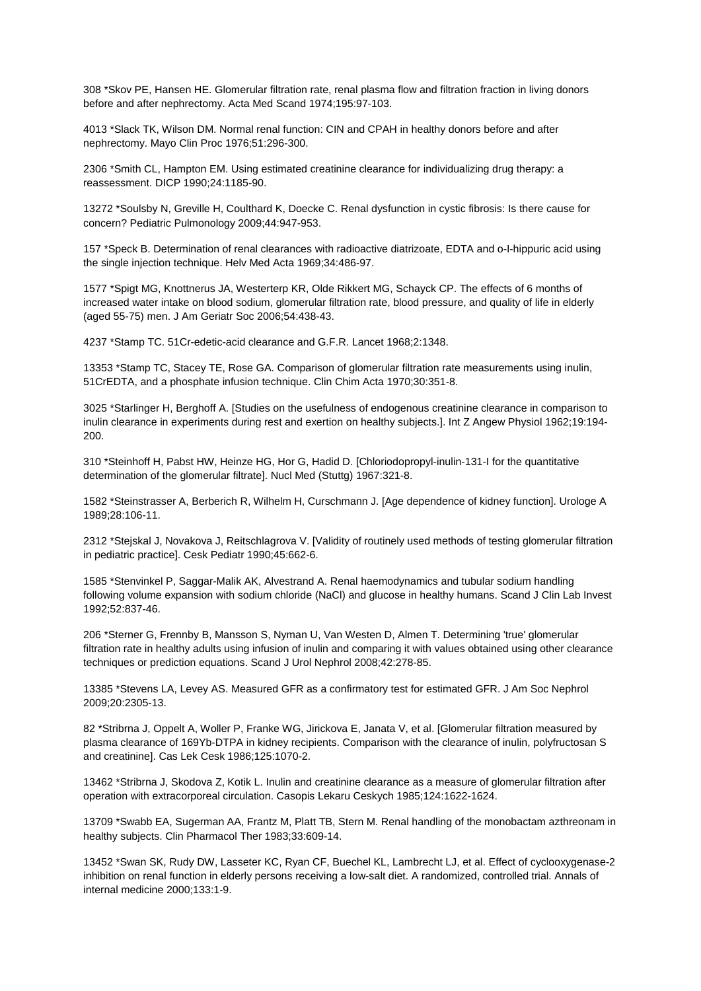308 \*Skov PE, Hansen HE. Glomerular filtration rate, renal plasma flow and filtration fraction in living donors before and after nephrectomy. Acta Med Scand 1974;195:97-103.

4013 \*Slack TK, Wilson DM. Normal renal function: CIN and CPAH in healthy donors before and after nephrectomy. Mayo Clin Proc 1976;51:296-300.

2306 \*Smith CL, Hampton EM. Using estimated creatinine clearance for individualizing drug therapy: a reassessment. DICP 1990;24:1185-90.

13272 \*Soulsby N, Greville H, Coulthard K, Doecke C. Renal dysfunction in cystic fibrosis: Is there cause for concern? Pediatric Pulmonology 2009;44:947-953.

157 \*Speck B. Determination of renal clearances with radioactive diatrizoate, EDTA and o-I-hippuric acid using the single injection technique. Helv Med Acta 1969;34:486-97.

1577 \*Spigt MG, Knottnerus JA, Westerterp KR, Olde Rikkert MG, Schayck CP. The effects of 6 months of increased water intake on blood sodium, glomerular filtration rate, blood pressure, and quality of life in elderly (aged 55-75) men. J Am Geriatr Soc 2006;54:438-43.

4237 \*Stamp TC. 51Cr-edetic-acid clearance and G.F.R. Lancet 1968;2:1348.

13353 \*Stamp TC, Stacey TE, Rose GA. Comparison of glomerular filtration rate measurements using inulin, 51CrEDTA, and a phosphate infusion technique. Clin Chim Acta 1970;30:351-8.

3025 \*Starlinger H, Berghoff A. [Studies on the usefulness of endogenous creatinine clearance in comparison to inulin clearance in experiments during rest and exertion on healthy subjects.]. Int Z Angew Physiol 1962;19:194- 200.

310 \*Steinhoff H, Pabst HW, Heinze HG, Hor G, Hadid D. [Chloriodopropyl-inulin-131-I for the quantitative determination of the glomerular filtrate]. Nucl Med (Stuttg) 1967:321-8.

1582 \*Steinstrasser A, Berberich R, Wilhelm H, Curschmann J. [Age dependence of kidney function]. Urologe A 1989;28:106-11.

2312 \*Stejskal J, Novakova J, Reitschlagrova V. [Validity of routinely used methods of testing glomerular filtration in pediatric practice]. Cesk Pediatr 1990;45:662-6.

1585 \*Stenvinkel P, Saggar-Malik AK, Alvestrand A. Renal haemodynamics and tubular sodium handling following volume expansion with sodium chloride (NaCl) and glucose in healthy humans. Scand J Clin Lab Invest 1992;52:837-46.

206 \*Sterner G, Frennby B, Mansson S, Nyman U, Van Westen D, Almen T. Determining 'true' glomerular filtration rate in healthy adults using infusion of inulin and comparing it with values obtained using other clearance techniques or prediction equations. Scand J Urol Nephrol 2008;42:278-85.

13385 \*Stevens LA, Levey AS. Measured GFR as a confirmatory test for estimated GFR. J Am Soc Nephrol 2009;20:2305-13.

82 \*Stribrna J, Oppelt A, Woller P, Franke WG, Jirickova E, Janata V, et al. [Glomerular filtration measured by plasma clearance of 169Yb-DTPA in kidney recipients. Comparison with the clearance of inulin, polyfructosan S and creatinine]. Cas Lek Cesk 1986;125:1070-2.

13462 \*Stribrna J, Skodova Z, Kotik L. Inulin and creatinine clearance as a measure of glomerular filtration after operation with extracorporeal circulation. Casopis Lekaru Ceskych 1985;124:1622-1624.

13709 \*Swabb EA, Sugerman AA, Frantz M, Platt TB, Stern M. Renal handling of the monobactam azthreonam in healthy subjects. Clin Pharmacol Ther 1983;33:609-14.

13452 \*Swan SK, Rudy DW, Lasseter KC, Ryan CF, Buechel KL, Lambrecht LJ, et al. Effect of cyclooxygenase-2 inhibition on renal function in elderly persons receiving a low-salt diet. A randomized, controlled trial. Annals of internal medicine 2000;133:1-9.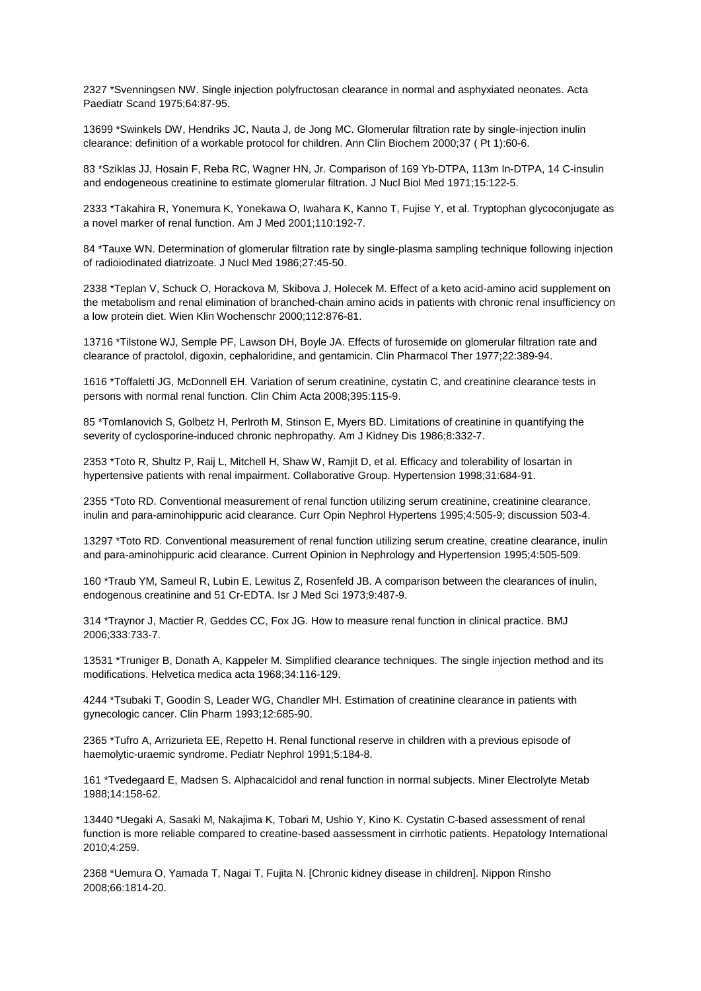2327 \*Svenningsen NW. Single injection polyfructosan clearance in normal and asphyxiated neonates. Acta Paediatr Scand 1975;64:87-95.

13699 \*Swinkels DW, Hendriks JC, Nauta J, de Jong MC. Glomerular filtration rate by single-injection inulin clearance: definition of a workable protocol for children. Ann Clin Biochem 2000;37 ( Pt 1):60-6.

83 \*Sziklas JJ, Hosain F, Reba RC, Wagner HN, Jr. Comparison of 169 Yb-DTPA, 113m In-DTPA, 14 C-insulin and endogeneous creatinine to estimate glomerular filtration. J Nucl Biol Med 1971;15:122-5.

2333 \*Takahira R, Yonemura K, Yonekawa O, Iwahara K, Kanno T, Fujise Y, et al. Tryptophan glycoconjugate as a novel marker of renal function. Am J Med 2001;110:192-7.

84 \*Tauxe WN. Determination of glomerular filtration rate by single-plasma sampling technique following injection of radioiodinated diatrizoate. J Nucl Med 1986;27:45-50.

2338 \*Teplan V, Schuck O, Horackova M, Skibova J, Holecek M. Effect of a keto acid-amino acid supplement on the metabolism and renal elimination of branched-chain amino acids in patients with chronic renal insufficiency on a low protein diet. Wien Klin Wochenschr 2000;112:876-81.

13716 \*Tilstone WJ, Semple PF, Lawson DH, Boyle JA. Effects of furosemide on glomerular filtration rate and clearance of practolol, digoxin, cephaloridine, and gentamicin. Clin Pharmacol Ther 1977;22:389-94.

1616 \*Toffaletti JG, McDonnell EH. Variation of serum creatinine, cystatin C, and creatinine clearance tests in persons with normal renal function. Clin Chim Acta 2008;395:115-9.

85 \*Tomlanovich S, Golbetz H, Perlroth M, Stinson E, Myers BD. Limitations of creatinine in quantifying the severity of cyclosporine-induced chronic nephropathy. Am J Kidney Dis 1986;8:332-7.

2353 \*Toto R, Shultz P, Raij L, Mitchell H, Shaw W, Ramjit D, et al. Efficacy and tolerability of losartan in hypertensive patients with renal impairment. Collaborative Group. Hypertension 1998;31:684-91.

2355 \*Toto RD. Conventional measurement of renal function utilizing serum creatinine, creatinine clearance, inulin and para-aminohippuric acid clearance. Curr Opin Nephrol Hypertens 1995;4:505-9; discussion 503-4.

13297 \*Toto RD. Conventional measurement of renal function utilizing serum creatine, creatine clearance, inulin and para-aminohippuric acid clearance. Current Opinion in Nephrology and Hypertension 1995;4:505-509.

160 \*Traub YM, Sameul R, Lubin E, Lewitus Z, Rosenfeld JB. A comparison between the clearances of inulin, endogenous creatinine and 51 Cr-EDTA. Isr J Med Sci 1973;9:487-9.

314 \*Traynor J, Mactier R, Geddes CC, Fox JG. How to measure renal function in clinical practice. BMJ 2006;333:733-7.

13531 \*Truniger B, Donath A, Kappeler M. Simplified clearance techniques. The single injection method and its modifications. Helvetica medica acta 1968;34:116-129.

4244 \*Tsubaki T, Goodin S, Leader WG, Chandler MH. Estimation of creatinine clearance in patients with gynecologic cancer. Clin Pharm 1993;12:685-90.

2365 \*Tufro A, Arrizurieta EE, Repetto H. Renal functional reserve in children with a previous episode of haemolytic-uraemic syndrome. Pediatr Nephrol 1991;5:184-8.

161 \*Tvedegaard E, Madsen S. Alphacalcidol and renal function in normal subjects. Miner Electrolyte Metab 1988;14:158-62.

13440 \*Uegaki A, Sasaki M, Nakajima K, Tobari M, Ushio Y, Kino K. Cystatin C-based assessment of renal function is more reliable compared to creatine-based aassessment in cirrhotic patients. Hepatology International 2010;4:259.

2368 \*Uemura O, Yamada T, Nagai T, Fujita N. [Chronic kidney disease in children]. Nippon Rinsho 2008;66:1814-20.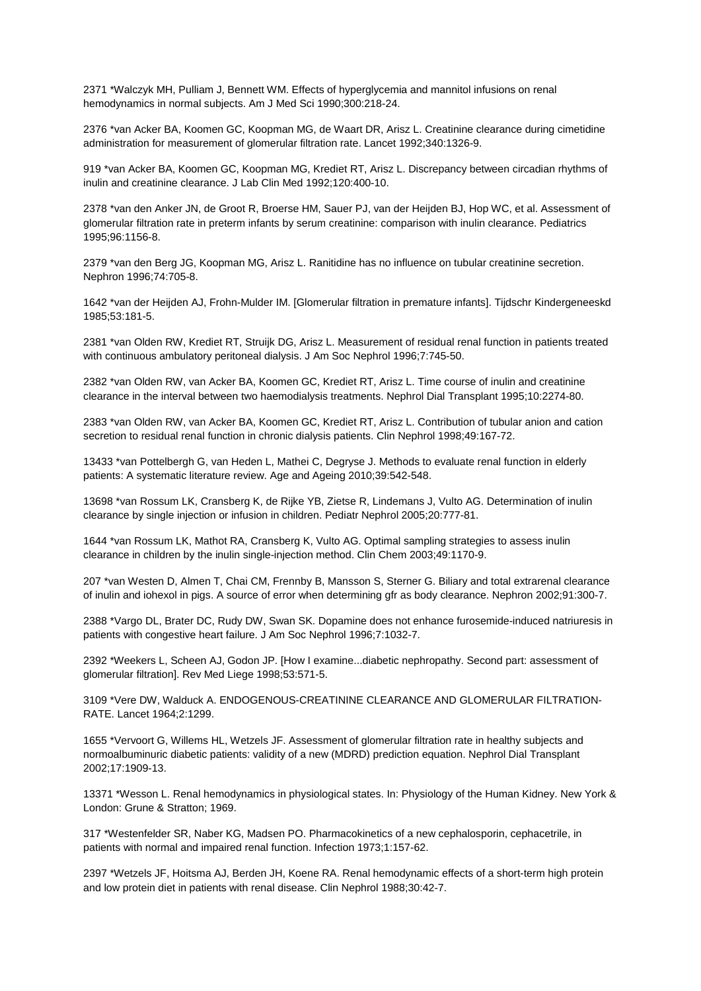2371 \*Walczyk MH, Pulliam J, Bennett WM. Effects of hyperglycemia and mannitol infusions on renal hemodynamics in normal subjects. Am J Med Sci 1990;300:218-24.

2376 \*van Acker BA, Koomen GC, Koopman MG, de Waart DR, Arisz L. Creatinine clearance during cimetidine administration for measurement of glomerular filtration rate. Lancet 1992;340:1326-9.

919 \*van Acker BA, Koomen GC, Koopman MG, Krediet RT, Arisz L. Discrepancy between circadian rhythms of inulin and creatinine clearance. J Lab Clin Med 1992;120:400-10.

2378 \*van den Anker JN, de Groot R, Broerse HM, Sauer PJ, van der Heijden BJ, Hop WC, et al. Assessment of glomerular filtration rate in preterm infants by serum creatinine: comparison with inulin clearance. Pediatrics 1995;96:1156-8.

2379 \*van den Berg JG, Koopman MG, Arisz L. Ranitidine has no influence on tubular creatinine secretion. Nephron 1996;74:705-8.

1642 \*van der Heijden AJ, Frohn-Mulder IM. [Glomerular filtration in premature infants]. Tijdschr Kindergeneeskd 1985;53:181-5.

2381 \*van Olden RW, Krediet RT, Struijk DG, Arisz L. Measurement of residual renal function in patients treated with continuous ambulatory peritoneal dialysis. J Am Soc Nephrol 1996;7:745-50.

2382 \*van Olden RW, van Acker BA, Koomen GC, Krediet RT, Arisz L. Time course of inulin and creatinine clearance in the interval between two haemodialysis treatments. Nephrol Dial Transplant 1995;10:2274-80.

2383 \*van Olden RW, van Acker BA, Koomen GC, Krediet RT, Arisz L. Contribution of tubular anion and cation secretion to residual renal function in chronic dialysis patients. Clin Nephrol 1998;49:167-72.

13433 \*van Pottelbergh G, van Heden L, Mathei C, Degryse J. Methods to evaluate renal function in elderly patients: A systematic literature review. Age and Ageing 2010;39:542-548.

13698 \*van Rossum LK, Cransberg K, de Rijke YB, Zietse R, Lindemans J, Vulto AG. Determination of inulin clearance by single injection or infusion in children. Pediatr Nephrol 2005;20:777-81.

1644 \*van Rossum LK, Mathot RA, Cransberg K, Vulto AG. Optimal sampling strategies to assess inulin clearance in children by the inulin single-injection method. Clin Chem 2003;49:1170-9.

207 \*van Westen D, Almen T, Chai CM, Frennby B, Mansson S, Sterner G. Biliary and total extrarenal clearance of inulin and iohexol in pigs. A source of error when determining gfr as body clearance. Nephron 2002;91:300-7.

2388 \*Vargo DL, Brater DC, Rudy DW, Swan SK. Dopamine does not enhance furosemide-induced natriuresis in patients with congestive heart failure. J Am Soc Nephrol 1996;7:1032-7.

2392 \*Weekers L, Scheen AJ, Godon JP. [How I examine...diabetic nephropathy. Second part: assessment of glomerular filtration]. Rev Med Liege 1998;53:571-5.

3109 \*Vere DW, Walduck A. ENDOGENOUS-CREATININE CLEARANCE AND GLOMERULAR FILTRATION-RATE. Lancet 1964;2:1299.

1655 \*Vervoort G, Willems HL, Wetzels JF. Assessment of glomerular filtration rate in healthy subjects and normoalbuminuric diabetic patients: validity of a new (MDRD) prediction equation. Nephrol Dial Transplant 2002;17:1909-13.

13371 \*Wesson L. Renal hemodynamics in physiological states. In: Physiology of the Human Kidney. New York & London: Grune & Stratton; 1969.

317 \*Westenfelder SR, Naber KG, Madsen PO. Pharmacokinetics of a new cephalosporin, cephacetrile, in patients with normal and impaired renal function. Infection 1973;1:157-62.

2397 \*Wetzels JF, Hoitsma AJ, Berden JH, Koene RA. Renal hemodynamic effects of a short-term high protein and low protein diet in patients with renal disease. Clin Nephrol 1988;30:42-7.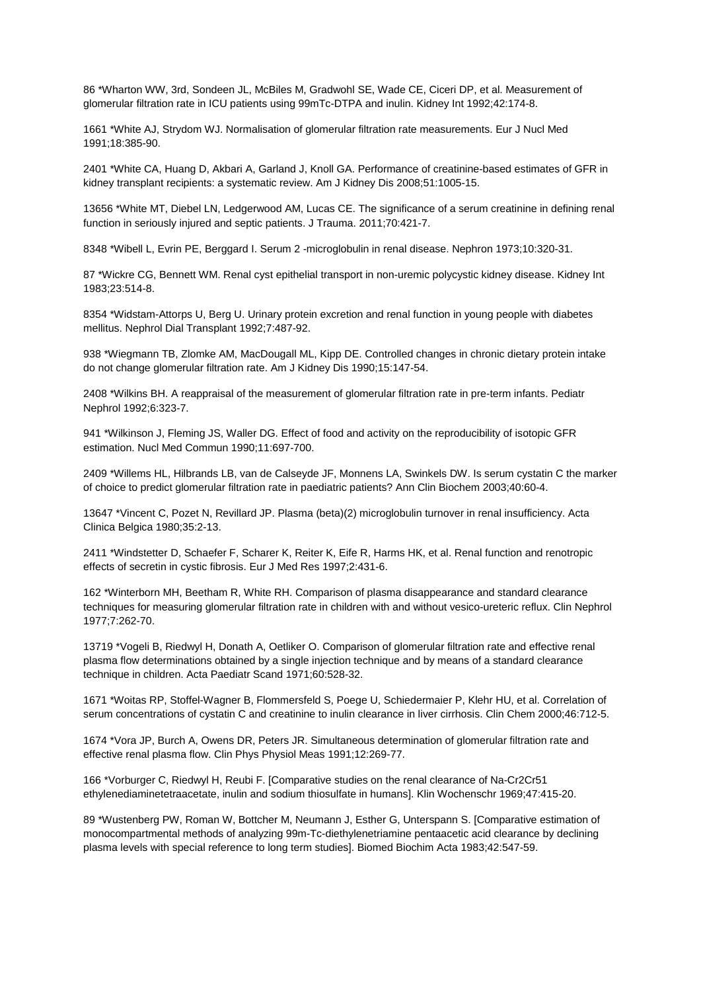86 \*Wharton WW, 3rd, Sondeen JL, McBiles M, Gradwohl SE, Wade CE, Ciceri DP, et al. Measurement of glomerular filtration rate in ICU patients using 99mTc-DTPA and inulin. Kidney Int 1992;42:174-8.

1661 \*White AJ, Strydom WJ. Normalisation of glomerular filtration rate measurements. Eur J Nucl Med 1991;18:385-90.

2401 \*White CA, Huang D, Akbari A, Garland J, Knoll GA. Performance of creatinine-based estimates of GFR in kidney transplant recipients: a systematic review. Am J Kidney Dis 2008;51:1005-15.

13656 \*White MT, Diebel LN, Ledgerwood AM, Lucas CE. The significance of a serum creatinine in defining renal function in seriously injured and septic patients. J Trauma. 2011;70:421-7.

8348 \*Wibell L, Evrin PE, Berggard I. Serum 2 -microglobulin in renal disease. Nephron 1973;10:320-31.

87 \*Wickre CG, Bennett WM. Renal cyst epithelial transport in non-uremic polycystic kidney disease. Kidney Int 1983;23:514-8.

8354 \*Widstam-Attorps U, Berg U. Urinary protein excretion and renal function in young people with diabetes mellitus. Nephrol Dial Transplant 1992;7:487-92.

938 \*Wiegmann TB, Zlomke AM, MacDougall ML, Kipp DE. Controlled changes in chronic dietary protein intake do not change glomerular filtration rate. Am J Kidney Dis 1990;15:147-54.

2408 \*Wilkins BH. A reappraisal of the measurement of glomerular filtration rate in pre-term infants. Pediatr Nephrol 1992;6:323-7.

941 \*Wilkinson J, Fleming JS, Waller DG. Effect of food and activity on the reproducibility of isotopic GFR estimation. Nucl Med Commun 1990;11:697-700.

2409 \*Willems HL, Hilbrands LB, van de Calseyde JF, Monnens LA, Swinkels DW. Is serum cystatin C the marker of choice to predict glomerular filtration rate in paediatric patients? Ann Clin Biochem 2003;40:60-4.

13647 \*Vincent C, Pozet N, Revillard JP. Plasma (beta)(2) microglobulin turnover in renal insufficiency. Acta Clinica Belgica 1980;35:2-13.

2411 \*Windstetter D, Schaefer F, Scharer K, Reiter K, Eife R, Harms HK, et al. Renal function and renotropic effects of secretin in cystic fibrosis. Eur J Med Res 1997;2:431-6.

162 \*Winterborn MH, Beetham R, White RH. Comparison of plasma disappearance and standard clearance techniques for measuring glomerular filtration rate in children with and without vesico-ureteric reflux. Clin Nephrol 1977;7:262-70.

13719 \*Vogeli B, Riedwyl H, Donath A, Oetliker O. Comparison of glomerular filtration rate and effective renal plasma flow determinations obtained by a single injection technique and by means of a standard clearance technique in children. Acta Paediatr Scand 1971;60:528-32.

1671 \*Woitas RP, Stoffel-Wagner B, Flommersfeld S, Poege U, Schiedermaier P, Klehr HU, et al. Correlation of serum concentrations of cystatin C and creatinine to inulin clearance in liver cirrhosis. Clin Chem 2000;46:712-5.

1674 \*Vora JP, Burch A, Owens DR, Peters JR. Simultaneous determination of glomerular filtration rate and effective renal plasma flow. Clin Phys Physiol Meas 1991;12:269-77.

166 \*Vorburger C, Riedwyl H, Reubi F. [Comparative studies on the renal clearance of Na-Cr2Cr51 ethylenediaminetetraacetate, inulin and sodium thiosulfate in humans]. Klin Wochenschr 1969;47:415-20.

89 \*Wustenberg PW, Roman W, Bottcher M, Neumann J, Esther G, Unterspann S. [Comparative estimation of monocompartmental methods of analyzing 99m-Tc-diethylenetriamine pentaacetic acid clearance by declining plasma levels with special reference to long term studies]. Biomed Biochim Acta 1983;42:547-59.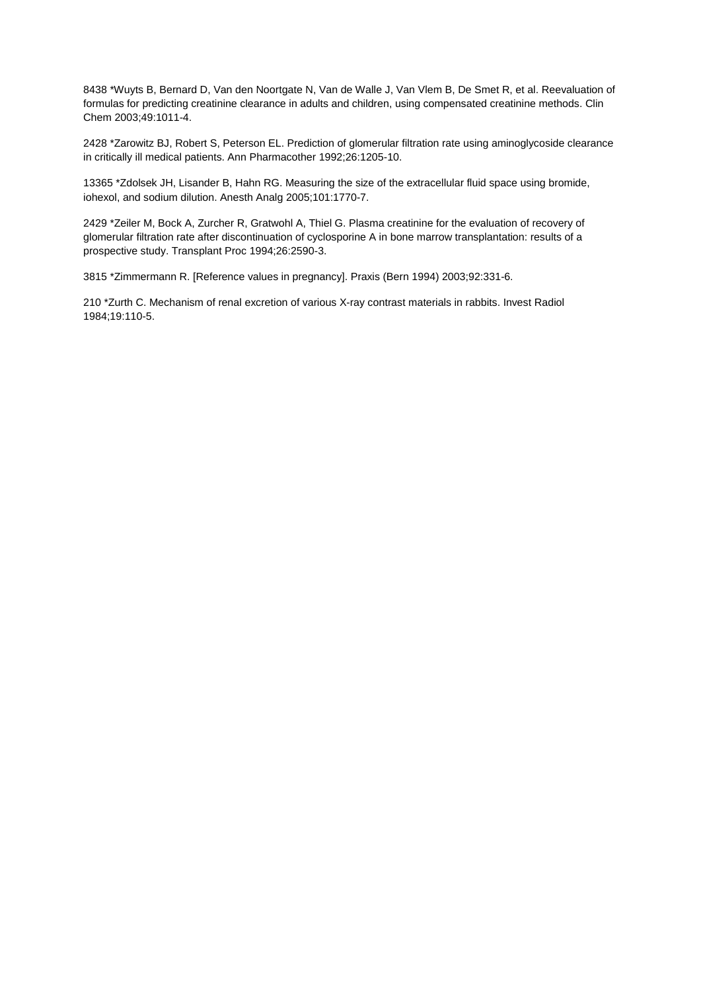8438 \*Wuyts B, Bernard D, Van den Noortgate N, Van de Walle J, Van Vlem B, De Smet R, et al. Reevaluation of formulas for predicting creatinine clearance in adults and children, using compensated creatinine methods. Clin Chem 2003;49:1011-4.

2428 \*Zarowitz BJ, Robert S, Peterson EL. Prediction of glomerular filtration rate using aminoglycoside clearance in critically ill medical patients. Ann Pharmacother 1992;26:1205-10.

13365 \*Zdolsek JH, Lisander B, Hahn RG. Measuring the size of the extracellular fluid space using bromide, iohexol, and sodium dilution. Anesth Analg 2005;101:1770-7.

2429 \*Zeiler M, Bock A, Zurcher R, Gratwohl A, Thiel G. Plasma creatinine for the evaluation of recovery of glomerular filtration rate after discontinuation of cyclosporine A in bone marrow transplantation: results of a prospective study. Transplant Proc 1994;26:2590-3.

3815 \*Zimmermann R. [Reference values in pregnancy]. Praxis (Bern 1994) 2003;92:331-6.

210 \*Zurth C. Mechanism of renal excretion of various X-ray contrast materials in rabbits. Invest Radiol 1984;19:110-5.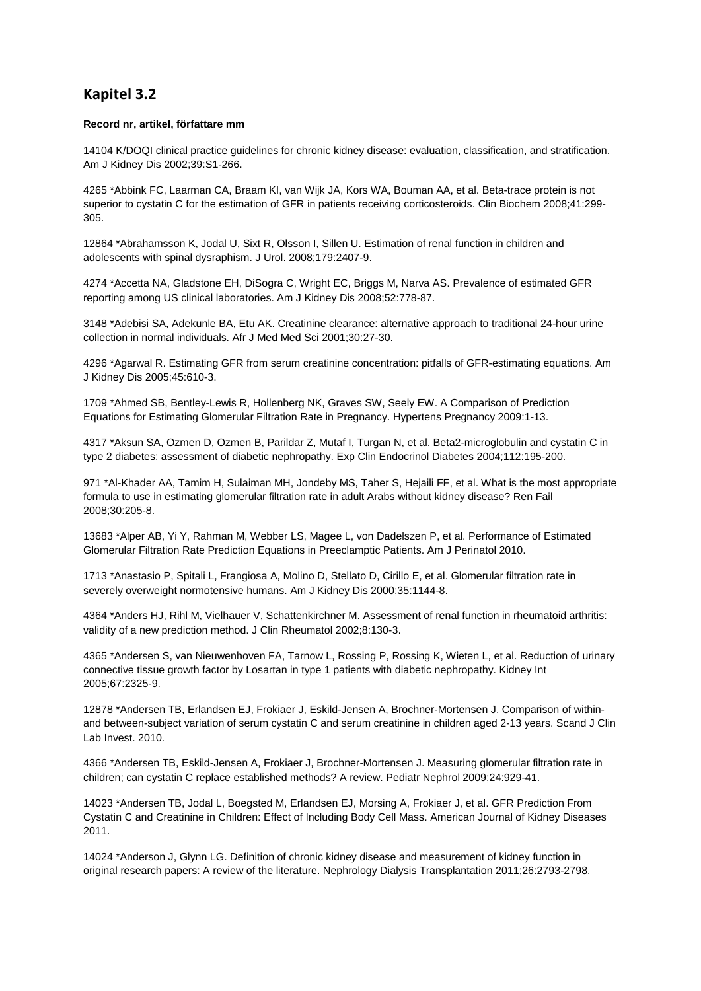## **Kapitel 3.2**

#### **Record nr, artikel, författare mm**

14104 K/DOQI clinical practice guidelines for chronic kidney disease: evaluation, classification, and stratification. Am J Kidney Dis 2002;39:S1-266.

4265 \*Abbink FC, Laarman CA, Braam KI, van Wijk JA, Kors WA, Bouman AA, et al. Beta-trace protein is not superior to cystatin C for the estimation of GFR in patients receiving corticosteroids. Clin Biochem 2008;41:299- 305.

12864 \*Abrahamsson K, Jodal U, Sixt R, Olsson I, Sillen U. Estimation of renal function in children and adolescents with spinal dysraphism. J Urol. 2008;179:2407-9.

4274 \*Accetta NA, Gladstone EH, DiSogra C, Wright EC, Briggs M, Narva AS. Prevalence of estimated GFR reporting among US clinical laboratories. Am J Kidney Dis 2008;52:778-87.

3148 \*Adebisi SA, Adekunle BA, Etu AK. Creatinine clearance: alternative approach to traditional 24-hour urine collection in normal individuals. Afr J Med Med Sci 2001;30:27-30.

4296 \*Agarwal R. Estimating GFR from serum creatinine concentration: pitfalls of GFR-estimating equations. Am J Kidney Dis 2005;45:610-3.

1709 \*Ahmed SB, Bentley-Lewis R, Hollenberg NK, Graves SW, Seely EW. A Comparison of Prediction Equations for Estimating Glomerular Filtration Rate in Pregnancy. Hypertens Pregnancy 2009:1-13.

4317 \*Aksun SA, Ozmen D, Ozmen B, Parildar Z, Mutaf I, Turgan N, et al. Beta2-microglobulin and cystatin C in type 2 diabetes: assessment of diabetic nephropathy. Exp Clin Endocrinol Diabetes 2004;112:195-200.

971 \*Al-Khader AA, Tamim H, Sulaiman MH, Jondeby MS, Taher S, Hejaili FF, et al. What is the most appropriate formula to use in estimating glomerular filtration rate in adult Arabs without kidney disease? Ren Fail 2008;30:205-8.

13683 \*Alper AB, Yi Y, Rahman M, Webber LS, Magee L, von Dadelszen P, et al. Performance of Estimated Glomerular Filtration Rate Prediction Equations in Preeclamptic Patients. Am J Perinatol 2010.

1713 \*Anastasio P, Spitali L, Frangiosa A, Molino D, Stellato D, Cirillo E, et al. Glomerular filtration rate in severely overweight normotensive humans. Am J Kidney Dis 2000;35:1144-8.

4364 \*Anders HJ, Rihl M, Vielhauer V, Schattenkirchner M. Assessment of renal function in rheumatoid arthritis: validity of a new prediction method. J Clin Rheumatol 2002;8:130-3.

4365 \*Andersen S, van Nieuwenhoven FA, Tarnow L, Rossing P, Rossing K, Wieten L, et al. Reduction of urinary connective tissue growth factor by Losartan in type 1 patients with diabetic nephropathy. Kidney Int 2005;67:2325-9.

12878 \*Andersen TB, Erlandsen EJ, Frokiaer J, Eskild-Jensen A, Brochner-Mortensen J. Comparison of withinand between-subject variation of serum cystatin C and serum creatinine in children aged 2-13 years. Scand J Clin Lab Invest. 2010.

4366 \*Andersen TB, Eskild-Jensen A, Frokiaer J, Brochner-Mortensen J. Measuring glomerular filtration rate in children; can cystatin C replace established methods? A review. Pediatr Nephrol 2009;24:929-41.

14023 \*Andersen TB, Jodal L, Boegsted M, Erlandsen EJ, Morsing A, Frokiaer J, et al. GFR Prediction From Cystatin C and Creatinine in Children: Effect of Including Body Cell Mass. American Journal of Kidney Diseases 2011.

14024 \*Anderson J, Glynn LG. Definition of chronic kidney disease and measurement of kidney function in original research papers: A review of the literature. Nephrology Dialysis Transplantation 2011;26:2793-2798.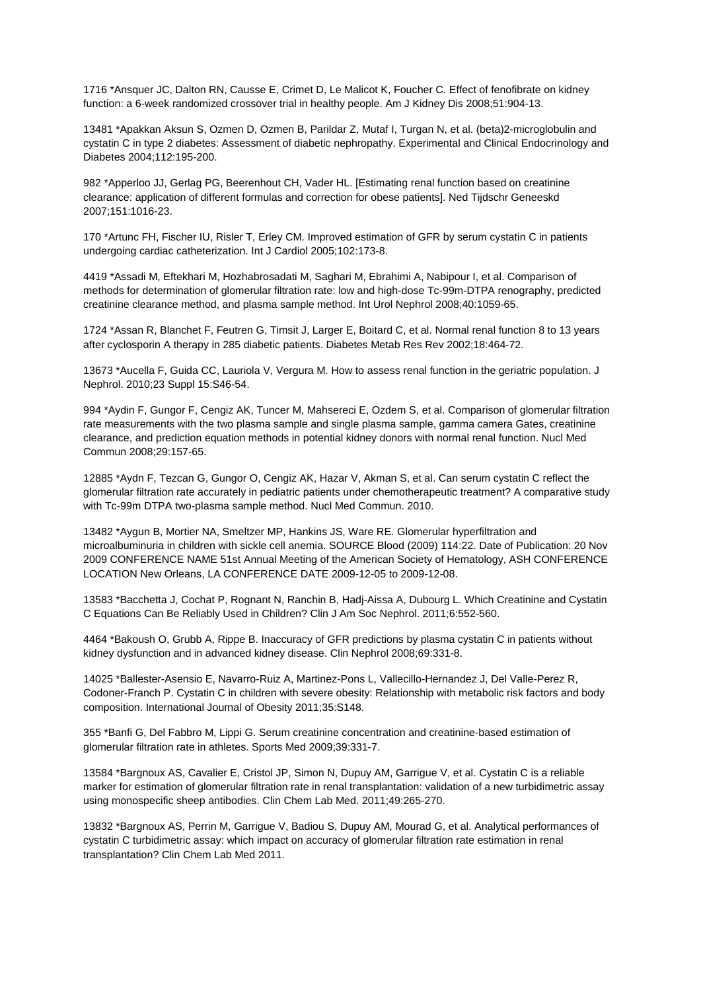1716 \*Ansquer JC, Dalton RN, Causse E, Crimet D, Le Malicot K, Foucher C. Effect of fenofibrate on kidney function: a 6-week randomized crossover trial in healthy people. Am J Kidney Dis 2008;51:904-13.

13481 \*Apakkan Aksun S, Ozmen D, Ozmen B, Parildar Z, Mutaf I, Turgan N, et al. (beta)2-microglobulin and cystatin C in type 2 diabetes: Assessment of diabetic nephropathy. Experimental and Clinical Endocrinology and Diabetes 2004;112:195-200.

982 \*Apperloo JJ, Gerlag PG, Beerenhout CH, Vader HL. [Estimating renal function based on creatinine clearance: application of different formulas and correction for obese patients]. Ned Tijdschr Geneeskd 2007;151:1016-23.

170 \*Artunc FH, Fischer IU, Risler T, Erley CM. Improved estimation of GFR by serum cystatin C in patients undergoing cardiac catheterization. Int J Cardiol 2005;102:173-8.

4419 \*Assadi M, Eftekhari M, Hozhabrosadati M, Saghari M, Ebrahimi A, Nabipour I, et al. Comparison of methods for determination of glomerular filtration rate: low and high-dose Tc-99m-DTPA renography, predicted creatinine clearance method, and plasma sample method. Int Urol Nephrol 2008;40:1059-65.

1724 \*Assan R, Blanchet F, Feutren G, Timsit J, Larger E, Boitard C, et al. Normal renal function 8 to 13 years after cyclosporin A therapy in 285 diabetic patients. Diabetes Metab Res Rev 2002;18:464-72.

13673 \*Aucella F, Guida CC, Lauriola V, Vergura M. How to assess renal function in the geriatric population. J Nephrol. 2010;23 Suppl 15:S46-54.

994 \*Aydin F, Gungor F, Cengiz AK, Tuncer M, Mahsereci E, Ozdem S, et al. Comparison of glomerular filtration rate measurements with the two plasma sample and single plasma sample, gamma camera Gates, creatinine clearance, and prediction equation methods in potential kidney donors with normal renal function. Nucl Med Commun 2008;29:157-65.

12885 \*Aydn F, Tezcan G, Gungor O, Cengiz AK, Hazar V, Akman S, et al. Can serum cystatin C reflect the glomerular filtration rate accurately in pediatric patients under chemotherapeutic treatment? A comparative study with Tc-99m DTPA two-plasma sample method. Nucl Med Commun. 2010.

13482 \*Aygun B, Mortier NA, Smeltzer MP, Hankins JS, Ware RE. Glomerular hyperfiltration and microalbuminuria in children with sickle cell anemia. SOURCE Blood (2009) 114:22. Date of Publication: 20 Nov 2009 CONFERENCE NAME 51st Annual Meeting of the American Society of Hematology, ASH CONFERENCE LOCATION New Orleans, LA CONFERENCE DATE 2009-12-05 to 2009-12-08.

13583 \*Bacchetta J, Cochat P, Rognant N, Ranchin B, Hadj-Aissa A, Dubourg L. Which Creatinine and Cystatin C Equations Can Be Reliably Used in Children? Clin J Am Soc Nephrol. 2011;6:552-560.

4464 \*Bakoush O, Grubb A, Rippe B. Inaccuracy of GFR predictions by plasma cystatin C in patients without kidney dysfunction and in advanced kidney disease. Clin Nephrol 2008;69:331-8.

14025 \*Ballester-Asensio E, Navarro-Ruiz A, Martinez-Pons L, Vallecillo-Hernandez J, Del Valle-Perez R, Codoner-Franch P. Cystatin C in children with severe obesity: Relationship with metabolic risk factors and body composition. International Journal of Obesity 2011;35:S148.

355 \*Banfi G, Del Fabbro M, Lippi G. Serum creatinine concentration and creatinine-based estimation of glomerular filtration rate in athletes. Sports Med 2009;39:331-7.

13584 \*Bargnoux AS, Cavalier E, Cristol JP, Simon N, Dupuy AM, Garrigue V, et al. Cystatin C is a reliable marker for estimation of glomerular filtration rate in renal transplantation: validation of a new turbidimetric assay using monospecific sheep antibodies. Clin Chem Lab Med. 2011;49:265-270.

13832 \*Bargnoux AS, Perrin M, Garrigue V, Badiou S, Dupuy AM, Mourad G, et al. Analytical performances of cystatin C turbidimetric assay: which impact on accuracy of glomerular filtration rate estimation in renal transplantation? Clin Chem Lab Med 2011.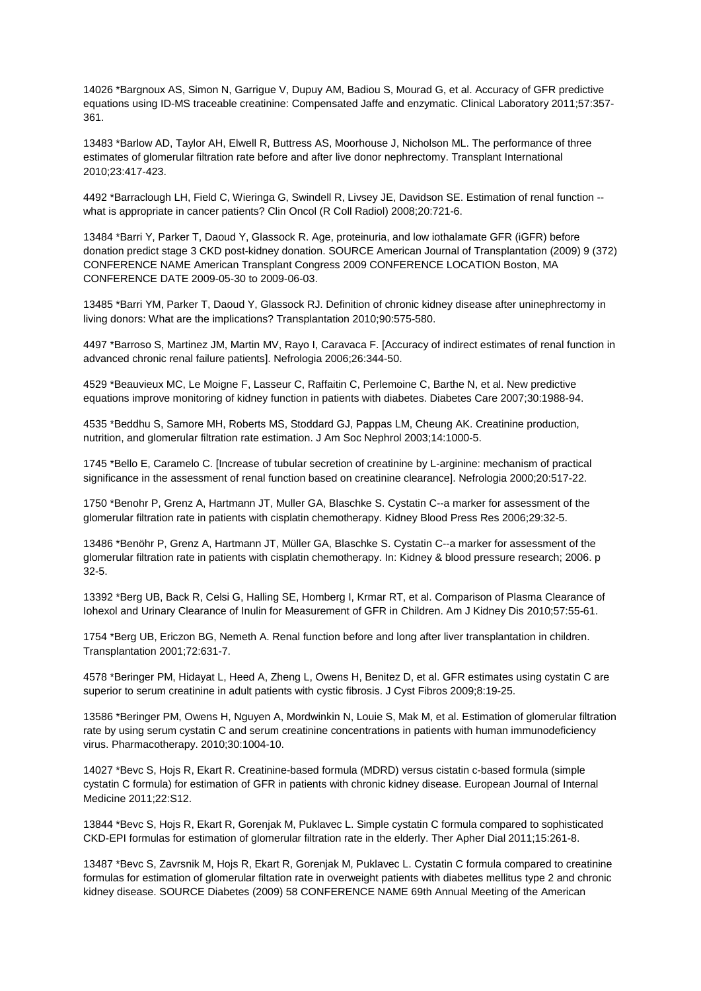14026 \*Bargnoux AS, Simon N, Garrigue V, Dupuy AM, Badiou S, Mourad G, et al. Accuracy of GFR predictive equations using ID-MS traceable creatinine: Compensated Jaffe and enzymatic. Clinical Laboratory 2011;57:357- 361.

13483 \*Barlow AD, Taylor AH, Elwell R, Buttress AS, Moorhouse J, Nicholson ML. The performance of three estimates of glomerular filtration rate before and after live donor nephrectomy. Transplant International 2010;23:417-423.

4492 \*Barraclough LH, Field C, Wieringa G, Swindell R, Livsey JE, Davidson SE. Estimation of renal function - what is appropriate in cancer patients? Clin Oncol (R Coll Radiol) 2008;20:721-6.

13484 \*Barri Y, Parker T, Daoud Y, Glassock R. Age, proteinuria, and low iothalamate GFR (iGFR) before donation predict stage 3 CKD post-kidney donation. SOURCE American Journal of Transplantation (2009) 9 (372) CONFERENCE NAME American Transplant Congress 2009 CONFERENCE LOCATION Boston, MA CONFERENCE DATE 2009-05-30 to 2009-06-03.

13485 \*Barri YM, Parker T, Daoud Y, Glassock RJ. Definition of chronic kidney disease after uninephrectomy in living donors: What are the implications? Transplantation 2010;90:575-580.

4497 \*Barroso S, Martinez JM, Martin MV, Rayo I, Caravaca F. [Accuracy of indirect estimates of renal function in advanced chronic renal failure patients]. Nefrologia 2006;26:344-50.

4529 \*Beauvieux MC, Le Moigne F, Lasseur C, Raffaitin C, Perlemoine C, Barthe N, et al. New predictive equations improve monitoring of kidney function in patients with diabetes. Diabetes Care 2007;30:1988-94.

4535 \*Beddhu S, Samore MH, Roberts MS, Stoddard GJ, Pappas LM, Cheung AK. Creatinine production, nutrition, and glomerular filtration rate estimation. J Am Soc Nephrol 2003;14:1000-5.

1745 \*Bello E, Caramelo C. [Increase of tubular secretion of creatinine by L-arginine: mechanism of practical significance in the assessment of renal function based on creatinine clearance]. Nefrologia 2000;20:517-22.

1750 \*Benohr P, Grenz A, Hartmann JT, Muller GA, Blaschke S. Cystatin C--a marker for assessment of the glomerular filtration rate in patients with cisplatin chemotherapy. Kidney Blood Press Res 2006;29:32-5.

13486 \*Benöhr P, Grenz A, Hartmann JT, Müller GA, Blaschke S. Cystatin C--a marker for assessment of the glomerular filtration rate in patients with cisplatin chemotherapy. In: Kidney & blood pressure research; 2006. p 32-5.

13392 \*Berg UB, Back R, Celsi G, Halling SE, Homberg I, Krmar RT, et al. Comparison of Plasma Clearance of Iohexol and Urinary Clearance of Inulin for Measurement of GFR in Children. Am J Kidney Dis 2010;57:55-61.

1754 \*Berg UB, Ericzon BG, Nemeth A. Renal function before and long after liver transplantation in children. Transplantation 2001;72:631-7.

4578 \*Beringer PM, Hidayat L, Heed A, Zheng L, Owens H, Benitez D, et al. GFR estimates using cystatin C are superior to serum creatinine in adult patients with cystic fibrosis. J Cyst Fibros 2009;8:19-25.

13586 \*Beringer PM, Owens H, Nguyen A, Mordwinkin N, Louie S, Mak M, et al. Estimation of glomerular filtration rate by using serum cystatin C and serum creatinine concentrations in patients with human immunodeficiency virus. Pharmacotherapy. 2010;30:1004-10.

14027 \*Bevc S, Hojs R, Ekart R. Creatinine-based formula (MDRD) versus cistatin c-based formula (simple cystatin C formula) for estimation of GFR in patients with chronic kidney disease. European Journal of Internal Medicine 2011;22:S12.

13844 \*Bevc S, Hojs R, Ekart R, Gorenjak M, Puklavec L. Simple cystatin C formula compared to sophisticated CKD-EPI formulas for estimation of glomerular filtration rate in the elderly. Ther Apher Dial 2011;15:261-8.

13487 \*Bevc S, Zavrsnik M, Hojs R, Ekart R, Gorenjak M, Puklavec L. Cystatin C formula compared to creatinine formulas for estimation of glomerular filtation rate in overweight patients with diabetes mellitus type 2 and chronic kidney disease. SOURCE Diabetes (2009) 58 CONFERENCE NAME 69th Annual Meeting of the American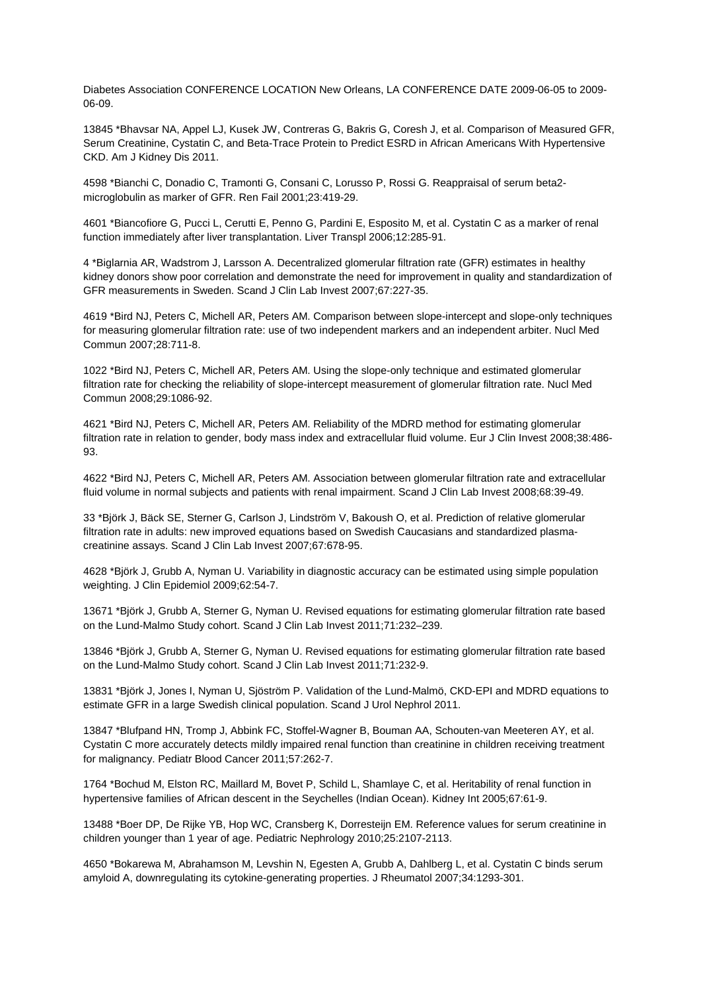Diabetes Association CONFERENCE LOCATION New Orleans, LA CONFERENCE DATE 2009-06-05 to 2009- 06-09.

13845 \*Bhavsar NA, Appel LJ, Kusek JW, Contreras G, Bakris G, Coresh J, et al. Comparison of Measured GFR, Serum Creatinine, Cystatin C, and Beta-Trace Protein to Predict ESRD in African Americans With Hypertensive CKD. Am J Kidney Dis 2011.

4598 \*Bianchi C, Donadio C, Tramonti G, Consani C, Lorusso P, Rossi G. Reappraisal of serum beta2 microglobulin as marker of GFR. Ren Fail 2001;23:419-29.

4601 \*Biancofiore G, Pucci L, Cerutti E, Penno G, Pardini E, Esposito M, et al. Cystatin C as a marker of renal function immediately after liver transplantation. Liver Transpl 2006;12:285-91.

4 \*Biglarnia AR, Wadstrom J, Larsson A. Decentralized glomerular filtration rate (GFR) estimates in healthy kidney donors show poor correlation and demonstrate the need for improvement in quality and standardization of GFR measurements in Sweden. Scand J Clin Lab Invest 2007;67:227-35.

4619 \*Bird NJ, Peters C, Michell AR, Peters AM. Comparison between slope-intercept and slope-only techniques for measuring glomerular filtration rate: use of two independent markers and an independent arbiter. Nucl Med Commun 2007;28:711-8.

1022 \*Bird NJ, Peters C, Michell AR, Peters AM. Using the slope-only technique and estimated glomerular filtration rate for checking the reliability of slope-intercept measurement of glomerular filtration rate. Nucl Med Commun 2008;29:1086-92.

4621 \*Bird NJ, Peters C, Michell AR, Peters AM. Reliability of the MDRD method for estimating glomerular filtration rate in relation to gender, body mass index and extracellular fluid volume. Eur J Clin Invest 2008;38:486- 93.

4622 \*Bird NJ, Peters C, Michell AR, Peters AM. Association between glomerular filtration rate and extracellular fluid volume in normal subjects and patients with renal impairment. Scand J Clin Lab Invest 2008;68:39-49.

33 \*Björk J, Bäck SE, Sterner G, Carlson J, Lindström V, Bakoush O, et al. Prediction of relative glomerular filtration rate in adults: new improved equations based on Swedish Caucasians and standardized plasmacreatinine assays. Scand J Clin Lab Invest 2007;67:678-95.

4628 \*Björk J, Grubb A, Nyman U. Variability in diagnostic accuracy can be estimated using simple population weighting. J Clin Epidemiol 2009;62:54-7.

13671 \*Björk J, Grubb A, Sterner G, Nyman U. Revised equations for estimating glomerular filtration rate based on the Lund-Malmo Study cohort. Scand J Clin Lab Invest 2011;71:232–239.

13846 \*Björk J, Grubb A, Sterner G, Nyman U. Revised equations for estimating glomerular filtration rate based on the Lund-Malmo Study cohort. Scand J Clin Lab Invest 2011;71:232-9.

13831 \*Björk J, Jones I, Nyman U, Sjöström P. Validation of the Lund-Malmö, CKD-EPI and MDRD equations to estimate GFR in a large Swedish clinical population. Scand J Urol Nephrol 2011.

13847 \*Blufpand HN, Tromp J, Abbink FC, Stoffel-Wagner B, Bouman AA, Schouten-van Meeteren AY, et al. Cystatin C more accurately detects mildly impaired renal function than creatinine in children receiving treatment for malignancy. Pediatr Blood Cancer 2011;57:262-7.

1764 \*Bochud M, Elston RC, Maillard M, Bovet P, Schild L, Shamlaye C, et al. Heritability of renal function in hypertensive families of African descent in the Seychelles (Indian Ocean). Kidney Int 2005;67:61-9.

13488 \*Boer DP, De Rijke YB, Hop WC, Cransberg K, Dorresteijn EM. Reference values for serum creatinine in children younger than 1 year of age. Pediatric Nephrology 2010;25:2107-2113.

4650 \*Bokarewa M, Abrahamson M, Levshin N, Egesten A, Grubb A, Dahlberg L, et al. Cystatin C binds serum amyloid A, downregulating its cytokine-generating properties. J Rheumatol 2007;34:1293-301.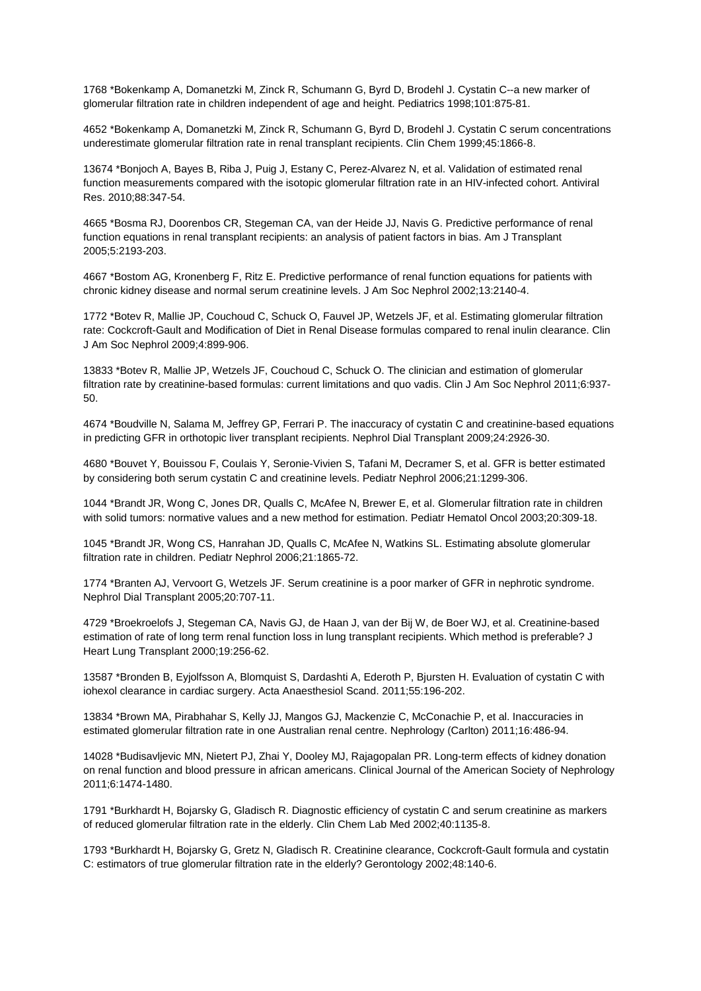1768 \*Bokenkamp A, Domanetzki M, Zinck R, Schumann G, Byrd D, Brodehl J. Cystatin C--a new marker of glomerular filtration rate in children independent of age and height. Pediatrics 1998;101:875-81.

4652 \*Bokenkamp A, Domanetzki M, Zinck R, Schumann G, Byrd D, Brodehl J. Cystatin C serum concentrations underestimate glomerular filtration rate in renal transplant recipients. Clin Chem 1999;45:1866-8.

13674 \*Bonjoch A, Bayes B, Riba J, Puig J, Estany C, Perez-Alvarez N, et al. Validation of estimated renal function measurements compared with the isotopic glomerular filtration rate in an HIV-infected cohort. Antiviral Res. 2010;88:347-54.

4665 \*Bosma RJ, Doorenbos CR, Stegeman CA, van der Heide JJ, Navis G. Predictive performance of renal function equations in renal transplant recipients: an analysis of patient factors in bias. Am J Transplant 2005;5:2193-203.

4667 \*Bostom AG, Kronenberg F, Ritz E. Predictive performance of renal function equations for patients with chronic kidney disease and normal serum creatinine levels. J Am Soc Nephrol 2002;13:2140-4.

1772 \*Botev R, Mallie JP, Couchoud C, Schuck O, Fauvel JP, Wetzels JF, et al. Estimating glomerular filtration rate: Cockcroft-Gault and Modification of Diet in Renal Disease formulas compared to renal inulin clearance. Clin J Am Soc Nephrol 2009;4:899-906.

13833 \*Botev R, Mallie JP, Wetzels JF, Couchoud C, Schuck O. The clinician and estimation of glomerular filtration rate by creatinine-based formulas: current limitations and quo vadis. Clin J Am Soc Nephrol 2011;6:937- 50.

4674 \*Boudville N, Salama M, Jeffrey GP, Ferrari P. The inaccuracy of cystatin C and creatinine-based equations in predicting GFR in orthotopic liver transplant recipients. Nephrol Dial Transplant 2009;24:2926-30.

4680 \*Bouvet Y, Bouissou F, Coulais Y, Seronie-Vivien S, Tafani M, Decramer S, et al. GFR is better estimated by considering both serum cystatin C and creatinine levels. Pediatr Nephrol 2006;21:1299-306.

1044 \*Brandt JR, Wong C, Jones DR, Qualls C, McAfee N, Brewer E, et al. Glomerular filtration rate in children with solid tumors: normative values and a new method for estimation. Pediatr Hematol Oncol 2003;20:309-18.

1045 \*Brandt JR, Wong CS, Hanrahan JD, Qualls C, McAfee N, Watkins SL. Estimating absolute glomerular filtration rate in children. Pediatr Nephrol 2006;21:1865-72.

1774 \*Branten AJ, Vervoort G, Wetzels JF. Serum creatinine is a poor marker of GFR in nephrotic syndrome. Nephrol Dial Transplant 2005;20:707-11.

4729 \*Broekroelofs J, Stegeman CA, Navis GJ, de Haan J, van der Bij W, de Boer WJ, et al. Creatinine-based estimation of rate of long term renal function loss in lung transplant recipients. Which method is preferable? J Heart Lung Transplant 2000;19:256-62.

13587 \*Bronden B, Eyjolfsson A, Blomquist S, Dardashti A, Ederoth P, Bjursten H. Evaluation of cystatin C with iohexol clearance in cardiac surgery. Acta Anaesthesiol Scand. 2011;55:196-202.

13834 \*Brown MA, Pirabhahar S, Kelly JJ, Mangos GJ, Mackenzie C, McConachie P, et al. Inaccuracies in estimated glomerular filtration rate in one Australian renal centre. Nephrology (Carlton) 2011;16:486-94.

14028 \*Budisavljevic MN, Nietert PJ, Zhai Y, Dooley MJ, Rajagopalan PR. Long-term effects of kidney donation on renal function and blood pressure in african americans. Clinical Journal of the American Society of Nephrology 2011;6:1474-1480.

1791 \*Burkhardt H, Bojarsky G, Gladisch R. Diagnostic efficiency of cystatin C and serum creatinine as markers of reduced glomerular filtration rate in the elderly. Clin Chem Lab Med 2002;40:1135-8.

1793 \*Burkhardt H, Bojarsky G, Gretz N, Gladisch R. Creatinine clearance, Cockcroft-Gault formula and cystatin C: estimators of true glomerular filtration rate in the elderly? Gerontology 2002;48:140-6.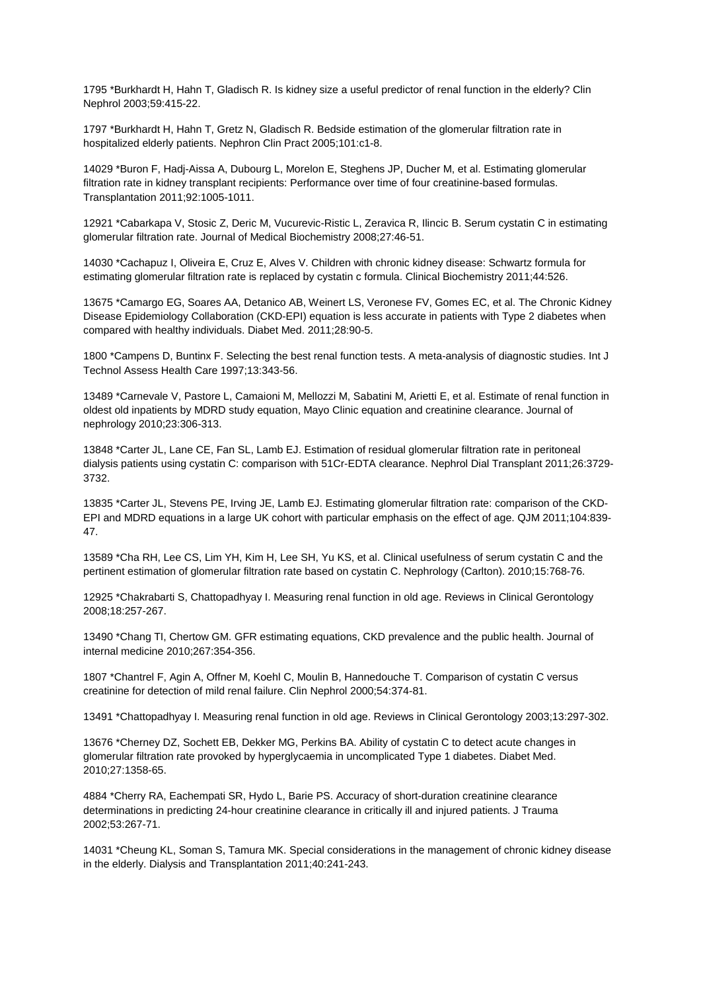1795 \*Burkhardt H, Hahn T, Gladisch R. Is kidney size a useful predictor of renal function in the elderly? Clin Nephrol 2003;59:415-22.

1797 \*Burkhardt H, Hahn T, Gretz N, Gladisch R. Bedside estimation of the glomerular filtration rate in hospitalized elderly patients. Nephron Clin Pract 2005;101:c1-8.

14029 \*Buron F, Hadj-Aissa A, Dubourg L, Morelon E, Steghens JP, Ducher M, et al. Estimating glomerular filtration rate in kidney transplant recipients: Performance over time of four creatinine-based formulas. Transplantation 2011;92:1005-1011.

12921 \*Cabarkapa V, Stosic Z, Deric M, Vucurevic-Ristic L, Zeravica R, Ilincic B. Serum cystatin C in estimating glomerular filtration rate. Journal of Medical Biochemistry 2008;27:46-51.

14030 \*Cachapuz I, Oliveira E, Cruz E, Alves V. Children with chronic kidney disease: Schwartz formula for estimating glomerular filtration rate is replaced by cystatin c formula. Clinical Biochemistry 2011;44:526.

13675 \*Camargo EG, Soares AA, Detanico AB, Weinert LS, Veronese FV, Gomes EC, et al. The Chronic Kidney Disease Epidemiology Collaboration (CKD-EPI) equation is less accurate in patients with Type 2 diabetes when compared with healthy individuals. Diabet Med. 2011;28:90-5.

1800 \*Campens D, Buntinx F. Selecting the best renal function tests. A meta-analysis of diagnostic studies. Int J Technol Assess Health Care 1997;13:343-56.

13489 \*Carnevale V, Pastore L, Camaioni M, Mellozzi M, Sabatini M, Arietti E, et al. Estimate of renal function in oldest old inpatients by MDRD study equation, Mayo Clinic equation and creatinine clearance. Journal of nephrology 2010;23:306-313.

13848 \*Carter JL, Lane CE, Fan SL, Lamb EJ. Estimation of residual glomerular filtration rate in peritoneal dialysis patients using cystatin C: comparison with 51Cr-EDTA clearance. Nephrol Dial Transplant 2011;26:3729- 3732.

13835 \*Carter JL, Stevens PE, Irving JE, Lamb EJ. Estimating glomerular filtration rate: comparison of the CKD-EPI and MDRD equations in a large UK cohort with particular emphasis on the effect of age. QJM 2011;104:839- 47.

13589 \*Cha RH, Lee CS, Lim YH, Kim H, Lee SH, Yu KS, et al. Clinical usefulness of serum cystatin C and the pertinent estimation of glomerular filtration rate based on cystatin C. Nephrology (Carlton). 2010;15:768-76.

12925 \*Chakrabarti S, Chattopadhyay I. Measuring renal function in old age. Reviews in Clinical Gerontology 2008;18:257-267.

13490 \*Chang TI, Chertow GM. GFR estimating equations, CKD prevalence and the public health. Journal of internal medicine 2010;267:354-356.

1807 \*Chantrel F, Agin A, Offner M, Koehl C, Moulin B, Hannedouche T. Comparison of cystatin C versus creatinine for detection of mild renal failure. Clin Nephrol 2000;54:374-81.

13491 \*Chattopadhyay I. Measuring renal function in old age. Reviews in Clinical Gerontology 2003;13:297-302.

13676 \*Cherney DZ, Sochett EB, Dekker MG, Perkins BA. Ability of cystatin C to detect acute changes in glomerular filtration rate provoked by hyperglycaemia in uncomplicated Type 1 diabetes. Diabet Med. 2010;27:1358-65.

4884 \*Cherry RA, Eachempati SR, Hydo L, Barie PS. Accuracy of short-duration creatinine clearance determinations in predicting 24-hour creatinine clearance in critically ill and injured patients. J Trauma 2002;53:267-71.

14031 \*Cheung KL, Soman S, Tamura MK. Special considerations in the management of chronic kidney disease in the elderly. Dialysis and Transplantation 2011;40:241-243.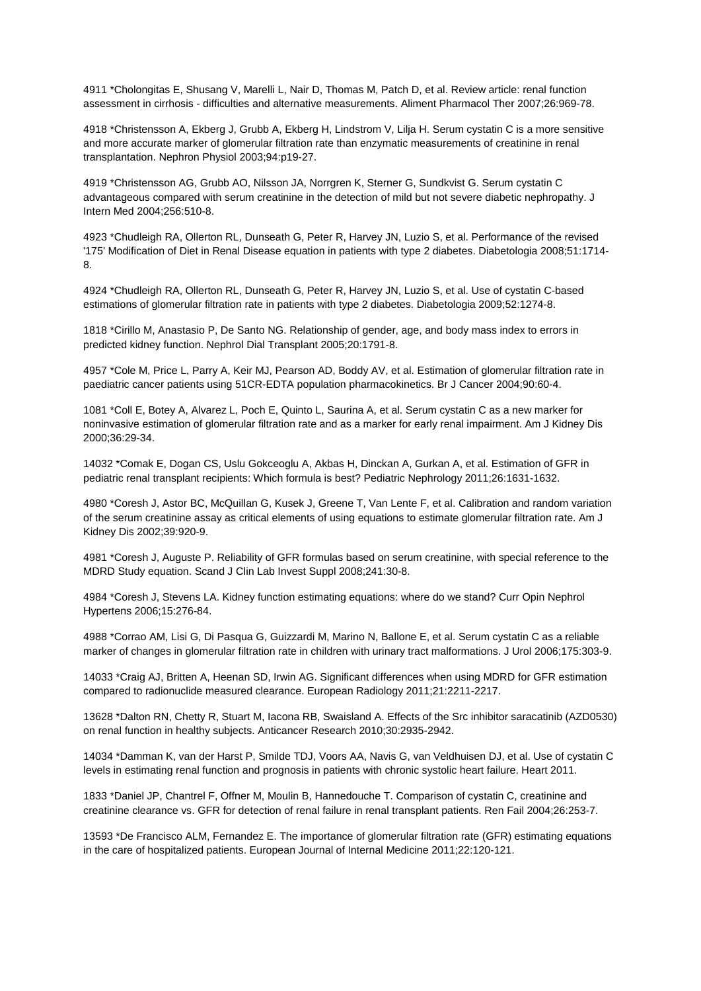4911 \*Cholongitas E, Shusang V, Marelli L, Nair D, Thomas M, Patch D, et al. Review article: renal function assessment in cirrhosis - difficulties and alternative measurements. Aliment Pharmacol Ther 2007;26:969-78.

4918 \*Christensson A, Ekberg J, Grubb A, Ekberg H, Lindstrom V, Lilja H. Serum cystatin C is a more sensitive and more accurate marker of glomerular filtration rate than enzymatic measurements of creatinine in renal transplantation. Nephron Physiol 2003;94:p19-27.

4919 \*Christensson AG, Grubb AO, Nilsson JA, Norrgren K, Sterner G, Sundkvist G. Serum cystatin C advantageous compared with serum creatinine in the detection of mild but not severe diabetic nephropathy. J Intern Med 2004;256:510-8.

4923 \*Chudleigh RA, Ollerton RL, Dunseath G, Peter R, Harvey JN, Luzio S, et al. Performance of the revised '175' Modification of Diet in Renal Disease equation in patients with type 2 diabetes. Diabetologia 2008;51:1714- 8.

4924 \*Chudleigh RA, Ollerton RL, Dunseath G, Peter R, Harvey JN, Luzio S, et al. Use of cystatin C-based estimations of glomerular filtration rate in patients with type 2 diabetes. Diabetologia 2009;52:1274-8.

1818 \*Cirillo M, Anastasio P, De Santo NG. Relationship of gender, age, and body mass index to errors in predicted kidney function. Nephrol Dial Transplant 2005;20:1791-8.

4957 \*Cole M, Price L, Parry A, Keir MJ, Pearson AD, Boddy AV, et al. Estimation of glomerular filtration rate in paediatric cancer patients using 51CR-EDTA population pharmacokinetics. Br J Cancer 2004;90:60-4.

1081 \*Coll E, Botey A, Alvarez L, Poch E, Quinto L, Saurina A, et al. Serum cystatin C as a new marker for noninvasive estimation of glomerular filtration rate and as a marker for early renal impairment. Am J Kidney Dis 2000;36:29-34.

14032 \*Comak E, Dogan CS, Uslu Gokceoglu A, Akbas H, Dinckan A, Gurkan A, et al. Estimation of GFR in pediatric renal transplant recipients: Which formula is best? Pediatric Nephrology 2011;26:1631-1632.

4980 \*Coresh J, Astor BC, McQuillan G, Kusek J, Greene T, Van Lente F, et al. Calibration and random variation of the serum creatinine assay as critical elements of using equations to estimate glomerular filtration rate. Am J Kidney Dis 2002;39:920-9.

4981 \*Coresh J, Auguste P. Reliability of GFR formulas based on serum creatinine, with special reference to the MDRD Study equation. Scand J Clin Lab Invest Suppl 2008;241:30-8.

4984 \*Coresh J, Stevens LA. Kidney function estimating equations: where do we stand? Curr Opin Nephrol Hypertens 2006;15:276-84.

4988 \*Corrao AM, Lisi G, Di Pasqua G, Guizzardi M, Marino N, Ballone E, et al. Serum cystatin C as a reliable marker of changes in glomerular filtration rate in children with urinary tract malformations. J Urol 2006;175:303-9.

14033 \*Craig AJ, Britten A, Heenan SD, Irwin AG. Significant differences when using MDRD for GFR estimation compared to radionuclide measured clearance. European Radiology 2011;21:2211-2217.

13628 \*Dalton RN, Chetty R, Stuart M, Iacona RB, Swaisland A. Effects of the Src inhibitor saracatinib (AZD0530) on renal function in healthy subjects. Anticancer Research 2010;30:2935-2942.

14034 \*Damman K, van der Harst P, Smilde TDJ, Voors AA, Navis G, van Veldhuisen DJ, et al. Use of cystatin C levels in estimating renal function and prognosis in patients with chronic systolic heart failure. Heart 2011.

1833 \*Daniel JP, Chantrel F, Offner M, Moulin B, Hannedouche T. Comparison of cystatin C, creatinine and creatinine clearance vs. GFR for detection of renal failure in renal transplant patients. Ren Fail 2004;26:253-7.

13593 \*De Francisco ALM, Fernandez E. The importance of glomerular filtration rate (GFR) estimating equations in the care of hospitalized patients. European Journal of Internal Medicine 2011;22:120-121.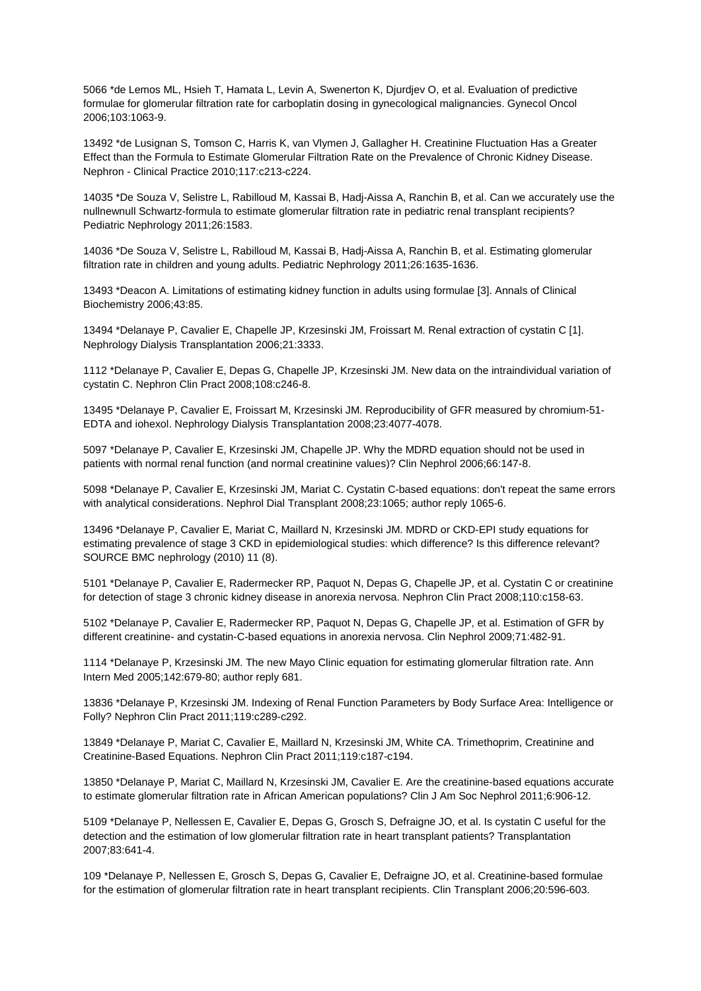5066 \*de Lemos ML, Hsieh T, Hamata L, Levin A, Swenerton K, Djurdjev O, et al. Evaluation of predictive formulae for glomerular filtration rate for carboplatin dosing in gynecological malignancies. Gynecol Oncol 2006;103:1063-9.

13492 \*de Lusignan S, Tomson C, Harris K, van Vlymen J, Gallagher H. Creatinine Fluctuation Has a Greater Effect than the Formula to Estimate Glomerular Filtration Rate on the Prevalence of Chronic Kidney Disease. Nephron - Clinical Practice 2010;117:c213-c224.

14035 \*De Souza V, Selistre L, Rabilloud M, Kassai B, Hadj-Aissa A, Ranchin B, et al. Can we accurately use the nullnewnull Schwartz-formula to estimate glomerular filtration rate in pediatric renal transplant recipients? Pediatric Nephrology 2011;26:1583.

14036 \*De Souza V, Selistre L, Rabilloud M, Kassai B, Hadj-Aissa A, Ranchin B, et al. Estimating glomerular filtration rate in children and young adults. Pediatric Nephrology 2011;26:1635-1636.

13493 \*Deacon A. Limitations of estimating kidney function in adults using formulae [3]. Annals of Clinical Biochemistry 2006;43:85.

13494 \*Delanaye P, Cavalier E, Chapelle JP, Krzesinski JM, Froissart M. Renal extraction of cystatin C [1]. Nephrology Dialysis Transplantation 2006;21:3333.

1112 \*Delanaye P, Cavalier E, Depas G, Chapelle JP, Krzesinski JM. New data on the intraindividual variation of cystatin C. Nephron Clin Pract 2008;108:c246-8.

13495 \*Delanaye P, Cavalier E, Froissart M, Krzesinski JM. Reproducibility of GFR measured by chromium-51- EDTA and iohexol. Nephrology Dialysis Transplantation 2008;23:4077-4078.

5097 \*Delanaye P, Cavalier E, Krzesinski JM, Chapelle JP. Why the MDRD equation should not be used in patients with normal renal function (and normal creatinine values)? Clin Nephrol 2006;66:147-8.

5098 \*Delanaye P, Cavalier E, Krzesinski JM, Mariat C. Cystatin C-based equations: don't repeat the same errors with analytical considerations. Nephrol Dial Transplant 2008;23:1065; author reply 1065-6.

13496 \*Delanaye P, Cavalier E, Mariat C, Maillard N, Krzesinski JM. MDRD or CKD-EPI study equations for estimating prevalence of stage 3 CKD in epidemiological studies: which difference? Is this difference relevant? SOURCE BMC nephrology (2010) 11 (8).

5101 \*Delanaye P, Cavalier E, Radermecker RP, Paquot N, Depas G, Chapelle JP, et al. Cystatin C or creatinine for detection of stage 3 chronic kidney disease in anorexia nervosa. Nephron Clin Pract 2008;110:c158-63.

5102 \*Delanaye P, Cavalier E, Radermecker RP, Paquot N, Depas G, Chapelle JP, et al. Estimation of GFR by different creatinine- and cystatin-C-based equations in anorexia nervosa. Clin Nephrol 2009;71:482-91.

1114 \*Delanaye P, Krzesinski JM. The new Mayo Clinic equation for estimating glomerular filtration rate. Ann Intern Med 2005;142:679-80; author reply 681.

13836 \*Delanaye P, Krzesinski JM. Indexing of Renal Function Parameters by Body Surface Area: Intelligence or Folly? Nephron Clin Pract 2011;119:c289-c292.

13849 \*Delanaye P, Mariat C, Cavalier E, Maillard N, Krzesinski JM, White CA. Trimethoprim, Creatinine and Creatinine-Based Equations. Nephron Clin Pract 2011;119:c187-c194.

13850 \*Delanaye P, Mariat C, Maillard N, Krzesinski JM, Cavalier E. Are the creatinine-based equations accurate to estimate glomerular filtration rate in African American populations? Clin J Am Soc Nephrol 2011;6:906-12.

5109 \*Delanaye P, Nellessen E, Cavalier E, Depas G, Grosch S, Defraigne JO, et al. Is cystatin C useful for the detection and the estimation of low glomerular filtration rate in heart transplant patients? Transplantation 2007;83:641-4.

109 \*Delanaye P, Nellessen E, Grosch S, Depas G, Cavalier E, Defraigne JO, et al. Creatinine-based formulae for the estimation of glomerular filtration rate in heart transplant recipients. Clin Transplant 2006;20:596-603.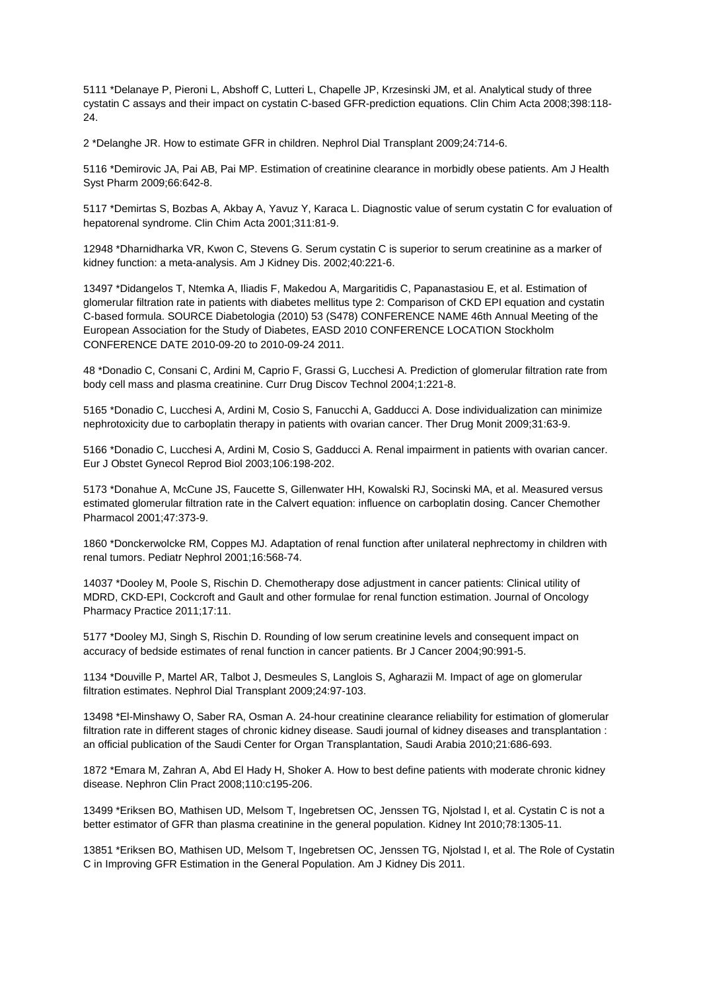5111 \*Delanaye P, Pieroni L, Abshoff C, Lutteri L, Chapelle JP, Krzesinski JM, et al. Analytical study of three cystatin C assays and their impact on cystatin C-based GFR-prediction equations. Clin Chim Acta 2008;398:118- 24.

2 \*Delanghe JR. How to estimate GFR in children. Nephrol Dial Transplant 2009;24:714-6.

5116 \*Demirovic JA, Pai AB, Pai MP. Estimation of creatinine clearance in morbidly obese patients. Am J Health Syst Pharm 2009;66:642-8.

5117 \*Demirtas S, Bozbas A, Akbay A, Yavuz Y, Karaca L. Diagnostic value of serum cystatin C for evaluation of hepatorenal syndrome. Clin Chim Acta 2001;311:81-9.

12948 \*Dharnidharka VR, Kwon C, Stevens G. Serum cystatin C is superior to serum creatinine as a marker of kidney function: a meta-analysis. Am J Kidney Dis. 2002;40:221-6.

13497 \*Didangelos T, Ntemka A, Iliadis F, Makedou A, Margaritidis C, Papanastasiou E, et al. Estimation of glomerular filtration rate in patients with diabetes mellitus type 2: Comparison of CKD EPI equation and cystatin C-based formula. SOURCE Diabetologia (2010) 53 (S478) CONFERENCE NAME 46th Annual Meeting of the European Association for the Study of Diabetes, EASD 2010 CONFERENCE LOCATION Stockholm CONFERENCE DATE 2010-09-20 to 2010-09-24 2011.

48 \*Donadio C, Consani C, Ardini M, Caprio F, Grassi G, Lucchesi A. Prediction of glomerular filtration rate from body cell mass and plasma creatinine. Curr Drug Discov Technol 2004;1:221-8.

5165 \*Donadio C, Lucchesi A, Ardini M, Cosio S, Fanucchi A, Gadducci A. Dose individualization can minimize nephrotoxicity due to carboplatin therapy in patients with ovarian cancer. Ther Drug Monit 2009;31:63-9.

5166 \*Donadio C, Lucchesi A, Ardini M, Cosio S, Gadducci A. Renal impairment in patients with ovarian cancer. Eur J Obstet Gynecol Reprod Biol 2003;106:198-202.

5173 \*Donahue A, McCune JS, Faucette S, Gillenwater HH, Kowalski RJ, Socinski MA, et al. Measured versus estimated glomerular filtration rate in the Calvert equation: influence on carboplatin dosing. Cancer Chemother Pharmacol 2001;47:373-9.

1860 \*Donckerwolcke RM, Coppes MJ. Adaptation of renal function after unilateral nephrectomy in children with renal tumors. Pediatr Nephrol 2001;16:568-74.

14037 \*Dooley M, Poole S, Rischin D. Chemotherapy dose adjustment in cancer patients: Clinical utility of MDRD, CKD-EPI, Cockcroft and Gault and other formulae for renal function estimation. Journal of Oncology Pharmacy Practice 2011;17:11.

5177 \*Dooley MJ, Singh S, Rischin D. Rounding of low serum creatinine levels and consequent impact on accuracy of bedside estimates of renal function in cancer patients. Br J Cancer 2004;90:991-5.

1134 \*Douville P, Martel AR, Talbot J, Desmeules S, Langlois S, Agharazii M. Impact of age on glomerular filtration estimates. Nephrol Dial Transplant 2009;24:97-103.

13498 \*El-Minshawy O, Saber RA, Osman A. 24-hour creatinine clearance reliability for estimation of glomerular filtration rate in different stages of chronic kidney disease. Saudi journal of kidney diseases and transplantation : an official publication of the Saudi Center for Organ Transplantation, Saudi Arabia 2010;21:686-693.

1872 \*Emara M, Zahran A, Abd El Hady H, Shoker A. How to best define patients with moderate chronic kidney disease. Nephron Clin Pract 2008;110:c195-206.

13499 \*Eriksen BO, Mathisen UD, Melsom T, Ingebretsen OC, Jenssen TG, Njolstad I, et al. Cystatin C is not a better estimator of GFR than plasma creatinine in the general population. Kidney Int 2010;78:1305-11.

13851 \*Eriksen BO, Mathisen UD, Melsom T, Ingebretsen OC, Jenssen TG, Njolstad I, et al. The Role of Cystatin C in Improving GFR Estimation in the General Population. Am J Kidney Dis 2011.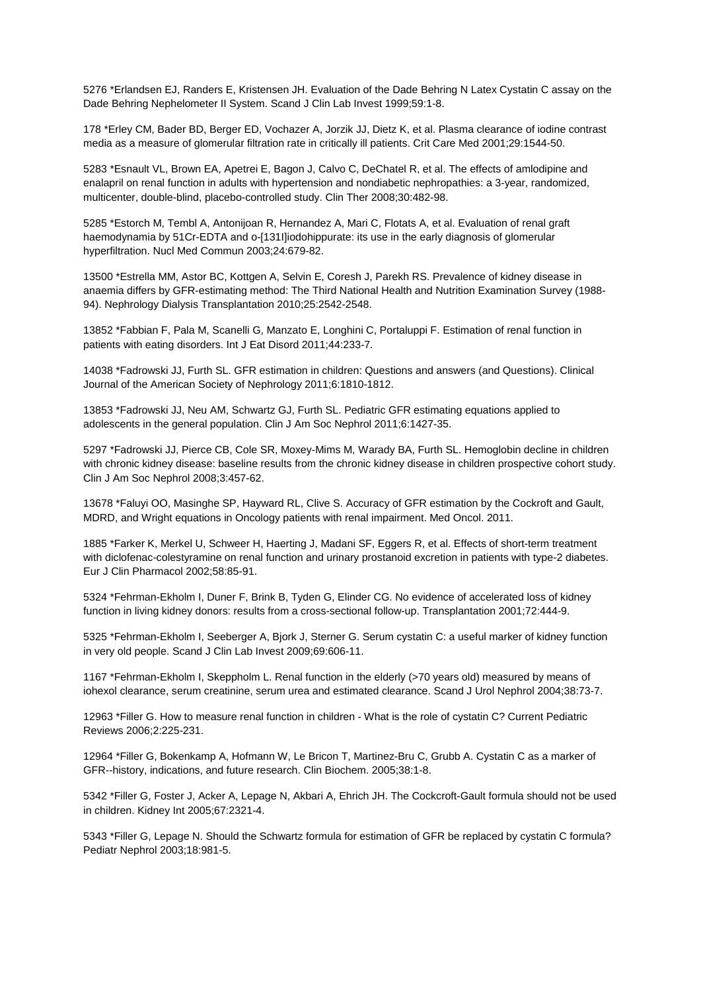5276 \*Erlandsen EJ, Randers E, Kristensen JH. Evaluation of the Dade Behring N Latex Cystatin C assay on the Dade Behring Nephelometer II System. Scand J Clin Lab Invest 1999;59:1-8.

178 \*Erley CM, Bader BD, Berger ED, Vochazer A, Jorzik JJ, Dietz K, et al. Plasma clearance of iodine contrast media as a measure of glomerular filtration rate in critically ill patients. Crit Care Med 2001;29:1544-50.

5283 \*Esnault VL, Brown EA, Apetrei E, Bagon J, Calvo C, DeChatel R, et al. The effects of amlodipine and enalapril on renal function in adults with hypertension and nondiabetic nephropathies: a 3-year, randomized, multicenter, double-blind, placebo-controlled study. Clin Ther 2008;30:482-98.

5285 \*Estorch M, Tembl A, Antonijoan R, Hernandez A, Mari C, Flotats A, et al. Evaluation of renal graft haemodynamia by 51Cr-EDTA and o-[131I]iodohippurate: its use in the early diagnosis of glomerular hyperfiltration. Nucl Med Commun 2003;24:679-82.

13500 \*Estrella MM, Astor BC, Kottgen A, Selvin E, Coresh J, Parekh RS. Prevalence of kidney disease in anaemia differs by GFR-estimating method: The Third National Health and Nutrition Examination Survey (1988- 94). Nephrology Dialysis Transplantation 2010;25:2542-2548.

13852 \*Fabbian F, Pala M, Scanelli G, Manzato E, Longhini C, Portaluppi F. Estimation of renal function in patients with eating disorders. Int J Eat Disord 2011;44:233-7.

14038 \*Fadrowski JJ, Furth SL. GFR estimation in children: Questions and answers (and Questions). Clinical Journal of the American Society of Nephrology 2011;6:1810-1812.

13853 \*Fadrowski JJ, Neu AM, Schwartz GJ, Furth SL. Pediatric GFR estimating equations applied to adolescents in the general population. Clin J Am Soc Nephrol 2011;6:1427-35.

5297 \*Fadrowski JJ, Pierce CB, Cole SR, Moxey-Mims M, Warady BA, Furth SL. Hemoglobin decline in children with chronic kidney disease: baseline results from the chronic kidney disease in children prospective cohort study. Clin J Am Soc Nephrol 2008;3:457-62.

13678 \*Faluyi OO, Masinghe SP, Hayward RL, Clive S. Accuracy of GFR estimation by the Cockroft and Gault, MDRD, and Wright equations in Oncology patients with renal impairment. Med Oncol. 2011.

1885 \*Farker K, Merkel U, Schweer H, Haerting J, Madani SF, Eggers R, et al. Effects of short-term treatment with diclofenac-colestyramine on renal function and urinary prostanoid excretion in patients with type-2 diabetes. Eur J Clin Pharmacol 2002;58:85-91.

5324 \*Fehrman-Ekholm I, Duner F, Brink B, Tyden G, Elinder CG. No evidence of accelerated loss of kidney function in living kidney donors: results from a cross-sectional follow-up. Transplantation 2001;72:444-9.

5325 \*Fehrman-Ekholm I, Seeberger A, Bjork J, Sterner G. Serum cystatin C: a useful marker of kidney function in very old people. Scand J Clin Lab Invest 2009;69:606-11.

1167 \*Fehrman-Ekholm I, Skeppholm L. Renal function in the elderly (>70 years old) measured by means of iohexol clearance, serum creatinine, serum urea and estimated clearance. Scand J Urol Nephrol 2004;38:73-7.

12963 \*Filler G. How to measure renal function in children - What is the role of cystatin C? Current Pediatric Reviews 2006;2:225-231.

12964 \*Filler G, Bokenkamp A, Hofmann W, Le Bricon T, Martinez-Bru C, Grubb A. Cystatin C as a marker of GFR--history, indications, and future research. Clin Biochem. 2005;38:1-8.

5342 \*Filler G, Foster J, Acker A, Lepage N, Akbari A, Ehrich JH. The Cockcroft-Gault formula should not be used in children. Kidney Int 2005;67:2321-4.

5343 \*Filler G, Lepage N. Should the Schwartz formula for estimation of GFR be replaced by cystatin C formula? Pediatr Nephrol 2003;18:981-5.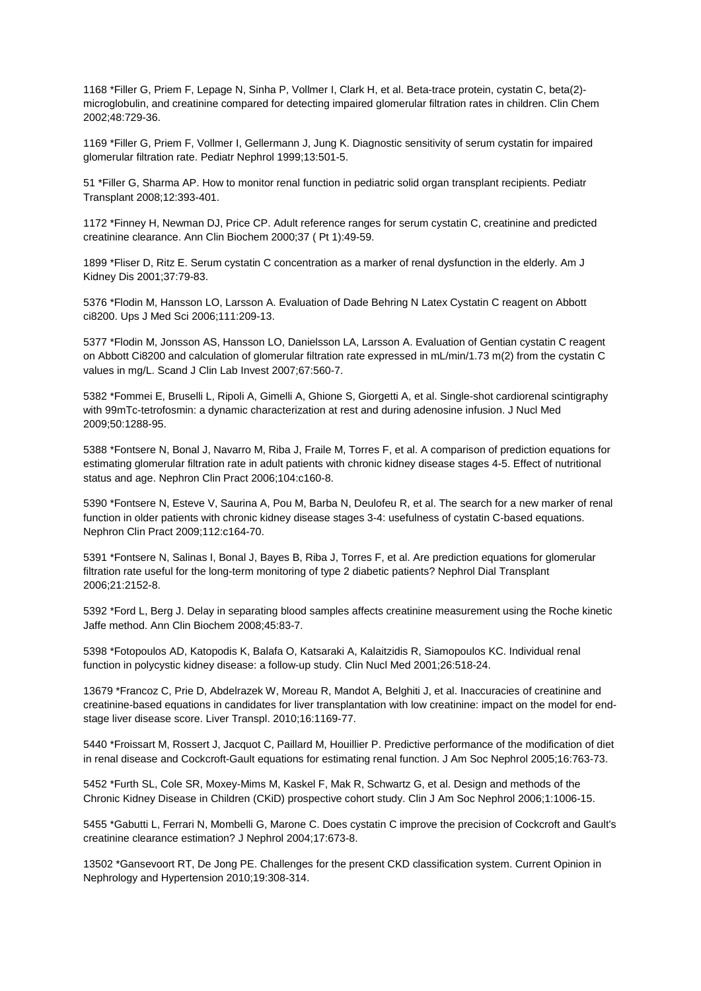1168 \*Filler G, Priem F, Lepage N, Sinha P, Vollmer I, Clark H, et al. Beta-trace protein, cystatin C, beta(2) microglobulin, and creatinine compared for detecting impaired glomerular filtration rates in children. Clin Chem 2002;48:729-36.

1169 \*Filler G, Priem F, Vollmer I, Gellermann J, Jung K. Diagnostic sensitivity of serum cystatin for impaired glomerular filtration rate. Pediatr Nephrol 1999;13:501-5.

51 \*Filler G, Sharma AP. How to monitor renal function in pediatric solid organ transplant recipients. Pediatr Transplant 2008;12:393-401.

1172 \*Finney H, Newman DJ, Price CP. Adult reference ranges for serum cystatin C, creatinine and predicted creatinine clearance. Ann Clin Biochem 2000;37 ( Pt 1):49-59.

1899 \*Fliser D, Ritz E. Serum cystatin C concentration as a marker of renal dysfunction in the elderly. Am J Kidney Dis 2001;37:79-83.

5376 \*Flodin M, Hansson LO, Larsson A. Evaluation of Dade Behring N Latex Cystatin C reagent on Abbott ci8200. Ups J Med Sci 2006;111:209-13.

5377 \*Flodin M, Jonsson AS, Hansson LO, Danielsson LA, Larsson A. Evaluation of Gentian cystatin C reagent on Abbott Ci8200 and calculation of glomerular filtration rate expressed in mL/min/1.73 m(2) from the cystatin C values in mg/L. Scand J Clin Lab Invest 2007;67:560-7.

5382 \*Fommei E, Bruselli L, Ripoli A, Gimelli A, Ghione S, Giorgetti A, et al. Single-shot cardiorenal scintigraphy with 99mTc-tetrofosmin: a dynamic characterization at rest and during adenosine infusion. J Nucl Med 2009;50:1288-95.

5388 \*Fontsere N, Bonal J, Navarro M, Riba J, Fraile M, Torres F, et al. A comparison of prediction equations for estimating glomerular filtration rate in adult patients with chronic kidney disease stages 4-5. Effect of nutritional status and age. Nephron Clin Pract 2006;104:c160-8.

5390 \*Fontsere N, Esteve V, Saurina A, Pou M, Barba N, Deulofeu R, et al. The search for a new marker of renal function in older patients with chronic kidney disease stages 3-4: usefulness of cystatin C-based equations. Nephron Clin Pract 2009;112:c164-70.

5391 \*Fontsere N, Salinas I, Bonal J, Bayes B, Riba J, Torres F, et al. Are prediction equations for glomerular filtration rate useful for the long-term monitoring of type 2 diabetic patients? Nephrol Dial Transplant 2006;21:2152-8.

5392 \*Ford L, Berg J. Delay in separating blood samples affects creatinine measurement using the Roche kinetic Jaffe method. Ann Clin Biochem 2008;45:83-7.

5398 \*Fotopoulos AD, Katopodis K, Balafa O, Katsaraki A, Kalaitzidis R, Siamopoulos KC. Individual renal function in polycystic kidney disease: a follow-up study. Clin Nucl Med 2001;26:518-24.

13679 \*Francoz C, Prie D, Abdelrazek W, Moreau R, Mandot A, Belghiti J, et al. Inaccuracies of creatinine and creatinine-based equations in candidates for liver transplantation with low creatinine: impact on the model for endstage liver disease score. Liver Transpl. 2010;16:1169-77.

5440 \*Froissart M, Rossert J, Jacquot C, Paillard M, Houillier P. Predictive performance of the modification of diet in renal disease and Cockcroft-Gault equations for estimating renal function. J Am Soc Nephrol 2005;16:763-73.

5452 \*Furth SL, Cole SR, Moxey-Mims M, Kaskel F, Mak R, Schwartz G, et al. Design and methods of the Chronic Kidney Disease in Children (CKiD) prospective cohort study. Clin J Am Soc Nephrol 2006;1:1006-15.

5455 \*Gabutti L, Ferrari N, Mombelli G, Marone C. Does cystatin C improve the precision of Cockcroft and Gault's creatinine clearance estimation? J Nephrol 2004;17:673-8.

13502 \*Gansevoort RT, De Jong PE. Challenges for the present CKD classification system. Current Opinion in Nephrology and Hypertension 2010;19:308-314.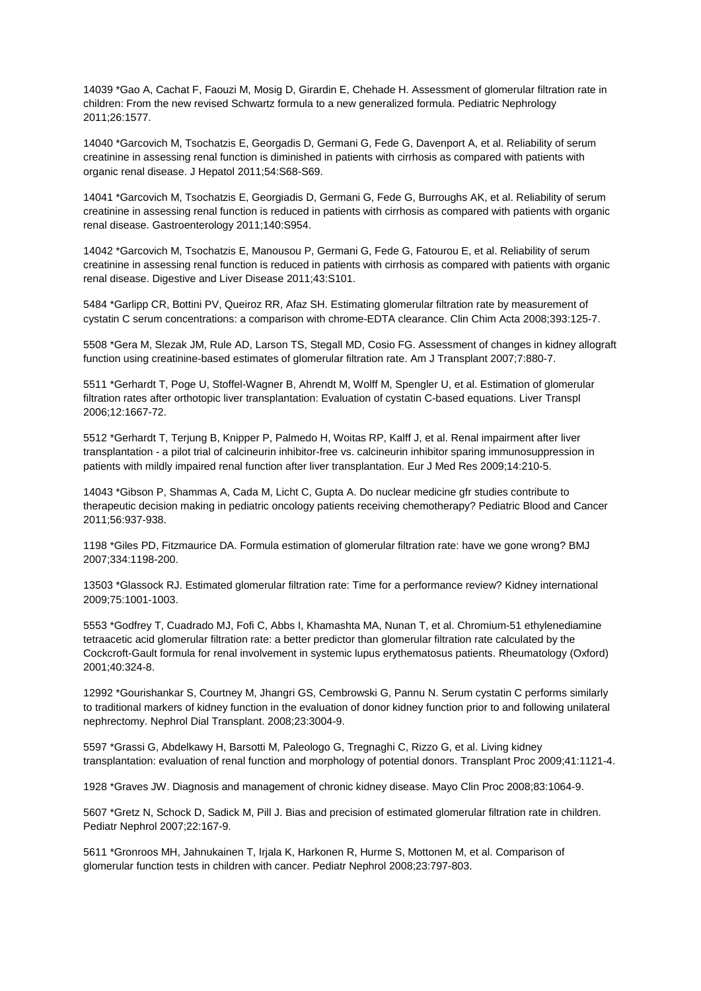14039 \*Gao A, Cachat F, Faouzi M, Mosig D, Girardin E, Chehade H. Assessment of glomerular filtration rate in children: From the new revised Schwartz formula to a new generalized formula. Pediatric Nephrology 2011;26:1577.

14040 \*Garcovich M, Tsochatzis E, Georgadis D, Germani G, Fede G, Davenport A, et al. Reliability of serum creatinine in assessing renal function is diminished in patients with cirrhosis as compared with patients with organic renal disease. J Hepatol 2011;54:S68-S69.

14041 \*Garcovich M, Tsochatzis E, Georgiadis D, Germani G, Fede G, Burroughs AK, et al. Reliability of serum creatinine in assessing renal function is reduced in patients with cirrhosis as compared with patients with organic renal disease. Gastroenterology 2011;140:S954.

14042 \*Garcovich M, Tsochatzis E, Manousou P, Germani G, Fede G, Fatourou E, et al. Reliability of serum creatinine in assessing renal function is reduced in patients with cirrhosis as compared with patients with organic renal disease. Digestive and Liver Disease 2011;43:S101.

5484 \*Garlipp CR, Bottini PV, Queiroz RR, Afaz SH. Estimating glomerular filtration rate by measurement of cystatin C serum concentrations: a comparison with chrome-EDTA clearance. Clin Chim Acta 2008;393:125-7.

5508 \*Gera M, Slezak JM, Rule AD, Larson TS, Stegall MD, Cosio FG. Assessment of changes in kidney allograft function using creatinine-based estimates of glomerular filtration rate. Am J Transplant 2007;7:880-7.

5511 \*Gerhardt T, Poge U, Stoffel-Wagner B, Ahrendt M, Wolff M, Spengler U, et al. Estimation of glomerular filtration rates after orthotopic liver transplantation: Evaluation of cystatin C-based equations. Liver Transpl 2006;12:1667-72.

5512 \*Gerhardt T, Terjung B, Knipper P, Palmedo H, Woitas RP, Kalff J, et al. Renal impairment after liver transplantation - a pilot trial of calcineurin inhibitor-free vs. calcineurin inhibitor sparing immunosuppression in patients with mildly impaired renal function after liver transplantation. Eur J Med Res 2009;14:210-5.

14043 \*Gibson P, Shammas A, Cada M, Licht C, Gupta A. Do nuclear medicine gfr studies contribute to therapeutic decision making in pediatric oncology patients receiving chemotherapy? Pediatric Blood and Cancer 2011;56:937-938.

1198 \*Giles PD, Fitzmaurice DA. Formula estimation of glomerular filtration rate: have we gone wrong? BMJ 2007;334:1198-200.

13503 \*Glassock RJ. Estimated glomerular filtration rate: Time for a performance review? Kidney international 2009;75:1001-1003.

5553 \*Godfrey T, Cuadrado MJ, Fofi C, Abbs I, Khamashta MA, Nunan T, et al. Chromium-51 ethylenediamine tetraacetic acid glomerular filtration rate: a better predictor than glomerular filtration rate calculated by the Cockcroft-Gault formula for renal involvement in systemic lupus erythematosus patients. Rheumatology (Oxford) 2001;40:324-8.

12992 \*Gourishankar S, Courtney M, Jhangri GS, Cembrowski G, Pannu N. Serum cystatin C performs similarly to traditional markers of kidney function in the evaluation of donor kidney function prior to and following unilateral nephrectomy. Nephrol Dial Transplant. 2008;23:3004-9.

5597 \*Grassi G, Abdelkawy H, Barsotti M, Paleologo G, Tregnaghi C, Rizzo G, et al. Living kidney transplantation: evaluation of renal function and morphology of potential donors. Transplant Proc 2009;41:1121-4.

1928 \*Graves JW. Diagnosis and management of chronic kidney disease. Mayo Clin Proc 2008;83:1064-9.

5607 \*Gretz N, Schock D, Sadick M, Pill J. Bias and precision of estimated glomerular filtration rate in children. Pediatr Nephrol 2007;22:167-9.

5611 \*Gronroos MH, Jahnukainen T, Irjala K, Harkonen R, Hurme S, Mottonen M, et al. Comparison of glomerular function tests in children with cancer. Pediatr Nephrol 2008;23:797-803.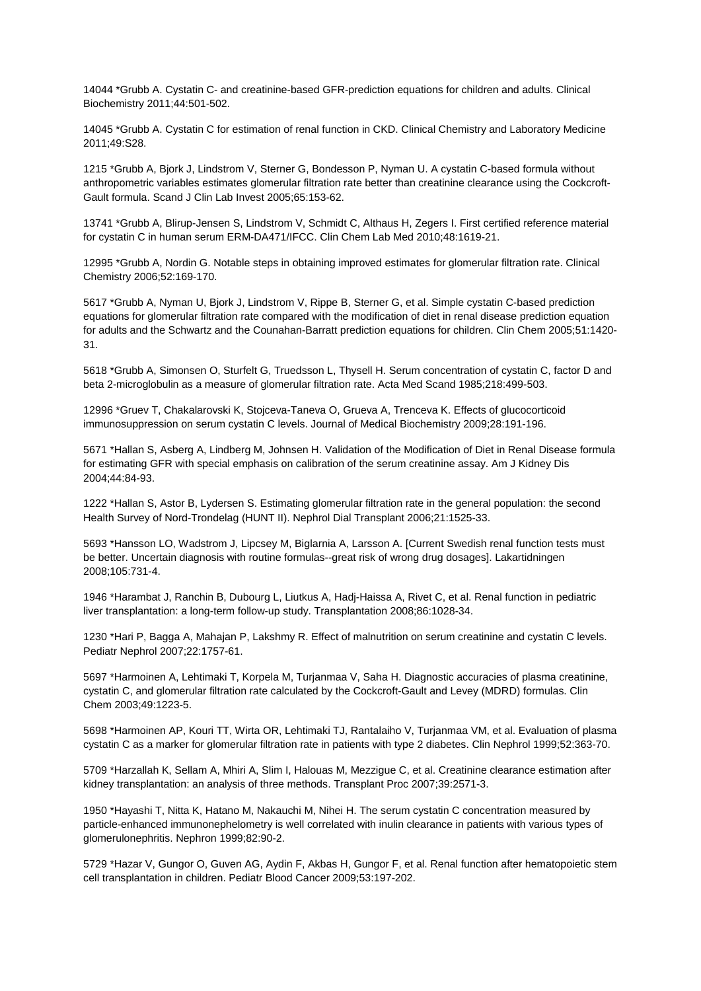14044 \*Grubb A. Cystatin C- and creatinine-based GFR-prediction equations for children and adults. Clinical Biochemistry 2011;44:501-502.

14045 \*Grubb A. Cystatin C for estimation of renal function in CKD. Clinical Chemistry and Laboratory Medicine 2011;49:S28.

1215 \*Grubb A, Bjork J, Lindstrom V, Sterner G, Bondesson P, Nyman U. A cystatin C-based formula without anthropometric variables estimates glomerular filtration rate better than creatinine clearance using the Cockcroft-Gault formula. Scand J Clin Lab Invest 2005;65:153-62.

13741 \*Grubb A, Blirup-Jensen S, Lindstrom V, Schmidt C, Althaus H, Zegers I. First certified reference material for cystatin C in human serum ERM-DA471/IFCC. Clin Chem Lab Med 2010;48:1619-21.

12995 \*Grubb A, Nordin G. Notable steps in obtaining improved estimates for glomerular filtration rate. Clinical Chemistry 2006;52:169-170.

5617 \*Grubb A, Nyman U, Bjork J, Lindstrom V, Rippe B, Sterner G, et al. Simple cystatin C-based prediction equations for glomerular filtration rate compared with the modification of diet in renal disease prediction equation for adults and the Schwartz and the Counahan-Barratt prediction equations for children. Clin Chem 2005;51:1420- 31.

5618 \*Grubb A, Simonsen O, Sturfelt G, Truedsson L, Thysell H. Serum concentration of cystatin C, factor D and beta 2-microglobulin as a measure of glomerular filtration rate. Acta Med Scand 1985;218:499-503.

12996 \*Gruev T, Chakalarovski K, Stojceva-Taneva O, Grueva A, Trenceva K. Effects of glucocorticoid immunosuppression on serum cystatin C levels. Journal of Medical Biochemistry 2009;28:191-196.

5671 \*Hallan S, Asberg A, Lindberg M, Johnsen H. Validation of the Modification of Diet in Renal Disease formula for estimating GFR with special emphasis on calibration of the serum creatinine assay. Am J Kidney Dis 2004;44:84-93.

1222 \*Hallan S, Astor B, Lydersen S. Estimating glomerular filtration rate in the general population: the second Health Survey of Nord-Trondelag (HUNT II). Nephrol Dial Transplant 2006;21:1525-33.

5693 \*Hansson LO, Wadstrom J, Lipcsey M, Biglarnia A, Larsson A. [Current Swedish renal function tests must be better. Uncertain diagnosis with routine formulas--great risk of wrong drug dosages]. Lakartidningen 2008;105:731-4.

1946 \*Harambat J, Ranchin B, Dubourg L, Liutkus A, Hadj-Haissa A, Rivet C, et al. Renal function in pediatric liver transplantation: a long-term follow-up study. Transplantation 2008;86:1028-34.

1230 \*Hari P, Bagga A, Mahajan P, Lakshmy R. Effect of malnutrition on serum creatinine and cystatin C levels. Pediatr Nephrol 2007;22:1757-61.

5697 \*Harmoinen A, Lehtimaki T, Korpela M, Turjanmaa V, Saha H. Diagnostic accuracies of plasma creatinine, cystatin C, and glomerular filtration rate calculated by the Cockcroft-Gault and Levey (MDRD) formulas. Clin Chem 2003;49:1223-5.

5698 \*Harmoinen AP, Kouri TT, Wirta OR, Lehtimaki TJ, Rantalaiho V, Turjanmaa VM, et al. Evaluation of plasma cystatin C as a marker for glomerular filtration rate in patients with type 2 diabetes. Clin Nephrol 1999;52:363-70.

5709 \*Harzallah K, Sellam A, Mhiri A, Slim I, Halouas M, Mezzigue C, et al. Creatinine clearance estimation after kidney transplantation: an analysis of three methods. Transplant Proc 2007;39:2571-3.

1950 \*Hayashi T, Nitta K, Hatano M, Nakauchi M, Nihei H. The serum cystatin C concentration measured by particle-enhanced immunonephelometry is well correlated with inulin clearance in patients with various types of glomerulonephritis. Nephron 1999;82:90-2.

5729 \*Hazar V, Gungor O, Guven AG, Aydin F, Akbas H, Gungor F, et al. Renal function after hematopoietic stem cell transplantation in children. Pediatr Blood Cancer 2009;53:197-202.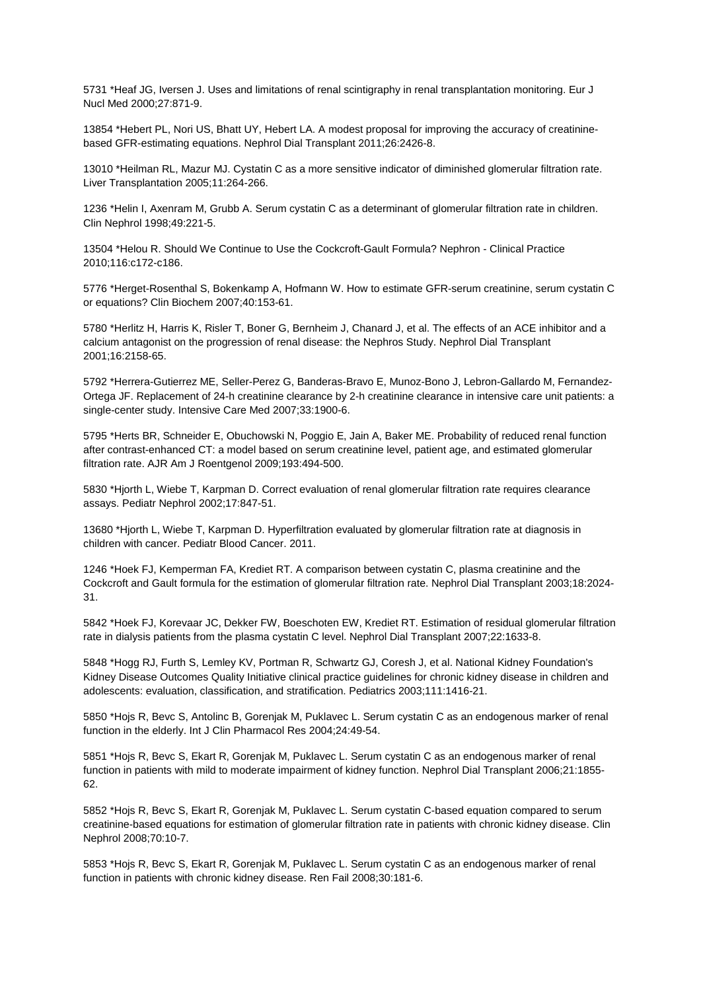5731 \*Heaf JG, Iversen J. Uses and limitations of renal scintigraphy in renal transplantation monitoring. Eur J Nucl Med 2000;27:871-9.

13854 \*Hebert PL, Nori US, Bhatt UY, Hebert LA. A modest proposal for improving the accuracy of creatininebased GFR-estimating equations. Nephrol Dial Transplant 2011;26:2426-8.

13010 \*Heilman RL, Mazur MJ. Cystatin C as a more sensitive indicator of diminished glomerular filtration rate. Liver Transplantation 2005;11:264-266.

1236 \*Helin I, Axenram M, Grubb A. Serum cystatin C as a determinant of glomerular filtration rate in children. Clin Nephrol 1998;49:221-5.

13504 \*Helou R. Should We Continue to Use the Cockcroft-Gault Formula? Nephron - Clinical Practice 2010;116:c172-c186.

5776 \*Herget-Rosenthal S, Bokenkamp A, Hofmann W. How to estimate GFR-serum creatinine, serum cystatin C or equations? Clin Biochem 2007;40:153-61.

5780 \*Herlitz H, Harris K, Risler T, Boner G, Bernheim J, Chanard J, et al. The effects of an ACE inhibitor and a calcium antagonist on the progression of renal disease: the Nephros Study. Nephrol Dial Transplant 2001;16:2158-65.

5792 \*Herrera-Gutierrez ME, Seller-Perez G, Banderas-Bravo E, Munoz-Bono J, Lebron-Gallardo M, Fernandez-Ortega JF. Replacement of 24-h creatinine clearance by 2-h creatinine clearance in intensive care unit patients: a single-center study. Intensive Care Med 2007;33:1900-6.

5795 \*Herts BR, Schneider E, Obuchowski N, Poggio E, Jain A, Baker ME. Probability of reduced renal function after contrast-enhanced CT: a model based on serum creatinine level, patient age, and estimated glomerular filtration rate. AJR Am J Roentgenol 2009;193:494-500.

5830 \*Hjorth L, Wiebe T, Karpman D. Correct evaluation of renal glomerular filtration rate requires clearance assays. Pediatr Nephrol 2002;17:847-51.

13680 \*Hjorth L, Wiebe T, Karpman D. Hyperfiltration evaluated by glomerular filtration rate at diagnosis in children with cancer. Pediatr Blood Cancer. 2011.

1246 \*Hoek FJ, Kemperman FA, Krediet RT. A comparison between cystatin C, plasma creatinine and the Cockcroft and Gault formula for the estimation of glomerular filtration rate. Nephrol Dial Transplant 2003;18:2024- 31.

5842 \*Hoek FJ, Korevaar JC, Dekker FW, Boeschoten EW, Krediet RT. Estimation of residual glomerular filtration rate in dialysis patients from the plasma cystatin C level. Nephrol Dial Transplant 2007;22:1633-8.

5848 \*Hogg RJ, Furth S, Lemley KV, Portman R, Schwartz GJ, Coresh J, et al. National Kidney Foundation's Kidney Disease Outcomes Quality Initiative clinical practice guidelines for chronic kidney disease in children and adolescents: evaluation, classification, and stratification. Pediatrics 2003;111:1416-21.

5850 \*Hojs R, Bevc S, Antolinc B, Gorenjak M, Puklavec L. Serum cystatin C as an endogenous marker of renal function in the elderly. Int J Clin Pharmacol Res 2004;24:49-54.

5851 \*Hojs R, Bevc S, Ekart R, Gorenjak M, Puklavec L. Serum cystatin C as an endogenous marker of renal function in patients with mild to moderate impairment of kidney function. Nephrol Dial Transplant 2006;21:1855- 62.

5852 \*Hojs R, Bevc S, Ekart R, Gorenjak M, Puklavec L. Serum cystatin C-based equation compared to serum creatinine-based equations for estimation of glomerular filtration rate in patients with chronic kidney disease. Clin Nephrol 2008;70:10-7.

5853 \*Hojs R, Bevc S, Ekart R, Gorenjak M, Puklavec L. Serum cystatin C as an endogenous marker of renal function in patients with chronic kidney disease. Ren Fail 2008;30:181-6.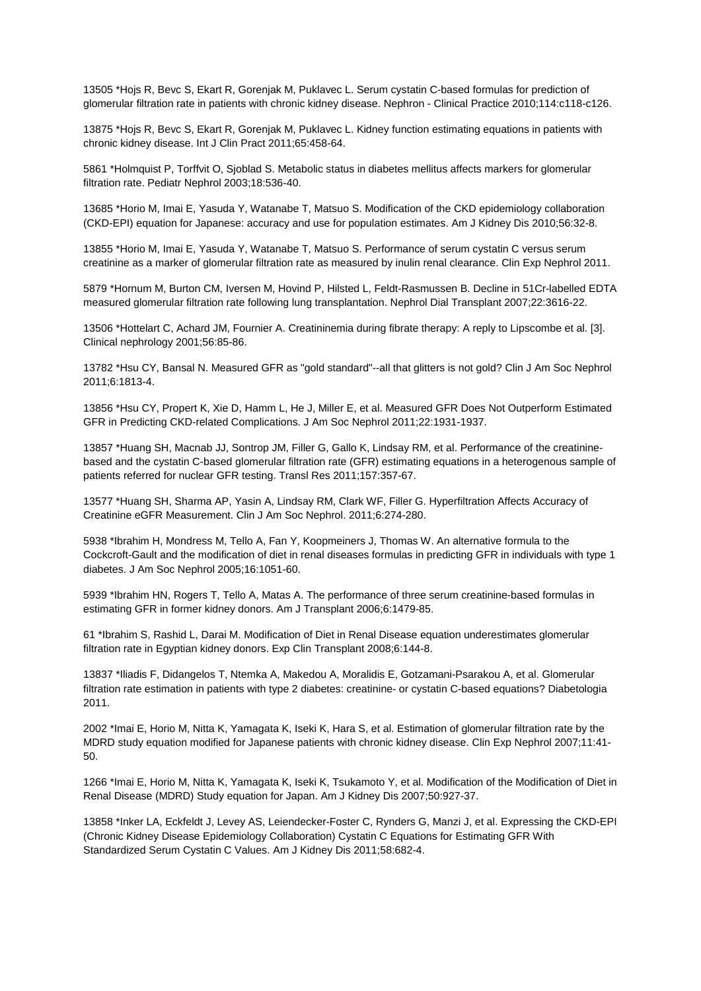13505 \*Hojs R, Bevc S, Ekart R, Gorenjak M, Puklavec L. Serum cystatin C-based formulas for prediction of glomerular filtration rate in patients with chronic kidney disease. Nephron - Clinical Practice 2010;114:c118-c126.

13875 \*Hojs R, Bevc S, Ekart R, Gorenjak M, Puklavec L. Kidney function estimating equations in patients with chronic kidney disease. Int J Clin Pract 2011;65:458-64.

5861 \*Holmquist P, Torffvit O, Sjoblad S. Metabolic status in diabetes mellitus affects markers for glomerular filtration rate. Pediatr Nephrol 2003;18:536-40.

13685 \*Horio M, Imai E, Yasuda Y, Watanabe T, Matsuo S. Modification of the CKD epidemiology collaboration (CKD-EPI) equation for Japanese: accuracy and use for population estimates. Am J Kidney Dis 2010;56:32-8.

13855 \*Horio M, Imai E, Yasuda Y, Watanabe T, Matsuo S. Performance of serum cystatin C versus serum creatinine as a marker of glomerular filtration rate as measured by inulin renal clearance. Clin Exp Nephrol 2011.

5879 \*Hornum M, Burton CM, Iversen M, Hovind P, Hilsted L, Feldt-Rasmussen B. Decline in 51Cr-labelled EDTA measured glomerular filtration rate following lung transplantation. Nephrol Dial Transplant 2007;22:3616-22.

13506 \*Hottelart C, Achard JM, Fournier A. Creatininemia during fibrate therapy: A reply to Lipscombe et al. [3]. Clinical nephrology 2001;56:85-86.

13782 \*Hsu CY, Bansal N. Measured GFR as "gold standard"--all that glitters is not gold? Clin J Am Soc Nephrol 2011;6:1813-4.

13856 \*Hsu CY, Propert K, Xie D, Hamm L, He J, Miller E, et al. Measured GFR Does Not Outperform Estimated GFR in Predicting CKD-related Complications. J Am Soc Nephrol 2011;22:1931-1937.

13857 \*Huang SH, Macnab JJ, Sontrop JM, Filler G, Gallo K, Lindsay RM, et al. Performance of the creatininebased and the cystatin C-based glomerular filtration rate (GFR) estimating equations in a heterogenous sample of patients referred for nuclear GFR testing. Transl Res 2011;157:357-67.

13577 \*Huang SH, Sharma AP, Yasin A, Lindsay RM, Clark WF, Filler G. Hyperfiltration Affects Accuracy of Creatinine eGFR Measurement. Clin J Am Soc Nephrol. 2011;6:274-280.

5938 \*Ibrahim H, Mondress M, Tello A, Fan Y, Koopmeiners J, Thomas W. An alternative formula to the Cockcroft-Gault and the modification of diet in renal diseases formulas in predicting GFR in individuals with type 1 diabetes. J Am Soc Nephrol 2005;16:1051-60.

5939 \*Ibrahim HN, Rogers T, Tello A, Matas A. The performance of three serum creatinine-based formulas in estimating GFR in former kidney donors. Am J Transplant 2006;6:1479-85.

61 \*Ibrahim S, Rashid L, Darai M. Modification of Diet in Renal Disease equation underestimates glomerular filtration rate in Egyptian kidney donors. Exp Clin Transplant 2008;6:144-8.

13837 \*Iliadis F, Didangelos T, Ntemka A, Makedou A, Moralidis E, Gotzamani-Psarakou A, et al. Glomerular filtration rate estimation in patients with type 2 diabetes: creatinine- or cystatin C-based equations? Diabetologia 2011.

2002 \*Imai E, Horio M, Nitta K, Yamagata K, Iseki K, Hara S, et al. Estimation of glomerular filtration rate by the MDRD study equation modified for Japanese patients with chronic kidney disease. Clin Exp Nephrol 2007;11:41- 50.

1266 \*Imai E, Horio M, Nitta K, Yamagata K, Iseki K, Tsukamoto Y, et al. Modification of the Modification of Diet in Renal Disease (MDRD) Study equation for Japan. Am J Kidney Dis 2007;50:927-37.

13858 \*Inker LA, Eckfeldt J, Levey AS, Leiendecker-Foster C, Rynders G, Manzi J, et al. Expressing the CKD-EPI (Chronic Kidney Disease Epidemiology Collaboration) Cystatin C Equations for Estimating GFR With Standardized Serum Cystatin C Values. Am J Kidney Dis 2011;58:682-4.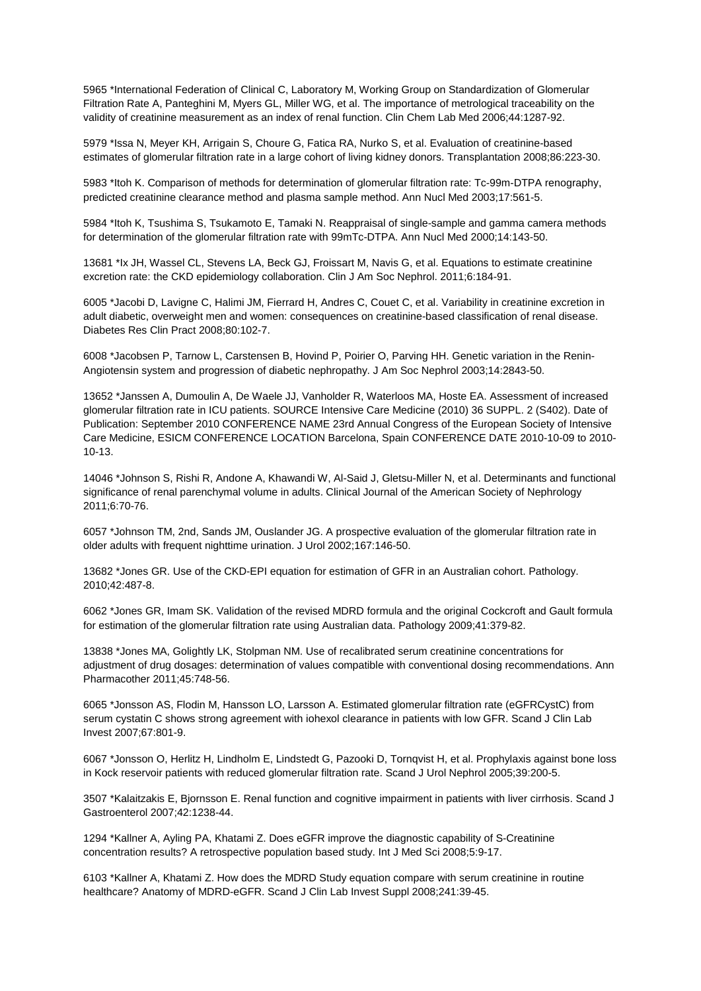5965 \*International Federation of Clinical C, Laboratory M, Working Group on Standardization of Glomerular Filtration Rate A, Panteghini M, Myers GL, Miller WG, et al. The importance of metrological traceability on the validity of creatinine measurement as an index of renal function. Clin Chem Lab Med 2006;44:1287-92.

5979 \*Issa N, Meyer KH, Arrigain S, Choure G, Fatica RA, Nurko S, et al. Evaluation of creatinine-based estimates of glomerular filtration rate in a large cohort of living kidney donors. Transplantation 2008;86:223-30.

5983 \*Itoh K. Comparison of methods for determination of glomerular filtration rate: Tc-99m-DTPA renography, predicted creatinine clearance method and plasma sample method. Ann Nucl Med 2003;17:561-5.

5984 \*Itoh K, Tsushima S, Tsukamoto E, Tamaki N. Reappraisal of single-sample and gamma camera methods for determination of the glomerular filtration rate with 99mTc-DTPA. Ann Nucl Med 2000;14:143-50.

13681 \*Ix JH, Wassel CL, Stevens LA, Beck GJ, Froissart M, Navis G, et al. Equations to estimate creatinine excretion rate: the CKD epidemiology collaboration. Clin J Am Soc Nephrol. 2011;6:184-91.

6005 \*Jacobi D, Lavigne C, Halimi JM, Fierrard H, Andres C, Couet C, et al. Variability in creatinine excretion in adult diabetic, overweight men and women: consequences on creatinine-based classification of renal disease. Diabetes Res Clin Pract 2008;80:102-7.

6008 \*Jacobsen P, Tarnow L, Carstensen B, Hovind P, Poirier O, Parving HH. Genetic variation in the Renin-Angiotensin system and progression of diabetic nephropathy. J Am Soc Nephrol 2003;14:2843-50.

13652 \*Janssen A, Dumoulin A, De Waele JJ, Vanholder R, Waterloos MA, Hoste EA. Assessment of increased glomerular filtration rate in ICU patients. SOURCE Intensive Care Medicine (2010) 36 SUPPL. 2 (S402). Date of Publication: September 2010 CONFERENCE NAME 23rd Annual Congress of the European Society of Intensive Care Medicine, ESICM CONFERENCE LOCATION Barcelona, Spain CONFERENCE DATE 2010-10-09 to 2010- 10-13.

14046 \*Johnson S, Rishi R, Andone A, Khawandi W, Al-Said J, Gletsu-Miller N, et al. Determinants and functional significance of renal parenchymal volume in adults. Clinical Journal of the American Society of Nephrology 2011;6:70-76.

6057 \*Johnson TM, 2nd, Sands JM, Ouslander JG. A prospective evaluation of the glomerular filtration rate in older adults with frequent nighttime urination. J Urol 2002;167:146-50.

13682 \*Jones GR. Use of the CKD-EPI equation for estimation of GFR in an Australian cohort. Pathology. 2010;42:487-8.

6062 \*Jones GR, Imam SK. Validation of the revised MDRD formula and the original Cockcroft and Gault formula for estimation of the glomerular filtration rate using Australian data. Pathology 2009;41:379-82.

13838 \*Jones MA, Golightly LK, Stolpman NM. Use of recalibrated serum creatinine concentrations for adjustment of drug dosages: determination of values compatible with conventional dosing recommendations. Ann Pharmacother 2011;45:748-56.

6065 \*Jonsson AS, Flodin M, Hansson LO, Larsson A. Estimated glomerular filtration rate (eGFRCystC) from serum cystatin C shows strong agreement with iohexol clearance in patients with low GFR. Scand J Clin Lab Invest 2007;67:801-9.

6067 \*Jonsson O, Herlitz H, Lindholm E, Lindstedt G, Pazooki D, Tornqvist H, et al. Prophylaxis against bone loss in Kock reservoir patients with reduced glomerular filtration rate. Scand J Urol Nephrol 2005;39:200-5.

3507 \*Kalaitzakis E, Bjornsson E. Renal function and cognitive impairment in patients with liver cirrhosis. Scand J Gastroenterol 2007;42:1238-44.

1294 \*Kallner A, Ayling PA, Khatami Z. Does eGFR improve the diagnostic capability of S-Creatinine concentration results? A retrospective population based study. Int J Med Sci 2008;5:9-17.

6103 \*Kallner A, Khatami Z. How does the MDRD Study equation compare with serum creatinine in routine healthcare? Anatomy of MDRD-eGFR. Scand J Clin Lab Invest Suppl 2008;241:39-45.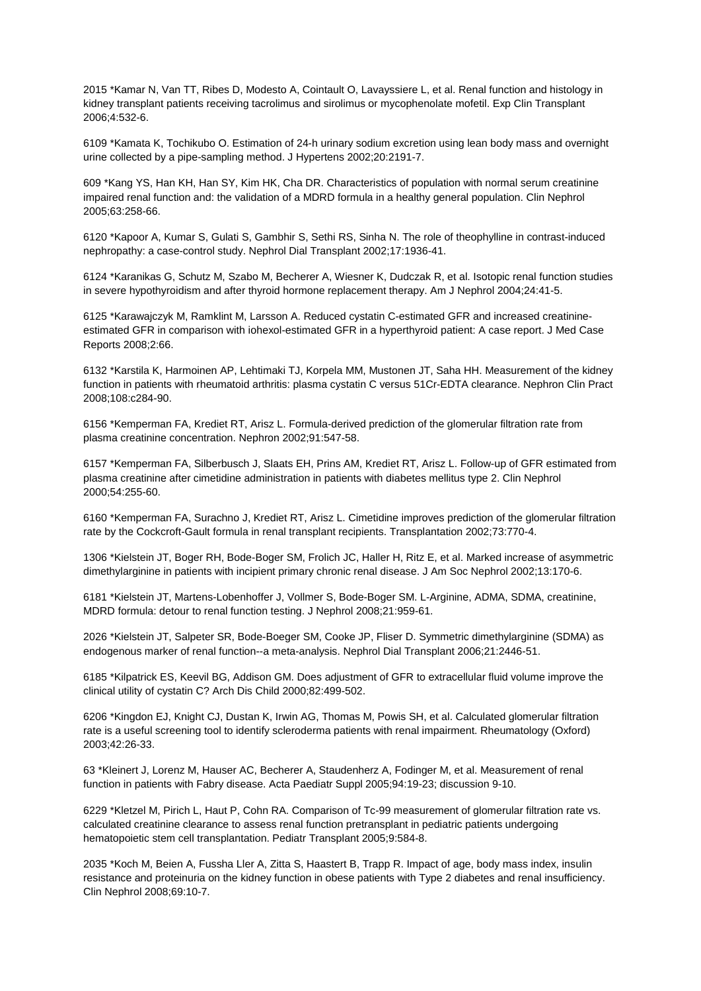2015 \*Kamar N, Van TT, Ribes D, Modesto A, Cointault O, Lavayssiere L, et al. Renal function and histology in kidney transplant patients receiving tacrolimus and sirolimus or mycophenolate mofetil. Exp Clin Transplant 2006;4:532-6.

6109 \*Kamata K, Tochikubo O. Estimation of 24-h urinary sodium excretion using lean body mass and overnight urine collected by a pipe-sampling method. J Hypertens 2002;20:2191-7.

609 \*Kang YS, Han KH, Han SY, Kim HK, Cha DR. Characteristics of population with normal serum creatinine impaired renal function and: the validation of a MDRD formula in a healthy general population. Clin Nephrol 2005;63:258-66.

6120 \*Kapoor A, Kumar S, Gulati S, Gambhir S, Sethi RS, Sinha N. The role of theophylline in contrast-induced nephropathy: a case-control study. Nephrol Dial Transplant 2002;17:1936-41.

6124 \*Karanikas G, Schutz M, Szabo M, Becherer A, Wiesner K, Dudczak R, et al. Isotopic renal function studies in severe hypothyroidism and after thyroid hormone replacement therapy. Am J Nephrol 2004;24:41-5.

6125 \*Karawajczyk M, Ramklint M, Larsson A. Reduced cystatin C-estimated GFR and increased creatinineestimated GFR in comparison with iohexol-estimated GFR in a hyperthyroid patient: A case report. J Med Case Reports 2008;2:66.

6132 \*Karstila K, Harmoinen AP, Lehtimaki TJ, Korpela MM, Mustonen JT, Saha HH. Measurement of the kidney function in patients with rheumatoid arthritis: plasma cystatin C versus 51Cr-EDTA clearance. Nephron Clin Pract 2008;108:c284-90.

6156 \*Kemperman FA, Krediet RT, Arisz L. Formula-derived prediction of the glomerular filtration rate from plasma creatinine concentration. Nephron 2002;91:547-58.

6157 \*Kemperman FA, Silberbusch J, Slaats EH, Prins AM, Krediet RT, Arisz L. Follow-up of GFR estimated from plasma creatinine after cimetidine administration in patients with diabetes mellitus type 2. Clin Nephrol 2000;54:255-60.

6160 \*Kemperman FA, Surachno J, Krediet RT, Arisz L. Cimetidine improves prediction of the glomerular filtration rate by the Cockcroft-Gault formula in renal transplant recipients. Transplantation 2002;73:770-4.

1306 \*Kielstein JT, Boger RH, Bode-Boger SM, Frolich JC, Haller H, Ritz E, et al. Marked increase of asymmetric dimethylarginine in patients with incipient primary chronic renal disease. J Am Soc Nephrol 2002;13:170-6.

6181 \*Kielstein JT, Martens-Lobenhoffer J, Vollmer S, Bode-Boger SM. L-Arginine, ADMA, SDMA, creatinine, MDRD formula: detour to renal function testing. J Nephrol 2008;21:959-61.

2026 \*Kielstein JT, Salpeter SR, Bode-Boeger SM, Cooke JP, Fliser D. Symmetric dimethylarginine (SDMA) as endogenous marker of renal function--a meta-analysis. Nephrol Dial Transplant 2006;21:2446-51.

6185 \*Kilpatrick ES, Keevil BG, Addison GM. Does adjustment of GFR to extracellular fluid volume improve the clinical utility of cystatin C? Arch Dis Child 2000;82:499-502.

6206 \*Kingdon EJ, Knight CJ, Dustan K, Irwin AG, Thomas M, Powis SH, et al. Calculated glomerular filtration rate is a useful screening tool to identify scleroderma patients with renal impairment. Rheumatology (Oxford) 2003;42:26-33.

63 \*Kleinert J, Lorenz M, Hauser AC, Becherer A, Staudenherz A, Fodinger M, et al. Measurement of renal function in patients with Fabry disease. Acta Paediatr Suppl 2005;94:19-23; discussion 9-10.

6229 \*Kletzel M, Pirich L, Haut P, Cohn RA. Comparison of Tc-99 measurement of glomerular filtration rate vs. calculated creatinine clearance to assess renal function pretransplant in pediatric patients undergoing hematopoietic stem cell transplantation. Pediatr Transplant 2005;9:584-8.

2035 \*Koch M, Beien A, Fussha Ller A, Zitta S, Haastert B, Trapp R. Impact of age, body mass index, insulin resistance and proteinuria on the kidney function in obese patients with Type 2 diabetes and renal insufficiency. Clin Nephrol 2008;69:10-7.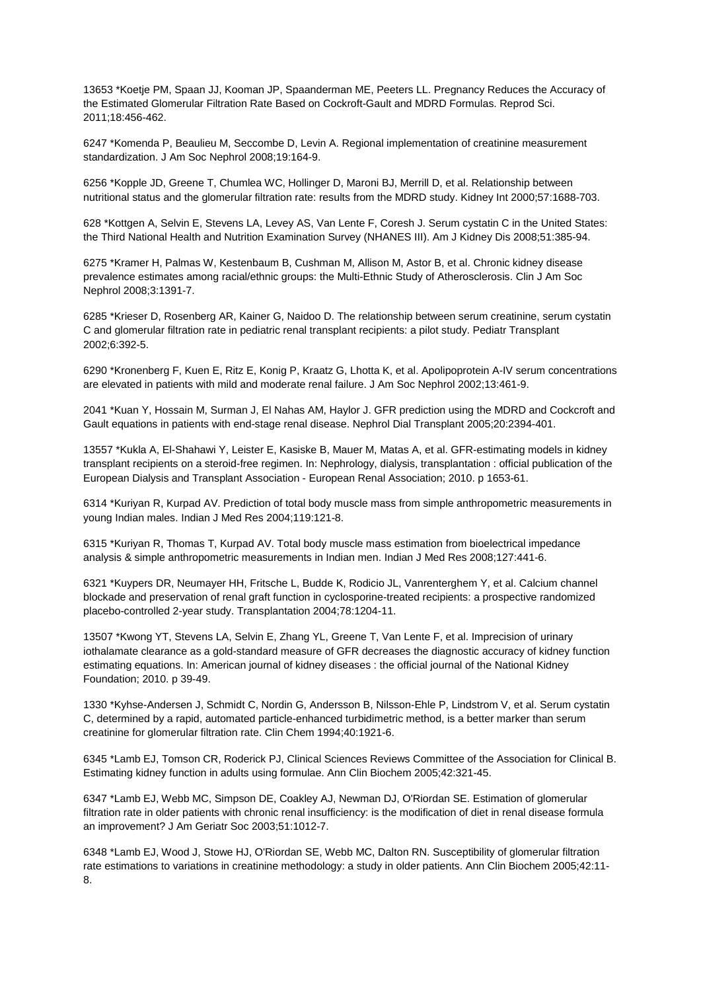13653 \*Koetje PM, Spaan JJ, Kooman JP, Spaanderman ME, Peeters LL. Pregnancy Reduces the Accuracy of the Estimated Glomerular Filtration Rate Based on Cockroft-Gault and MDRD Formulas. Reprod Sci. 2011;18:456-462.

6247 \*Komenda P, Beaulieu M, Seccombe D, Levin A. Regional implementation of creatinine measurement standardization. J Am Soc Nephrol 2008;19:164-9.

6256 \*Kopple JD, Greene T, Chumlea WC, Hollinger D, Maroni BJ, Merrill D, et al. Relationship between nutritional status and the glomerular filtration rate: results from the MDRD study. Kidney Int 2000;57:1688-703.

628 \*Kottgen A, Selvin E, Stevens LA, Levey AS, Van Lente F, Coresh J. Serum cystatin C in the United States: the Third National Health and Nutrition Examination Survey (NHANES III). Am J Kidney Dis 2008;51:385-94.

6275 \*Kramer H, Palmas W, Kestenbaum B, Cushman M, Allison M, Astor B, et al. Chronic kidney disease prevalence estimates among racial/ethnic groups: the Multi-Ethnic Study of Atherosclerosis. Clin J Am Soc Nephrol 2008;3:1391-7.

6285 \*Krieser D, Rosenberg AR, Kainer G, Naidoo D. The relationship between serum creatinine, serum cystatin C and glomerular filtration rate in pediatric renal transplant recipients: a pilot study. Pediatr Transplant 2002;6:392-5.

6290 \*Kronenberg F, Kuen E, Ritz E, Konig P, Kraatz G, Lhotta K, et al. Apolipoprotein A-IV serum concentrations are elevated in patients with mild and moderate renal failure. J Am Soc Nephrol 2002;13:461-9.

2041 \*Kuan Y, Hossain M, Surman J, El Nahas AM, Haylor J. GFR prediction using the MDRD and Cockcroft and Gault equations in patients with end-stage renal disease. Nephrol Dial Transplant 2005;20:2394-401.

13557 \*Kukla A, El-Shahawi Y, Leister E, Kasiske B, Mauer M, Matas A, et al. GFR-estimating models in kidney transplant recipients on a steroid-free regimen. In: Nephrology, dialysis, transplantation : official publication of the European Dialysis and Transplant Association - European Renal Association; 2010. p 1653-61.

6314 \*Kuriyan R, Kurpad AV. Prediction of total body muscle mass from simple anthropometric measurements in young Indian males. Indian J Med Res 2004;119:121-8.

6315 \*Kuriyan R, Thomas T, Kurpad AV. Total body muscle mass estimation from bioelectrical impedance analysis & simple anthropometric measurements in Indian men. Indian J Med Res 2008;127:441-6.

6321 \*Kuypers DR, Neumayer HH, Fritsche L, Budde K, Rodicio JL, Vanrenterghem Y, et al. Calcium channel blockade and preservation of renal graft function in cyclosporine-treated recipients: a prospective randomized placebo-controlled 2-year study. Transplantation 2004;78:1204-11.

13507 \*Kwong YT, Stevens LA, Selvin E, Zhang YL, Greene T, Van Lente F, et al. Imprecision of urinary iothalamate clearance as a gold-standard measure of GFR decreases the diagnostic accuracy of kidney function estimating equations. In: American journal of kidney diseases : the official journal of the National Kidney Foundation; 2010. p 39-49.

1330 \*Kyhse-Andersen J, Schmidt C, Nordin G, Andersson B, Nilsson-Ehle P, Lindstrom V, et al. Serum cystatin C, determined by a rapid, automated particle-enhanced turbidimetric method, is a better marker than serum creatinine for glomerular filtration rate. Clin Chem 1994;40:1921-6.

6345 \*Lamb EJ, Tomson CR, Roderick PJ, Clinical Sciences Reviews Committee of the Association for Clinical B. Estimating kidney function in adults using formulae. Ann Clin Biochem 2005;42:321-45.

6347 \*Lamb EJ, Webb MC, Simpson DE, Coakley AJ, Newman DJ, O'Riordan SE. Estimation of glomerular filtration rate in older patients with chronic renal insufficiency: is the modification of diet in renal disease formula an improvement? J Am Geriatr Soc 2003;51:1012-7.

6348 \*Lamb EJ, Wood J, Stowe HJ, O'Riordan SE, Webb MC, Dalton RN. Susceptibility of glomerular filtration rate estimations to variations in creatinine methodology: a study in older patients. Ann Clin Biochem 2005;42:11- 8.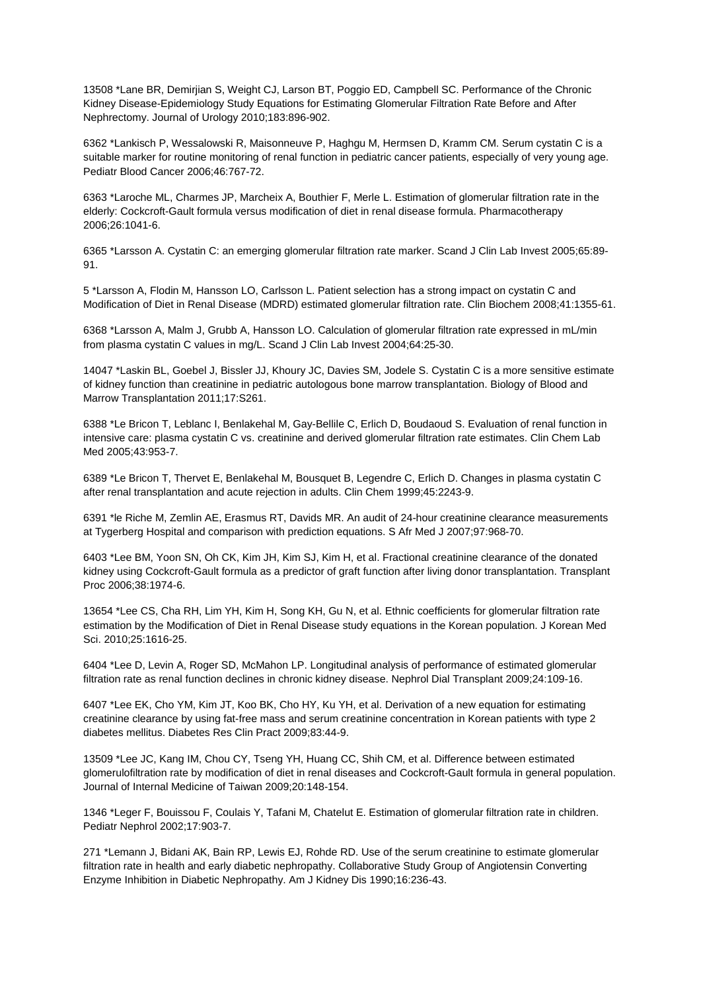13508 \*Lane BR, Demirjian S, Weight CJ, Larson BT, Poggio ED, Campbell SC. Performance of the Chronic Kidney Disease-Epidemiology Study Equations for Estimating Glomerular Filtration Rate Before and After Nephrectomy. Journal of Urology 2010;183:896-902.

6362 \*Lankisch P, Wessalowski R, Maisonneuve P, Haghgu M, Hermsen D, Kramm CM. Serum cystatin C is a suitable marker for routine monitoring of renal function in pediatric cancer patients, especially of very young age. Pediatr Blood Cancer 2006;46:767-72.

6363 \*Laroche ML, Charmes JP, Marcheix A, Bouthier F, Merle L. Estimation of glomerular filtration rate in the elderly: Cockcroft-Gault formula versus modification of diet in renal disease formula. Pharmacotherapy 2006;26:1041-6.

6365 \*Larsson A. Cystatin C: an emerging glomerular filtration rate marker. Scand J Clin Lab Invest 2005;65:89- 91.

5 \*Larsson A, Flodin M, Hansson LO, Carlsson L. Patient selection has a strong impact on cystatin C and Modification of Diet in Renal Disease (MDRD) estimated glomerular filtration rate. Clin Biochem 2008;41:1355-61.

6368 \*Larsson A, Malm J, Grubb A, Hansson LO. Calculation of glomerular filtration rate expressed in mL/min from plasma cystatin C values in mg/L. Scand J Clin Lab Invest 2004;64:25-30.

14047 \*Laskin BL, Goebel J, Bissler JJ, Khoury JC, Davies SM, Jodele S. Cystatin C is a more sensitive estimate of kidney function than creatinine in pediatric autologous bone marrow transplantation. Biology of Blood and Marrow Transplantation 2011;17:S261.

6388 \*Le Bricon T, Leblanc I, Benlakehal M, Gay-Bellile C, Erlich D, Boudaoud S. Evaluation of renal function in intensive care: plasma cystatin C vs. creatinine and derived glomerular filtration rate estimates. Clin Chem Lab Med 2005;43:953-7.

6389 \*Le Bricon T, Thervet E, Benlakehal M, Bousquet B, Legendre C, Erlich D. Changes in plasma cystatin C after renal transplantation and acute rejection in adults. Clin Chem 1999;45:2243-9.

6391 \*le Riche M, Zemlin AE, Erasmus RT, Davids MR. An audit of 24-hour creatinine clearance measurements at Tygerberg Hospital and comparison with prediction equations. S Afr Med J 2007;97:968-70.

6403 \*Lee BM, Yoon SN, Oh CK, Kim JH, Kim SJ, Kim H, et al. Fractional creatinine clearance of the donated kidney using Cockcroft-Gault formula as a predictor of graft function after living donor transplantation. Transplant Proc 2006;38:1974-6.

13654 \*Lee CS, Cha RH, Lim YH, Kim H, Song KH, Gu N, et al. Ethnic coefficients for glomerular filtration rate estimation by the Modification of Diet in Renal Disease study equations in the Korean population. J Korean Med Sci. 2010;25:1616-25.

6404 \*Lee D, Levin A, Roger SD, McMahon LP. Longitudinal analysis of performance of estimated glomerular filtration rate as renal function declines in chronic kidney disease. Nephrol Dial Transplant 2009;24:109-16.

6407 \*Lee EK, Cho YM, Kim JT, Koo BK, Cho HY, Ku YH, et al. Derivation of a new equation for estimating creatinine clearance by using fat-free mass and serum creatinine concentration in Korean patients with type 2 diabetes mellitus. Diabetes Res Clin Pract 2009;83:44-9.

13509 \*Lee JC, Kang IM, Chou CY, Tseng YH, Huang CC, Shih CM, et al. Difference between estimated glomerulofiltration rate by modification of diet in renal diseases and Cockcroft-Gault formula in general population. Journal of Internal Medicine of Taiwan 2009;20:148-154.

1346 \*Leger F, Bouissou F, Coulais Y, Tafani M, Chatelut E. Estimation of glomerular filtration rate in children. Pediatr Nephrol 2002;17:903-7.

271 \*Lemann J, Bidani AK, Bain RP, Lewis EJ, Rohde RD. Use of the serum creatinine to estimate glomerular filtration rate in health and early diabetic nephropathy. Collaborative Study Group of Angiotensin Converting Enzyme Inhibition in Diabetic Nephropathy. Am J Kidney Dis 1990;16:236-43.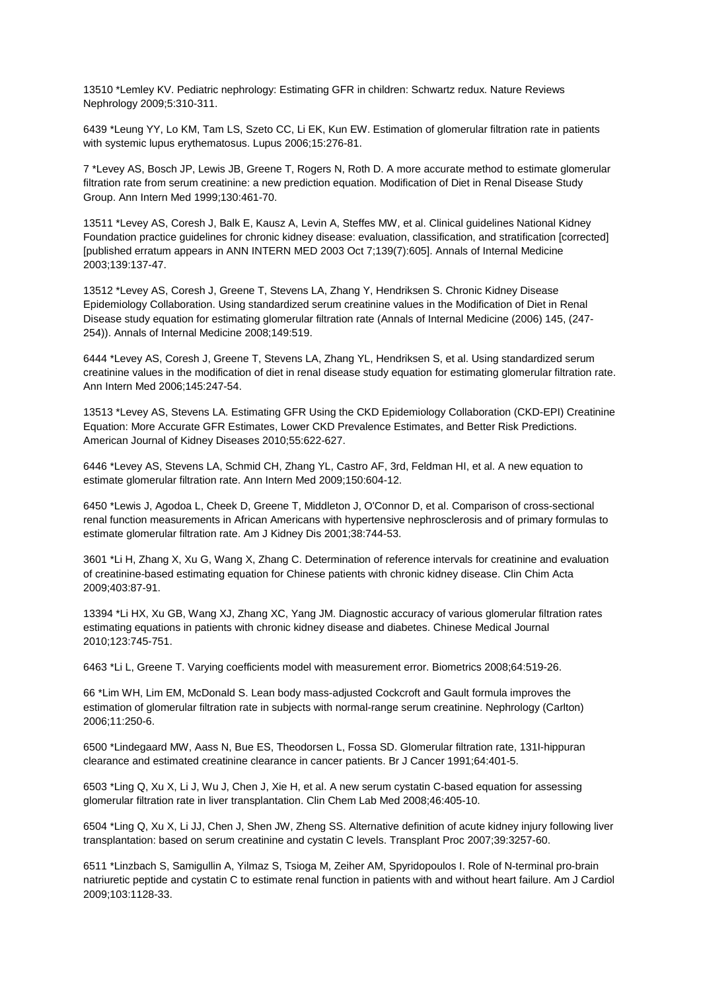13510 \*Lemley KV. Pediatric nephrology: Estimating GFR in children: Schwartz redux. Nature Reviews Nephrology 2009;5:310-311.

6439 \*Leung YY, Lo KM, Tam LS, Szeto CC, Li EK, Kun EW. Estimation of glomerular filtration rate in patients with systemic lupus erythematosus. Lupus 2006;15:276-81.

7 \*Levey AS, Bosch JP, Lewis JB, Greene T, Rogers N, Roth D. A more accurate method to estimate glomerular filtration rate from serum creatinine: a new prediction equation. Modification of Diet in Renal Disease Study Group. Ann Intern Med 1999;130:461-70.

13511 \*Levey AS, Coresh J, Balk E, Kausz A, Levin A, Steffes MW, et al. Clinical guidelines National Kidney Foundation practice guidelines for chronic kidney disease: evaluation, classification, and stratification [corrected] [published erratum appears in ANN INTERN MED 2003 Oct 7;139(7):605]. Annals of Internal Medicine 2003;139:137-47.

13512 \*Levey AS, Coresh J, Greene T, Stevens LA, Zhang Y, Hendriksen S. Chronic Kidney Disease Epidemiology Collaboration. Using standardized serum creatinine values in the Modification of Diet in Renal Disease study equation for estimating glomerular filtration rate (Annals of Internal Medicine (2006) 145, (247- 254)). Annals of Internal Medicine 2008;149:519.

6444 \*Levey AS, Coresh J, Greene T, Stevens LA, Zhang YL, Hendriksen S, et al. Using standardized serum creatinine values in the modification of diet in renal disease study equation for estimating glomerular filtration rate. Ann Intern Med 2006;145:247-54.

13513 \*Levey AS, Stevens LA. Estimating GFR Using the CKD Epidemiology Collaboration (CKD-EPI) Creatinine Equation: More Accurate GFR Estimates, Lower CKD Prevalence Estimates, and Better Risk Predictions. American Journal of Kidney Diseases 2010;55:622-627.

6446 \*Levey AS, Stevens LA, Schmid CH, Zhang YL, Castro AF, 3rd, Feldman HI, et al. A new equation to estimate glomerular filtration rate. Ann Intern Med 2009;150:604-12.

6450 \*Lewis J, Agodoa L, Cheek D, Greene T, Middleton J, O'Connor D, et al. Comparison of cross-sectional renal function measurements in African Americans with hypertensive nephrosclerosis and of primary formulas to estimate glomerular filtration rate. Am J Kidney Dis 2001;38:744-53.

3601 \*Li H, Zhang X, Xu G, Wang X, Zhang C. Determination of reference intervals for creatinine and evaluation of creatinine-based estimating equation for Chinese patients with chronic kidney disease. Clin Chim Acta 2009;403:87-91.

13394 \*Li HX, Xu GB, Wang XJ, Zhang XC, Yang JM. Diagnostic accuracy of various glomerular filtration rates estimating equations in patients with chronic kidney disease and diabetes. Chinese Medical Journal 2010;123:745-751.

6463 \*Li L, Greene T. Varying coefficients model with measurement error. Biometrics 2008;64:519-26.

66 \*Lim WH, Lim EM, McDonald S. Lean body mass-adjusted Cockcroft and Gault formula improves the estimation of glomerular filtration rate in subjects with normal-range serum creatinine. Nephrology (Carlton) 2006;11:250-6.

6500 \*Lindegaard MW, Aass N, Bue ES, Theodorsen L, Fossa SD. Glomerular filtration rate, 131I-hippuran clearance and estimated creatinine clearance in cancer patients. Br J Cancer 1991;64:401-5.

6503 \*Ling Q, Xu X, Li J, Wu J, Chen J, Xie H, et al. A new serum cystatin C-based equation for assessing glomerular filtration rate in liver transplantation. Clin Chem Lab Med 2008;46:405-10.

6504 \*Ling Q, Xu X, Li JJ, Chen J, Shen JW, Zheng SS. Alternative definition of acute kidney injury following liver transplantation: based on serum creatinine and cystatin C levels. Transplant Proc 2007;39:3257-60.

6511 \*Linzbach S, Samigullin A, Yilmaz S, Tsioga M, Zeiher AM, Spyridopoulos I. Role of N-terminal pro-brain natriuretic peptide and cystatin C to estimate renal function in patients with and without heart failure. Am J Cardiol 2009;103:1128-33.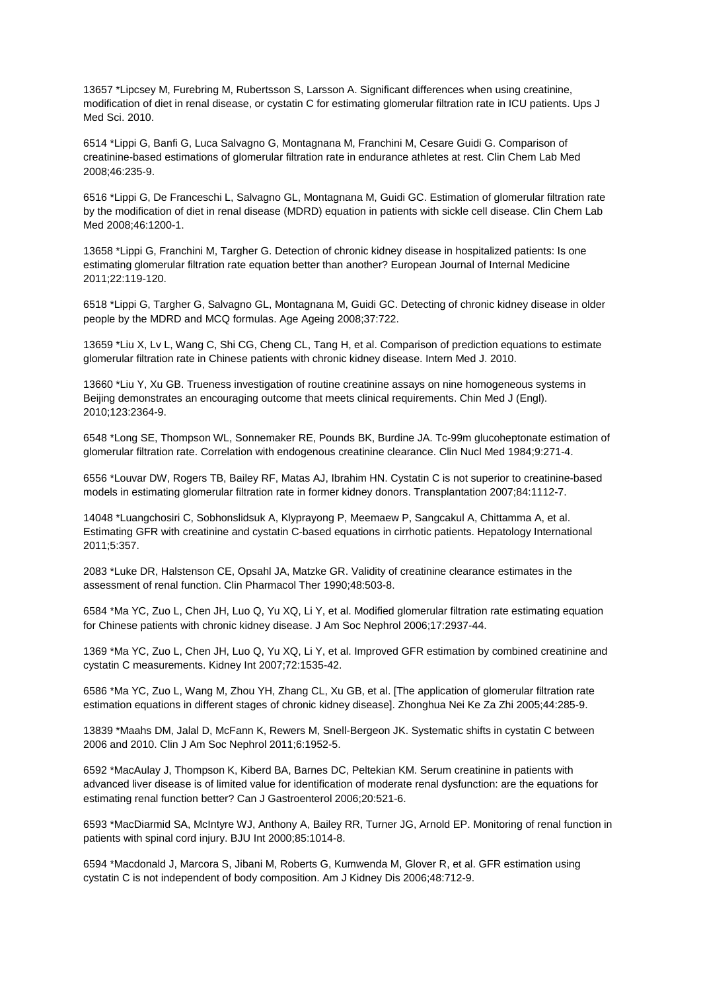13657 \*Lipcsey M, Furebring M, Rubertsson S, Larsson A. Significant differences when using creatinine, modification of diet in renal disease, or cystatin C for estimating glomerular filtration rate in ICU patients. Ups J Med Sci. 2010.

6514 \*Lippi G, Banfi G, Luca Salvagno G, Montagnana M, Franchini M, Cesare Guidi G. Comparison of creatinine-based estimations of glomerular filtration rate in endurance athletes at rest. Clin Chem Lab Med 2008;46:235-9.

6516 \*Lippi G, De Franceschi L, Salvagno GL, Montagnana M, Guidi GC. Estimation of glomerular filtration rate by the modification of diet in renal disease (MDRD) equation in patients with sickle cell disease. Clin Chem Lab Med 2008;46:1200-1.

13658 \*Lippi G, Franchini M, Targher G. Detection of chronic kidney disease in hospitalized patients: Is one estimating glomerular filtration rate equation better than another? European Journal of Internal Medicine 2011;22:119-120.

6518 \*Lippi G, Targher G, Salvagno GL, Montagnana M, Guidi GC. Detecting of chronic kidney disease in older people by the MDRD and MCQ formulas. Age Ageing 2008;37:722.

13659 \*Liu X, Lv L, Wang C, Shi CG, Cheng CL, Tang H, et al. Comparison of prediction equations to estimate glomerular filtration rate in Chinese patients with chronic kidney disease. Intern Med J. 2010.

13660 \*Liu Y, Xu GB. Trueness investigation of routine creatinine assays on nine homogeneous systems in Beijing demonstrates an encouraging outcome that meets clinical requirements. Chin Med J (Engl). 2010;123:2364-9.

6548 \*Long SE, Thompson WL, Sonnemaker RE, Pounds BK, Burdine JA. Tc-99m glucoheptonate estimation of glomerular filtration rate. Correlation with endogenous creatinine clearance. Clin Nucl Med 1984;9:271-4.

6556 \*Louvar DW, Rogers TB, Bailey RF, Matas AJ, Ibrahim HN. Cystatin C is not superior to creatinine-based models in estimating glomerular filtration rate in former kidney donors. Transplantation 2007;84:1112-7.

14048 \*Luangchosiri C, Sobhonslidsuk A, Klyprayong P, Meemaew P, Sangcakul A, Chittamma A, et al. Estimating GFR with creatinine and cystatin C-based equations in cirrhotic patients. Hepatology International 2011;5:357.

2083 \*Luke DR, Halstenson CE, Opsahl JA, Matzke GR. Validity of creatinine clearance estimates in the assessment of renal function. Clin Pharmacol Ther 1990;48:503-8.

6584 \*Ma YC, Zuo L, Chen JH, Luo Q, Yu XQ, Li Y, et al. Modified glomerular filtration rate estimating equation for Chinese patients with chronic kidney disease. J Am Soc Nephrol 2006;17:2937-44.

1369 \*Ma YC, Zuo L, Chen JH, Luo Q, Yu XQ, Li Y, et al. Improved GFR estimation by combined creatinine and cystatin C measurements. Kidney Int 2007;72:1535-42.

6586 \*Ma YC, Zuo L, Wang M, Zhou YH, Zhang CL, Xu GB, et al. [The application of glomerular filtration rate estimation equations in different stages of chronic kidney disease]. Zhonghua Nei Ke Za Zhi 2005;44:285-9.

13839 \*Maahs DM, Jalal D, McFann K, Rewers M, Snell-Bergeon JK. Systematic shifts in cystatin C between 2006 and 2010. Clin J Am Soc Nephrol 2011;6:1952-5.

6592 \*MacAulay J, Thompson K, Kiberd BA, Barnes DC, Peltekian KM. Serum creatinine in patients with advanced liver disease is of limited value for identification of moderate renal dysfunction: are the equations for estimating renal function better? Can J Gastroenterol 2006;20:521-6.

6593 \*MacDiarmid SA, McIntyre WJ, Anthony A, Bailey RR, Turner JG, Arnold EP. Monitoring of renal function in patients with spinal cord injury. BJU Int 2000;85:1014-8.

6594 \*Macdonald J, Marcora S, Jibani M, Roberts G, Kumwenda M, Glover R, et al. GFR estimation using cystatin C is not independent of body composition. Am J Kidney Dis 2006;48:712-9.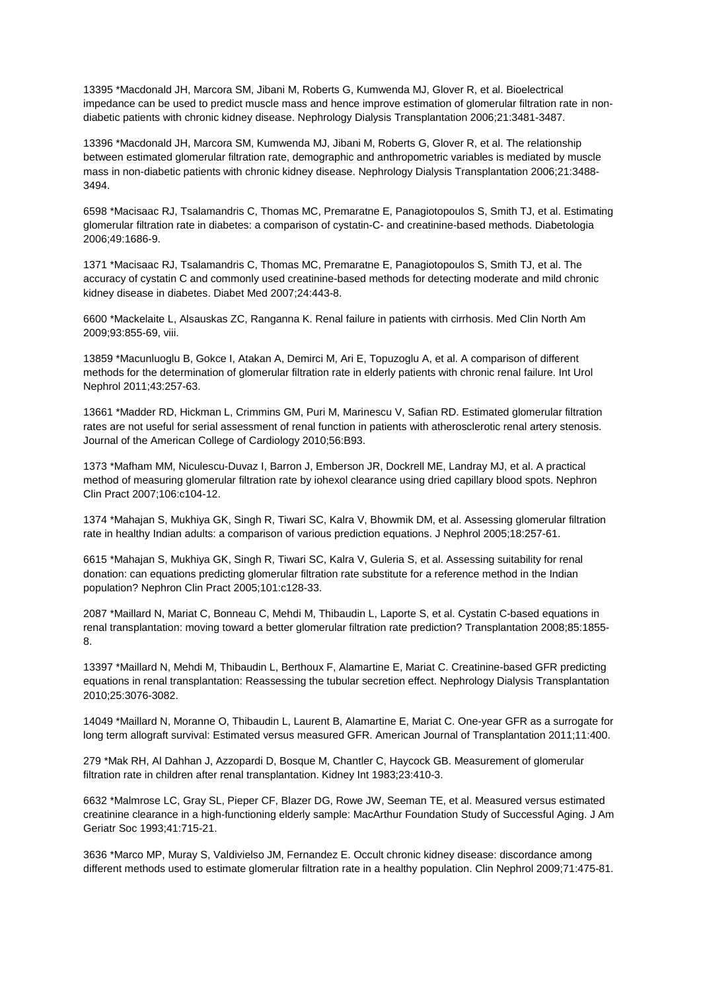13395 \*Macdonald JH, Marcora SM, Jibani M, Roberts G, Kumwenda MJ, Glover R, et al. Bioelectrical impedance can be used to predict muscle mass and hence improve estimation of glomerular filtration rate in nondiabetic patients with chronic kidney disease. Nephrology Dialysis Transplantation 2006;21:3481-3487.

13396 \*Macdonald JH, Marcora SM, Kumwenda MJ, Jibani M, Roberts G, Glover R, et al. The relationship between estimated glomerular filtration rate, demographic and anthropometric variables is mediated by muscle mass in non-diabetic patients with chronic kidney disease. Nephrology Dialysis Transplantation 2006;21:3488- 3494.

6598 \*Macisaac RJ, Tsalamandris C, Thomas MC, Premaratne E, Panagiotopoulos S, Smith TJ, et al. Estimating glomerular filtration rate in diabetes: a comparison of cystatin-C- and creatinine-based methods. Diabetologia 2006;49:1686-9.

1371 \*Macisaac RJ, Tsalamandris C, Thomas MC, Premaratne E, Panagiotopoulos S, Smith TJ, et al. The accuracy of cystatin C and commonly used creatinine-based methods for detecting moderate and mild chronic kidney disease in diabetes. Diabet Med 2007;24:443-8.

6600 \*Mackelaite L, Alsauskas ZC, Ranganna K. Renal failure in patients with cirrhosis. Med Clin North Am 2009;93:855-69, viii.

13859 \*Macunluoglu B, Gokce I, Atakan A, Demirci M, Ari E, Topuzoglu A, et al. A comparison of different methods for the determination of glomerular filtration rate in elderly patients with chronic renal failure. Int Urol Nephrol 2011;43:257-63.

13661 \*Madder RD, Hickman L, Crimmins GM, Puri M, Marinescu V, Safian RD. Estimated glomerular filtration rates are not useful for serial assessment of renal function in patients with atherosclerotic renal artery stenosis. Journal of the American College of Cardiology 2010;56:B93.

1373 \*Mafham MM, Niculescu-Duvaz I, Barron J, Emberson JR, Dockrell ME, Landray MJ, et al. A practical method of measuring glomerular filtration rate by iohexol clearance using dried capillary blood spots. Nephron Clin Pract 2007;106:c104-12.

1374 \*Mahajan S, Mukhiya GK, Singh R, Tiwari SC, Kalra V, Bhowmik DM, et al. Assessing glomerular filtration rate in healthy Indian adults: a comparison of various prediction equations. J Nephrol 2005;18:257-61.

6615 \*Mahajan S, Mukhiya GK, Singh R, Tiwari SC, Kalra V, Guleria S, et al. Assessing suitability for renal donation: can equations predicting glomerular filtration rate substitute for a reference method in the Indian population? Nephron Clin Pract 2005;101:c128-33.

2087 \*Maillard N, Mariat C, Bonneau C, Mehdi M, Thibaudin L, Laporte S, et al. Cystatin C-based equations in renal transplantation: moving toward a better glomerular filtration rate prediction? Transplantation 2008;85:1855- 8.

13397 \*Maillard N, Mehdi M, Thibaudin L, Berthoux F, Alamartine E, Mariat C. Creatinine-based GFR predicting equations in renal transplantation: Reassessing the tubular secretion effect. Nephrology Dialysis Transplantation 2010;25:3076-3082.

14049 \*Maillard N, Moranne O, Thibaudin L, Laurent B, Alamartine E, Mariat C. One-year GFR as a surrogate for long term allograft survival: Estimated versus measured GFR. American Journal of Transplantation 2011;11:400.

279 \*Mak RH, Al Dahhan J, Azzopardi D, Bosque M, Chantler C, Haycock GB. Measurement of glomerular filtration rate in children after renal transplantation. Kidney Int 1983;23:410-3.

6632 \*Malmrose LC, Gray SL, Pieper CF, Blazer DG, Rowe JW, Seeman TE, et al. Measured versus estimated creatinine clearance in a high-functioning elderly sample: MacArthur Foundation Study of Successful Aging. J Am Geriatr Soc 1993;41:715-21.

3636 \*Marco MP, Muray S, Valdivielso JM, Fernandez E. Occult chronic kidney disease: discordance among different methods used to estimate glomerular filtration rate in a healthy population. Clin Nephrol 2009;71:475-81.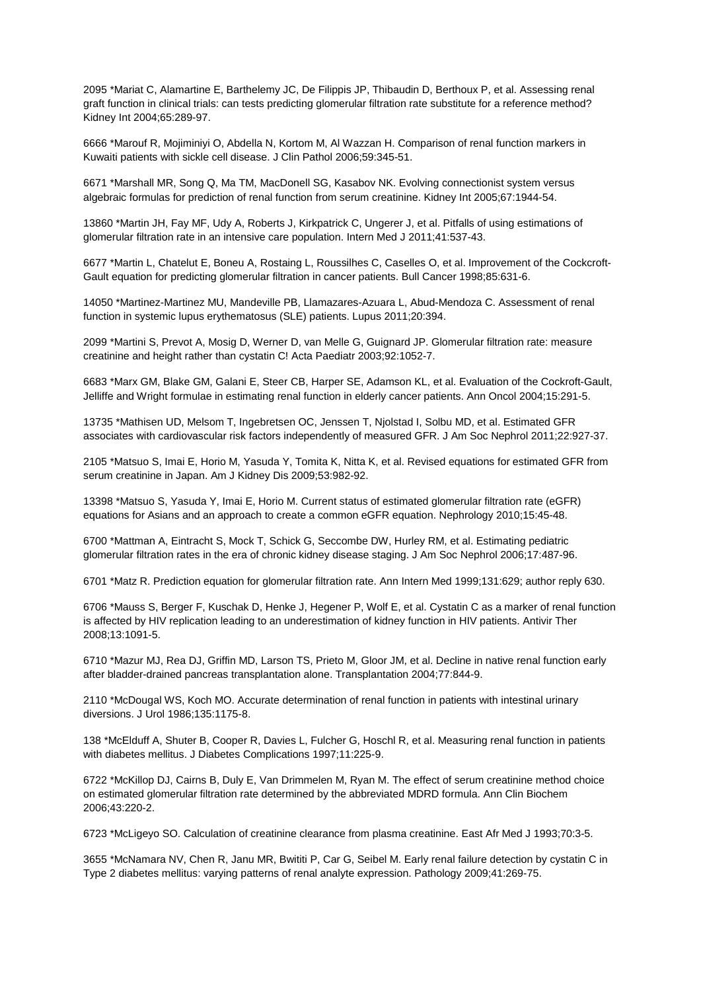2095 \*Mariat C, Alamartine E, Barthelemy JC, De Filippis JP, Thibaudin D, Berthoux P, et al. Assessing renal graft function in clinical trials: can tests predicting glomerular filtration rate substitute for a reference method? Kidney Int 2004;65:289-97.

6666 \*Marouf R, Mojiminiyi O, Abdella N, Kortom M, Al Wazzan H. Comparison of renal function markers in Kuwaiti patients with sickle cell disease. J Clin Pathol 2006;59:345-51.

6671 \*Marshall MR, Song Q, Ma TM, MacDonell SG, Kasabov NK. Evolving connectionist system versus algebraic formulas for prediction of renal function from serum creatinine. Kidney Int 2005;67:1944-54.

13860 \*Martin JH, Fay MF, Udy A, Roberts J, Kirkpatrick C, Ungerer J, et al. Pitfalls of using estimations of glomerular filtration rate in an intensive care population. Intern Med J 2011;41:537-43.

6677 \*Martin L, Chatelut E, Boneu A, Rostaing L, Roussilhes C, Caselles O, et al. Improvement of the Cockcroft-Gault equation for predicting glomerular filtration in cancer patients. Bull Cancer 1998;85:631-6.

14050 \*Martinez-Martinez MU, Mandeville PB, Llamazares-Azuara L, Abud-Mendoza C. Assessment of renal function in systemic lupus erythematosus (SLE) patients. Lupus 2011;20:394.

2099 \*Martini S, Prevot A, Mosig D, Werner D, van Melle G, Guignard JP. Glomerular filtration rate: measure creatinine and height rather than cystatin C! Acta Paediatr 2003;92:1052-7.

6683 \*Marx GM, Blake GM, Galani E, Steer CB, Harper SE, Adamson KL, et al. Evaluation of the Cockroft-Gault, Jelliffe and Wright formulae in estimating renal function in elderly cancer patients. Ann Oncol 2004;15:291-5.

13735 \*Mathisen UD, Melsom T, Ingebretsen OC, Jenssen T, Njolstad I, Solbu MD, et al. Estimated GFR associates with cardiovascular risk factors independently of measured GFR. J Am Soc Nephrol 2011;22:927-37.

2105 \*Matsuo S, Imai E, Horio M, Yasuda Y, Tomita K, Nitta K, et al. Revised equations for estimated GFR from serum creatinine in Japan. Am J Kidney Dis 2009;53:982-92.

13398 \*Matsuo S, Yasuda Y, Imai E, Horio M. Current status of estimated glomerular filtration rate (eGFR) equations for Asians and an approach to create a common eGFR equation. Nephrology 2010;15:45-48.

6700 \*Mattman A, Eintracht S, Mock T, Schick G, Seccombe DW, Hurley RM, et al. Estimating pediatric glomerular filtration rates in the era of chronic kidney disease staging. J Am Soc Nephrol 2006;17:487-96.

6701 \*Matz R. Prediction equation for glomerular filtration rate. Ann Intern Med 1999;131:629; author reply 630.

6706 \*Mauss S, Berger F, Kuschak D, Henke J, Hegener P, Wolf E, et al. Cystatin C as a marker of renal function is affected by HIV replication leading to an underestimation of kidney function in HIV patients. Antivir Ther 2008;13:1091-5.

6710 \*Mazur MJ, Rea DJ, Griffin MD, Larson TS, Prieto M, Gloor JM, et al. Decline in native renal function early after bladder-drained pancreas transplantation alone. Transplantation 2004;77:844-9.

2110 \*McDougal WS, Koch MO. Accurate determination of renal function in patients with intestinal urinary diversions. J Urol 1986;135:1175-8.

138 \*McElduff A, Shuter B, Cooper R, Davies L, Fulcher G, Hoschl R, et al. Measuring renal function in patients with diabetes mellitus. J Diabetes Complications 1997;11:225-9.

6722 \*McKillop DJ, Cairns B, Duly E, Van Drimmelen M, Ryan M. The effect of serum creatinine method choice on estimated glomerular filtration rate determined by the abbreviated MDRD formula. Ann Clin Biochem 2006;43:220-2.

6723 \*McLigeyo SO. Calculation of creatinine clearance from plasma creatinine. East Afr Med J 1993;70:3-5.

3655 \*McNamara NV, Chen R, Janu MR, Bwititi P, Car G, Seibel M. Early renal failure detection by cystatin C in Type 2 diabetes mellitus: varying patterns of renal analyte expression. Pathology 2009;41:269-75.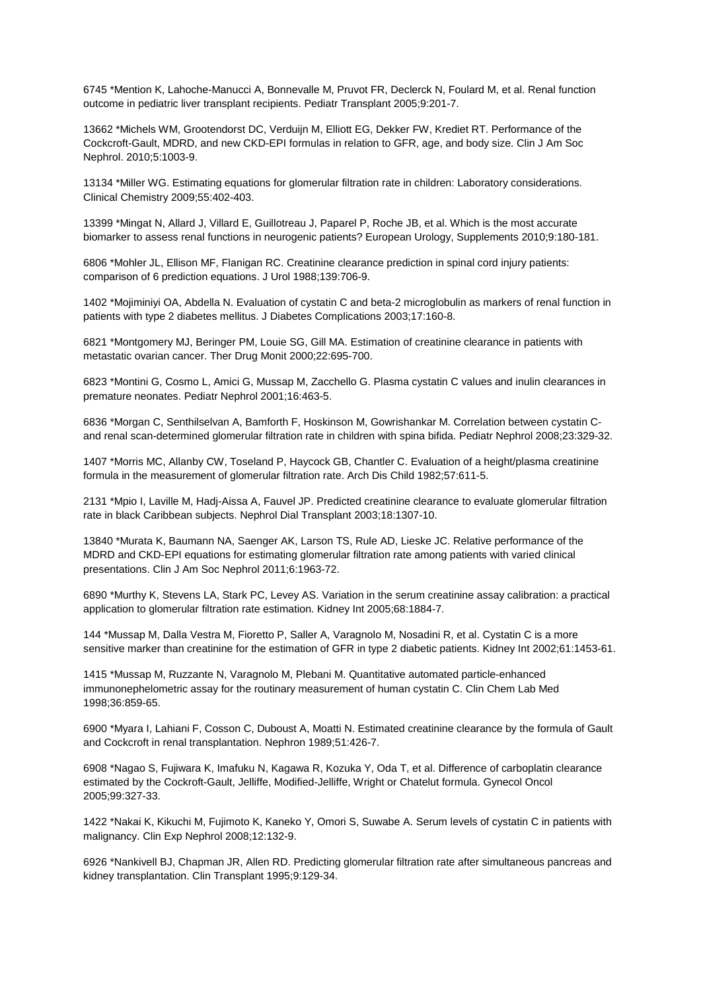6745 \*Mention K, Lahoche-Manucci A, Bonnevalle M, Pruvot FR, Declerck N, Foulard M, et al. Renal function outcome in pediatric liver transplant recipients. Pediatr Transplant 2005;9:201-7.

13662 \*Michels WM, Grootendorst DC, Verduijn M, Elliott EG, Dekker FW, Krediet RT. Performance of the Cockcroft-Gault, MDRD, and new CKD-EPI formulas in relation to GFR, age, and body size. Clin J Am Soc Nephrol. 2010;5:1003-9.

13134 \*Miller WG. Estimating equations for glomerular filtration rate in children: Laboratory considerations. Clinical Chemistry 2009;55:402-403.

13399 \*Mingat N, Allard J, Villard E, Guillotreau J, Paparel P, Roche JB, et al. Which is the most accurate biomarker to assess renal functions in neurogenic patients? European Urology, Supplements 2010;9:180-181.

6806 \*Mohler JL, Ellison MF, Flanigan RC. Creatinine clearance prediction in spinal cord injury patients: comparison of 6 prediction equations. J Urol 1988;139:706-9.

1402 \*Mojiminiyi OA, Abdella N. Evaluation of cystatin C and beta-2 microglobulin as markers of renal function in patients with type 2 diabetes mellitus. J Diabetes Complications 2003;17:160-8.

6821 \*Montgomery MJ, Beringer PM, Louie SG, Gill MA. Estimation of creatinine clearance in patients with metastatic ovarian cancer. Ther Drug Monit 2000;22:695-700.

6823 \*Montini G, Cosmo L, Amici G, Mussap M, Zacchello G. Plasma cystatin C values and inulin clearances in premature neonates. Pediatr Nephrol 2001;16:463-5.

6836 \*Morgan C, Senthilselvan A, Bamforth F, Hoskinson M, Gowrishankar M. Correlation between cystatin Cand renal scan-determined glomerular filtration rate in children with spina bifida. Pediatr Nephrol 2008;23:329-32.

1407 \*Morris MC, Allanby CW, Toseland P, Haycock GB, Chantler C. Evaluation of a height/plasma creatinine formula in the measurement of glomerular filtration rate. Arch Dis Child 1982;57:611-5.

2131 \*Mpio I, Laville M, Hadj-Aissa A, Fauvel JP. Predicted creatinine clearance to evaluate glomerular filtration rate in black Caribbean subjects. Nephrol Dial Transplant 2003;18:1307-10.

13840 \*Murata K, Baumann NA, Saenger AK, Larson TS, Rule AD, Lieske JC. Relative performance of the MDRD and CKD-EPI equations for estimating glomerular filtration rate among patients with varied clinical presentations. Clin J Am Soc Nephrol 2011;6:1963-72.

6890 \*Murthy K, Stevens LA, Stark PC, Levey AS. Variation in the serum creatinine assay calibration: a practical application to glomerular filtration rate estimation. Kidney Int 2005;68:1884-7.

144 \*Mussap M, Dalla Vestra M, Fioretto P, Saller A, Varagnolo M, Nosadini R, et al. Cystatin C is a more sensitive marker than creatinine for the estimation of GFR in type 2 diabetic patients. Kidney Int 2002;61:1453-61.

1415 \*Mussap M, Ruzzante N, Varagnolo M, Plebani M. Quantitative automated particle-enhanced immunonephelometric assay for the routinary measurement of human cystatin C. Clin Chem Lab Med 1998;36:859-65.

6900 \*Myara I, Lahiani F, Cosson C, Duboust A, Moatti N. Estimated creatinine clearance by the formula of Gault and Cockcroft in renal transplantation. Nephron 1989;51:426-7.

6908 \*Nagao S, Fujiwara K, Imafuku N, Kagawa R, Kozuka Y, Oda T, et al. Difference of carboplatin clearance estimated by the Cockroft-Gault, Jelliffe, Modified-Jelliffe, Wright or Chatelut formula. Gynecol Oncol 2005;99:327-33.

1422 \*Nakai K, Kikuchi M, Fujimoto K, Kaneko Y, Omori S, Suwabe A. Serum levels of cystatin C in patients with malignancy. Clin Exp Nephrol 2008;12:132-9.

6926 \*Nankivell BJ, Chapman JR, Allen RD. Predicting glomerular filtration rate after simultaneous pancreas and kidney transplantation. Clin Transplant 1995;9:129-34.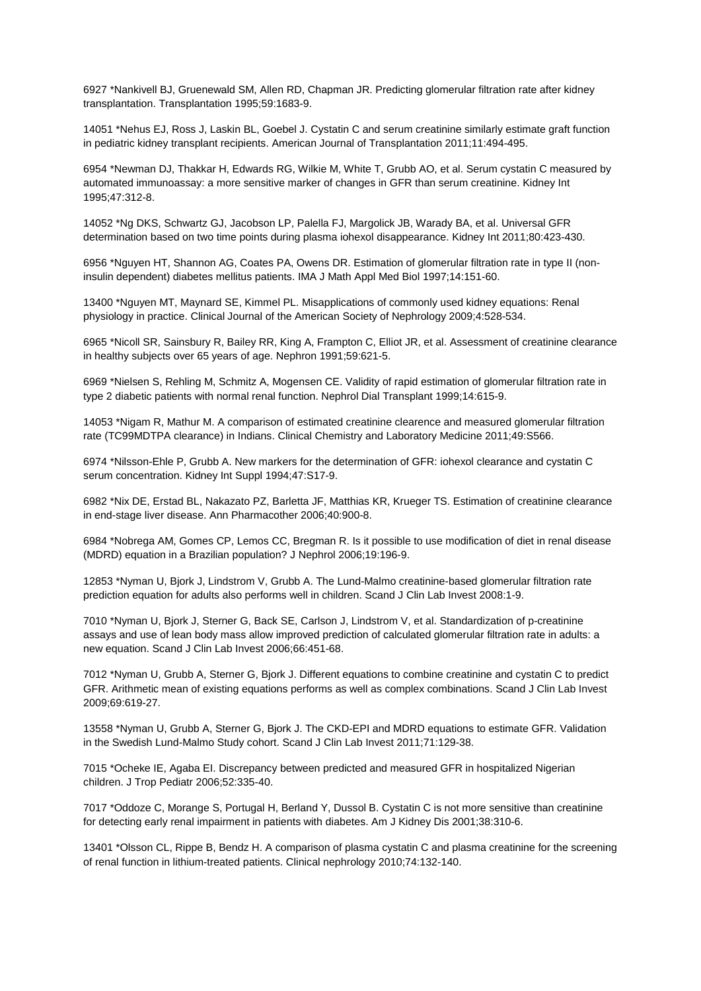6927 \*Nankivell BJ, Gruenewald SM, Allen RD, Chapman JR. Predicting glomerular filtration rate after kidney transplantation. Transplantation 1995;59:1683-9.

14051 \*Nehus EJ, Ross J, Laskin BL, Goebel J. Cystatin C and serum creatinine similarly estimate graft function in pediatric kidney transplant recipients. American Journal of Transplantation 2011;11:494-495.

6954 \*Newman DJ, Thakkar H, Edwards RG, Wilkie M, White T, Grubb AO, et al. Serum cystatin C measured by automated immunoassay: a more sensitive marker of changes in GFR than serum creatinine. Kidney Int 1995;47:312-8.

14052 \*Ng DKS, Schwartz GJ, Jacobson LP, Palella FJ, Margolick JB, Warady BA, et al. Universal GFR determination based on two time points during plasma iohexol disappearance. Kidney Int 2011;80:423-430.

6956 \*Nguyen HT, Shannon AG, Coates PA, Owens DR. Estimation of glomerular filtration rate in type II (noninsulin dependent) diabetes mellitus patients. IMA J Math Appl Med Biol 1997;14:151-60.

13400 \*Nguyen MT, Maynard SE, Kimmel PL. Misapplications of commonly used kidney equations: Renal physiology in practice. Clinical Journal of the American Society of Nephrology 2009;4:528-534.

6965 \*Nicoll SR, Sainsbury R, Bailey RR, King A, Frampton C, Elliot JR, et al. Assessment of creatinine clearance in healthy subjects over 65 years of age. Nephron 1991;59:621-5.

6969 \*Nielsen S, Rehling M, Schmitz A, Mogensen CE. Validity of rapid estimation of glomerular filtration rate in type 2 diabetic patients with normal renal function. Nephrol Dial Transplant 1999;14:615-9.

14053 \*Nigam R, Mathur M. A comparison of estimated creatinine clearence and measured glomerular filtration rate (TC99MDTPA clearance) in Indians. Clinical Chemistry and Laboratory Medicine 2011;49:S566.

6974 \*Nilsson-Ehle P, Grubb A. New markers for the determination of GFR: iohexol clearance and cystatin C serum concentration. Kidney Int Suppl 1994;47:S17-9.

6982 \*Nix DE, Erstad BL, Nakazato PZ, Barletta JF, Matthias KR, Krueger TS. Estimation of creatinine clearance in end-stage liver disease. Ann Pharmacother 2006;40:900-8.

6984 \*Nobrega AM, Gomes CP, Lemos CC, Bregman R. Is it possible to use modification of diet in renal disease (MDRD) equation in a Brazilian population? J Nephrol 2006;19:196-9.

12853 \*Nyman U, Bjork J, Lindstrom V, Grubb A. The Lund-Malmo creatinine-based glomerular filtration rate prediction equation for adults also performs well in children. Scand J Clin Lab Invest 2008:1-9.

7010 \*Nyman U, Bjork J, Sterner G, Back SE, Carlson J, Lindstrom V, et al. Standardization of p-creatinine assays and use of lean body mass allow improved prediction of calculated glomerular filtration rate in adults: a new equation. Scand J Clin Lab Invest 2006;66:451-68.

7012 \*Nyman U, Grubb A, Sterner G, Bjork J. Different equations to combine creatinine and cystatin C to predict GFR. Arithmetic mean of existing equations performs as well as complex combinations. Scand J Clin Lab Invest 2009;69:619-27.

13558 \*Nyman U, Grubb A, Sterner G, Bjork J. The CKD-EPI and MDRD equations to estimate GFR. Validation in the Swedish Lund-Malmo Study cohort. Scand J Clin Lab Invest 2011;71:129-38.

7015 \*Ocheke IE, Agaba EI. Discrepancy between predicted and measured GFR in hospitalized Nigerian children. J Trop Pediatr 2006;52:335-40.

7017 \*Oddoze C, Morange S, Portugal H, Berland Y, Dussol B. Cystatin C is not more sensitive than creatinine for detecting early renal impairment in patients with diabetes. Am J Kidney Dis 2001;38:310-6.

13401 \*Olsson CL, Rippe B, Bendz H. A comparison of plasma cystatin C and plasma creatinine for the screening of renal function in lithium-treated patients. Clinical nephrology 2010;74:132-140.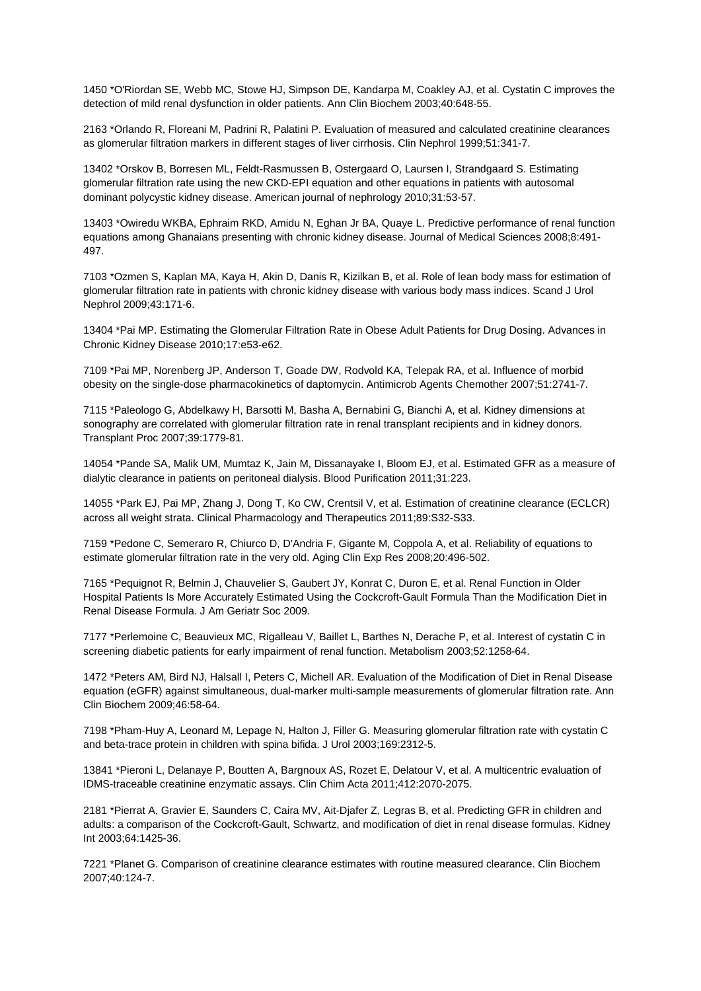1450 \*O'Riordan SE, Webb MC, Stowe HJ, Simpson DE, Kandarpa M, Coakley AJ, et al. Cystatin C improves the detection of mild renal dysfunction in older patients. Ann Clin Biochem 2003;40:648-55.

2163 \*Orlando R, Floreani M, Padrini R, Palatini P. Evaluation of measured and calculated creatinine clearances as glomerular filtration markers in different stages of liver cirrhosis. Clin Nephrol 1999;51:341-7.

13402 \*Orskov B, Borresen ML, Feldt-Rasmussen B, Ostergaard O, Laursen I, Strandgaard S. Estimating glomerular filtration rate using the new CKD-EPI equation and other equations in patients with autosomal dominant polycystic kidney disease. American journal of nephrology 2010;31:53-57.

13403 \*Owiredu WKBA, Ephraim RKD, Amidu N, Eghan Jr BA, Quaye L. Predictive performance of renal function equations among Ghanaians presenting with chronic kidney disease. Journal of Medical Sciences 2008;8:491- 497.

7103 \*Ozmen S, Kaplan MA, Kaya H, Akin D, Danis R, Kizilkan B, et al. Role of lean body mass for estimation of glomerular filtration rate in patients with chronic kidney disease with various body mass indices. Scand J Urol Nephrol 2009;43:171-6.

13404 \*Pai MP. Estimating the Glomerular Filtration Rate in Obese Adult Patients for Drug Dosing. Advances in Chronic Kidney Disease 2010;17:e53-e62.

7109 \*Pai MP, Norenberg JP, Anderson T, Goade DW, Rodvold KA, Telepak RA, et al. Influence of morbid obesity on the single-dose pharmacokinetics of daptomycin. Antimicrob Agents Chemother 2007;51:2741-7.

7115 \*Paleologo G, Abdelkawy H, Barsotti M, Basha A, Bernabini G, Bianchi A, et al. Kidney dimensions at sonography are correlated with glomerular filtration rate in renal transplant recipients and in kidney donors. Transplant Proc 2007;39:1779-81.

14054 \*Pande SA, Malik UM, Mumtaz K, Jain M, Dissanayake I, Bloom EJ, et al. Estimated GFR as a measure of dialytic clearance in patients on peritoneal dialysis. Blood Purification 2011;31:223.

14055 \*Park EJ, Pai MP, Zhang J, Dong T, Ko CW, Crentsil V, et al. Estimation of creatinine clearance (ECLCR) across all weight strata. Clinical Pharmacology and Therapeutics 2011;89:S32-S33.

7159 \*Pedone C, Semeraro R, Chiurco D, D'Andria F, Gigante M, Coppola A, et al. Reliability of equations to estimate glomerular filtration rate in the very old. Aging Clin Exp Res 2008;20:496-502.

7165 \*Pequignot R, Belmin J, Chauvelier S, Gaubert JY, Konrat C, Duron E, et al. Renal Function in Older Hospital Patients Is More Accurately Estimated Using the Cockcroft-Gault Formula Than the Modification Diet in Renal Disease Formula. J Am Geriatr Soc 2009.

7177 \*Perlemoine C, Beauvieux MC, Rigalleau V, Baillet L, Barthes N, Derache P, et al. Interest of cystatin C in screening diabetic patients for early impairment of renal function. Metabolism 2003;52:1258-64.

1472 \*Peters AM, Bird NJ, Halsall I, Peters C, Michell AR. Evaluation of the Modification of Diet in Renal Disease equation (eGFR) against simultaneous, dual-marker multi-sample measurements of glomerular filtration rate. Ann Clin Biochem 2009;46:58-64.

7198 \*Pham-Huy A, Leonard M, Lepage N, Halton J, Filler G. Measuring glomerular filtration rate with cystatin C and beta-trace protein in children with spina bifida. J Urol 2003;169:2312-5.

13841 \*Pieroni L, Delanaye P, Boutten A, Bargnoux AS, Rozet E, Delatour V, et al. A multicentric evaluation of IDMS-traceable creatinine enzymatic assays. Clin Chim Acta 2011;412:2070-2075.

2181 \*Pierrat A, Gravier E, Saunders C, Caira MV, Ait-Djafer Z, Legras B, et al. Predicting GFR in children and adults: a comparison of the Cockcroft-Gault, Schwartz, and modification of diet in renal disease formulas. Kidney Int 2003;64:1425-36.

7221 \*Planet G. Comparison of creatinine clearance estimates with routine measured clearance. Clin Biochem 2007;40:124-7.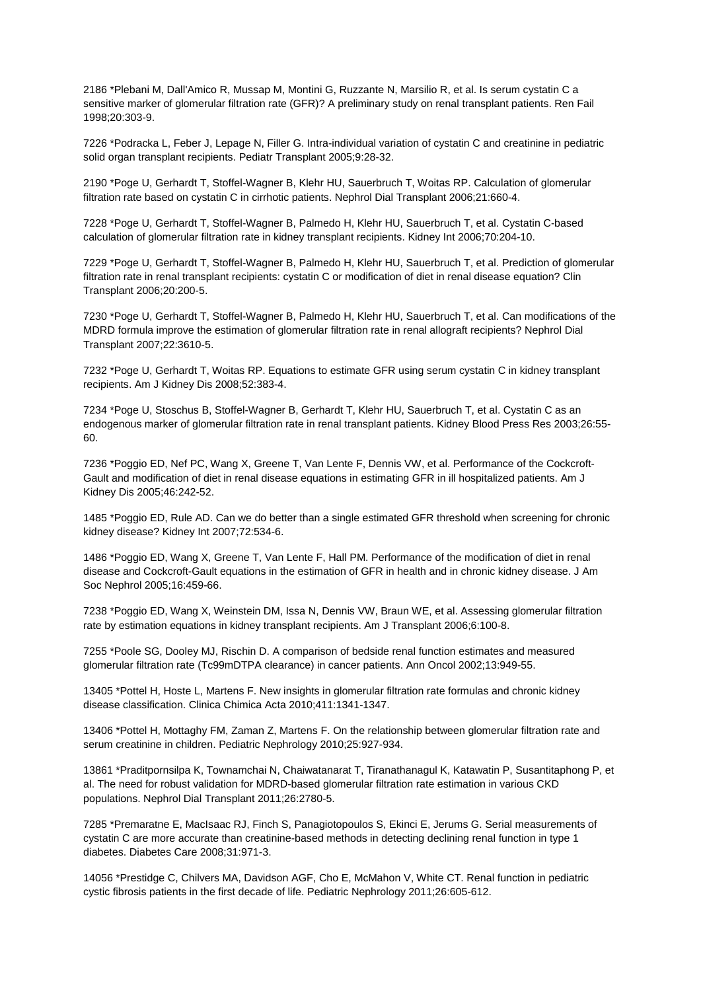2186 \*Plebani M, Dall'Amico R, Mussap M, Montini G, Ruzzante N, Marsilio R, et al. Is serum cystatin C a sensitive marker of glomerular filtration rate (GFR)? A preliminary study on renal transplant patients. Ren Fail 1998;20:303-9.

7226 \*Podracka L, Feber J, Lepage N, Filler G. Intra-individual variation of cystatin C and creatinine in pediatric solid organ transplant recipients. Pediatr Transplant 2005;9:28-32.

2190 \*Poge U, Gerhardt T, Stoffel-Wagner B, Klehr HU, Sauerbruch T, Woitas RP. Calculation of glomerular filtration rate based on cystatin C in cirrhotic patients. Nephrol Dial Transplant 2006;21:660-4.

7228 \*Poge U, Gerhardt T, Stoffel-Wagner B, Palmedo H, Klehr HU, Sauerbruch T, et al. Cystatin C-based calculation of glomerular filtration rate in kidney transplant recipients. Kidney Int 2006;70:204-10.

7229 \*Poge U, Gerhardt T, Stoffel-Wagner B, Palmedo H, Klehr HU, Sauerbruch T, et al. Prediction of glomerular filtration rate in renal transplant recipients: cystatin C or modification of diet in renal disease equation? Clin Transplant 2006;20:200-5.

7230 \*Poge U, Gerhardt T, Stoffel-Wagner B, Palmedo H, Klehr HU, Sauerbruch T, et al. Can modifications of the MDRD formula improve the estimation of glomerular filtration rate in renal allograft recipients? Nephrol Dial Transplant 2007;22:3610-5.

7232 \*Poge U, Gerhardt T, Woitas RP. Equations to estimate GFR using serum cystatin C in kidney transplant recipients. Am J Kidney Dis 2008;52:383-4.

7234 \*Poge U, Stoschus B, Stoffel-Wagner B, Gerhardt T, Klehr HU, Sauerbruch T, et al. Cystatin C as an endogenous marker of glomerular filtration rate in renal transplant patients. Kidney Blood Press Res 2003;26:55- 60.

7236 \*Poggio ED, Nef PC, Wang X, Greene T, Van Lente F, Dennis VW, et al. Performance of the Cockcroft-Gault and modification of diet in renal disease equations in estimating GFR in ill hospitalized patients. Am J Kidney Dis 2005;46:242-52.

1485 \*Poggio ED, Rule AD. Can we do better than a single estimated GFR threshold when screening for chronic kidney disease? Kidney Int 2007;72:534-6.

1486 \*Poggio ED, Wang X, Greene T, Van Lente F, Hall PM. Performance of the modification of diet in renal disease and Cockcroft-Gault equations in the estimation of GFR in health and in chronic kidney disease. J Am Soc Nephrol 2005;16:459-66.

7238 \*Poggio ED, Wang X, Weinstein DM, Issa N, Dennis VW, Braun WE, et al. Assessing glomerular filtration rate by estimation equations in kidney transplant recipients. Am J Transplant 2006;6:100-8.

7255 \*Poole SG, Dooley MJ, Rischin D. A comparison of bedside renal function estimates and measured glomerular filtration rate (Tc99mDTPA clearance) in cancer patients. Ann Oncol 2002;13:949-55.

13405 \*Pottel H, Hoste L, Martens F. New insights in glomerular filtration rate formulas and chronic kidney disease classification. Clinica Chimica Acta 2010;411:1341-1347.

13406 \*Pottel H, Mottaghy FM, Zaman Z, Martens F. On the relationship between glomerular filtration rate and serum creatinine in children. Pediatric Nephrology 2010;25:927-934.

13861 \*Praditpornsilpa K, Townamchai N, Chaiwatanarat T, Tiranathanagul K, Katawatin P, Susantitaphong P, et al. The need for robust validation for MDRD-based glomerular filtration rate estimation in various CKD populations. Nephrol Dial Transplant 2011;26:2780-5.

7285 \*Premaratne E, MacIsaac RJ, Finch S, Panagiotopoulos S, Ekinci E, Jerums G. Serial measurements of cystatin C are more accurate than creatinine-based methods in detecting declining renal function in type 1 diabetes. Diabetes Care 2008;31:971-3.

14056 \*Prestidge C, Chilvers MA, Davidson AGF, Cho E, McMahon V, White CT. Renal function in pediatric cystic fibrosis patients in the first decade of life. Pediatric Nephrology 2011;26:605-612.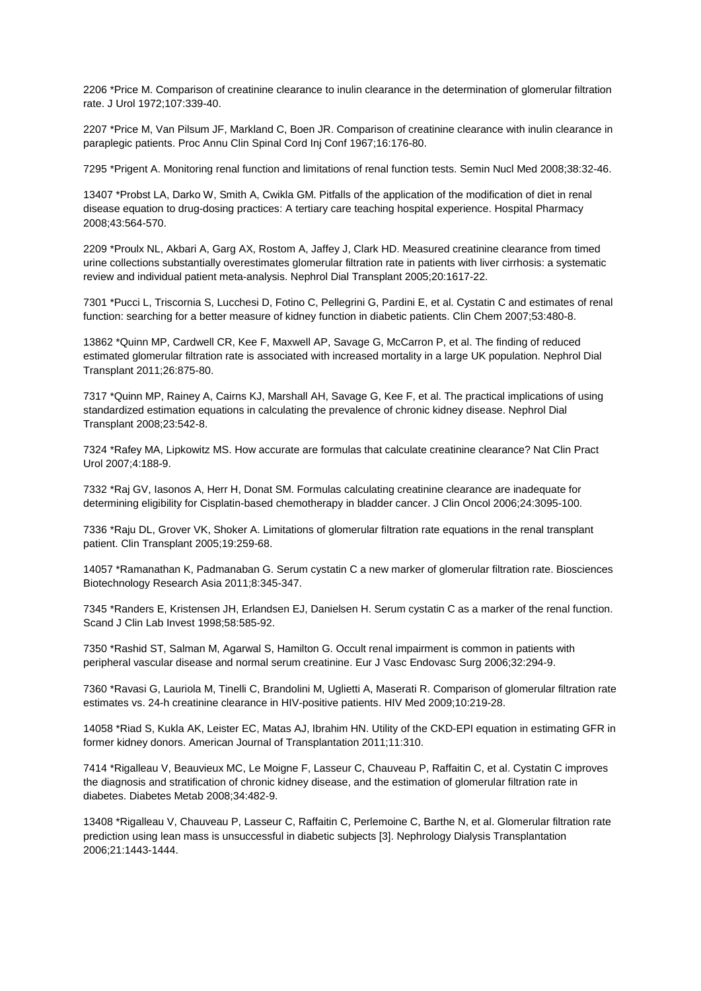2206 \*Price M. Comparison of creatinine clearance to inulin clearance in the determination of glomerular filtration rate. J Urol 1972;107:339-40.

2207 \*Price M, Van Pilsum JF, Markland C, Boen JR. Comparison of creatinine clearance with inulin clearance in paraplegic patients. Proc Annu Clin Spinal Cord Inj Conf 1967;16:176-80.

7295 \*Prigent A. Monitoring renal function and limitations of renal function tests. Semin Nucl Med 2008;38:32-46.

13407 \*Probst LA, Darko W, Smith A, Cwikla GM. Pitfalls of the application of the modification of diet in renal disease equation to drug-dosing practices: A tertiary care teaching hospital experience. Hospital Pharmacy 2008;43:564-570.

2209 \*Proulx NL, Akbari A, Garg AX, Rostom A, Jaffey J, Clark HD. Measured creatinine clearance from timed urine collections substantially overestimates glomerular filtration rate in patients with liver cirrhosis: a systematic review and individual patient meta-analysis. Nephrol Dial Transplant 2005;20:1617-22.

7301 \*Pucci L, Triscornia S, Lucchesi D, Fotino C, Pellegrini G, Pardini E, et al. Cystatin C and estimates of renal function: searching for a better measure of kidney function in diabetic patients. Clin Chem 2007;53:480-8.

13862 \*Quinn MP, Cardwell CR, Kee F, Maxwell AP, Savage G, McCarron P, et al. The finding of reduced estimated glomerular filtration rate is associated with increased mortality in a large UK population. Nephrol Dial Transplant 2011;26:875-80.

7317 \*Quinn MP, Rainey A, Cairns KJ, Marshall AH, Savage G, Kee F, et al. The practical implications of using standardized estimation equations in calculating the prevalence of chronic kidney disease. Nephrol Dial Transplant 2008;23:542-8.

7324 \*Rafey MA, Lipkowitz MS. How accurate are formulas that calculate creatinine clearance? Nat Clin Pract Urol 2007;4:188-9.

7332 \*Raj GV, Iasonos A, Herr H, Donat SM. Formulas calculating creatinine clearance are inadequate for determining eligibility for Cisplatin-based chemotherapy in bladder cancer. J Clin Oncol 2006;24:3095-100.

7336 \*Raju DL, Grover VK, Shoker A. Limitations of glomerular filtration rate equations in the renal transplant patient. Clin Transplant 2005;19:259-68.

14057 \*Ramanathan K, Padmanaban G. Serum cystatin C a new marker of glomerular filtration rate. Biosciences Biotechnology Research Asia 2011;8:345-347.

7345 \*Randers E, Kristensen JH, Erlandsen EJ, Danielsen H. Serum cystatin C as a marker of the renal function. Scand J Clin Lab Invest 1998;58:585-92.

7350 \*Rashid ST, Salman M, Agarwal S, Hamilton G. Occult renal impairment is common in patients with peripheral vascular disease and normal serum creatinine. Eur J Vasc Endovasc Surg 2006;32:294-9.

7360 \*Ravasi G, Lauriola M, Tinelli C, Brandolini M, Uglietti A, Maserati R. Comparison of glomerular filtration rate estimates vs. 24-h creatinine clearance in HIV-positive patients. HIV Med 2009;10:219-28.

14058 \*Riad S, Kukla AK, Leister EC, Matas AJ, Ibrahim HN. Utility of the CKD-EPI equation in estimating GFR in former kidney donors. American Journal of Transplantation 2011;11:310.

7414 \*Rigalleau V, Beauvieux MC, Le Moigne F, Lasseur C, Chauveau P, Raffaitin C, et al. Cystatin C improves the diagnosis and stratification of chronic kidney disease, and the estimation of glomerular filtration rate in diabetes. Diabetes Metab 2008;34:482-9.

13408 \*Rigalleau V, Chauveau P, Lasseur C, Raffaitin C, Perlemoine C, Barthe N, et al. Glomerular filtration rate prediction using lean mass is unsuccessful in diabetic subjects [3]. Nephrology Dialysis Transplantation 2006;21:1443-1444.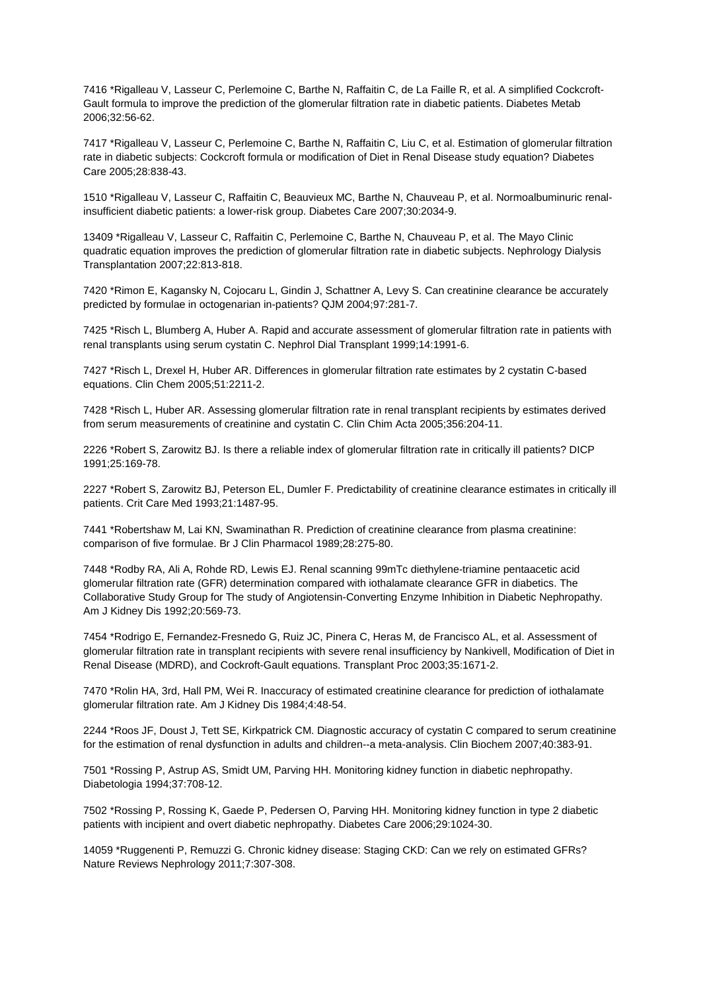7416 \*Rigalleau V, Lasseur C, Perlemoine C, Barthe N, Raffaitin C, de La Faille R, et al. A simplified Cockcroft-Gault formula to improve the prediction of the glomerular filtration rate in diabetic patients. Diabetes Metab 2006;32:56-62.

7417 \*Rigalleau V, Lasseur C, Perlemoine C, Barthe N, Raffaitin C, Liu C, et al. Estimation of glomerular filtration rate in diabetic subjects: Cockcroft formula or modification of Diet in Renal Disease study equation? Diabetes Care 2005;28:838-43.

1510 \*Rigalleau V, Lasseur C, Raffaitin C, Beauvieux MC, Barthe N, Chauveau P, et al. Normoalbuminuric renalinsufficient diabetic patients: a lower-risk group. Diabetes Care 2007;30:2034-9.

13409 \*Rigalleau V, Lasseur C, Raffaitin C, Perlemoine C, Barthe N, Chauveau P, et al. The Mayo Clinic quadratic equation improves the prediction of glomerular filtration rate in diabetic subjects. Nephrology Dialysis Transplantation 2007;22:813-818.

7420 \*Rimon E, Kagansky N, Cojocaru L, Gindin J, Schattner A, Levy S. Can creatinine clearance be accurately predicted by formulae in octogenarian in-patients? QJM 2004;97:281-7.

7425 \*Risch L, Blumberg A, Huber A. Rapid and accurate assessment of glomerular filtration rate in patients with renal transplants using serum cystatin C. Nephrol Dial Transplant 1999;14:1991-6.

7427 \*Risch L, Drexel H, Huber AR. Differences in glomerular filtration rate estimates by 2 cystatin C-based equations. Clin Chem 2005;51:2211-2.

7428 \*Risch L, Huber AR. Assessing glomerular filtration rate in renal transplant recipients by estimates derived from serum measurements of creatinine and cystatin C. Clin Chim Acta 2005;356:204-11.

2226 \*Robert S, Zarowitz BJ. Is there a reliable index of glomerular filtration rate in critically ill patients? DICP 1991;25:169-78.

2227 \*Robert S, Zarowitz BJ, Peterson EL, Dumler F. Predictability of creatinine clearance estimates in critically ill patients. Crit Care Med 1993;21:1487-95.

7441 \*Robertshaw M, Lai KN, Swaminathan R. Prediction of creatinine clearance from plasma creatinine: comparison of five formulae. Br J Clin Pharmacol 1989;28:275-80.

7448 \*Rodby RA, Ali A, Rohde RD, Lewis EJ. Renal scanning 99mTc diethylene-triamine pentaacetic acid glomerular filtration rate (GFR) determination compared with iothalamate clearance GFR in diabetics. The Collaborative Study Group for The study of Angiotensin-Converting Enzyme Inhibition in Diabetic Nephropathy. Am J Kidney Dis 1992;20:569-73.

7454 \*Rodrigo E, Fernandez-Fresnedo G, Ruiz JC, Pinera C, Heras M, de Francisco AL, et al. Assessment of glomerular filtration rate in transplant recipients with severe renal insufficiency by Nankivell, Modification of Diet in Renal Disease (MDRD), and Cockroft-Gault equations. Transplant Proc 2003;35:1671-2.

7470 \*Rolin HA, 3rd, Hall PM, Wei R. Inaccuracy of estimated creatinine clearance for prediction of iothalamate glomerular filtration rate. Am J Kidney Dis 1984;4:48-54.

2244 \*Roos JF, Doust J, Tett SE, Kirkpatrick CM. Diagnostic accuracy of cystatin C compared to serum creatinine for the estimation of renal dysfunction in adults and children--a meta-analysis. Clin Biochem 2007;40:383-91.

7501 \*Rossing P, Astrup AS, Smidt UM, Parving HH. Monitoring kidney function in diabetic nephropathy. Diabetologia 1994;37:708-12.

7502 \*Rossing P, Rossing K, Gaede P, Pedersen O, Parving HH. Monitoring kidney function in type 2 diabetic patients with incipient and overt diabetic nephropathy. Diabetes Care 2006;29:1024-30.

14059 \*Ruggenenti P, Remuzzi G. Chronic kidney disease: Staging CKD: Can we rely on estimated GFRs? Nature Reviews Nephrology 2011;7:307-308.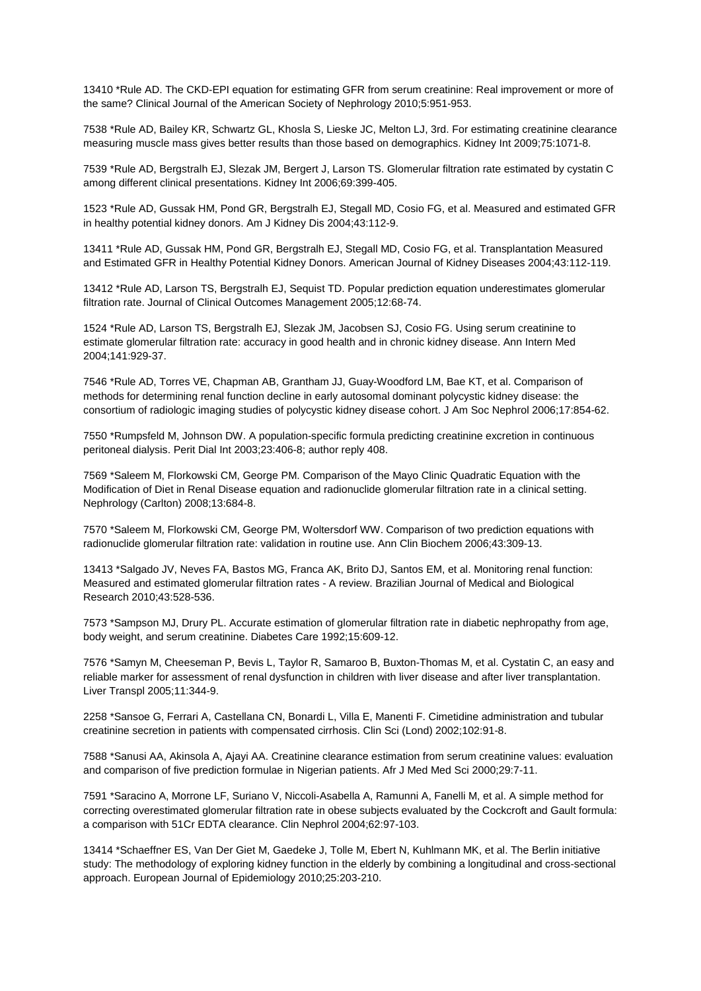13410 \*Rule AD. The CKD-EPI equation for estimating GFR from serum creatinine: Real improvement or more of the same? Clinical Journal of the American Society of Nephrology 2010;5:951-953.

7538 \*Rule AD, Bailey KR, Schwartz GL, Khosla S, Lieske JC, Melton LJ, 3rd. For estimating creatinine clearance measuring muscle mass gives better results than those based on demographics. Kidney Int 2009;75:1071-8.

7539 \*Rule AD, Bergstralh EJ, Slezak JM, Bergert J, Larson TS. Glomerular filtration rate estimated by cystatin C among different clinical presentations. Kidney Int 2006;69:399-405.

1523 \*Rule AD, Gussak HM, Pond GR, Bergstralh EJ, Stegall MD, Cosio FG, et al. Measured and estimated GFR in healthy potential kidney donors. Am J Kidney Dis 2004;43:112-9.

13411 \*Rule AD, Gussak HM, Pond GR, Bergstralh EJ, Stegall MD, Cosio FG, et al. Transplantation Measured and Estimated GFR in Healthy Potential Kidney Donors. American Journal of Kidney Diseases 2004;43:112-119.

13412 \*Rule AD, Larson TS, Bergstralh EJ, Sequist TD. Popular prediction equation underestimates glomerular filtration rate. Journal of Clinical Outcomes Management 2005;12:68-74.

1524 \*Rule AD, Larson TS, Bergstralh EJ, Slezak JM, Jacobsen SJ, Cosio FG. Using serum creatinine to estimate glomerular filtration rate: accuracy in good health and in chronic kidney disease. Ann Intern Med 2004;141:929-37.

7546 \*Rule AD, Torres VE, Chapman AB, Grantham JJ, Guay-Woodford LM, Bae KT, et al. Comparison of methods for determining renal function decline in early autosomal dominant polycystic kidney disease: the consortium of radiologic imaging studies of polycystic kidney disease cohort. J Am Soc Nephrol 2006;17:854-62.

7550 \*Rumpsfeld M, Johnson DW. A population-specific formula predicting creatinine excretion in continuous peritoneal dialysis. Perit Dial Int 2003;23:406-8; author reply 408.

7569 \*Saleem M, Florkowski CM, George PM. Comparison of the Mayo Clinic Quadratic Equation with the Modification of Diet in Renal Disease equation and radionuclide glomerular filtration rate in a clinical setting. Nephrology (Carlton) 2008;13:684-8.

7570 \*Saleem M, Florkowski CM, George PM, Woltersdorf WW. Comparison of two prediction equations with radionuclide glomerular filtration rate: validation in routine use. Ann Clin Biochem 2006;43:309-13.

13413 \*Salgado JV, Neves FA, Bastos MG, Franca AK, Brito DJ, Santos EM, et al. Monitoring renal function: Measured and estimated glomerular filtration rates - A review. Brazilian Journal of Medical and Biological Research 2010;43:528-536.

7573 \*Sampson MJ, Drury PL. Accurate estimation of glomerular filtration rate in diabetic nephropathy from age, body weight, and serum creatinine. Diabetes Care 1992;15:609-12.

7576 \*Samyn M, Cheeseman P, Bevis L, Taylor R, Samaroo B, Buxton-Thomas M, et al. Cystatin C, an easy and reliable marker for assessment of renal dysfunction in children with liver disease and after liver transplantation. Liver Transpl 2005;11:344-9.

2258 \*Sansoe G, Ferrari A, Castellana CN, Bonardi L, Villa E, Manenti F. Cimetidine administration and tubular creatinine secretion in patients with compensated cirrhosis. Clin Sci (Lond) 2002;102:91-8.

7588 \*Sanusi AA, Akinsola A, Ajayi AA. Creatinine clearance estimation from serum creatinine values: evaluation and comparison of five prediction formulae in Nigerian patients. Afr J Med Med Sci 2000;29:7-11.

7591 \*Saracino A, Morrone LF, Suriano V, Niccoli-Asabella A, Ramunni A, Fanelli M, et al. A simple method for correcting overestimated glomerular filtration rate in obese subjects evaluated by the Cockcroft and Gault formula: a comparison with 51Cr EDTA clearance. Clin Nephrol 2004;62:97-103.

13414 \*Schaeffner ES, Van Der Giet M, Gaedeke J, Tolle M, Ebert N, Kuhlmann MK, et al. The Berlin initiative study: The methodology of exploring kidney function in the elderly by combining a longitudinal and cross-sectional approach. European Journal of Epidemiology 2010;25:203-210.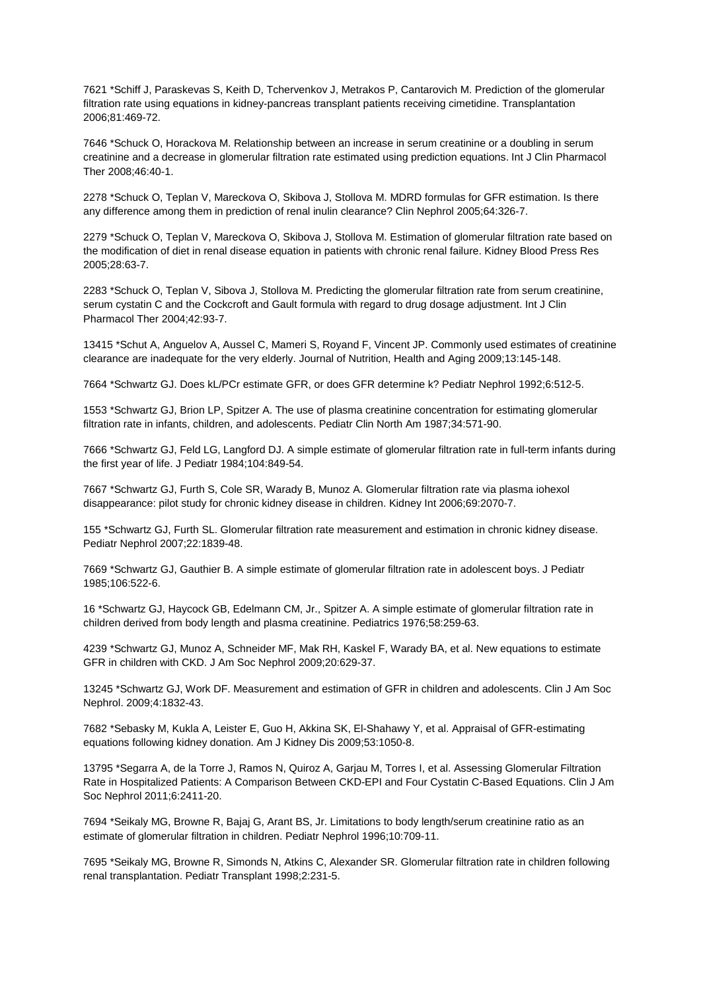7621 \*Schiff J, Paraskevas S, Keith D, Tchervenkov J, Metrakos P, Cantarovich M. Prediction of the glomerular filtration rate using equations in kidney-pancreas transplant patients receiving cimetidine. Transplantation 2006;81:469-72.

7646 \*Schuck O, Horackova M. Relationship between an increase in serum creatinine or a doubling in serum creatinine and a decrease in glomerular filtration rate estimated using prediction equations. Int J Clin Pharmacol Ther 2008;46:40-1.

2278 \*Schuck O, Teplan V, Mareckova O, Skibova J, Stollova M. MDRD formulas for GFR estimation. Is there any difference among them in prediction of renal inulin clearance? Clin Nephrol 2005;64:326-7.

2279 \*Schuck O, Teplan V, Mareckova O, Skibova J, Stollova M. Estimation of glomerular filtration rate based on the modification of diet in renal disease equation in patients with chronic renal failure. Kidney Blood Press Res 2005;28:63-7.

2283 \*Schuck O, Teplan V, Sibova J, Stollova M. Predicting the glomerular filtration rate from serum creatinine, serum cystatin C and the Cockcroft and Gault formula with regard to drug dosage adjustment. Int J Clin Pharmacol Ther 2004;42:93-7.

13415 \*Schut A, Anguelov A, Aussel C, Mameri S, Royand F, Vincent JP. Commonly used estimates of creatinine clearance are inadequate for the very elderly. Journal of Nutrition, Health and Aging 2009;13:145-148.

7664 \*Schwartz GJ. Does kL/PCr estimate GFR, or does GFR determine k? Pediatr Nephrol 1992;6:512-5.

1553 \*Schwartz GJ, Brion LP, Spitzer A. The use of plasma creatinine concentration for estimating glomerular filtration rate in infants, children, and adolescents. Pediatr Clin North Am 1987;34:571-90.

7666 \*Schwartz GJ, Feld LG, Langford DJ. A simple estimate of glomerular filtration rate in full-term infants during the first year of life. J Pediatr 1984;104:849-54.

7667 \*Schwartz GJ, Furth S, Cole SR, Warady B, Munoz A. Glomerular filtration rate via plasma iohexol disappearance: pilot study for chronic kidney disease in children. Kidney Int 2006;69:2070-7.

155 \*Schwartz GJ, Furth SL. Glomerular filtration rate measurement and estimation in chronic kidney disease. Pediatr Nephrol 2007;22:1839-48.

7669 \*Schwartz GJ, Gauthier B. A simple estimate of glomerular filtration rate in adolescent boys. J Pediatr 1985;106:522-6.

16 \*Schwartz GJ, Haycock GB, Edelmann CM, Jr., Spitzer A. A simple estimate of glomerular filtration rate in children derived from body length and plasma creatinine. Pediatrics 1976;58:259-63.

4239 \*Schwartz GJ, Munoz A, Schneider MF, Mak RH, Kaskel F, Warady BA, et al. New equations to estimate GFR in children with CKD. J Am Soc Nephrol 2009;20:629-37.

13245 \*Schwartz GJ, Work DF. Measurement and estimation of GFR in children and adolescents. Clin J Am Soc Nephrol. 2009;4:1832-43.

7682 \*Sebasky M, Kukla A, Leister E, Guo H, Akkina SK, El-Shahawy Y, et al. Appraisal of GFR-estimating equations following kidney donation. Am J Kidney Dis 2009;53:1050-8.

13795 \*Segarra A, de la Torre J, Ramos N, Quiroz A, Garjau M, Torres I, et al. Assessing Glomerular Filtration Rate in Hospitalized Patients: A Comparison Between CKD-EPI and Four Cystatin C-Based Equations. Clin J Am Soc Nephrol 2011;6:2411-20.

7694 \*Seikaly MG, Browne R, Bajaj G, Arant BS, Jr. Limitations to body length/serum creatinine ratio as an estimate of glomerular filtration in children. Pediatr Nephrol 1996;10:709-11.

7695 \*Seikaly MG, Browne R, Simonds N, Atkins C, Alexander SR. Glomerular filtration rate in children following renal transplantation. Pediatr Transplant 1998;2:231-5.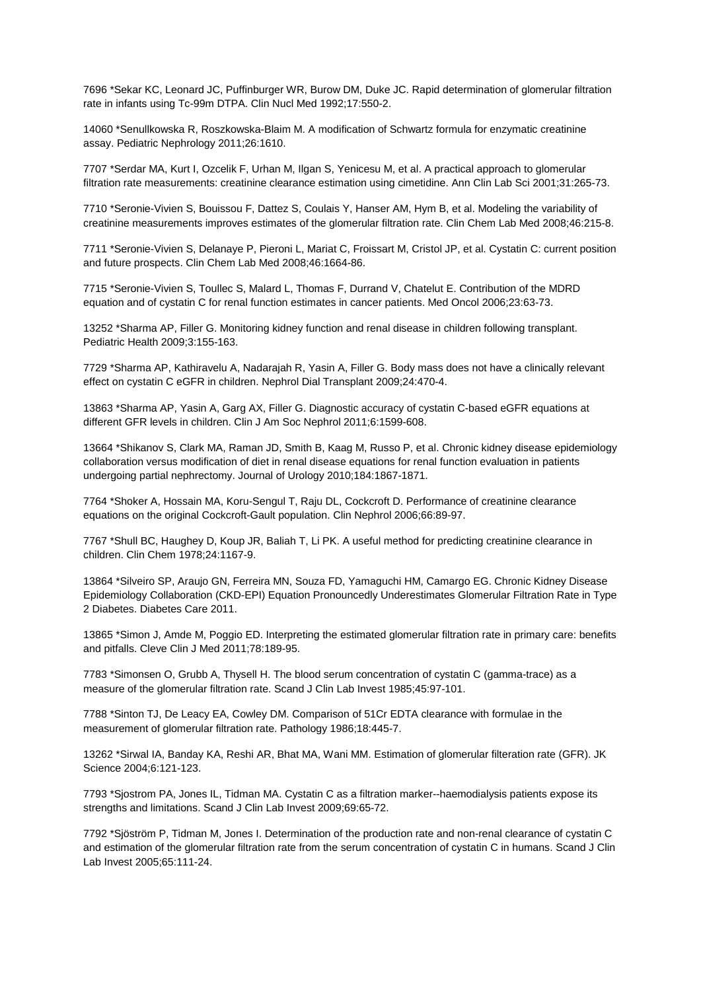7696 \*Sekar KC, Leonard JC, Puffinburger WR, Burow DM, Duke JC. Rapid determination of glomerular filtration rate in infants using Tc-99m DTPA. Clin Nucl Med 1992;17:550-2.

14060 \*Senullkowska R, Roszkowska-Blaim M. A modification of Schwartz formula for enzymatic creatinine assay. Pediatric Nephrology 2011;26:1610.

7707 \*Serdar MA, Kurt I, Ozcelik F, Urhan M, Ilgan S, Yenicesu M, et al. A practical approach to glomerular filtration rate measurements: creatinine clearance estimation using cimetidine. Ann Clin Lab Sci 2001;31:265-73.

7710 \*Seronie-Vivien S, Bouissou F, Dattez S, Coulais Y, Hanser AM, Hym B, et al. Modeling the variability of creatinine measurements improves estimates of the glomerular filtration rate. Clin Chem Lab Med 2008;46:215-8.

7711 \*Seronie-Vivien S, Delanaye P, Pieroni L, Mariat C, Froissart M, Cristol JP, et al. Cystatin C: current position and future prospects. Clin Chem Lab Med 2008;46:1664-86.

7715 \*Seronie-Vivien S, Toullec S, Malard L, Thomas F, Durrand V, Chatelut E. Contribution of the MDRD equation and of cystatin C for renal function estimates in cancer patients. Med Oncol 2006;23:63-73.

13252 \*Sharma AP, Filler G. Monitoring kidney function and renal disease in children following transplant. Pediatric Health 2009;3:155-163.

7729 \*Sharma AP, Kathiravelu A, Nadarajah R, Yasin A, Filler G. Body mass does not have a clinically relevant effect on cystatin C eGFR in children. Nephrol Dial Transplant 2009;24:470-4.

13863 \*Sharma AP, Yasin A, Garg AX, Filler G. Diagnostic accuracy of cystatin C-based eGFR equations at different GFR levels in children. Clin J Am Soc Nephrol 2011;6:1599-608.

13664 \*Shikanov S, Clark MA, Raman JD, Smith B, Kaag M, Russo P, et al. Chronic kidney disease epidemiology collaboration versus modification of diet in renal disease equations for renal function evaluation in patients undergoing partial nephrectomy. Journal of Urology 2010;184:1867-1871.

7764 \*Shoker A, Hossain MA, Koru-Sengul T, Raju DL, Cockcroft D. Performance of creatinine clearance equations on the original Cockcroft-Gault population. Clin Nephrol 2006;66:89-97.

7767 \*Shull BC, Haughey D, Koup JR, Baliah T, Li PK. A useful method for predicting creatinine clearance in children. Clin Chem 1978;24:1167-9.

13864 \*Silveiro SP, Araujo GN, Ferreira MN, Souza FD, Yamaguchi HM, Camargo EG. Chronic Kidney Disease Epidemiology Collaboration (CKD-EPI) Equation Pronouncedly Underestimates Glomerular Filtration Rate in Type 2 Diabetes. Diabetes Care 2011.

13865 \*Simon J, Amde M, Poggio ED. Interpreting the estimated glomerular filtration rate in primary care: benefits and pitfalls. Cleve Clin J Med 2011;78:189-95.

7783 \*Simonsen O, Grubb A, Thysell H. The blood serum concentration of cystatin C (gamma-trace) as a measure of the glomerular filtration rate. Scand J Clin Lab Invest 1985;45:97-101.

7788 \*Sinton TJ, De Leacy EA, Cowley DM. Comparison of 51Cr EDTA clearance with formulae in the measurement of glomerular filtration rate. Pathology 1986;18:445-7.

13262 \*Sirwal IA, Banday KA, Reshi AR, Bhat MA, Wani MM. Estimation of glomerular filteration rate (GFR). JK Science 2004;6:121-123.

7793 \*Sjostrom PA, Jones IL, Tidman MA. Cystatin C as a filtration marker--haemodialysis patients expose its strengths and limitations. Scand J Clin Lab Invest 2009;69:65-72.

7792 \*Sjöström P, Tidman M, Jones I. Determination of the production rate and non-renal clearance of cystatin C and estimation of the glomerular filtration rate from the serum concentration of cystatin C in humans. Scand J Clin Lab Invest 2005;65:111-24.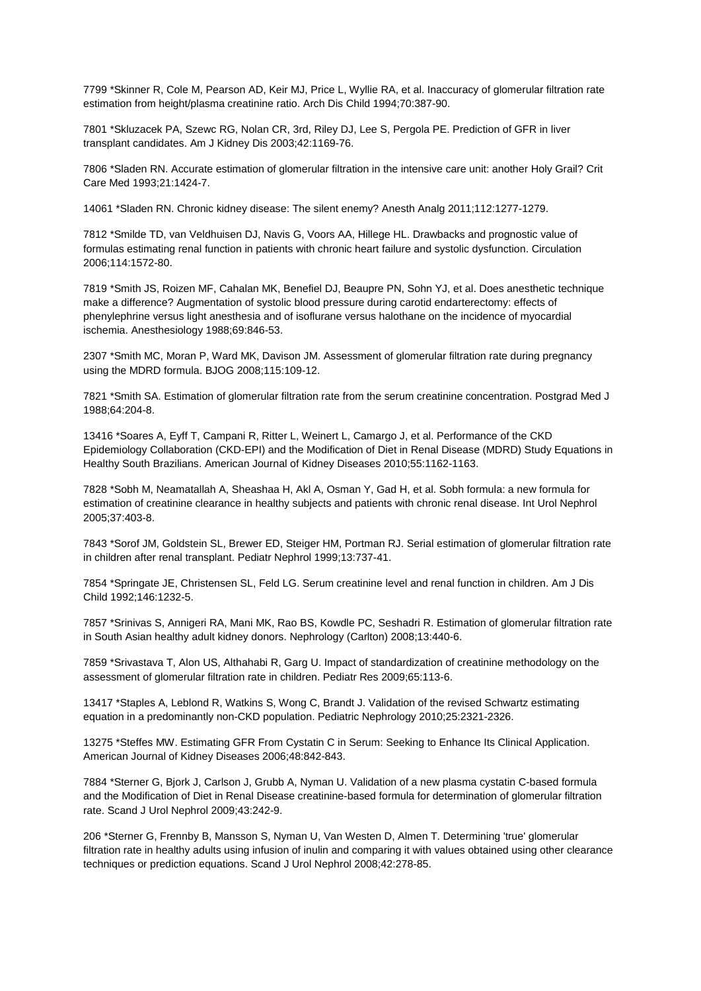7799 \*Skinner R, Cole M, Pearson AD, Keir MJ, Price L, Wyllie RA, et al. Inaccuracy of glomerular filtration rate estimation from height/plasma creatinine ratio. Arch Dis Child 1994;70:387-90.

7801 \*Skluzacek PA, Szewc RG, Nolan CR, 3rd, Riley DJ, Lee S, Pergola PE. Prediction of GFR in liver transplant candidates. Am J Kidney Dis 2003;42:1169-76.

7806 \*Sladen RN. Accurate estimation of glomerular filtration in the intensive care unit: another Holy Grail? Crit Care Med 1993;21:1424-7.

14061 \*Sladen RN. Chronic kidney disease: The silent enemy? Anesth Analg 2011;112:1277-1279.

7812 \*Smilde TD, van Veldhuisen DJ, Navis G, Voors AA, Hillege HL. Drawbacks and prognostic value of formulas estimating renal function in patients with chronic heart failure and systolic dysfunction. Circulation 2006;114:1572-80.

7819 \*Smith JS, Roizen MF, Cahalan MK, Benefiel DJ, Beaupre PN, Sohn YJ, et al. Does anesthetic technique make a difference? Augmentation of systolic blood pressure during carotid endarterectomy: effects of phenylephrine versus light anesthesia and of isoflurane versus halothane on the incidence of myocardial ischemia. Anesthesiology 1988;69:846-53.

2307 \*Smith MC, Moran P, Ward MK, Davison JM. Assessment of glomerular filtration rate during pregnancy using the MDRD formula. BJOG 2008;115:109-12.

7821 \*Smith SA. Estimation of glomerular filtration rate from the serum creatinine concentration. Postgrad Med J 1988;64:204-8.

13416 \*Soares A, Eyff T, Campani R, Ritter L, Weinert L, Camargo J, et al. Performance of the CKD Epidemiology Collaboration (CKD-EPI) and the Modification of Diet in Renal Disease (MDRD) Study Equations in Healthy South Brazilians. American Journal of Kidney Diseases 2010;55:1162-1163.

7828 \*Sobh M, Neamatallah A, Sheashaa H, Akl A, Osman Y, Gad H, et al. Sobh formula: a new formula for estimation of creatinine clearance in healthy subjects and patients with chronic renal disease. Int Urol Nephrol 2005;37:403-8.

7843 \*Sorof JM, Goldstein SL, Brewer ED, Steiger HM, Portman RJ. Serial estimation of glomerular filtration rate in children after renal transplant. Pediatr Nephrol 1999;13:737-41.

7854 \*Springate JE, Christensen SL, Feld LG. Serum creatinine level and renal function in children. Am J Dis Child 1992;146:1232-5.

7857 \*Srinivas S, Annigeri RA, Mani MK, Rao BS, Kowdle PC, Seshadri R. Estimation of glomerular filtration rate in South Asian healthy adult kidney donors. Nephrology (Carlton) 2008;13:440-6.

7859 \*Srivastava T, Alon US, Althahabi R, Garg U. Impact of standardization of creatinine methodology on the assessment of glomerular filtration rate in children. Pediatr Res 2009;65:113-6.

13417 \*Staples A, Leblond R, Watkins S, Wong C, Brandt J. Validation of the revised Schwartz estimating equation in a predominantly non-CKD population. Pediatric Nephrology 2010;25:2321-2326.

13275 \*Steffes MW. Estimating GFR From Cystatin C in Serum: Seeking to Enhance Its Clinical Application. American Journal of Kidney Diseases 2006;48:842-843.

7884 \*Sterner G, Bjork J, Carlson J, Grubb A, Nyman U. Validation of a new plasma cystatin C-based formula and the Modification of Diet in Renal Disease creatinine-based formula for determination of glomerular filtration rate. Scand J Urol Nephrol 2009;43:242-9.

206 \*Sterner G, Frennby B, Mansson S, Nyman U, Van Westen D, Almen T. Determining 'true' glomerular filtration rate in healthy adults using infusion of inulin and comparing it with values obtained using other clearance techniques or prediction equations. Scand J Urol Nephrol 2008;42:278-85.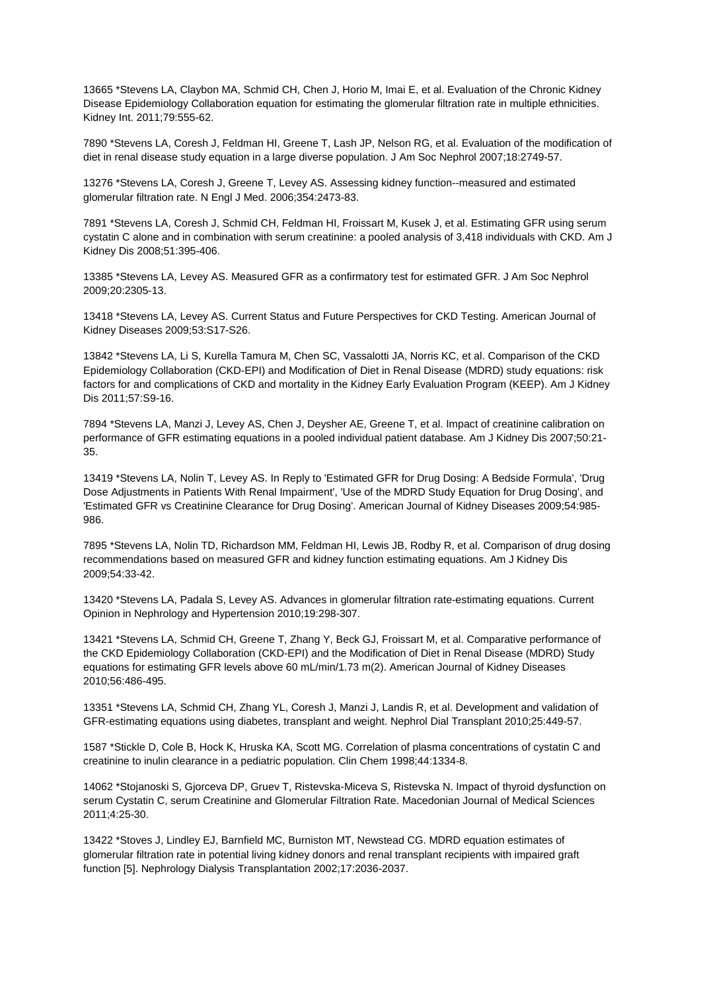13665 \*Stevens LA, Claybon MA, Schmid CH, Chen J, Horio M, Imai E, et al. Evaluation of the Chronic Kidney Disease Epidemiology Collaboration equation for estimating the glomerular filtration rate in multiple ethnicities. Kidney Int. 2011;79:555-62.

7890 \*Stevens LA, Coresh J, Feldman HI, Greene T, Lash JP, Nelson RG, et al. Evaluation of the modification of diet in renal disease study equation in a large diverse population. J Am Soc Nephrol 2007;18:2749-57.

13276 \*Stevens LA, Coresh J, Greene T, Levey AS. Assessing kidney function--measured and estimated glomerular filtration rate. N Engl J Med. 2006;354:2473-83.

7891 \*Stevens LA, Coresh J, Schmid CH, Feldman HI, Froissart M, Kusek J, et al. Estimating GFR using serum cystatin C alone and in combination with serum creatinine: a pooled analysis of 3,418 individuals with CKD. Am J Kidney Dis 2008;51:395-406.

13385 \*Stevens LA, Levey AS. Measured GFR as a confirmatory test for estimated GFR. J Am Soc Nephrol 2009;20:2305-13.

13418 \*Stevens LA, Levey AS. Current Status and Future Perspectives for CKD Testing. American Journal of Kidney Diseases 2009;53:S17-S26.

13842 \*Stevens LA, Li S, Kurella Tamura M, Chen SC, Vassalotti JA, Norris KC, et al. Comparison of the CKD Epidemiology Collaboration (CKD-EPI) and Modification of Diet in Renal Disease (MDRD) study equations: risk factors for and complications of CKD and mortality in the Kidney Early Evaluation Program (KEEP). Am J Kidney Dis 2011;57:S9-16.

7894 \*Stevens LA, Manzi J, Levey AS, Chen J, Deysher AE, Greene T, et al. Impact of creatinine calibration on performance of GFR estimating equations in a pooled individual patient database. Am J Kidney Dis 2007;50:21- 35.

13419 \*Stevens LA, Nolin T, Levey AS. In Reply to 'Estimated GFR for Drug Dosing: A Bedside Formula', 'Drug Dose Adjustments in Patients With Renal Impairment', 'Use of the MDRD Study Equation for Drug Dosing', and 'Estimated GFR vs Creatinine Clearance for Drug Dosing'. American Journal of Kidney Diseases 2009;54:985- 986.

7895 \*Stevens LA, Nolin TD, Richardson MM, Feldman HI, Lewis JB, Rodby R, et al. Comparison of drug dosing recommendations based on measured GFR and kidney function estimating equations. Am J Kidney Dis 2009;54:33-42.

13420 \*Stevens LA, Padala S, Levey AS. Advances in glomerular filtration rate-estimating equations. Current Opinion in Nephrology and Hypertension 2010;19:298-307.

13421 \*Stevens LA, Schmid CH, Greene T, Zhang Y, Beck GJ, Froissart M, et al. Comparative performance of the CKD Epidemiology Collaboration (CKD-EPI) and the Modification of Diet in Renal Disease (MDRD) Study equations for estimating GFR levels above 60 mL/min/1.73 m(2). American Journal of Kidney Diseases 2010;56:486-495.

13351 \*Stevens LA, Schmid CH, Zhang YL, Coresh J, Manzi J, Landis R, et al. Development and validation of GFR-estimating equations using diabetes, transplant and weight. Nephrol Dial Transplant 2010;25:449-57.

1587 \*Stickle D, Cole B, Hock K, Hruska KA, Scott MG. Correlation of plasma concentrations of cystatin C and creatinine to inulin clearance in a pediatric population. Clin Chem 1998;44:1334-8.

14062 \*Stojanoski S, Gjorceva DP, Gruev T, Ristevska-Miceva S, Ristevska N. Impact of thyroid dysfunction on serum Cystatin C, serum Creatinine and Glomerular Filtration Rate. Macedonian Journal of Medical Sciences 2011;4:25-30.

13422 \*Stoves J, Lindley EJ, Barnfield MC, Burniston MT, Newstead CG. MDRD equation estimates of glomerular filtration rate in potential living kidney donors and renal transplant recipients with impaired graft function [5]. Nephrology Dialysis Transplantation 2002;17:2036-2037.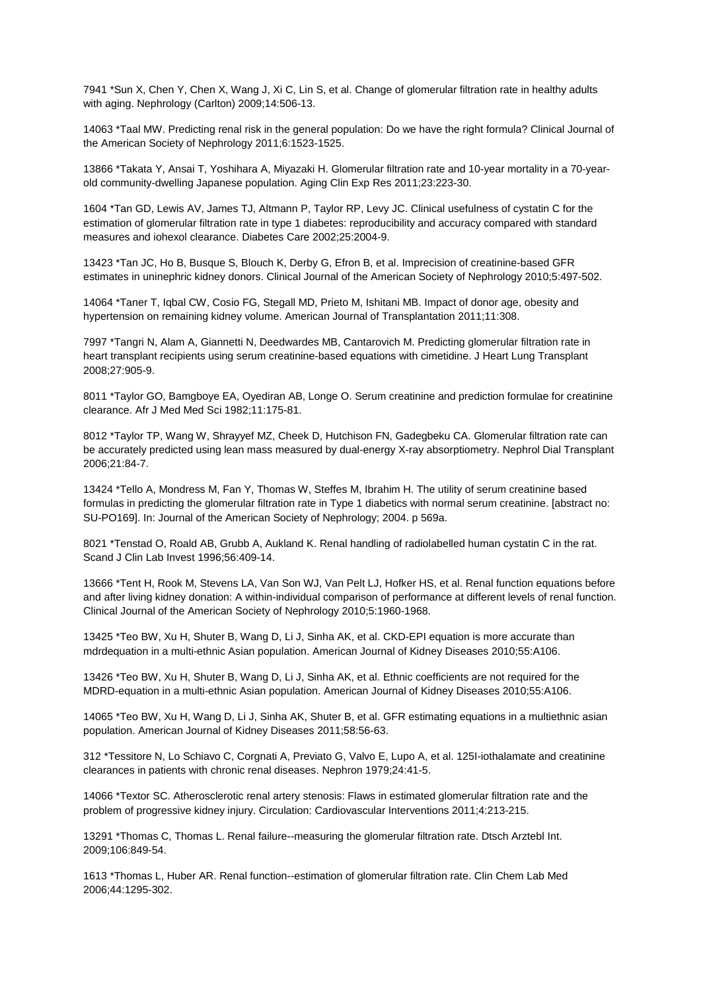7941 \*Sun X, Chen Y, Chen X, Wang J, Xi C, Lin S, et al. Change of glomerular filtration rate in healthy adults with aging. Nephrology (Carlton) 2009;14:506-13.

14063 \*Taal MW. Predicting renal risk in the general population: Do we have the right formula? Clinical Journal of the American Society of Nephrology 2011;6:1523-1525.

13866 \*Takata Y, Ansai T, Yoshihara A, Miyazaki H. Glomerular filtration rate and 10-year mortality in a 70-yearold community-dwelling Japanese population. Aging Clin Exp Res 2011;23:223-30.

1604 \*Tan GD, Lewis AV, James TJ, Altmann P, Taylor RP, Levy JC. Clinical usefulness of cystatin C for the estimation of glomerular filtration rate in type 1 diabetes: reproducibility and accuracy compared with standard measures and iohexol clearance. Diabetes Care 2002;25:2004-9.

13423 \*Tan JC, Ho B, Busque S, Blouch K, Derby G, Efron B, et al. Imprecision of creatinine-based GFR estimates in uninephric kidney donors. Clinical Journal of the American Society of Nephrology 2010;5:497-502.

14064 \*Taner T, Iqbal CW, Cosio FG, Stegall MD, Prieto M, Ishitani MB. Impact of donor age, obesity and hypertension on remaining kidney volume. American Journal of Transplantation 2011;11:308.

7997 \*Tangri N, Alam A, Giannetti N, Deedwardes MB, Cantarovich M. Predicting glomerular filtration rate in heart transplant recipients using serum creatinine-based equations with cimetidine. J Heart Lung Transplant 2008;27:905-9.

8011 \*Taylor GO, Bamgboye EA, Oyediran AB, Longe O. Serum creatinine and prediction formulae for creatinine clearance. Afr J Med Med Sci 1982;11:175-81.

8012 \*Taylor TP, Wang W, Shrayyef MZ, Cheek D, Hutchison FN, Gadegbeku CA. Glomerular filtration rate can be accurately predicted using lean mass measured by dual-energy X-ray absorptiometry. Nephrol Dial Transplant 2006;21:84-7.

13424 \*Tello A, Mondress M, Fan Y, Thomas W, Steffes M, Ibrahim H. The utility of serum creatinine based formulas in predicting the glomerular filtration rate in Type 1 diabetics with normal serum creatinine. [abstract no: SU-PO169]. In: Journal of the American Society of Nephrology; 2004. p 569a.

8021 \*Tenstad O, Roald AB, Grubb A, Aukland K. Renal handling of radiolabelled human cystatin C in the rat. Scand J Clin Lab Invest 1996;56:409-14.

13666 \*Tent H, Rook M, Stevens LA, Van Son WJ, Van Pelt LJ, Hofker HS, et al. Renal function equations before and after living kidney donation: A within-individual comparison of performance at different levels of renal function. Clinical Journal of the American Society of Nephrology 2010;5:1960-1968.

13425 \*Teo BW, Xu H, Shuter B, Wang D, Li J, Sinha AK, et al. CKD-EPI equation is more accurate than mdrdequation in a multi-ethnic Asian population. American Journal of Kidney Diseases 2010;55:A106.

13426 \*Teo BW, Xu H, Shuter B, Wang D, Li J, Sinha AK, et al. Ethnic coefficients are not required for the MDRD-equation in a multi-ethnic Asian population. American Journal of Kidney Diseases 2010;55:A106.

14065 \*Teo BW, Xu H, Wang D, Li J, Sinha AK, Shuter B, et al. GFR estimating equations in a multiethnic asian population. American Journal of Kidney Diseases 2011;58:56-63.

312 \*Tessitore N, Lo Schiavo C, Corgnati A, Previato G, Valvo E, Lupo A, et al. 125I-iothalamate and creatinine clearances in patients with chronic renal diseases. Nephron 1979;24:41-5.

14066 \*Textor SC. Atherosclerotic renal artery stenosis: Flaws in estimated glomerular filtration rate and the problem of progressive kidney injury. Circulation: Cardiovascular Interventions 2011;4:213-215.

13291 \*Thomas C, Thomas L. Renal failure--measuring the glomerular filtration rate. Dtsch Arztebl Int. 2009;106:849-54.

1613 \*Thomas L, Huber AR. Renal function--estimation of glomerular filtration rate. Clin Chem Lab Med 2006;44:1295-302.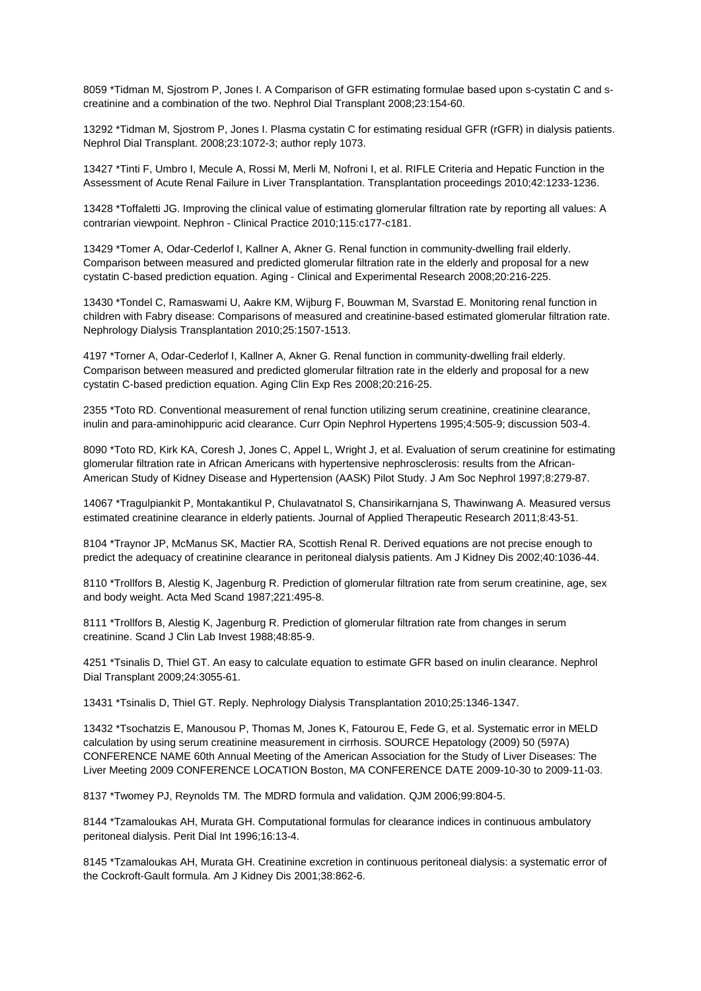8059 \*Tidman M, Sjostrom P, Jones I. A Comparison of GFR estimating formulae based upon s-cystatin C and screatinine and a combination of the two. Nephrol Dial Transplant 2008;23:154-60.

13292 \*Tidman M, Sjostrom P, Jones I. Plasma cystatin C for estimating residual GFR (rGFR) in dialysis patients. Nephrol Dial Transplant. 2008;23:1072-3; author reply 1073.

13427 \*Tinti F, Umbro I, Mecule A, Rossi M, Merli M, Nofroni I, et al. RIFLE Criteria and Hepatic Function in the Assessment of Acute Renal Failure in Liver Transplantation. Transplantation proceedings 2010;42:1233-1236.

13428 \*Toffaletti JG. Improving the clinical value of estimating glomerular filtration rate by reporting all values: A contrarian viewpoint. Nephron - Clinical Practice 2010;115:c177-c181.

13429 \*Tomer A, Odar-Cederlof I, Kallner A, Akner G. Renal function in community-dwelling frail elderly. Comparison between measured and predicted glomerular filtration rate in the elderly and proposal for a new cystatin C-based prediction equation. Aging - Clinical and Experimental Research 2008;20:216-225.

13430 \*Tondel C, Ramaswami U, Aakre KM, Wijburg F, Bouwman M, Svarstad E. Monitoring renal function in children with Fabry disease: Comparisons of measured and creatinine-based estimated glomerular filtration rate. Nephrology Dialysis Transplantation 2010;25:1507-1513.

4197 \*Torner A, Odar-Cederlof I, Kallner A, Akner G. Renal function in community-dwelling frail elderly. Comparison between measured and predicted glomerular filtration rate in the elderly and proposal for a new cystatin C-based prediction equation. Aging Clin Exp Res 2008;20:216-25.

2355 \*Toto RD. Conventional measurement of renal function utilizing serum creatinine, creatinine clearance, inulin and para-aminohippuric acid clearance. Curr Opin Nephrol Hypertens 1995;4:505-9; discussion 503-4.

8090 \*Toto RD, Kirk KA, Coresh J, Jones C, Appel L, Wright J, et al. Evaluation of serum creatinine for estimating glomerular filtration rate in African Americans with hypertensive nephrosclerosis: results from the African-American Study of Kidney Disease and Hypertension (AASK) Pilot Study. J Am Soc Nephrol 1997;8:279-87.

14067 \*Tragulpiankit P, Montakantikul P, Chulavatnatol S, Chansirikarnjana S, Thawinwang A. Measured versus estimated creatinine clearance in elderly patients. Journal of Applied Therapeutic Research 2011;8:43-51.

8104 \*Traynor JP, McManus SK, Mactier RA, Scottish Renal R. Derived equations are not precise enough to predict the adequacy of creatinine clearance in peritoneal dialysis patients. Am J Kidney Dis 2002;40:1036-44.

8110 \*Trollfors B, Alestig K, Jagenburg R. Prediction of glomerular filtration rate from serum creatinine, age, sex and body weight. Acta Med Scand 1987;221:495-8.

8111 \*Trollfors B, Alestig K, Jagenburg R. Prediction of glomerular filtration rate from changes in serum creatinine. Scand J Clin Lab Invest 1988;48:85-9.

4251 \*Tsinalis D, Thiel GT. An easy to calculate equation to estimate GFR based on inulin clearance. Nephrol Dial Transplant 2009;24:3055-61.

13431 \*Tsinalis D, Thiel GT. Reply. Nephrology Dialysis Transplantation 2010;25:1346-1347.

13432 \*Tsochatzis E, Manousou P, Thomas M, Jones K, Fatourou E, Fede G, et al. Systematic error in MELD calculation by using serum creatinine measurement in cirrhosis. SOURCE Hepatology (2009) 50 (597A) CONFERENCE NAME 60th Annual Meeting of the American Association for the Study of Liver Diseases: The Liver Meeting 2009 CONFERENCE LOCATION Boston, MA CONFERENCE DATE 2009-10-30 to 2009-11-03.

8137 \*Twomey PJ, Reynolds TM. The MDRD formula and validation. QJM 2006;99:804-5.

8144 \*Tzamaloukas AH, Murata GH. Computational formulas for clearance indices in continuous ambulatory peritoneal dialysis. Perit Dial Int 1996;16:13-4.

8145 \*Tzamaloukas AH, Murata GH. Creatinine excretion in continuous peritoneal dialysis: a systematic error of the Cockroft-Gault formula. Am J Kidney Dis 2001;38:862-6.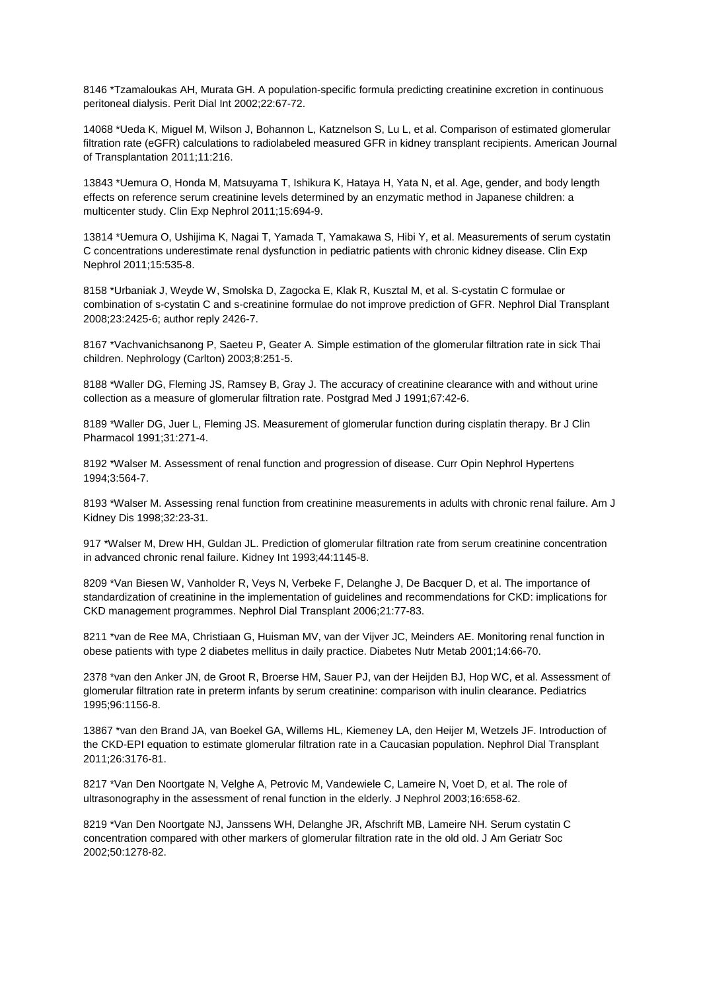8146 \*Tzamaloukas AH, Murata GH. A population-specific formula predicting creatinine excretion in continuous peritoneal dialysis. Perit Dial Int 2002;22:67-72.

14068 \*Ueda K, Miguel M, Wilson J, Bohannon L, Katznelson S, Lu L, et al. Comparison of estimated glomerular filtration rate (eGFR) calculations to radiolabeled measured GFR in kidney transplant recipients. American Journal of Transplantation 2011;11:216.

13843 \*Uemura O, Honda M, Matsuyama T, Ishikura K, Hataya H, Yata N, et al. Age, gender, and body length effects on reference serum creatinine levels determined by an enzymatic method in Japanese children: a multicenter study. Clin Exp Nephrol 2011;15:694-9.

13814 \*Uemura O, Ushijima K, Nagai T, Yamada T, Yamakawa S, Hibi Y, et al. Measurements of serum cystatin C concentrations underestimate renal dysfunction in pediatric patients with chronic kidney disease. Clin Exp Nephrol 2011;15:535-8.

8158 \*Urbaniak J, Weyde W, Smolska D, Zagocka E, Klak R, Kusztal M, et al. S-cystatin C formulae or combination of s-cystatin C and s-creatinine formulae do not improve prediction of GFR. Nephrol Dial Transplant 2008;23:2425-6; author reply 2426-7.

8167 \*Vachvanichsanong P, Saeteu P, Geater A. Simple estimation of the glomerular filtration rate in sick Thai children. Nephrology (Carlton) 2003;8:251-5.

8188 \*Waller DG, Fleming JS, Ramsey B, Gray J. The accuracy of creatinine clearance with and without urine collection as a measure of glomerular filtration rate. Postgrad Med J 1991;67:42-6.

8189 \*Waller DG, Juer L, Fleming JS. Measurement of glomerular function during cisplatin therapy. Br J Clin Pharmacol 1991;31:271-4.

8192 \*Walser M. Assessment of renal function and progression of disease. Curr Opin Nephrol Hypertens 1994;3:564-7.

8193 \*Walser M. Assessing renal function from creatinine measurements in adults with chronic renal failure. Am J Kidney Dis 1998;32:23-31.

917 \*Walser M, Drew HH, Guldan JL. Prediction of glomerular filtration rate from serum creatinine concentration in advanced chronic renal failure. Kidney Int 1993;44:1145-8.

8209 \*Van Biesen W, Vanholder R, Veys N, Verbeke F, Delanghe J, De Bacquer D, et al. The importance of standardization of creatinine in the implementation of guidelines and recommendations for CKD: implications for CKD management programmes. Nephrol Dial Transplant 2006;21:77-83.

8211 \*van de Ree MA, Christiaan G, Huisman MV, van der Vijver JC, Meinders AE. Monitoring renal function in obese patients with type 2 diabetes mellitus in daily practice. Diabetes Nutr Metab 2001;14:66-70.

2378 \*van den Anker JN, de Groot R, Broerse HM, Sauer PJ, van der Heijden BJ, Hop WC, et al. Assessment of glomerular filtration rate in preterm infants by serum creatinine: comparison with inulin clearance. Pediatrics 1995;96:1156-8.

13867 \*van den Brand JA, van Boekel GA, Willems HL, Kiemeney LA, den Heijer M, Wetzels JF. Introduction of the CKD-EPI equation to estimate glomerular filtration rate in a Caucasian population. Nephrol Dial Transplant 2011;26:3176-81.

8217 \*Van Den Noortgate N, Velghe A, Petrovic M, Vandewiele C, Lameire N, Voet D, et al. The role of ultrasonography in the assessment of renal function in the elderly. J Nephrol 2003;16:658-62.

8219 \*Van Den Noortgate NJ, Janssens WH, Delanghe JR, Afschrift MB, Lameire NH. Serum cystatin C concentration compared with other markers of glomerular filtration rate in the old old. J Am Geriatr Soc 2002;50:1278-82.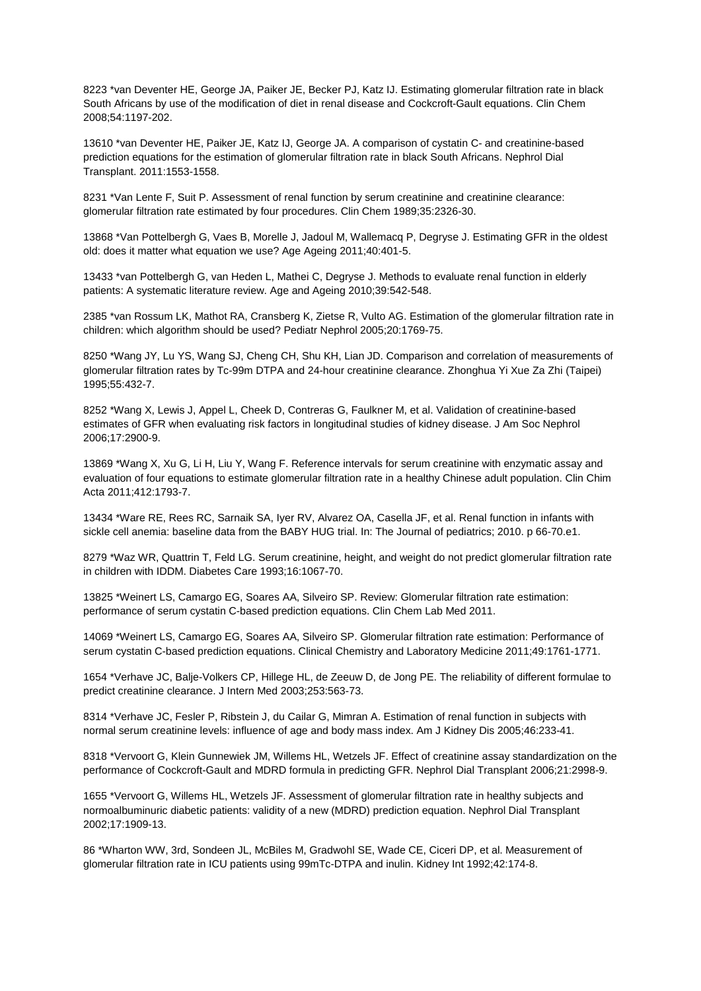8223 \*van Deventer HE, George JA, Paiker JE, Becker PJ, Katz IJ. Estimating glomerular filtration rate in black South Africans by use of the modification of diet in renal disease and Cockcroft-Gault equations. Clin Chem 2008;54:1197-202.

13610 \*van Deventer HE, Paiker JE, Katz IJ, George JA. A comparison of cystatin C- and creatinine-based prediction equations for the estimation of glomerular filtration rate in black South Africans. Nephrol Dial Transplant. 2011:1553-1558.

8231 \*Van Lente F, Suit P. Assessment of renal function by serum creatinine and creatinine clearance: glomerular filtration rate estimated by four procedures. Clin Chem 1989;35:2326-30.

13868 \*Van Pottelbergh G, Vaes B, Morelle J, Jadoul M, Wallemacq P, Degryse J. Estimating GFR in the oldest old: does it matter what equation we use? Age Ageing 2011;40:401-5.

13433 \*van Pottelbergh G, van Heden L, Mathei C, Degryse J. Methods to evaluate renal function in elderly patients: A systematic literature review. Age and Ageing 2010;39:542-548.

2385 \*van Rossum LK, Mathot RA, Cransberg K, Zietse R, Vulto AG. Estimation of the glomerular filtration rate in children: which algorithm should be used? Pediatr Nephrol 2005;20:1769-75.

8250 \*Wang JY, Lu YS, Wang SJ, Cheng CH, Shu KH, Lian JD. Comparison and correlation of measurements of glomerular filtration rates by Tc-99m DTPA and 24-hour creatinine clearance. Zhonghua Yi Xue Za Zhi (Taipei) 1995;55:432-7.

8252 \*Wang X, Lewis J, Appel L, Cheek D, Contreras G, Faulkner M, et al. Validation of creatinine-based estimates of GFR when evaluating risk factors in longitudinal studies of kidney disease. J Am Soc Nephrol 2006;17:2900-9.

13869 \*Wang X, Xu G, Li H, Liu Y, Wang F. Reference intervals for serum creatinine with enzymatic assay and evaluation of four equations to estimate glomerular filtration rate in a healthy Chinese adult population. Clin Chim Acta 2011;412:1793-7.

13434 \*Ware RE, Rees RC, Sarnaik SA, Iyer RV, Alvarez OA, Casella JF, et al. Renal function in infants with sickle cell anemia: baseline data from the BABY HUG trial. In: The Journal of pediatrics; 2010. p 66-70.e1.

8279 \*Waz WR, Quattrin T, Feld LG. Serum creatinine, height, and weight do not predict glomerular filtration rate in children with IDDM. Diabetes Care 1993;16:1067-70.

13825 \*Weinert LS, Camargo EG, Soares AA, Silveiro SP. Review: Glomerular filtration rate estimation: performance of serum cystatin C-based prediction equations. Clin Chem Lab Med 2011.

14069 \*Weinert LS, Camargo EG, Soares AA, Silveiro SP. Glomerular filtration rate estimation: Performance of serum cystatin C-based prediction equations. Clinical Chemistry and Laboratory Medicine 2011;49:1761-1771.

1654 \*Verhave JC, Balje-Volkers CP, Hillege HL, de Zeeuw D, de Jong PE. The reliability of different formulae to predict creatinine clearance. J Intern Med 2003;253:563-73.

8314 \*Verhave JC, Fesler P, Ribstein J, du Cailar G, Mimran A. Estimation of renal function in subjects with normal serum creatinine levels: influence of age and body mass index. Am J Kidney Dis 2005;46:233-41.

8318 \*Vervoort G, Klein Gunnewiek JM, Willems HL, Wetzels JF. Effect of creatinine assay standardization on the performance of Cockcroft-Gault and MDRD formula in predicting GFR. Nephrol Dial Transplant 2006;21:2998-9.

1655 \*Vervoort G, Willems HL, Wetzels JF. Assessment of glomerular filtration rate in healthy subjects and normoalbuminuric diabetic patients: validity of a new (MDRD) prediction equation. Nephrol Dial Transplant 2002;17:1909-13.

86 \*Wharton WW, 3rd, Sondeen JL, McBiles M, Gradwohl SE, Wade CE, Ciceri DP, et al. Measurement of glomerular filtration rate in ICU patients using 99mTc-DTPA and inulin. Kidney Int 1992;42:174-8.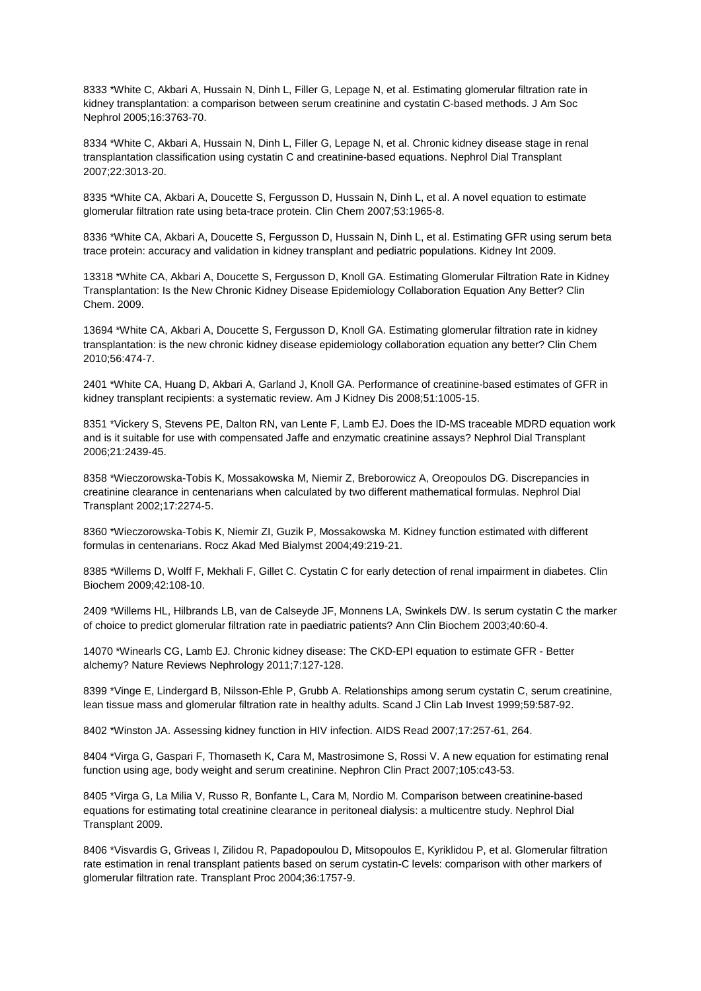8333 \*White C, Akbari A, Hussain N, Dinh L, Filler G, Lepage N, et al. Estimating glomerular filtration rate in kidney transplantation: a comparison between serum creatinine and cystatin C-based methods. J Am Soc Nephrol 2005;16:3763-70.

8334 \*White C, Akbari A, Hussain N, Dinh L, Filler G, Lepage N, et al. Chronic kidney disease stage in renal transplantation classification using cystatin C and creatinine-based equations. Nephrol Dial Transplant 2007;22:3013-20.

8335 \*White CA, Akbari A, Doucette S, Fergusson D, Hussain N, Dinh L, et al. A novel equation to estimate glomerular filtration rate using beta-trace protein. Clin Chem 2007;53:1965-8.

8336 \*White CA, Akbari A, Doucette S, Fergusson D, Hussain N, Dinh L, et al. Estimating GFR using serum beta trace protein: accuracy and validation in kidney transplant and pediatric populations. Kidney Int 2009.

13318 \*White CA, Akbari A, Doucette S, Fergusson D, Knoll GA. Estimating Glomerular Filtration Rate in Kidney Transplantation: Is the New Chronic Kidney Disease Epidemiology Collaboration Equation Any Better? Clin Chem. 2009.

13694 \*White CA, Akbari A, Doucette S, Fergusson D, Knoll GA. Estimating glomerular filtration rate in kidney transplantation: is the new chronic kidney disease epidemiology collaboration equation any better? Clin Chem 2010;56:474-7.

2401 \*White CA, Huang D, Akbari A, Garland J, Knoll GA. Performance of creatinine-based estimates of GFR in kidney transplant recipients: a systematic review. Am J Kidney Dis 2008;51:1005-15.

8351 \*Vickery S, Stevens PE, Dalton RN, van Lente F, Lamb EJ. Does the ID-MS traceable MDRD equation work and is it suitable for use with compensated Jaffe and enzymatic creatinine assays? Nephrol Dial Transplant 2006;21:2439-45.

8358 \*Wieczorowska-Tobis K, Mossakowska M, Niemir Z, Breborowicz A, Oreopoulos DG. Discrepancies in creatinine clearance in centenarians when calculated by two different mathematical formulas. Nephrol Dial Transplant 2002;17:2274-5.

8360 \*Wieczorowska-Tobis K, Niemir ZI, Guzik P, Mossakowska M. Kidney function estimated with different formulas in centenarians. Rocz Akad Med Bialymst 2004;49:219-21.

8385 \*Willems D, Wolff F, Mekhali F, Gillet C. Cystatin C for early detection of renal impairment in diabetes. Clin Biochem 2009;42:108-10.

2409 \*Willems HL, Hilbrands LB, van de Calseyde JF, Monnens LA, Swinkels DW. Is serum cystatin C the marker of choice to predict glomerular filtration rate in paediatric patients? Ann Clin Biochem 2003;40:60-4.

14070 \*Winearls CG, Lamb EJ. Chronic kidney disease: The CKD-EPI equation to estimate GFR - Better alchemy? Nature Reviews Nephrology 2011;7:127-128.

8399 \*Vinge E, Lindergard B, Nilsson-Ehle P, Grubb A. Relationships among serum cystatin C, serum creatinine, lean tissue mass and glomerular filtration rate in healthy adults. Scand J Clin Lab Invest 1999;59:587-92.

8402 \*Winston JA. Assessing kidney function in HIV infection. AIDS Read 2007;17:257-61, 264.

8404 \*Virga G, Gaspari F, Thomaseth K, Cara M, Mastrosimone S, Rossi V, A new equation for estimating renal function using age, body weight and serum creatinine. Nephron Clin Pract 2007;105:c43-53.

8405 \*Virga G, La Milia V, Russo R, Bonfante L, Cara M, Nordio M. Comparison between creatinine-based equations for estimating total creatinine clearance in peritoneal dialysis: a multicentre study. Nephrol Dial Transplant 2009.

8406 \*Visvardis G, Griveas I, Zilidou R, Papadopoulou D, Mitsopoulos E, Kyriklidou P, et al. Glomerular filtration rate estimation in renal transplant patients based on serum cystatin-C levels: comparison with other markers of glomerular filtration rate. Transplant Proc 2004;36:1757-9.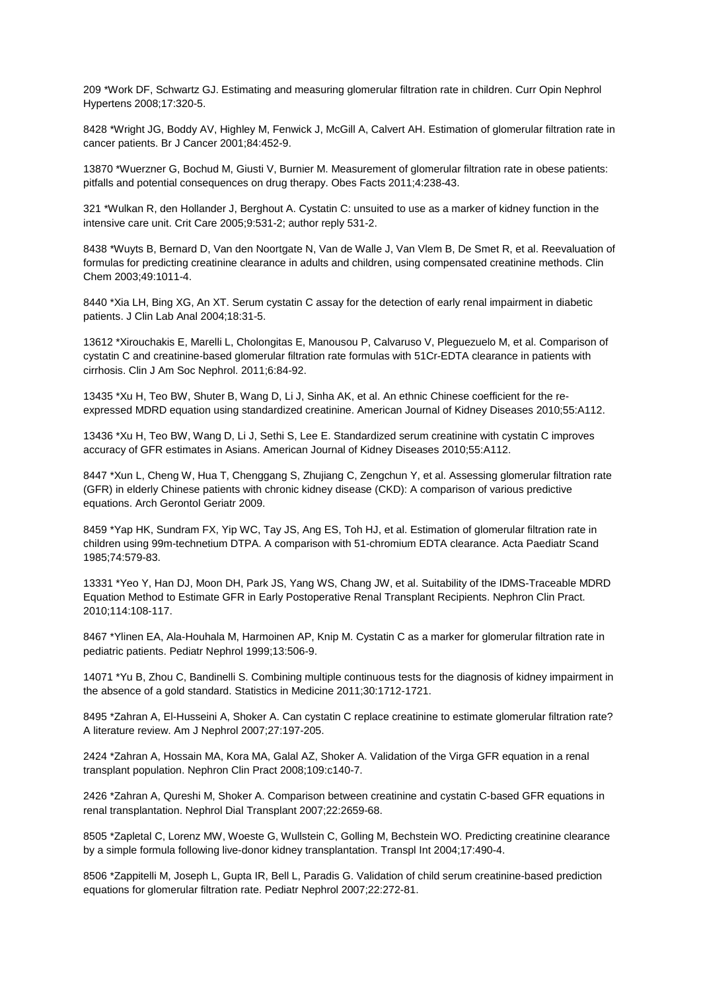209 \*Work DF, Schwartz GJ. Estimating and measuring glomerular filtration rate in children. Curr Opin Nephrol Hypertens 2008;17:320-5.

8428 \*Wright JG, Boddy AV, Highley M, Fenwick J, McGill A, Calvert AH. Estimation of glomerular filtration rate in cancer patients. Br J Cancer 2001;84:452-9.

13870 \*Wuerzner G, Bochud M, Giusti V, Burnier M. Measurement of glomerular filtration rate in obese patients: pitfalls and potential consequences on drug therapy. Obes Facts 2011;4:238-43.

321 \*Wulkan R, den Hollander J, Berghout A. Cystatin C: unsuited to use as a marker of kidney function in the intensive care unit. Crit Care 2005;9:531-2; author reply 531-2.

8438 \*Wuyts B, Bernard D, Van den Noortgate N, Van de Walle J, Van Vlem B, De Smet R, et al. Reevaluation of formulas for predicting creatinine clearance in adults and children, using compensated creatinine methods. Clin Chem 2003;49:1011-4.

8440 \*Xia LH, Bing XG, An XT. Serum cystatin C assay for the detection of early renal impairment in diabetic patients. J Clin Lab Anal 2004;18:31-5.

13612 \*Xirouchakis E, Marelli L, Cholongitas E, Manousou P, Calvaruso V, Pleguezuelo M, et al. Comparison of cystatin C and creatinine-based glomerular filtration rate formulas with 51Cr-EDTA clearance in patients with cirrhosis. Clin J Am Soc Nephrol. 2011;6:84-92.

13435 \*Xu H, Teo BW, Shuter B, Wang D, Li J, Sinha AK, et al. An ethnic Chinese coefficient for the reexpressed MDRD equation using standardized creatinine. American Journal of Kidney Diseases 2010;55:A112.

13436 \*Xu H, Teo BW, Wang D, Li J, Sethi S, Lee E. Standardized serum creatinine with cystatin C improves accuracy of GFR estimates in Asians. American Journal of Kidney Diseases 2010;55:A112.

8447 \*Xun L, Cheng W, Hua T, Chenggang S, Zhujiang C, Zengchun Y, et al. Assessing glomerular filtration rate (GFR) in elderly Chinese patients with chronic kidney disease (CKD): A comparison of various predictive equations. Arch Gerontol Geriatr 2009.

8459 \*Yap HK, Sundram FX, Yip WC, Tay JS, Ang ES, Toh HJ, et al. Estimation of glomerular filtration rate in children using 99m-technetium DTPA. A comparison with 51-chromium EDTA clearance. Acta Paediatr Scand 1985;74:579-83.

13331 \*Yeo Y, Han DJ, Moon DH, Park JS, Yang WS, Chang JW, et al. Suitability of the IDMS-Traceable MDRD Equation Method to Estimate GFR in Early Postoperative Renal Transplant Recipients. Nephron Clin Pract. 2010;114:108-117.

8467 \*Ylinen EA, Ala-Houhala M, Harmoinen AP, Knip M. Cystatin C as a marker for glomerular filtration rate in pediatric patients. Pediatr Nephrol 1999;13:506-9.

14071 \*Yu B, Zhou C, Bandinelli S. Combining multiple continuous tests for the diagnosis of kidney impairment in the absence of a gold standard. Statistics in Medicine 2011;30:1712-1721.

8495 \*Zahran A, El-Husseini A, Shoker A. Can cystatin C replace creatinine to estimate glomerular filtration rate? A literature review. Am J Nephrol 2007;27:197-205.

2424 \*Zahran A, Hossain MA, Kora MA, Galal AZ, Shoker A. Validation of the Virga GFR equation in a renal transplant population. Nephron Clin Pract 2008;109:c140-7.

2426 \*Zahran A, Qureshi M, Shoker A. Comparison between creatinine and cystatin C-based GFR equations in renal transplantation. Nephrol Dial Transplant 2007;22:2659-68.

8505 \*Zapletal C, Lorenz MW, Woeste G, Wullstein C, Golling M, Bechstein WO. Predicting creatinine clearance by a simple formula following live-donor kidney transplantation. Transpl Int 2004;17:490-4.

8506 \*Zappitelli M, Joseph L, Gupta IR, Bell L, Paradis G. Validation of child serum creatinine-based prediction equations for glomerular filtration rate. Pediatr Nephrol 2007;22:272-81.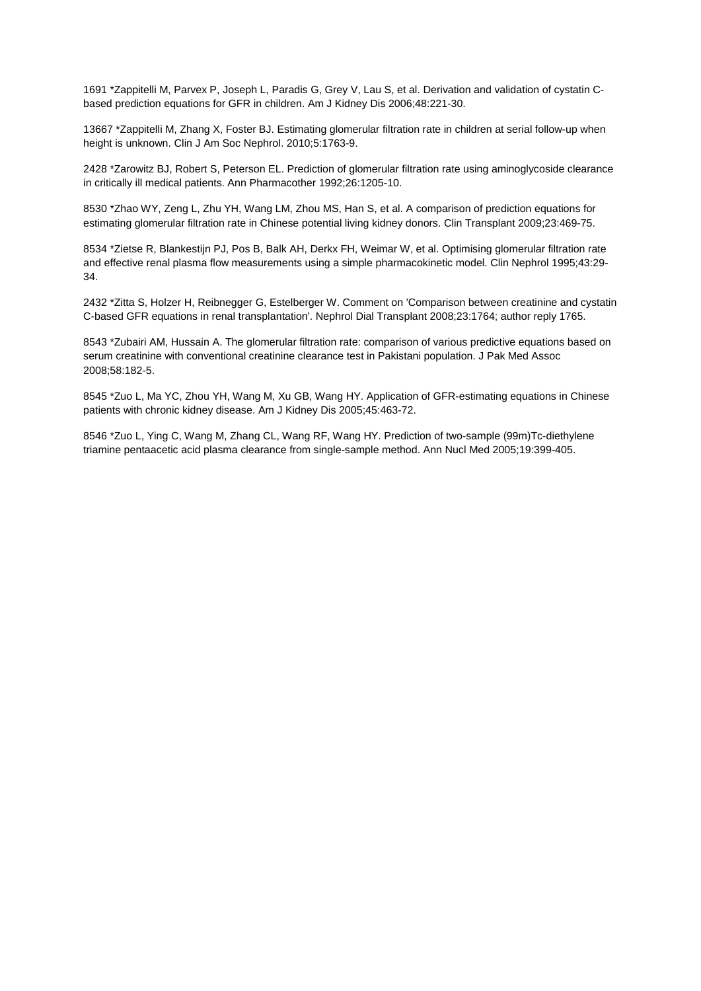1691 \*Zappitelli M, Parvex P, Joseph L, Paradis G, Grey V, Lau S, et al. Derivation and validation of cystatin Cbased prediction equations for GFR in children. Am J Kidney Dis 2006;48:221-30.

13667 \*Zappitelli M, Zhang X, Foster BJ. Estimating glomerular filtration rate in children at serial follow-up when height is unknown. Clin J Am Soc Nephrol. 2010;5:1763-9.

2428 \*Zarowitz BJ, Robert S, Peterson EL. Prediction of glomerular filtration rate using aminoglycoside clearance in critically ill medical patients. Ann Pharmacother 1992;26:1205-10.

8530 \*Zhao WY, Zeng L, Zhu YH, Wang LM, Zhou MS, Han S, et al. A comparison of prediction equations for estimating glomerular filtration rate in Chinese potential living kidney donors. Clin Transplant 2009;23:469-75.

8534 \*Zietse R, Blankestijn PJ, Pos B, Balk AH, Derkx FH, Weimar W, et al. Optimising glomerular filtration rate and effective renal plasma flow measurements using a simple pharmacokinetic model. Clin Nephrol 1995;43:29- 34.

2432 \*Zitta S, Holzer H, Reibnegger G, Estelberger W. Comment on 'Comparison between creatinine and cystatin C-based GFR equations in renal transplantation'. Nephrol Dial Transplant 2008;23:1764; author reply 1765.

8543 \*Zubairi AM, Hussain A. The glomerular filtration rate: comparison of various predictive equations based on serum creatinine with conventional creatinine clearance test in Pakistani population. J Pak Med Assoc 2008;58:182-5.

8545 \*Zuo L, Ma YC, Zhou YH, Wang M, Xu GB, Wang HY. Application of GFR-estimating equations in Chinese patients with chronic kidney disease. Am J Kidney Dis 2005;45:463-72.

8546 \*Zuo L, Ying C, Wang M, Zhang CL, Wang RF, Wang HY. Prediction of two-sample (99m)Tc-diethylene triamine pentaacetic acid plasma clearance from single-sample method. Ann Nucl Med 2005;19:399-405.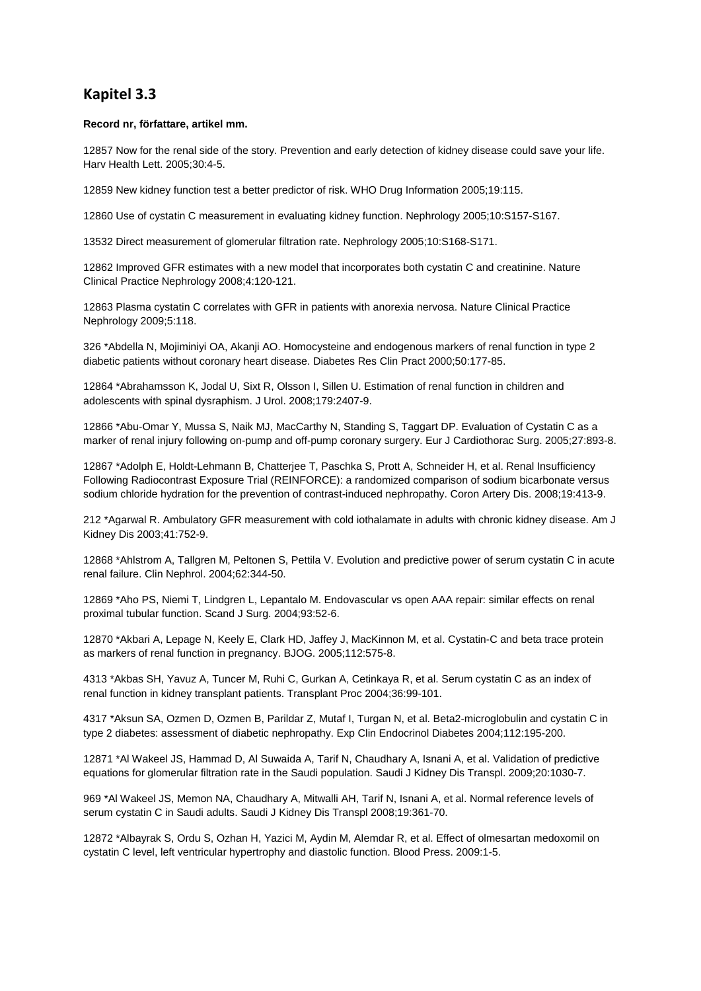## **Kapitel 3.3**

## **Record nr, författare, artikel mm.**

12857 Now for the renal side of the story. Prevention and early detection of kidney disease could save your life. Harv Health Lett. 2005;30:4-5.

12859 New kidney function test a better predictor of risk. WHO Drug Information 2005;19:115.

12860 Use of cystatin C measurement in evaluating kidney function. Nephrology 2005;10:S157-S167.

13532 Direct measurement of glomerular filtration rate. Nephrology 2005;10:S168-S171.

12862 Improved GFR estimates with a new model that incorporates both cystatin C and creatinine. Nature Clinical Practice Nephrology 2008;4:120-121.

12863 Plasma cystatin C correlates with GFR in patients with anorexia nervosa. Nature Clinical Practice Nephrology 2009;5:118.

326 \*Abdella N, Mojiminiyi OA, Akanji AO. Homocysteine and endogenous markers of renal function in type 2 diabetic patients without coronary heart disease. Diabetes Res Clin Pract 2000;50:177-85.

12864 \*Abrahamsson K, Jodal U, Sixt R, Olsson I, Sillen U. Estimation of renal function in children and adolescents with spinal dysraphism. J Urol. 2008;179:2407-9.

12866 \*Abu-Omar Y, Mussa S, Naik MJ, MacCarthy N, Standing S, Taggart DP. Evaluation of Cystatin C as a marker of renal injury following on-pump and off-pump coronary surgery. Eur J Cardiothorac Surg. 2005;27:893-8.

12867 \*Adolph E, Holdt-Lehmann B, Chatterjee T, Paschka S, Prott A, Schneider H, et al. Renal Insufficiency Following Radiocontrast Exposure Trial (REINFORCE): a randomized comparison of sodium bicarbonate versus sodium chloride hydration for the prevention of contrast-induced nephropathy. Coron Artery Dis. 2008;19:413-9.

212 \*Agarwal R. Ambulatory GFR measurement with cold iothalamate in adults with chronic kidney disease. Am J Kidney Dis 2003;41:752-9.

12868 \*Ahlstrom A, Tallgren M, Peltonen S, Pettila V. Evolution and predictive power of serum cystatin C in acute renal failure. Clin Nephrol. 2004;62:344-50.

12869 \*Aho PS, Niemi T, Lindgren L, Lepantalo M. Endovascular vs open AAA repair: similar effects on renal proximal tubular function. Scand J Surg. 2004;93:52-6.

12870 \*Akbari A, Lepage N, Keely E, Clark HD, Jaffey J, MacKinnon M, et al. Cystatin-C and beta trace protein as markers of renal function in pregnancy. BJOG. 2005;112:575-8.

4313 \*Akbas SH, Yavuz A, Tuncer M, Ruhi C, Gurkan A, Cetinkaya R, et al. Serum cystatin C as an index of renal function in kidney transplant patients. Transplant Proc 2004;36:99-101.

4317 \*Aksun SA, Ozmen D, Ozmen B, Parildar Z, Mutaf I, Turgan N, et al. Beta2-microglobulin and cystatin C in type 2 diabetes: assessment of diabetic nephropathy. Exp Clin Endocrinol Diabetes 2004;112:195-200.

12871 \*Al Wakeel JS, Hammad D, Al Suwaida A, Tarif N, Chaudhary A, Isnani A, et al. Validation of predictive equations for glomerular filtration rate in the Saudi population. Saudi J Kidney Dis Transpl. 2009;20:1030-7.

969 \*Al Wakeel JS, Memon NA, Chaudhary A, Mitwalli AH, Tarif N, Isnani A, et al. Normal reference levels of serum cystatin C in Saudi adults. Saudi J Kidney Dis Transpl 2008;19:361-70.

12872 \*Albayrak S, Ordu S, Ozhan H, Yazici M, Aydin M, Alemdar R, et al. Effect of olmesartan medoxomil on cystatin C level, left ventricular hypertrophy and diastolic function. Blood Press. 2009:1-5.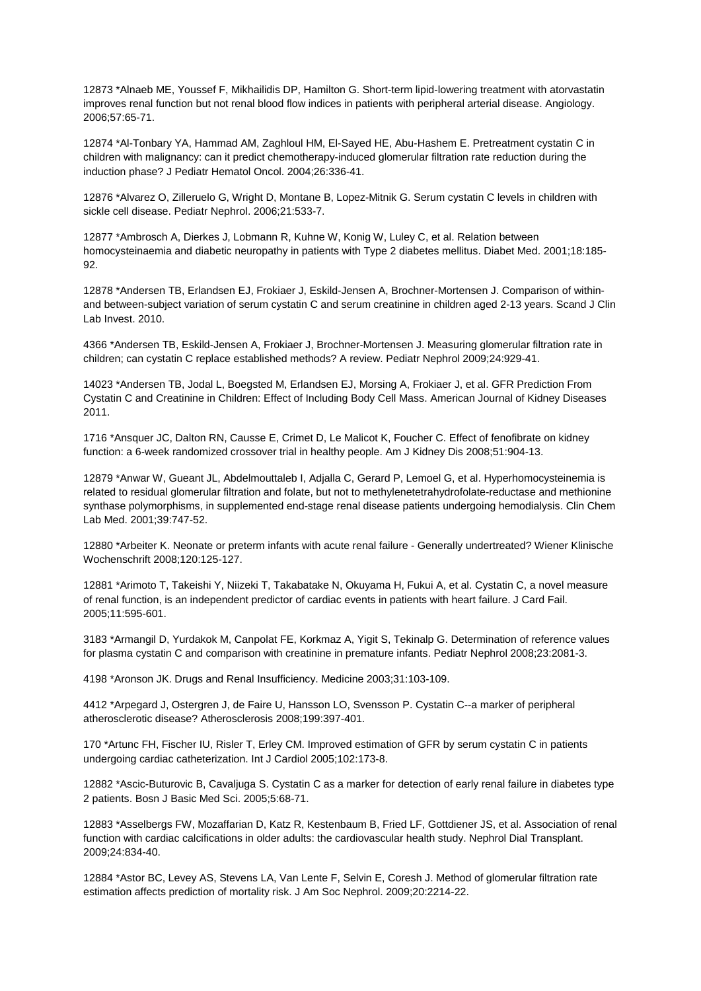12873 \*Alnaeb ME, Youssef F, Mikhailidis DP, Hamilton G. Short-term lipid-lowering treatment with atorvastatin improves renal function but not renal blood flow indices in patients with peripheral arterial disease. Angiology. 2006;57:65-71.

12874 \*Al-Tonbary YA, Hammad AM, Zaghloul HM, El-Sayed HE, Abu-Hashem E. Pretreatment cystatin C in children with malignancy: can it predict chemotherapy-induced glomerular filtration rate reduction during the induction phase? J Pediatr Hematol Oncol. 2004;26:336-41.

12876 \*Alvarez O, Zilleruelo G, Wright D, Montane B, Lopez-Mitnik G. Serum cystatin C levels in children with sickle cell disease. Pediatr Nephrol. 2006;21:533-7.

12877 \*Ambrosch A, Dierkes J, Lobmann R, Kuhne W, Konig W, Luley C, et al. Relation between homocysteinaemia and diabetic neuropathy in patients with Type 2 diabetes mellitus. Diabet Med. 2001;18:185- **92.** 

12878 \*Andersen TB, Erlandsen EJ, Frokiaer J, Eskild-Jensen A, Brochner-Mortensen J. Comparison of withinand between-subject variation of serum cystatin C and serum creatinine in children aged 2-13 years. Scand J Clin Lab Invest. 2010.

4366 \*Andersen TB, Eskild-Jensen A, Frokiaer J, Brochner-Mortensen J. Measuring glomerular filtration rate in children; can cystatin C replace established methods? A review. Pediatr Nephrol 2009;24:929-41.

14023 \*Andersen TB, Jodal L, Boegsted M, Erlandsen EJ, Morsing A, Frokiaer J, et al. GFR Prediction From Cystatin C and Creatinine in Children: Effect of Including Body Cell Mass. American Journal of Kidney Diseases 2011.

1716 \*Ansquer JC, Dalton RN, Causse E, Crimet D, Le Malicot K, Foucher C. Effect of fenofibrate on kidney function: a 6-week randomized crossover trial in healthy people. Am J Kidney Dis 2008;51:904-13.

12879 \*Anwar W, Gueant JL, Abdelmouttaleb I, Adjalla C, Gerard P, Lemoel G, et al. Hyperhomocysteinemia is related to residual glomerular filtration and folate, but not to methylenetetrahydrofolate-reductase and methionine synthase polymorphisms, in supplemented end-stage renal disease patients undergoing hemodialysis. Clin Chem Lab Med. 2001;39:747-52.

12880 \*Arbeiter K. Neonate or preterm infants with acute renal failure - Generally undertreated? Wiener Klinische Wochenschrift 2008;120:125-127.

12881 \*Arimoto T, Takeishi Y, Niizeki T, Takabatake N, Okuyama H, Fukui A, et al. Cystatin C, a novel measure of renal function, is an independent predictor of cardiac events in patients with heart failure. J Card Fail. 2005;11:595-601.

3183 \*Armangil D, Yurdakok M, Canpolat FE, Korkmaz A, Yigit S, Tekinalp G. Determination of reference values for plasma cystatin C and comparison with creatinine in premature infants. Pediatr Nephrol 2008;23:2081-3.

4198 \*Aronson JK. Drugs and Renal Insufficiency. Medicine 2003;31:103-109.

4412 \*Arpegard J, Ostergren J, de Faire U, Hansson LO, Svensson P. Cystatin C--a marker of peripheral atherosclerotic disease? Atherosclerosis 2008;199:397-401.

170 \*Artunc FH, Fischer IU, Risler T, Erley CM. Improved estimation of GFR by serum cystatin C in patients undergoing cardiac catheterization. Int J Cardiol 2005;102:173-8.

12882 \*Ascic-Buturovic B, Cavaljuga S. Cystatin C as a marker for detection of early renal failure in diabetes type 2 patients. Bosn J Basic Med Sci. 2005;5:68-71.

12883 \*Asselbergs FW, Mozaffarian D, Katz R, Kestenbaum B, Fried LF, Gottdiener JS, et al. Association of renal function with cardiac calcifications in older adults: the cardiovascular health study. Nephrol Dial Transplant. 2009;24:834-40.

12884 \*Astor BC, Levey AS, Stevens LA, Van Lente F, Selvin E, Coresh J. Method of glomerular filtration rate estimation affects prediction of mortality risk. J Am Soc Nephrol. 2009;20:2214-22.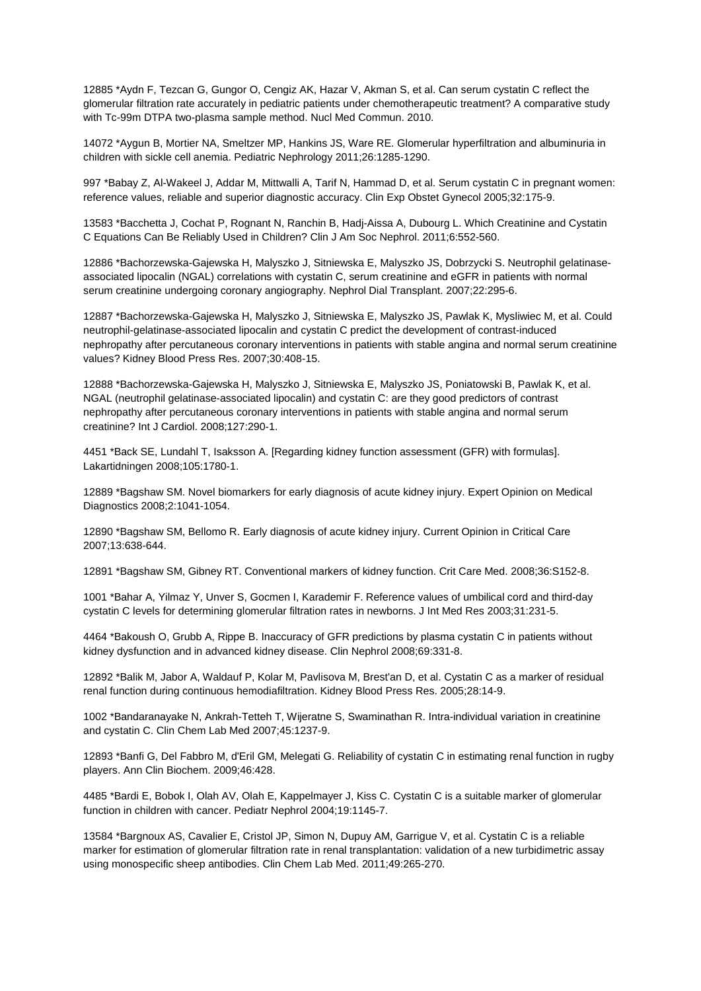12885 \*Aydn F, Tezcan G, Gungor O, Cengiz AK, Hazar V, Akman S, et al. Can serum cystatin C reflect the glomerular filtration rate accurately in pediatric patients under chemotherapeutic treatment? A comparative study with Tc-99m DTPA two-plasma sample method. Nucl Med Commun. 2010.

14072 \*Aygun B, Mortier NA, Smeltzer MP, Hankins JS, Ware RE. Glomerular hyperfiltration and albuminuria in children with sickle cell anemia. Pediatric Nephrology 2011;26:1285-1290.

997 \*Babay Z, Al-Wakeel J, Addar M, Mittwalli A, Tarif N, Hammad D, et al. Serum cystatin C in pregnant women: reference values, reliable and superior diagnostic accuracy. Clin Exp Obstet Gynecol 2005;32:175-9.

13583 \*Bacchetta J, Cochat P, Rognant N, Ranchin B, Hadj-Aissa A, Dubourg L. Which Creatinine and Cystatin C Equations Can Be Reliably Used in Children? Clin J Am Soc Nephrol. 2011;6:552-560.

12886 \*Bachorzewska-Gajewska H, Malyszko J, Sitniewska E, Malyszko JS, Dobrzycki S. Neutrophil gelatinaseassociated lipocalin (NGAL) correlations with cystatin C, serum creatinine and eGFR in patients with normal serum creatinine undergoing coronary angiography. Nephrol Dial Transplant. 2007;22:295-6.

12887 \*Bachorzewska-Gajewska H, Malyszko J, Sitniewska E, Malyszko JS, Pawlak K, Mysliwiec M, et al. Could neutrophil-gelatinase-associated lipocalin and cystatin C predict the development of contrast-induced nephropathy after percutaneous coronary interventions in patients with stable angina and normal serum creatinine values? Kidney Blood Press Res. 2007;30:408-15.

12888 \*Bachorzewska-Gajewska H, Malyszko J, Sitniewska E, Malyszko JS, Poniatowski B, Pawlak K, et al. NGAL (neutrophil gelatinase-associated lipocalin) and cystatin C: are they good predictors of contrast nephropathy after percutaneous coronary interventions in patients with stable angina and normal serum creatinine? Int J Cardiol. 2008;127:290-1.

4451 \*Back SE, Lundahl T, Isaksson A. [Regarding kidney function assessment (GFR) with formulas]. Lakartidningen 2008;105:1780-1.

12889 \*Bagshaw SM. Novel biomarkers for early diagnosis of acute kidney injury. Expert Opinion on Medical Diagnostics 2008;2:1041-1054.

12890 \*Bagshaw SM, Bellomo R. Early diagnosis of acute kidney injury. Current Opinion in Critical Care 2007;13:638-644.

12891 \*Bagshaw SM, Gibney RT. Conventional markers of kidney function. Crit Care Med. 2008;36:S152-8.

1001 \*Bahar A, Yilmaz Y, Unver S, Gocmen I, Karademir F. Reference values of umbilical cord and third-day cystatin C levels for determining glomerular filtration rates in newborns. J Int Med Res 2003;31:231-5.

4464 \*Bakoush O, Grubb A, Rippe B. Inaccuracy of GFR predictions by plasma cystatin C in patients without kidney dysfunction and in advanced kidney disease. Clin Nephrol 2008;69:331-8.

12892 \*Balik M, Jabor A, Waldauf P, Kolar M, Pavlisova M, Brest'an D, et al. Cystatin C as a marker of residual renal function during continuous hemodiafiltration. Kidney Blood Press Res. 2005;28:14-9.

1002 \*Bandaranayake N, Ankrah-Tetteh T, Wijeratne S, Swaminathan R. Intra-individual variation in creatinine and cystatin C. Clin Chem Lab Med 2007;45:1237-9.

12893 \*Banfi G, Del Fabbro M, d'Eril GM, Melegati G. Reliability of cystatin C in estimating renal function in rugby players. Ann Clin Biochem. 2009;46:428.

4485 \*Bardi E, Bobok I, Olah AV, Olah E, Kappelmayer J, Kiss C. Cystatin C is a suitable marker of glomerular function in children with cancer. Pediatr Nephrol 2004;19:1145-7.

13584 \*Bargnoux AS, Cavalier E, Cristol JP, Simon N, Dupuy AM, Garrigue V, et al. Cystatin C is a reliable marker for estimation of glomerular filtration rate in renal transplantation: validation of a new turbidimetric assay using monospecific sheep antibodies. Clin Chem Lab Med. 2011;49:265-270.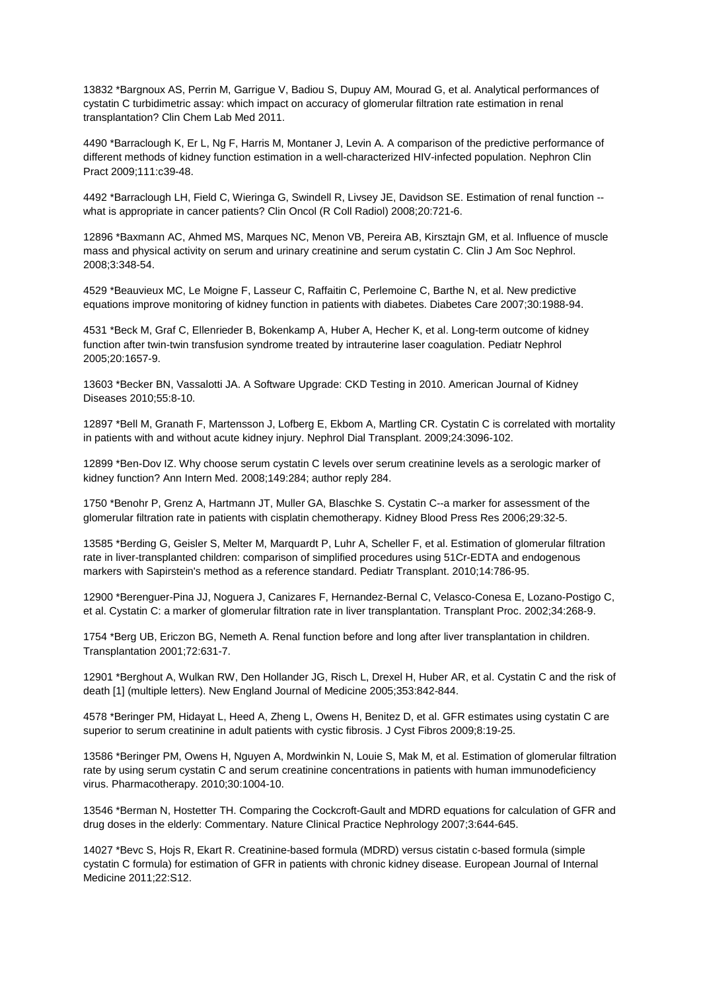13832 \*Bargnoux AS, Perrin M, Garrigue V, Badiou S, Dupuy AM, Mourad G, et al. Analytical performances of cystatin C turbidimetric assay: which impact on accuracy of glomerular filtration rate estimation in renal transplantation? Clin Chem Lab Med 2011.

4490 \*Barraclough K, Er L, Ng F, Harris M, Montaner J, Levin A. A comparison of the predictive performance of different methods of kidney function estimation in a well-characterized HIV-infected population. Nephron Clin Pract 2009;111:c39-48.

4492 \*Barraclough LH, Field C, Wieringa G, Swindell R, Livsey JE, Davidson SE. Estimation of renal function - what is appropriate in cancer patients? Clin Oncol (R Coll Radiol) 2008;20:721-6.

12896 \*Baxmann AC, Ahmed MS, Marques NC, Menon VB, Pereira AB, Kirsztajn GM, et al. Influence of muscle mass and physical activity on serum and urinary creatinine and serum cystatin C. Clin J Am Soc Nephrol. 2008;3:348-54.

4529 \*Beauvieux MC, Le Moigne F, Lasseur C, Raffaitin C, Perlemoine C, Barthe N, et al. New predictive equations improve monitoring of kidney function in patients with diabetes. Diabetes Care 2007;30:1988-94.

4531 \*Beck M, Graf C, Ellenrieder B, Bokenkamp A, Huber A, Hecher K, et al. Long-term outcome of kidney function after twin-twin transfusion syndrome treated by intrauterine laser coagulation. Pediatr Nephrol 2005;20:1657-9.

13603 \*Becker BN, Vassalotti JA. A Software Upgrade: CKD Testing in 2010. American Journal of Kidney Diseases 2010;55:8-10.

12897 \*Bell M, Granath F, Martensson J, Lofberg E, Ekbom A, Martling CR. Cystatin C is correlated with mortality in patients with and without acute kidney injury. Nephrol Dial Transplant. 2009;24:3096-102.

12899 \*Ben-Dov IZ. Why choose serum cystatin C levels over serum creatinine levels as a serologic marker of kidney function? Ann Intern Med. 2008;149:284; author reply 284.

1750 \*Benohr P, Grenz A, Hartmann JT, Muller GA, Blaschke S. Cystatin C--a marker for assessment of the glomerular filtration rate in patients with cisplatin chemotherapy. Kidney Blood Press Res 2006;29:32-5.

13585 \*Berding G, Geisler S, Melter M, Marquardt P, Luhr A, Scheller F, et al. Estimation of glomerular filtration rate in liver-transplanted children: comparison of simplified procedures using 51Cr-EDTA and endogenous markers with Sapirstein's method as a reference standard. Pediatr Transplant. 2010;14:786-95.

12900 \*Berenguer-Pina JJ, Noguera J, Canizares F, Hernandez-Bernal C, Velasco-Conesa E, Lozano-Postigo C, et al. Cystatin C: a marker of glomerular filtration rate in liver transplantation. Transplant Proc. 2002;34:268-9.

1754 \*Berg UB, Ericzon BG, Nemeth A. Renal function before and long after liver transplantation in children. Transplantation 2001;72:631-7.

12901 \*Berghout A, Wulkan RW, Den Hollander JG, Risch L, Drexel H, Huber AR, et al. Cystatin C and the risk of death [1] (multiple letters). New England Journal of Medicine 2005;353:842-844.

4578 \*Beringer PM, Hidayat L, Heed A, Zheng L, Owens H, Benitez D, et al. GFR estimates using cystatin C are superior to serum creatinine in adult patients with cystic fibrosis. J Cyst Fibros 2009;8:19-25.

13586 \*Beringer PM, Owens H, Nguyen A, Mordwinkin N, Louie S, Mak M, et al. Estimation of glomerular filtration rate by using serum cystatin C and serum creatinine concentrations in patients with human immunodeficiency virus. Pharmacotherapy. 2010;30:1004-10.

13546 \*Berman N, Hostetter TH. Comparing the Cockcroft-Gault and MDRD equations for calculation of GFR and drug doses in the elderly: Commentary. Nature Clinical Practice Nephrology 2007;3:644-645.

14027 \*Bevc S, Hojs R, Ekart R. Creatinine-based formula (MDRD) versus cistatin c-based formula (simple cystatin C formula) for estimation of GFR in patients with chronic kidney disease. European Journal of Internal Medicine 2011;22:S12.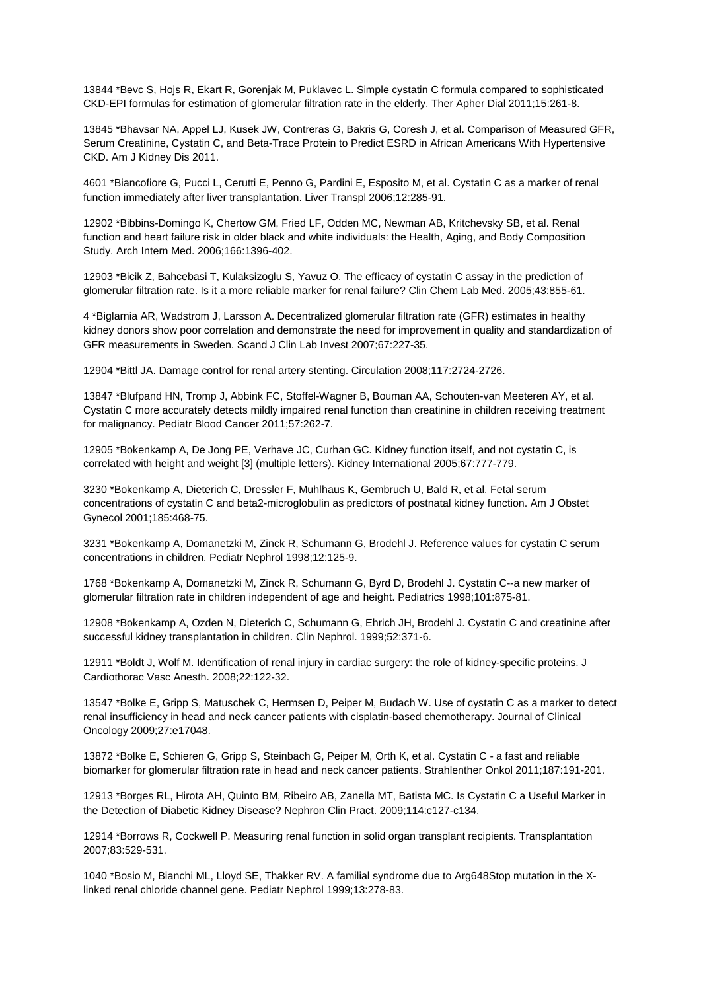13844 \*Bevc S, Hojs R, Ekart R, Gorenjak M, Puklavec L. Simple cystatin C formula compared to sophisticated CKD-EPI formulas for estimation of glomerular filtration rate in the elderly. Ther Apher Dial 2011;15:261-8.

13845 \*Bhavsar NA, Appel LJ, Kusek JW, Contreras G, Bakris G, Coresh J, et al. Comparison of Measured GFR, Serum Creatinine, Cystatin C, and Beta-Trace Protein to Predict ESRD in African Americans With Hypertensive CKD. Am J Kidney Dis 2011.

4601 \*Biancofiore G, Pucci L, Cerutti E, Penno G, Pardini E, Esposito M, et al. Cystatin C as a marker of renal function immediately after liver transplantation. Liver Transpl 2006;12:285-91.

12902 \*Bibbins-Domingo K, Chertow GM, Fried LF, Odden MC, Newman AB, Kritchevsky SB, et al. Renal function and heart failure risk in older black and white individuals: the Health, Aging, and Body Composition Study. Arch Intern Med. 2006;166:1396-402.

12903 \*Bicik Z, Bahcebasi T, Kulaksizoglu S, Yavuz O. The efficacy of cystatin C assay in the prediction of glomerular filtration rate. Is it a more reliable marker for renal failure? Clin Chem Lab Med. 2005;43:855-61.

4 \*Biglarnia AR, Wadstrom J, Larsson A. Decentralized glomerular filtration rate (GFR) estimates in healthy kidney donors show poor correlation and demonstrate the need for improvement in quality and standardization of GFR measurements in Sweden. Scand J Clin Lab Invest 2007;67:227-35.

12904 \*Bittl JA. Damage control for renal artery stenting. Circulation 2008;117:2724-2726.

13847 \*Blufpand HN, Tromp J, Abbink FC, Stoffel-Wagner B, Bouman AA, Schouten-van Meeteren AY, et al. Cystatin C more accurately detects mildly impaired renal function than creatinine in children receiving treatment for malignancy. Pediatr Blood Cancer 2011;57:262-7.

12905 \*Bokenkamp A, De Jong PE, Verhave JC, Curhan GC. Kidney function itself, and not cystatin C, is correlated with height and weight [3] (multiple letters). Kidney International 2005;67:777-779.

3230 \*Bokenkamp A, Dieterich C, Dressler F, Muhlhaus K, Gembruch U, Bald R, et al. Fetal serum concentrations of cystatin C and beta2-microglobulin as predictors of postnatal kidney function. Am J Obstet Gynecol 2001;185:468-75.

3231 \*Bokenkamp A, Domanetzki M, Zinck R, Schumann G, Brodehl J. Reference values for cystatin C serum concentrations in children. Pediatr Nephrol 1998;12:125-9.

1768 \*Bokenkamp A, Domanetzki M, Zinck R, Schumann G, Byrd D, Brodehl J. Cystatin C--a new marker of glomerular filtration rate in children independent of age and height. Pediatrics 1998;101:875-81.

12908 \*Bokenkamp A, Ozden N, Dieterich C, Schumann G, Ehrich JH, Brodehl J. Cystatin C and creatinine after successful kidney transplantation in children. Clin Nephrol. 1999;52:371-6.

12911 \*Boldt J, Wolf M. Identification of renal injury in cardiac surgery: the role of kidney-specific proteins. J Cardiothorac Vasc Anesth. 2008;22:122-32.

13547 \*Bolke E, Gripp S, Matuschek C, Hermsen D, Peiper M, Budach W. Use of cystatin C as a marker to detect renal insufficiency in head and neck cancer patients with cisplatin-based chemotherapy. Journal of Clinical Oncology 2009;27:e17048.

13872 \*Bolke E, Schieren G, Gripp S, Steinbach G, Peiper M, Orth K, et al. Cystatin C - a fast and reliable biomarker for glomerular filtration rate in head and neck cancer patients. Strahlenther Onkol 2011;187:191-201.

12913 \*Borges RL, Hirota AH, Quinto BM, Ribeiro AB, Zanella MT, Batista MC. Is Cystatin C a Useful Marker in the Detection of Diabetic Kidney Disease? Nephron Clin Pract. 2009;114:c127-c134.

12914 \*Borrows R, Cockwell P. Measuring renal function in solid organ transplant recipients. Transplantation 2007;83:529-531.

1040 \*Bosio M, Bianchi ML, Lloyd SE, Thakker RV. A familial syndrome due to Arg648Stop mutation in the Xlinked renal chloride channel gene. Pediatr Nephrol 1999;13:278-83.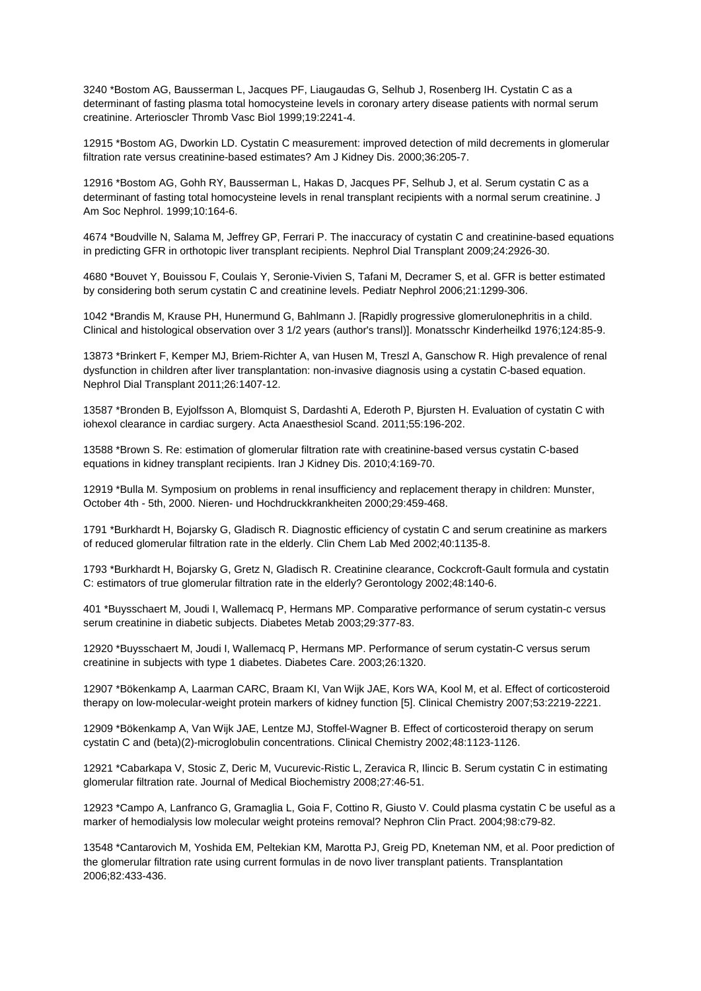3240 \*Bostom AG, Bausserman L, Jacques PF, Liaugaudas G, Selhub J, Rosenberg IH. Cystatin C as a determinant of fasting plasma total homocysteine levels in coronary artery disease patients with normal serum creatinine. Arterioscler Thromb Vasc Biol 1999;19:2241-4.

12915 \*Bostom AG, Dworkin LD. Cystatin C measurement: improved detection of mild decrements in glomerular filtration rate versus creatinine-based estimates? Am J Kidney Dis. 2000;36:205-7.

12916 \*Bostom AG, Gohh RY, Bausserman L, Hakas D, Jacques PF, Selhub J, et al. Serum cystatin C as a determinant of fasting total homocysteine levels in renal transplant recipients with a normal serum creatinine. J Am Soc Nephrol. 1999;10:164-6.

4674 \*Boudville N, Salama M, Jeffrey GP, Ferrari P. The inaccuracy of cystatin C and creatinine-based equations in predicting GFR in orthotopic liver transplant recipients. Nephrol Dial Transplant 2009;24:2926-30.

4680 \*Bouvet Y, Bouissou F, Coulais Y, Seronie-Vivien S, Tafani M, Decramer S, et al. GFR is better estimated by considering both serum cystatin C and creatinine levels. Pediatr Nephrol 2006;21:1299-306.

1042 \*Brandis M, Krause PH, Hunermund G, Bahlmann J. [Rapidly progressive glomerulonephritis in a child. Clinical and histological observation over 3 1/2 years (author's transl)]. Monatsschr Kinderheilkd 1976;124:85-9.

13873 \*Brinkert F, Kemper MJ, Briem-Richter A, van Husen M, Treszl A, Ganschow R. High prevalence of renal dysfunction in children after liver transplantation: non-invasive diagnosis using a cystatin C-based equation. Nephrol Dial Transplant 2011;26:1407-12.

13587 \*Bronden B, Eyjolfsson A, Blomquist S, Dardashti A, Ederoth P, Bjursten H. Evaluation of cystatin C with iohexol clearance in cardiac surgery. Acta Anaesthesiol Scand. 2011;55:196-202.

13588 \*Brown S. Re: estimation of glomerular filtration rate with creatinine-based versus cystatin C-based equations in kidney transplant recipients. Iran J Kidney Dis. 2010;4:169-70.

12919 \*Bulla M. Symposium on problems in renal insufficiency and replacement therapy in children: Munster, October 4th - 5th, 2000. Nieren- und Hochdruckkrankheiten 2000;29:459-468.

1791 \*Burkhardt H, Bojarsky G, Gladisch R. Diagnostic efficiency of cystatin C and serum creatinine as markers of reduced glomerular filtration rate in the elderly. Clin Chem Lab Med 2002;40:1135-8.

1793 \*Burkhardt H, Bojarsky G, Gretz N, Gladisch R. Creatinine clearance, Cockcroft-Gault formula and cystatin C: estimators of true glomerular filtration rate in the elderly? Gerontology 2002;48:140-6.

401 \*Buysschaert M, Joudi I, Wallemacq P, Hermans MP. Comparative performance of serum cystatin-c versus serum creatinine in diabetic subjects. Diabetes Metab 2003;29:377-83.

12920 \*Buysschaert M, Joudi I, Wallemacq P, Hermans MP. Performance of serum cystatin-C versus serum creatinine in subjects with type 1 diabetes. Diabetes Care. 2003;26:1320.

12907 \*Bökenkamp A, Laarman CARC, Braam KI, Van Wijk JAE, Kors WA, Kool M, et al. Effect of corticosteroid therapy on low-molecular-weight protein markers of kidney function [5]. Clinical Chemistry 2007;53:2219-2221.

12909 \*Bökenkamp A, Van Wijk JAE, Lentze MJ, Stoffel-Wagner B. Effect of corticosteroid therapy on serum cystatin C and (beta)(2)-microglobulin concentrations. Clinical Chemistry 2002;48:1123-1126.

12921 \*Cabarkapa V, Stosic Z, Deric M, Vucurevic-Ristic L, Zeravica R, Ilincic B. Serum cystatin C in estimating glomerular filtration rate. Journal of Medical Biochemistry 2008;27:46-51.

12923 \*Campo A, Lanfranco G, Gramaglia L, Goia F, Cottino R, Giusto V. Could plasma cystatin C be useful as a marker of hemodialysis low molecular weight proteins removal? Nephron Clin Pract. 2004;98:c79-82.

13548 \*Cantarovich M, Yoshida EM, Peltekian KM, Marotta PJ, Greig PD, Kneteman NM, et al. Poor prediction of the glomerular filtration rate using current formulas in de novo liver transplant patients. Transplantation 2006;82:433-436.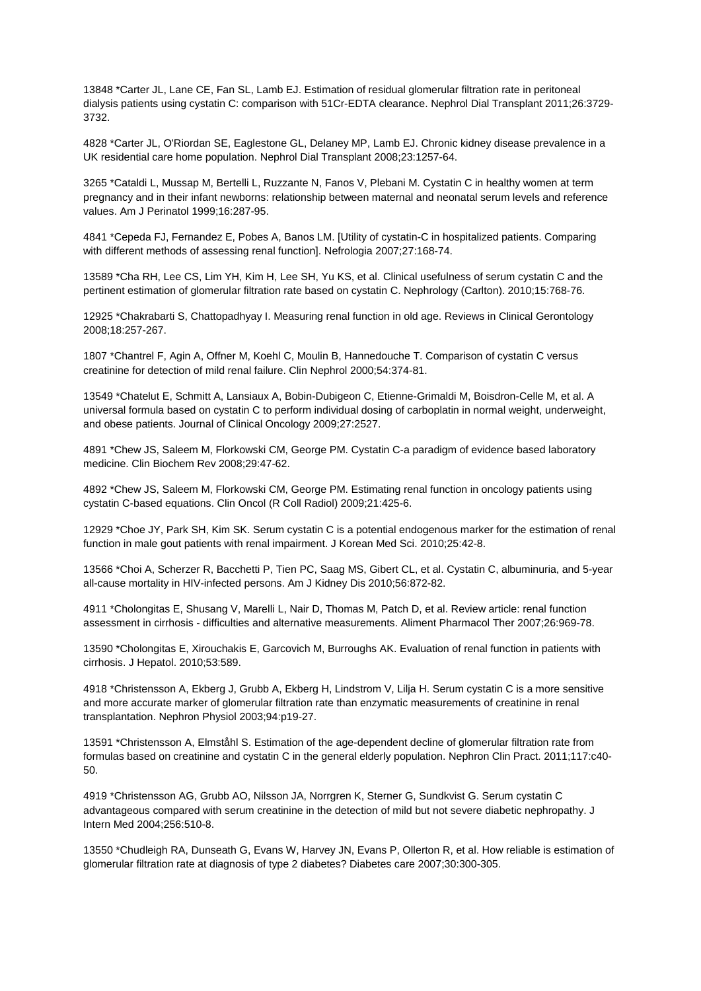13848 \*Carter JL, Lane CE, Fan SL, Lamb EJ. Estimation of residual glomerular filtration rate in peritoneal dialysis patients using cystatin C: comparison with 51Cr-EDTA clearance. Nephrol Dial Transplant 2011;26:3729- 3732.

4828 \*Carter JL, O'Riordan SE, Eaglestone GL, Delaney MP, Lamb EJ. Chronic kidney disease prevalence in a UK residential care home population. Nephrol Dial Transplant 2008;23:1257-64.

3265 \*Cataldi L, Mussap M, Bertelli L, Ruzzante N, Fanos V, Plebani M. Cystatin C in healthy women at term pregnancy and in their infant newborns: relationship between maternal and neonatal serum levels and reference values. Am J Perinatol 1999;16:287-95.

4841 \*Cepeda FJ, Fernandez E, Pobes A, Banos LM. [Utility of cystatin-C in hospitalized patients. Comparing with different methods of assessing renal function]. Nefrologia 2007;27:168-74.

13589 \*Cha RH, Lee CS, Lim YH, Kim H, Lee SH, Yu KS, et al. Clinical usefulness of serum cystatin C and the pertinent estimation of glomerular filtration rate based on cystatin C. Nephrology (Carlton). 2010;15:768-76.

12925 \*Chakrabarti S, Chattopadhyay I. Measuring renal function in old age. Reviews in Clinical Gerontology 2008;18:257-267.

1807 \*Chantrel F, Agin A, Offner M, Koehl C, Moulin B, Hannedouche T. Comparison of cystatin C versus creatinine for detection of mild renal failure. Clin Nephrol 2000;54:374-81.

13549 \*Chatelut E, Schmitt A, Lansiaux A, Bobin-Dubigeon C, Etienne-Grimaldi M, Boisdron-Celle M, et al. A universal formula based on cystatin C to perform individual dosing of carboplatin in normal weight, underweight, and obese patients. Journal of Clinical Oncology 2009;27:2527.

4891 \*Chew JS, Saleem M, Florkowski CM, George PM. Cystatin C-a paradigm of evidence based laboratory medicine. Clin Biochem Rev 2008;29:47-62.

4892 \*Chew JS, Saleem M, Florkowski CM, George PM. Estimating renal function in oncology patients using cystatin C-based equations. Clin Oncol (R Coll Radiol) 2009;21:425-6.

12929 \*Choe JY, Park SH, Kim SK. Serum cystatin C is a potential endogenous marker for the estimation of renal function in male gout patients with renal impairment. J Korean Med Sci. 2010;25:42-8.

13566 \*Choi A, Scherzer R, Bacchetti P, Tien PC, Saag MS, Gibert CL, et al. Cystatin C, albuminuria, and 5-year all-cause mortality in HIV-infected persons. Am J Kidney Dis 2010;56:872-82.

4911 \*Cholongitas E, Shusang V, Marelli L, Nair D, Thomas M, Patch D, et al. Review article: renal function assessment in cirrhosis - difficulties and alternative measurements. Aliment Pharmacol Ther 2007;26:969-78.

13590 \*Cholongitas E, Xirouchakis E, Garcovich M, Burroughs AK. Evaluation of renal function in patients with cirrhosis. J Hepatol. 2010;53:589.

4918 \*Christensson A, Ekberg J, Grubb A, Ekberg H, Lindstrom V, Lilja H. Serum cystatin C is a more sensitive and more accurate marker of glomerular filtration rate than enzymatic measurements of creatinine in renal transplantation. Nephron Physiol 2003;94:p19-27.

13591 \*Christensson A, Elmståhl S. Estimation of the age-dependent decline of glomerular filtration rate from formulas based on creatinine and cystatin C in the general elderly population. Nephron Clin Pract. 2011;117:c40- 50.

4919 \*Christensson AG, Grubb AO, Nilsson JA, Norrgren K, Sterner G, Sundkvist G. Serum cystatin C advantageous compared with serum creatinine in the detection of mild but not severe diabetic nephropathy. J Intern Med 2004;256:510-8.

13550 \*Chudleigh RA, Dunseath G, Evans W, Harvey JN, Evans P, Ollerton R, et al. How reliable is estimation of glomerular filtration rate at diagnosis of type 2 diabetes? Diabetes care 2007;30:300-305.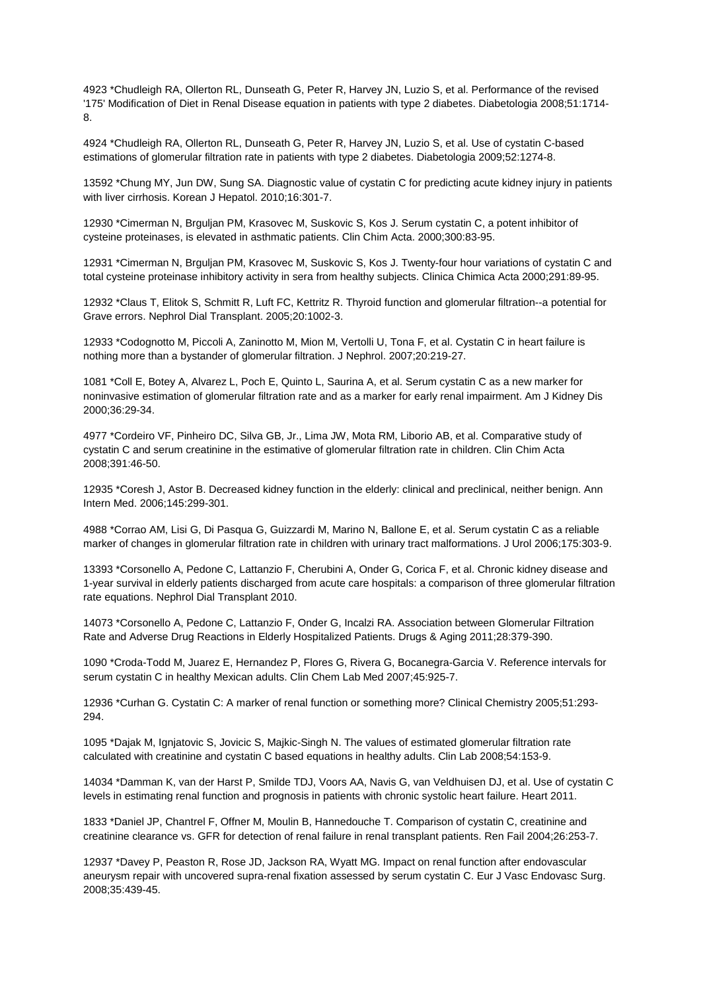4923 \*Chudleigh RA, Ollerton RL, Dunseath G, Peter R, Harvey JN, Luzio S, et al. Performance of the revised '175' Modification of Diet in Renal Disease equation in patients with type 2 diabetes. Diabetologia 2008;51:1714- 8.

4924 \*Chudleigh RA, Ollerton RL, Dunseath G, Peter R, Harvey JN, Luzio S, et al. Use of cystatin C-based estimations of glomerular filtration rate in patients with type 2 diabetes. Diabetologia 2009;52:1274-8.

13592 \*Chung MY, Jun DW, Sung SA. Diagnostic value of cystatin C for predicting acute kidney injury in patients with liver cirrhosis. Korean J Hepatol. 2010;16:301-7.

12930 \*Cimerman N, Brguljan PM, Krasovec M, Suskovic S, Kos J. Serum cystatin C, a potent inhibitor of cysteine proteinases, is elevated in asthmatic patients. Clin Chim Acta. 2000;300:83-95.

12931 \*Cimerman N, Brguljan PM, Krasovec M, Suskovic S, Kos J. Twenty-four hour variations of cystatin C and total cysteine proteinase inhibitory activity in sera from healthy subjects. Clinica Chimica Acta 2000;291:89-95.

12932 \*Claus T, Elitok S, Schmitt R, Luft FC, Kettritz R. Thyroid function and glomerular filtration--a potential for Grave errors. Nephrol Dial Transplant. 2005;20:1002-3.

12933 \*Codognotto M, Piccoli A, Zaninotto M, Mion M, Vertolli U, Tona F, et al. Cystatin C in heart failure is nothing more than a bystander of glomerular filtration. J Nephrol. 2007;20:219-27.

1081 \*Coll E, Botey A, Alvarez L, Poch E, Quinto L, Saurina A, et al. Serum cystatin C as a new marker for noninvasive estimation of glomerular filtration rate and as a marker for early renal impairment. Am J Kidney Dis 2000;36:29-34.

4977 \*Cordeiro VF, Pinheiro DC, Silva GB, Jr., Lima JW, Mota RM, Liborio AB, et al. Comparative study of cystatin C and serum creatinine in the estimative of glomerular filtration rate in children. Clin Chim Acta 2008;391:46-50.

12935 \*Coresh J, Astor B. Decreased kidney function in the elderly: clinical and preclinical, neither benign. Ann Intern Med. 2006;145:299-301.

4988 \*Corrao AM, Lisi G, Di Pasqua G, Guizzardi M, Marino N, Ballone E, et al. Serum cystatin C as a reliable marker of changes in glomerular filtration rate in children with urinary tract malformations. J Urol 2006;175:303-9.

13393 \*Corsonello A, Pedone C, Lattanzio F, Cherubini A, Onder G, Corica F, et al. Chronic kidney disease and 1-year survival in elderly patients discharged from acute care hospitals: a comparison of three glomerular filtration rate equations. Nephrol Dial Transplant 2010.

14073 \*Corsonello A, Pedone C, Lattanzio F, Onder G, Incalzi RA. Association between Glomerular Filtration Rate and Adverse Drug Reactions in Elderly Hospitalized Patients. Drugs & Aging 2011;28:379-390.

1090 \*Croda-Todd M, Juarez E, Hernandez P, Flores G, Rivera G, Bocanegra-Garcia V. Reference intervals for serum cystatin C in healthy Mexican adults. Clin Chem Lab Med 2007;45:925-7.

12936 \*Curhan G. Cystatin C: A marker of renal function or something more? Clinical Chemistry 2005;51:293- 294.

1095 \*Dajak M, Ignjatovic S, Jovicic S, Majkic-Singh N. The values of estimated glomerular filtration rate calculated with creatinine and cystatin C based equations in healthy adults. Clin Lab 2008;54:153-9.

14034 \*Damman K, van der Harst P, Smilde TDJ, Voors AA, Navis G, van Veldhuisen DJ, et al. Use of cystatin C levels in estimating renal function and prognosis in patients with chronic systolic heart failure. Heart 2011.

1833 \*Daniel JP, Chantrel F, Offner M, Moulin B, Hannedouche T. Comparison of cystatin C, creatinine and creatinine clearance vs. GFR for detection of renal failure in renal transplant patients. Ren Fail 2004;26:253-7.

12937 \*Davey P, Peaston R, Rose JD, Jackson RA, Wyatt MG. Impact on renal function after endovascular aneurysm repair with uncovered supra-renal fixation assessed by serum cystatin C. Eur J Vasc Endovasc Surg. 2008;35:439-45.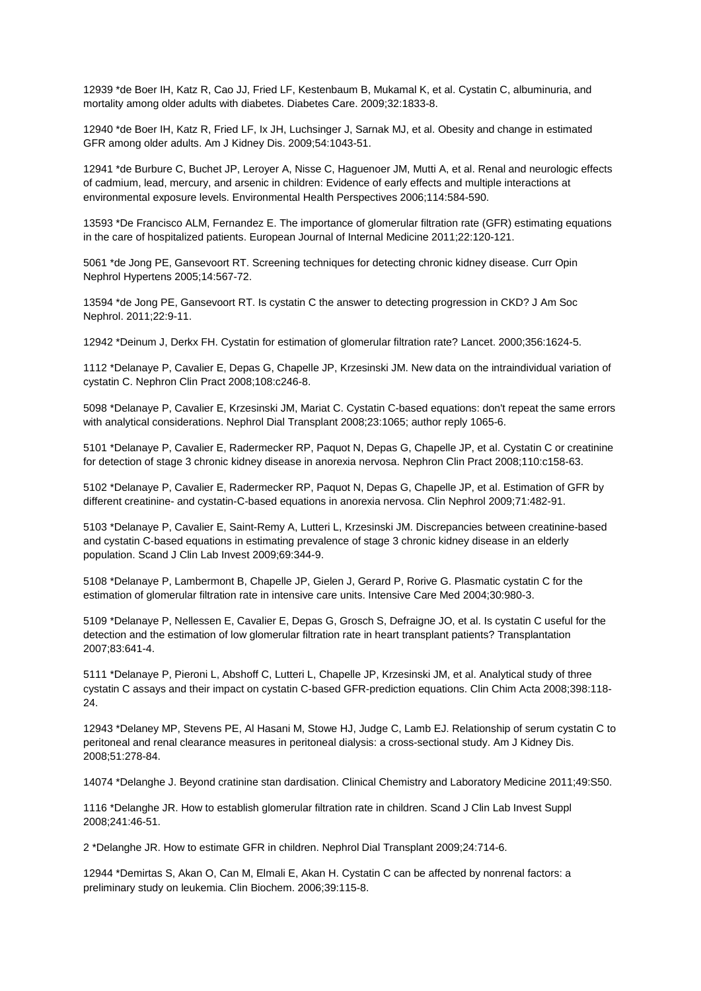12939 \*de Boer IH, Katz R, Cao JJ, Fried LF, Kestenbaum B, Mukamal K, et al. Cystatin C, albuminuria, and mortality among older adults with diabetes. Diabetes Care. 2009;32:1833-8.

12940 \*de Boer IH, Katz R, Fried LF, Ix JH, Luchsinger J, Sarnak MJ, et al. Obesity and change in estimated GFR among older adults. Am J Kidney Dis. 2009;54:1043-51.

12941 \*de Burbure C, Buchet JP, Leroyer A, Nisse C, Haguenoer JM, Mutti A, et al. Renal and neurologic effects of cadmium, lead, mercury, and arsenic in children: Evidence of early effects and multiple interactions at environmental exposure levels. Environmental Health Perspectives 2006;114:584-590.

13593 \*De Francisco ALM, Fernandez E. The importance of glomerular filtration rate (GFR) estimating equations in the care of hospitalized patients. European Journal of Internal Medicine 2011;22:120-121.

5061 \*de Jong PE, Gansevoort RT. Screening techniques for detecting chronic kidney disease. Curr Opin Nephrol Hypertens 2005;14:567-72.

13594 \*de Jong PE, Gansevoort RT. Is cystatin C the answer to detecting progression in CKD? J Am Soc Nephrol. 2011;22:9-11.

12942 \*Deinum J, Derkx FH. Cystatin for estimation of glomerular filtration rate? Lancet. 2000;356:1624-5.

1112 \*Delanaye P, Cavalier E, Depas G, Chapelle JP, Krzesinski JM. New data on the intraindividual variation of cystatin C. Nephron Clin Pract 2008;108:c246-8.

5098 \*Delanaye P, Cavalier E, Krzesinski JM, Mariat C. Cystatin C-based equations: don't repeat the same errors with analytical considerations. Nephrol Dial Transplant 2008;23:1065; author reply 1065-6.

5101 \*Delanaye P, Cavalier E, Radermecker RP, Paquot N, Depas G, Chapelle JP, et al. Cystatin C or creatinine for detection of stage 3 chronic kidney disease in anorexia nervosa. Nephron Clin Pract 2008;110:c158-63.

5102 \*Delanaye P, Cavalier E, Radermecker RP, Paquot N, Depas G, Chapelle JP, et al. Estimation of GFR by different creatinine- and cystatin-C-based equations in anorexia nervosa. Clin Nephrol 2009;71:482-91.

5103 \*Delanaye P, Cavalier E, Saint-Remy A, Lutteri L, Krzesinski JM. Discrepancies between creatinine-based and cystatin C-based equations in estimating prevalence of stage 3 chronic kidney disease in an elderly population. Scand J Clin Lab Invest 2009;69:344-9.

5108 \*Delanaye P, Lambermont B, Chapelle JP, Gielen J, Gerard P, Rorive G. Plasmatic cystatin C for the estimation of glomerular filtration rate in intensive care units. Intensive Care Med 2004;30:980-3.

5109 \*Delanaye P, Nellessen E, Cavalier E, Depas G, Grosch S, Defraigne JO, et al. Is cystatin C useful for the detection and the estimation of low glomerular filtration rate in heart transplant patients? Transplantation 2007;83:641-4.

5111 \*Delanaye P, Pieroni L, Abshoff C, Lutteri L, Chapelle JP, Krzesinski JM, et al. Analytical study of three cystatin C assays and their impact on cystatin C-based GFR-prediction equations. Clin Chim Acta 2008;398:118- 24.

12943 \*Delaney MP, Stevens PE, Al Hasani M, Stowe HJ, Judge C, Lamb EJ. Relationship of serum cystatin C to peritoneal and renal clearance measures in peritoneal dialysis: a cross-sectional study. Am J Kidney Dis. 2008;51:278-84.

14074 \*Delanghe J. Beyond cratinine stan dardisation. Clinical Chemistry and Laboratory Medicine 2011;49:S50.

1116 \*Delanghe JR. How to establish glomerular filtration rate in children. Scand J Clin Lab Invest Suppl 2008;241:46-51.

2 \*Delanghe JR. How to estimate GFR in children. Nephrol Dial Transplant 2009;24:714-6.

12944 \*Demirtas S, Akan O, Can M, Elmali E, Akan H. Cystatin C can be affected by nonrenal factors: a preliminary study on leukemia. Clin Biochem. 2006;39:115-8.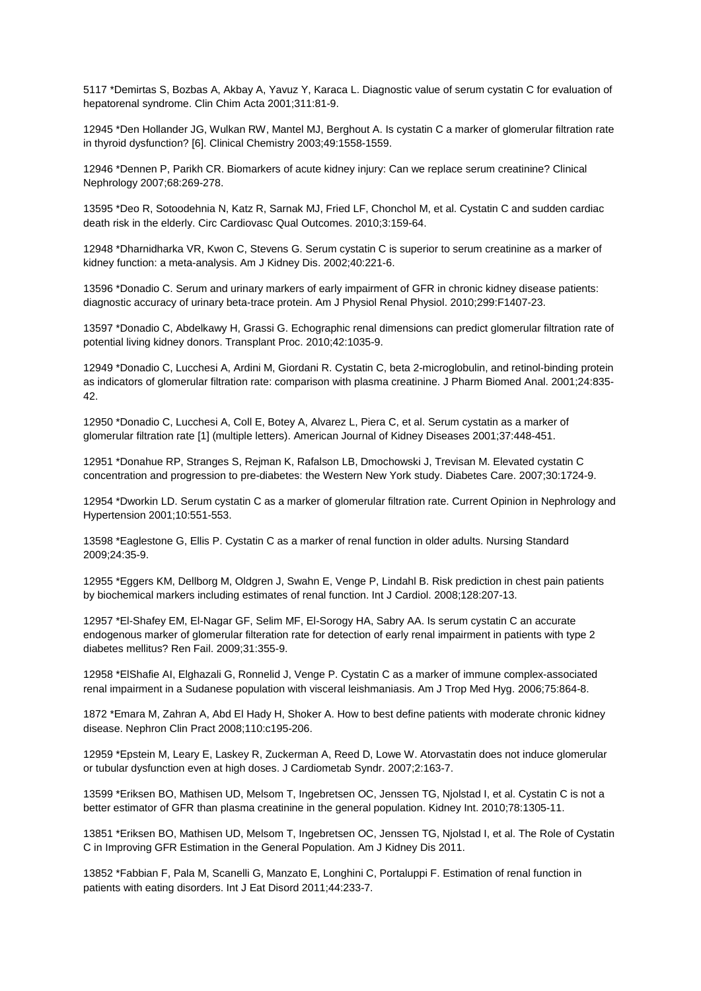5117 \*Demirtas S, Bozbas A, Akbay A, Yavuz Y, Karaca L. Diagnostic value of serum cystatin C for evaluation of hepatorenal syndrome. Clin Chim Acta 2001;311:81-9.

12945 \*Den Hollander JG, Wulkan RW, Mantel MJ, Berghout A. Is cystatin C a marker of glomerular filtration rate in thyroid dysfunction? [6]. Clinical Chemistry 2003;49:1558-1559.

12946 \*Dennen P, Parikh CR. Biomarkers of acute kidney injury: Can we replace serum creatinine? Clinical Nephrology 2007;68:269-278.

13595 \*Deo R, Sotoodehnia N, Katz R, Sarnak MJ, Fried LF, Chonchol M, et al. Cystatin C and sudden cardiac death risk in the elderly. Circ Cardiovasc Qual Outcomes. 2010;3:159-64.

12948 \*Dharnidharka VR, Kwon C, Stevens G. Serum cystatin C is superior to serum creatinine as a marker of kidney function: a meta-analysis. Am J Kidney Dis. 2002;40:221-6.

13596 \*Donadio C. Serum and urinary markers of early impairment of GFR in chronic kidney disease patients: diagnostic accuracy of urinary beta-trace protein. Am J Physiol Renal Physiol. 2010;299:F1407-23.

13597 \*Donadio C, Abdelkawy H, Grassi G. Echographic renal dimensions can predict glomerular filtration rate of potential living kidney donors. Transplant Proc. 2010;42:1035-9.

12949 \*Donadio C, Lucchesi A, Ardini M, Giordani R. Cystatin C, beta 2-microglobulin, and retinol-binding protein as indicators of glomerular filtration rate: comparison with plasma creatinine. J Pharm Biomed Anal. 2001;24:835- 42.

12950 \*Donadio C, Lucchesi A, Coll E, Botey A, Alvarez L, Piera C, et al. Serum cystatin as a marker of glomerular filtration rate [1] (multiple letters). American Journal of Kidney Diseases 2001;37:448-451.

12951 \*Donahue RP, Stranges S, Rejman K, Rafalson LB, Dmochowski J, Trevisan M. Elevated cystatin C concentration and progression to pre-diabetes: the Western New York study. Diabetes Care. 2007;30:1724-9.

12954 \*Dworkin LD. Serum cystatin C as a marker of glomerular filtration rate. Current Opinion in Nephrology and Hypertension 2001;10:551-553.

13598 \*Eaglestone G, Ellis P. Cystatin C as a marker of renal function in older adults. Nursing Standard 2009;24:35-9.

12955 \*Eggers KM, Dellborg M, Oldgren J, Swahn E, Venge P, Lindahl B. Risk prediction in chest pain patients by biochemical markers including estimates of renal function. Int J Cardiol. 2008;128:207-13.

12957 \*El-Shafey EM, El-Nagar GF, Selim MF, El-Sorogy HA, Sabry AA. Is serum cystatin C an accurate endogenous marker of glomerular filteration rate for detection of early renal impairment in patients with type 2 diabetes mellitus? Ren Fail. 2009;31:355-9.

12958 \*ElShafie AI, Elghazali G, Ronnelid J, Venge P. Cystatin C as a marker of immune complex-associated renal impairment in a Sudanese population with visceral leishmaniasis. Am J Trop Med Hyg. 2006;75:864-8.

1872 \*Emara M, Zahran A, Abd El Hady H, Shoker A. How to best define patients with moderate chronic kidney disease. Nephron Clin Pract 2008;110:c195-206.

12959 \*Epstein M, Leary E, Laskey R, Zuckerman A, Reed D, Lowe W. Atorvastatin does not induce glomerular or tubular dysfunction even at high doses. J Cardiometab Syndr. 2007;2:163-7.

13599 \*Eriksen BO, Mathisen UD, Melsom T, Ingebretsen OC, Jenssen TG, Njolstad I, et al. Cystatin C is not a better estimator of GFR than plasma creatinine in the general population. Kidney Int. 2010;78:1305-11.

13851 \*Eriksen BO, Mathisen UD, Melsom T, Ingebretsen OC, Jenssen TG, Njolstad I, et al. The Role of Cystatin C in Improving GFR Estimation in the General Population. Am J Kidney Dis 2011.

13852 \*Fabbian F, Pala M, Scanelli G, Manzato E, Longhini C, Portaluppi F. Estimation of renal function in patients with eating disorders. Int J Eat Disord 2011;44:233-7.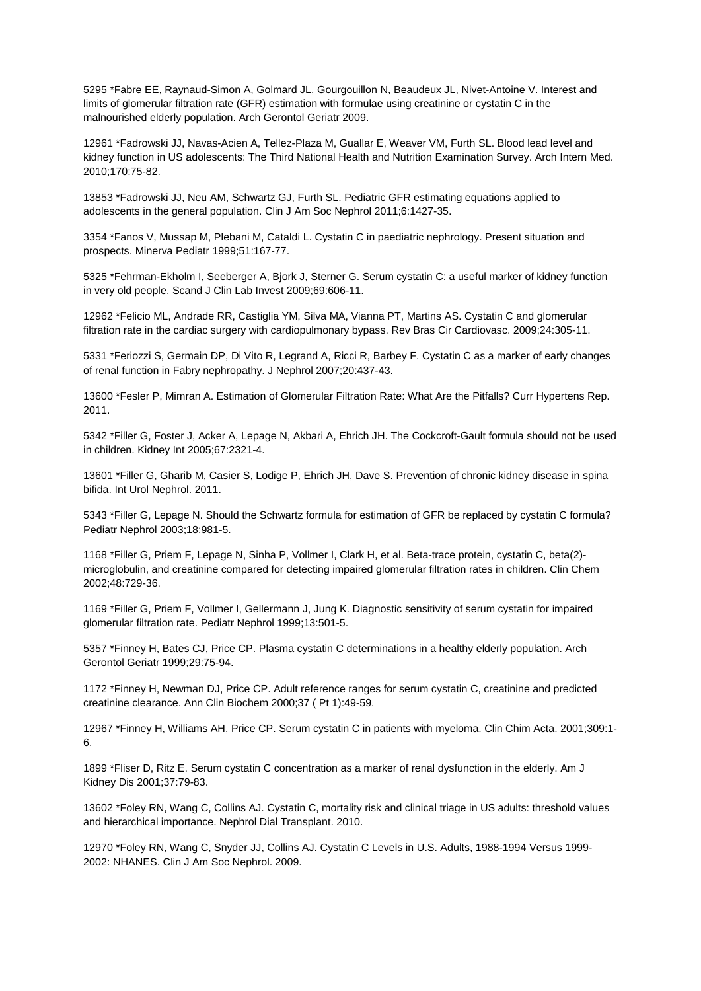5295 \*Fabre EE, Raynaud-Simon A, Golmard JL, Gourgouillon N, Beaudeux JL, Nivet-Antoine V. Interest and limits of glomerular filtration rate (GFR) estimation with formulae using creatinine or cystatin C in the malnourished elderly population. Arch Gerontol Geriatr 2009.

12961 \*Fadrowski JJ, Navas-Acien A, Tellez-Plaza M, Guallar E, Weaver VM, Furth SL. Blood lead level and kidney function in US adolescents: The Third National Health and Nutrition Examination Survey. Arch Intern Med. 2010;170:75-82.

13853 \*Fadrowski JJ, Neu AM, Schwartz GJ, Furth SL. Pediatric GFR estimating equations applied to adolescents in the general population. Clin J Am Soc Nephrol 2011;6:1427-35.

3354 \*Fanos V, Mussap M, Plebani M, Cataldi L. Cystatin C in paediatric nephrology. Present situation and prospects. Minerva Pediatr 1999;51:167-77.

5325 \*Fehrman-Ekholm I, Seeberger A, Bjork J, Sterner G. Serum cystatin C: a useful marker of kidney function in very old people. Scand J Clin Lab Invest 2009;69:606-11.

12962 \*Felicio ML, Andrade RR, Castiglia YM, Silva MA, Vianna PT, Martins AS. Cystatin C and glomerular filtration rate in the cardiac surgery with cardiopulmonary bypass. Rev Bras Cir Cardiovasc. 2009;24:305-11.

5331 \*Feriozzi S, Germain DP, Di Vito R, Legrand A, Ricci R, Barbey F. Cystatin C as a marker of early changes of renal function in Fabry nephropathy. J Nephrol 2007;20:437-43.

13600 \*Fesler P, Mimran A. Estimation of Glomerular Filtration Rate: What Are the Pitfalls? Curr Hypertens Rep. 2011.

5342 \*Filler G, Foster J, Acker A, Lepage N, Akbari A, Ehrich JH. The Cockcroft-Gault formula should not be used in children. Kidney Int 2005;67:2321-4.

13601 \*Filler G, Gharib M, Casier S, Lodige P, Ehrich JH, Dave S. Prevention of chronic kidney disease in spina bifida. Int Urol Nephrol. 2011.

5343 \*Filler G, Lepage N. Should the Schwartz formula for estimation of GFR be replaced by cystatin C formula? Pediatr Nephrol 2003;18:981-5.

1168 \*Filler G, Priem F, Lepage N, Sinha P, Vollmer I, Clark H, et al. Beta-trace protein, cystatin C, beta(2) microglobulin, and creatinine compared for detecting impaired glomerular filtration rates in children. Clin Chem 2002;48:729-36.

1169 \*Filler G, Priem F, Vollmer I, Gellermann J, Jung K. Diagnostic sensitivity of serum cystatin for impaired glomerular filtration rate. Pediatr Nephrol 1999;13:501-5.

5357 \*Finney H, Bates CJ, Price CP. Plasma cystatin C determinations in a healthy elderly population. Arch Gerontol Geriatr 1999;29:75-94.

1172 \*Finney H, Newman DJ, Price CP. Adult reference ranges for serum cystatin C, creatinine and predicted creatinine clearance. Ann Clin Biochem 2000;37 ( Pt 1):49-59.

12967 \*Finney H, Williams AH, Price CP. Serum cystatin C in patients with myeloma. Clin Chim Acta. 2001;309:1- 6.

1899 \*Fliser D, Ritz E. Serum cystatin C concentration as a marker of renal dysfunction in the elderly. Am J Kidney Dis 2001;37:79-83.

13602 \*Foley RN, Wang C, Collins AJ. Cystatin C, mortality risk and clinical triage in US adults: threshold values and hierarchical importance. Nephrol Dial Transplant. 2010.

12970 \*Foley RN, Wang C, Snyder JJ, Collins AJ. Cystatin C Levels in U.S. Adults, 1988-1994 Versus 1999- 2002: NHANES. Clin J Am Soc Nephrol. 2009.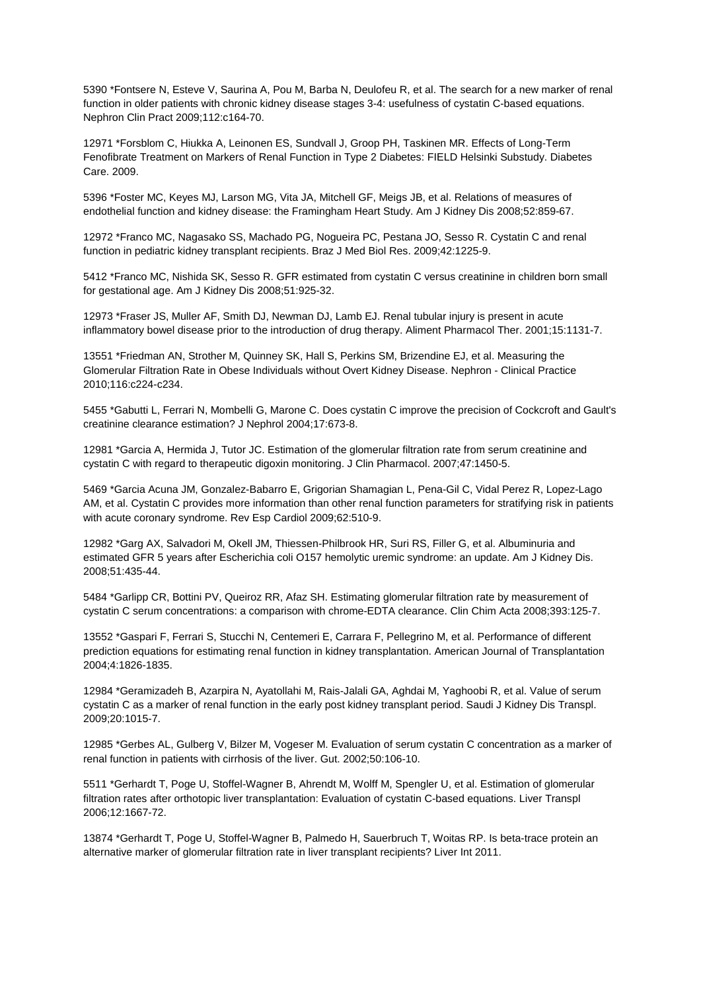5390 \*Fontsere N, Esteve V, Saurina A, Pou M, Barba N, Deulofeu R, et al. The search for a new marker of renal function in older patients with chronic kidney disease stages 3-4: usefulness of cystatin C-based equations. Nephron Clin Pract 2009;112:c164-70.

12971 \*Forsblom C, Hiukka A, Leinonen ES, Sundvall J, Groop PH, Taskinen MR. Effects of Long-Term Fenofibrate Treatment on Markers of Renal Function in Type 2 Diabetes: FIELD Helsinki Substudy. Diabetes Care. 2009.

5396 \*Foster MC, Keyes MJ, Larson MG, Vita JA, Mitchell GF, Meigs JB, et al. Relations of measures of endothelial function and kidney disease: the Framingham Heart Study. Am J Kidney Dis 2008;52:859-67.

12972 \*Franco MC, Nagasako SS, Machado PG, Nogueira PC, Pestana JO, Sesso R. Cystatin C and renal function in pediatric kidney transplant recipients. Braz J Med Biol Res. 2009;42:1225-9.

5412 \*Franco MC, Nishida SK, Sesso R. GFR estimated from cystatin C versus creatinine in children born small for gestational age. Am J Kidney Dis 2008;51:925-32.

12973 \*Fraser JS, Muller AF, Smith DJ, Newman DJ, Lamb EJ. Renal tubular injury is present in acute inflammatory bowel disease prior to the introduction of drug therapy. Aliment Pharmacol Ther. 2001;15:1131-7.

13551 \*Friedman AN, Strother M, Quinney SK, Hall S, Perkins SM, Brizendine EJ, et al. Measuring the Glomerular Filtration Rate in Obese Individuals without Overt Kidney Disease. Nephron - Clinical Practice 2010;116:c224-c234.

5455 \*Gabutti L, Ferrari N, Mombelli G, Marone C. Does cystatin C improve the precision of Cockcroft and Gault's creatinine clearance estimation? J Nephrol 2004;17:673-8.

12981 \*Garcia A, Hermida J, Tutor JC. Estimation of the glomerular filtration rate from serum creatinine and cystatin C with regard to therapeutic digoxin monitoring. J Clin Pharmacol. 2007;47:1450-5.

5469 \*Garcia Acuna JM, Gonzalez-Babarro E, Grigorian Shamagian L, Pena-Gil C, Vidal Perez R, Lopez-Lago AM, et al. Cystatin C provides more information than other renal function parameters for stratifying risk in patients with acute coronary syndrome. Rev Esp Cardiol 2009;62:510-9.

12982 \*Garg AX, Salvadori M, Okell JM, Thiessen-Philbrook HR, Suri RS, Filler G, et al. Albuminuria and estimated GFR 5 years after Escherichia coli O157 hemolytic uremic syndrome: an update. Am J Kidney Dis. 2008;51:435-44.

5484 \*Garlipp CR, Bottini PV, Queiroz RR, Afaz SH. Estimating glomerular filtration rate by measurement of cystatin C serum concentrations: a comparison with chrome-EDTA clearance. Clin Chim Acta 2008;393:125-7.

13552 \*Gaspari F, Ferrari S, Stucchi N, Centemeri E, Carrara F, Pellegrino M, et al. Performance of different prediction equations for estimating renal function in kidney transplantation. American Journal of Transplantation 2004;4:1826-1835.

12984 \*Geramizadeh B, Azarpira N, Ayatollahi M, Rais-Jalali GA, Aghdai M, Yaghoobi R, et al. Value of serum cystatin C as a marker of renal function in the early post kidney transplant period. Saudi J Kidney Dis Transpl. 2009;20:1015-7.

12985 \*Gerbes AL, Gulberg V, Bilzer M, Vogeser M. Evaluation of serum cystatin C concentration as a marker of renal function in patients with cirrhosis of the liver. Gut. 2002;50:106-10.

5511 \*Gerhardt T, Poge U, Stoffel-Wagner B, Ahrendt M, Wolff M, Spengler U, et al. Estimation of glomerular filtration rates after orthotopic liver transplantation: Evaluation of cystatin C-based equations. Liver Transpl 2006;12:1667-72.

13874 \*Gerhardt T, Poge U, Stoffel-Wagner B, Palmedo H, Sauerbruch T, Woitas RP. Is beta-trace protein an alternative marker of glomerular filtration rate in liver transplant recipients? Liver Int 2011.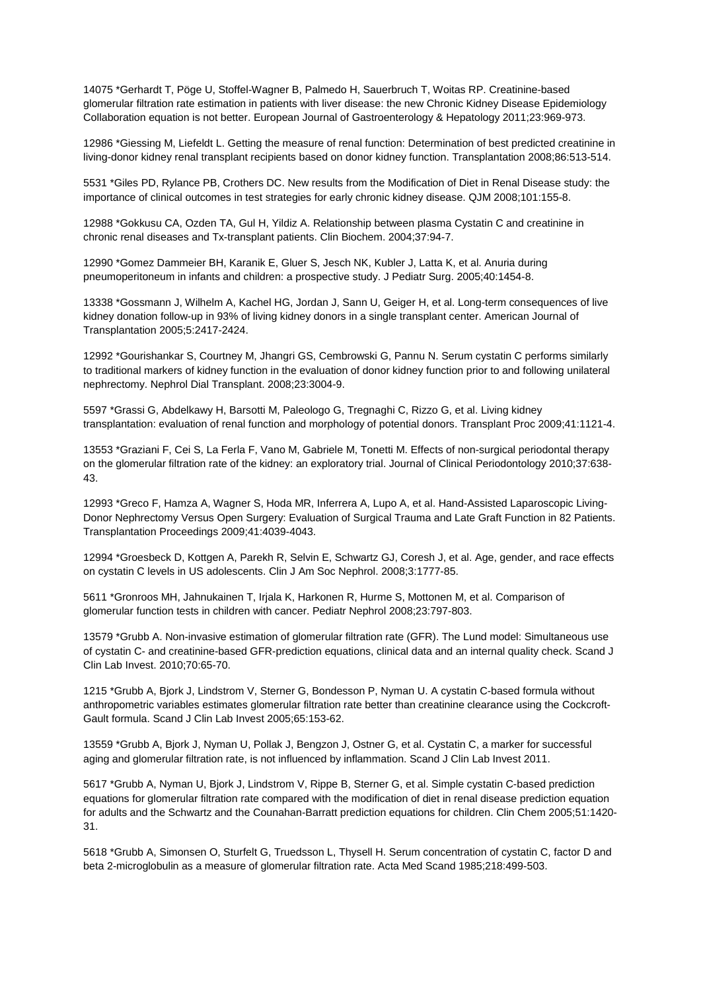14075 \*Gerhardt T, Pöge U, Stoffel-Wagner B, Palmedo H, Sauerbruch T, Woitas RP. Creatinine-based glomerular filtration rate estimation in patients with liver disease: the new Chronic Kidney Disease Epidemiology Collaboration equation is not better. European Journal of Gastroenterology & Hepatology 2011;23:969-973.

12986 \*Giessing M, Liefeldt L. Getting the measure of renal function: Determination of best predicted creatinine in living-donor kidney renal transplant recipients based on donor kidney function. Transplantation 2008;86:513-514.

5531 \*Giles PD, Rylance PB, Crothers DC. New results from the Modification of Diet in Renal Disease study: the importance of clinical outcomes in test strategies for early chronic kidney disease. QJM 2008;101:155-8.

12988 \*Gokkusu CA, Ozden TA, Gul H, Yildiz A. Relationship between plasma Cystatin C and creatinine in chronic renal diseases and Tx-transplant patients. Clin Biochem. 2004;37:94-7.

12990 \*Gomez Dammeier BH, Karanik E, Gluer S, Jesch NK, Kubler J, Latta K, et al. Anuria during pneumoperitoneum in infants and children: a prospective study. J Pediatr Surg. 2005;40:1454-8.

13338 \*Gossmann J, Wilhelm A, Kachel HG, Jordan J, Sann U, Geiger H, et al. Long-term consequences of live kidney donation follow-up in 93% of living kidney donors in a single transplant center. American Journal of Transplantation 2005;5:2417-2424.

12992 \*Gourishankar S, Courtney M, Jhangri GS, Cembrowski G, Pannu N. Serum cystatin C performs similarly to traditional markers of kidney function in the evaluation of donor kidney function prior to and following unilateral nephrectomy. Nephrol Dial Transplant. 2008;23:3004-9.

5597 \*Grassi G, Abdelkawy H, Barsotti M, Paleologo G, Tregnaghi C, Rizzo G, et al. Living kidney transplantation: evaluation of renal function and morphology of potential donors. Transplant Proc 2009;41:1121-4.

13553 \*Graziani F, Cei S, La Ferla F, Vano M, Gabriele M, Tonetti M. Effects of non-surgical periodontal therapy on the glomerular filtration rate of the kidney: an exploratory trial. Journal of Clinical Periodontology 2010;37:638- 43.

12993 \*Greco F, Hamza A, Wagner S, Hoda MR, Inferrera A, Lupo A, et al. Hand-Assisted Laparoscopic Living-Donor Nephrectomy Versus Open Surgery: Evaluation of Surgical Trauma and Late Graft Function in 82 Patients. Transplantation Proceedings 2009;41:4039-4043.

12994 \*Groesbeck D, Kottgen A, Parekh R, Selvin E, Schwartz GJ, Coresh J, et al. Age, gender, and race effects on cystatin C levels in US adolescents. Clin J Am Soc Nephrol. 2008;3:1777-85.

5611 \*Gronroos MH, Jahnukainen T, Irjala K, Harkonen R, Hurme S, Mottonen M, et al. Comparison of glomerular function tests in children with cancer. Pediatr Nephrol 2008;23:797-803.

13579 \*Grubb A. Non-invasive estimation of glomerular filtration rate (GFR). The Lund model: Simultaneous use of cystatin C- and creatinine-based GFR-prediction equations, clinical data and an internal quality check. Scand J Clin Lab Invest. 2010;70:65-70.

1215 \*Grubb A, Bjork J, Lindstrom V, Sterner G, Bondesson P, Nyman U. A cystatin C-based formula without anthropometric variables estimates glomerular filtration rate better than creatinine clearance using the Cockcroft-Gault formula. Scand J Clin Lab Invest 2005;65:153-62.

13559 \*Grubb A, Bjork J, Nyman U, Pollak J, Bengzon J, Ostner G, et al. Cystatin C, a marker for successful aging and glomerular filtration rate, is not influenced by inflammation. Scand J Clin Lab Invest 2011.

5617 \*Grubb A, Nyman U, Bjork J, Lindstrom V, Rippe B, Sterner G, et al. Simple cystatin C-based prediction equations for glomerular filtration rate compared with the modification of diet in renal disease prediction equation for adults and the Schwartz and the Counahan-Barratt prediction equations for children. Clin Chem 2005;51:1420- 31.

5618 \*Grubb A, Simonsen O, Sturfelt G, Truedsson L, Thysell H. Serum concentration of cystatin C, factor D and beta 2-microglobulin as a measure of glomerular filtration rate. Acta Med Scand 1985;218:499-503.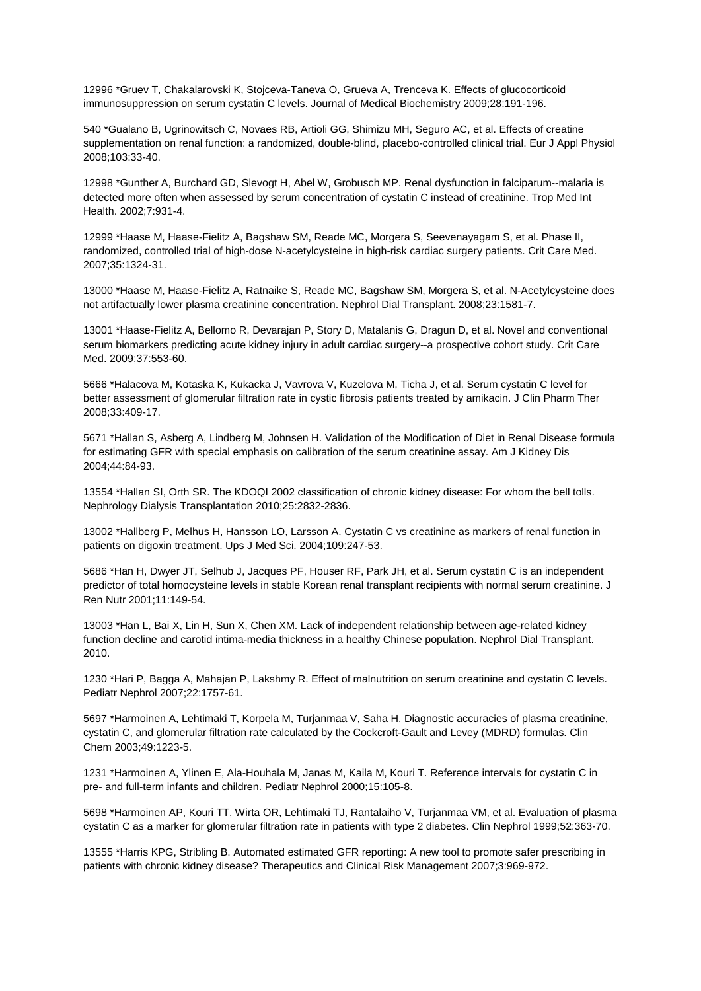12996 \*Gruev T, Chakalarovski K, Stojceva-Taneva O, Grueva A, Trenceva K. Effects of glucocorticoid immunosuppression on serum cystatin C levels. Journal of Medical Biochemistry 2009;28:191-196.

540 \*Gualano B, Ugrinowitsch C, Novaes RB, Artioli GG, Shimizu MH, Seguro AC, et al. Effects of creatine supplementation on renal function: a randomized, double-blind, placebo-controlled clinical trial. Eur J Appl Physiol 2008;103:33-40.

12998 \*Gunther A, Burchard GD, Slevogt H, Abel W, Grobusch MP. Renal dysfunction in falciparum--malaria is detected more often when assessed by serum concentration of cystatin C instead of creatinine. Trop Med Int Health. 2002;7:931-4.

12999 \*Haase M, Haase-Fielitz A, Bagshaw SM, Reade MC, Morgera S, Seevenayagam S, et al. Phase II, randomized, controlled trial of high-dose N-acetylcysteine in high-risk cardiac surgery patients. Crit Care Med. 2007;35:1324-31.

13000 \*Haase M, Haase-Fielitz A, Ratnaike S, Reade MC, Bagshaw SM, Morgera S, et al. N-Acetylcysteine does not artifactually lower plasma creatinine concentration. Nephrol Dial Transplant. 2008;23:1581-7.

13001 \*Haase-Fielitz A, Bellomo R, Devarajan P, Story D, Matalanis G, Dragun D, et al. Novel and conventional serum biomarkers predicting acute kidney injury in adult cardiac surgery--a prospective cohort study. Crit Care Med. 2009;37:553-60.

5666 \*Halacova M, Kotaska K, Kukacka J, Vavrova V, Kuzelova M, Ticha J, et al. Serum cystatin C level for better assessment of glomerular filtration rate in cystic fibrosis patients treated by amikacin. J Clin Pharm Ther 2008;33:409-17.

5671 \*Hallan S, Asberg A, Lindberg M, Johnsen H. Validation of the Modification of Diet in Renal Disease formula for estimating GFR with special emphasis on calibration of the serum creatinine assay. Am J Kidney Dis 2004;44:84-93.

13554 \*Hallan SI, Orth SR. The KDOQI 2002 classification of chronic kidney disease: For whom the bell tolls. Nephrology Dialysis Transplantation 2010;25:2832-2836.

13002 \*Hallberg P, Melhus H, Hansson LO, Larsson A. Cystatin C vs creatinine as markers of renal function in patients on digoxin treatment. Ups J Med Sci. 2004;109:247-53.

5686 \*Han H, Dwyer JT, Selhub J, Jacques PF, Houser RF, Park JH, et al. Serum cystatin C is an independent predictor of total homocysteine levels in stable Korean renal transplant recipients with normal serum creatinine. J Ren Nutr 2001;11:149-54.

13003 \*Han L, Bai X, Lin H, Sun X, Chen XM. Lack of independent relationship between age-related kidney function decline and carotid intima-media thickness in a healthy Chinese population. Nephrol Dial Transplant. 2010.

1230 \*Hari P, Bagga A, Mahajan P, Lakshmy R. Effect of malnutrition on serum creatinine and cystatin C levels. Pediatr Nephrol 2007;22:1757-61.

5697 \*Harmoinen A, Lehtimaki T, Korpela M, Turjanmaa V, Saha H. Diagnostic accuracies of plasma creatinine, cystatin C, and glomerular filtration rate calculated by the Cockcroft-Gault and Levey (MDRD) formulas. Clin Chem 2003;49:1223-5.

1231 \*Harmoinen A, Ylinen E, Ala-Houhala M, Janas M, Kaila M, Kouri T. Reference intervals for cystatin C in pre- and full-term infants and children. Pediatr Nephrol 2000;15:105-8.

5698 \*Harmoinen AP, Kouri TT, Wirta OR, Lehtimaki TJ, Rantalaiho V, Turjanmaa VM, et al. Evaluation of plasma cystatin C as a marker for glomerular filtration rate in patients with type 2 diabetes. Clin Nephrol 1999;52:363-70.

13555 \*Harris KPG, Stribling B. Automated estimated GFR reporting: A new tool to promote safer prescribing in patients with chronic kidney disease? Therapeutics and Clinical Risk Management 2007;3:969-972.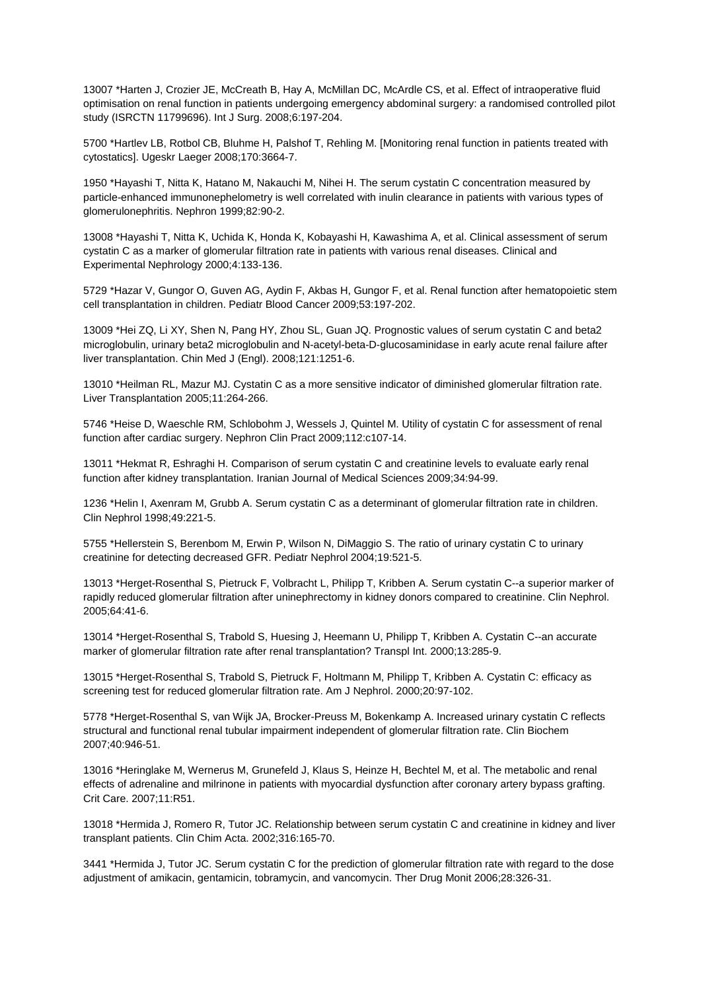13007 \*Harten J, Crozier JE, McCreath B, Hay A, McMillan DC, McArdle CS, et al. Effect of intraoperative fluid optimisation on renal function in patients undergoing emergency abdominal surgery: a randomised controlled pilot study (ISRCTN 11799696). Int J Surg. 2008;6:197-204.

5700 \*Hartlev LB, Rotbol CB, Bluhme H, Palshof T, Rehling M. [Monitoring renal function in patients treated with cytostatics]. Ugeskr Laeger 2008;170:3664-7.

1950 \*Hayashi T, Nitta K, Hatano M, Nakauchi M, Nihei H. The serum cystatin C concentration measured by particle-enhanced immunonephelometry is well correlated with inulin clearance in patients with various types of glomerulonephritis. Nephron 1999;82:90-2.

13008 \*Hayashi T, Nitta K, Uchida K, Honda K, Kobayashi H, Kawashima A, et al. Clinical assessment of serum cystatin C as a marker of glomerular filtration rate in patients with various renal diseases. Clinical and Experimental Nephrology 2000;4:133-136.

5729 \*Hazar V, Gungor O, Guven AG, Aydin F, Akbas H, Gungor F, et al. Renal function after hematopoietic stem cell transplantation in children. Pediatr Blood Cancer 2009;53:197-202.

13009 \*Hei ZQ, Li XY, Shen N, Pang HY, Zhou SL, Guan JQ. Prognostic values of serum cystatin C and beta2 microglobulin, urinary beta2 microglobulin and N-acetyl-beta-D-glucosaminidase in early acute renal failure after liver transplantation. Chin Med J (Engl). 2008;121:1251-6.

13010 \*Heilman RL, Mazur MJ. Cystatin C as a more sensitive indicator of diminished glomerular filtration rate. Liver Transplantation 2005;11:264-266.

5746 \*Heise D, Waeschle RM, Schlobohm J, Wessels J, Quintel M. Utility of cystatin C for assessment of renal function after cardiac surgery. Nephron Clin Pract 2009;112:c107-14.

13011 \*Hekmat R, Eshraghi H. Comparison of serum cystatin C and creatinine levels to evaluate early renal function after kidney transplantation. Iranian Journal of Medical Sciences 2009;34:94-99.

1236 \*Helin I, Axenram M, Grubb A. Serum cystatin C as a determinant of glomerular filtration rate in children. Clin Nephrol 1998;49:221-5.

5755 \*Hellerstein S, Berenbom M, Erwin P, Wilson N, DiMaggio S. The ratio of urinary cystatin C to urinary creatinine for detecting decreased GFR. Pediatr Nephrol 2004;19:521-5.

13013 \*Herget-Rosenthal S, Pietruck F, Volbracht L, Philipp T, Kribben A. Serum cystatin C--a superior marker of rapidly reduced glomerular filtration after uninephrectomy in kidney donors compared to creatinine. Clin Nephrol. 2005;64:41-6.

13014 \*Herget-Rosenthal S, Trabold S, Huesing J, Heemann U, Philipp T, Kribben A. Cystatin C--an accurate marker of glomerular filtration rate after renal transplantation? Transpl Int. 2000;13:285-9.

13015 \*Herget-Rosenthal S, Trabold S, Pietruck F, Holtmann M, Philipp T, Kribben A. Cystatin C: efficacy as screening test for reduced glomerular filtration rate. Am J Nephrol. 2000;20:97-102.

5778 \*Herget-Rosenthal S, van Wijk JA, Brocker-Preuss M, Bokenkamp A. Increased urinary cystatin C reflects structural and functional renal tubular impairment independent of glomerular filtration rate. Clin Biochem 2007;40:946-51.

13016 \*Heringlake M, Wernerus M, Grunefeld J, Klaus S, Heinze H, Bechtel M, et al. The metabolic and renal effects of adrenaline and milrinone in patients with myocardial dysfunction after coronary artery bypass grafting. Crit Care. 2007;11:R51.

13018 \*Hermida J, Romero R, Tutor JC. Relationship between serum cystatin C and creatinine in kidney and liver transplant patients. Clin Chim Acta. 2002;316:165-70.

3441 \*Hermida J, Tutor JC. Serum cystatin C for the prediction of glomerular filtration rate with regard to the dose adjustment of amikacin, gentamicin, tobramycin, and vancomycin. Ther Drug Monit 2006;28:326-31.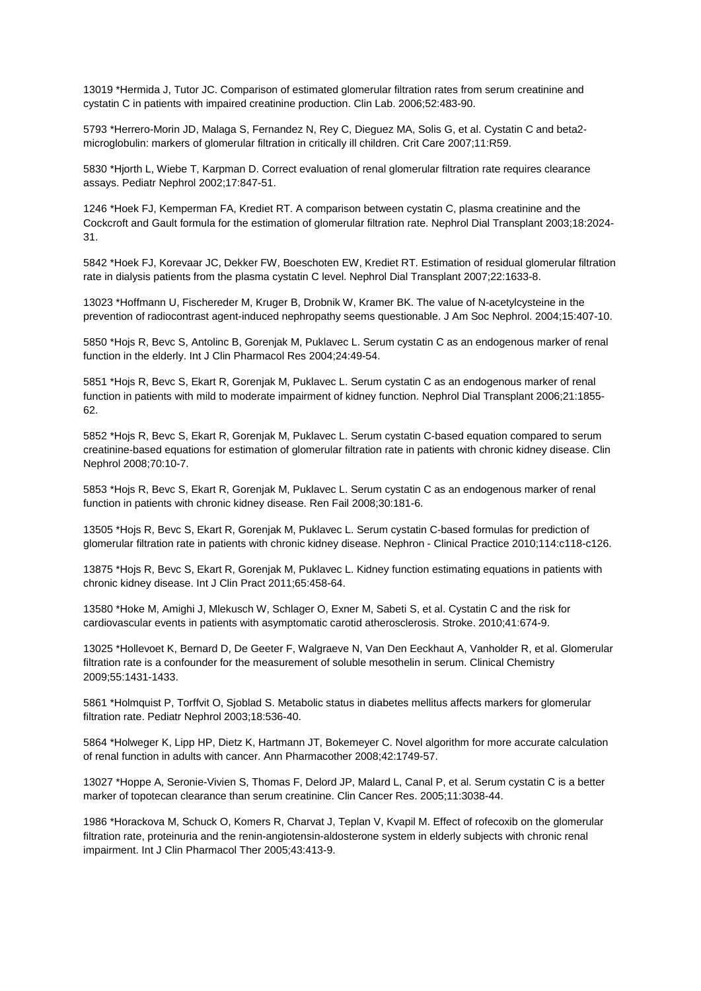13019 \*Hermida J, Tutor JC. Comparison of estimated glomerular filtration rates from serum creatinine and cystatin C in patients with impaired creatinine production. Clin Lab. 2006;52:483-90.

5793 \*Herrero-Morin JD, Malaga S, Fernandez N, Rey C, Dieguez MA, Solis G, et al. Cystatin C and beta2 microglobulin: markers of glomerular filtration in critically ill children. Crit Care 2007;11:R59.

5830 \*Hjorth L, Wiebe T, Karpman D. Correct evaluation of renal glomerular filtration rate requires clearance assays. Pediatr Nephrol 2002;17:847-51.

1246 \*Hoek FJ, Kemperman FA, Krediet RT. A comparison between cystatin C, plasma creatinine and the Cockcroft and Gault formula for the estimation of glomerular filtration rate. Nephrol Dial Transplant 2003;18:2024- 31.

5842 \*Hoek FJ, Korevaar JC, Dekker FW, Boeschoten EW, Krediet RT. Estimation of residual glomerular filtration rate in dialysis patients from the plasma cystatin C level. Nephrol Dial Transplant 2007;22:1633-8.

13023 \*Hoffmann U, Fischereder M, Kruger B, Drobnik W, Kramer BK. The value of N-acetylcysteine in the prevention of radiocontrast agent-induced nephropathy seems questionable. J Am Soc Nephrol. 2004;15:407-10.

5850 \*Hojs R, Bevc S, Antolinc B, Gorenjak M, Puklavec L. Serum cystatin C as an endogenous marker of renal function in the elderly. Int J Clin Pharmacol Res 2004;24:49-54.

5851 \*Hojs R, Bevc S, Ekart R, Gorenjak M, Puklavec L. Serum cystatin C as an endogenous marker of renal function in patients with mild to moderate impairment of kidney function. Nephrol Dial Transplant 2006;21:1855- 62.

5852 \*Hojs R, Bevc S, Ekart R, Gorenjak M, Puklavec L. Serum cystatin C-based equation compared to serum creatinine-based equations for estimation of glomerular filtration rate in patients with chronic kidney disease. Clin Nephrol 2008;70:10-7.

5853 \*Hojs R, Bevc S, Ekart R, Gorenjak M, Puklavec L. Serum cystatin C as an endogenous marker of renal function in patients with chronic kidney disease. Ren Fail 2008;30:181-6.

13505 \*Hojs R, Bevc S, Ekart R, Gorenjak M, Puklavec L. Serum cystatin C-based formulas for prediction of glomerular filtration rate in patients with chronic kidney disease. Nephron - Clinical Practice 2010;114:c118-c126.

13875 \*Hojs R, Bevc S, Ekart R, Gorenjak M, Puklavec L. Kidney function estimating equations in patients with chronic kidney disease. Int J Clin Pract 2011;65:458-64.

13580 \*Hoke M, Amighi J, Mlekusch W, Schlager O, Exner M, Sabeti S, et al. Cystatin C and the risk for cardiovascular events in patients with asymptomatic carotid atherosclerosis. Stroke. 2010;41:674-9.

13025 \*Hollevoet K, Bernard D, De Geeter F, Walgraeve N, Van Den Eeckhaut A, Vanholder R, et al. Glomerular filtration rate is a confounder for the measurement of soluble mesothelin in serum. Clinical Chemistry 2009;55:1431-1433.

5861 \*Holmquist P, Torffvit O, Sjoblad S. Metabolic status in diabetes mellitus affects markers for glomerular filtration rate. Pediatr Nephrol 2003;18:536-40.

5864 \*Holweger K, Lipp HP, Dietz K, Hartmann JT, Bokemeyer C. Novel algorithm for more accurate calculation of renal function in adults with cancer. Ann Pharmacother 2008;42:1749-57.

13027 \*Hoppe A, Seronie-Vivien S, Thomas F, Delord JP, Malard L, Canal P, et al. Serum cystatin C is a better marker of topotecan clearance than serum creatinine. Clin Cancer Res. 2005;11:3038-44.

1986 \*Horackova M, Schuck O, Komers R, Charvat J, Teplan V, Kvapil M. Effect of rofecoxib on the glomerular filtration rate, proteinuria and the renin-angiotensin-aldosterone system in elderly subjects with chronic renal impairment. Int J Clin Pharmacol Ther 2005;43:413-9.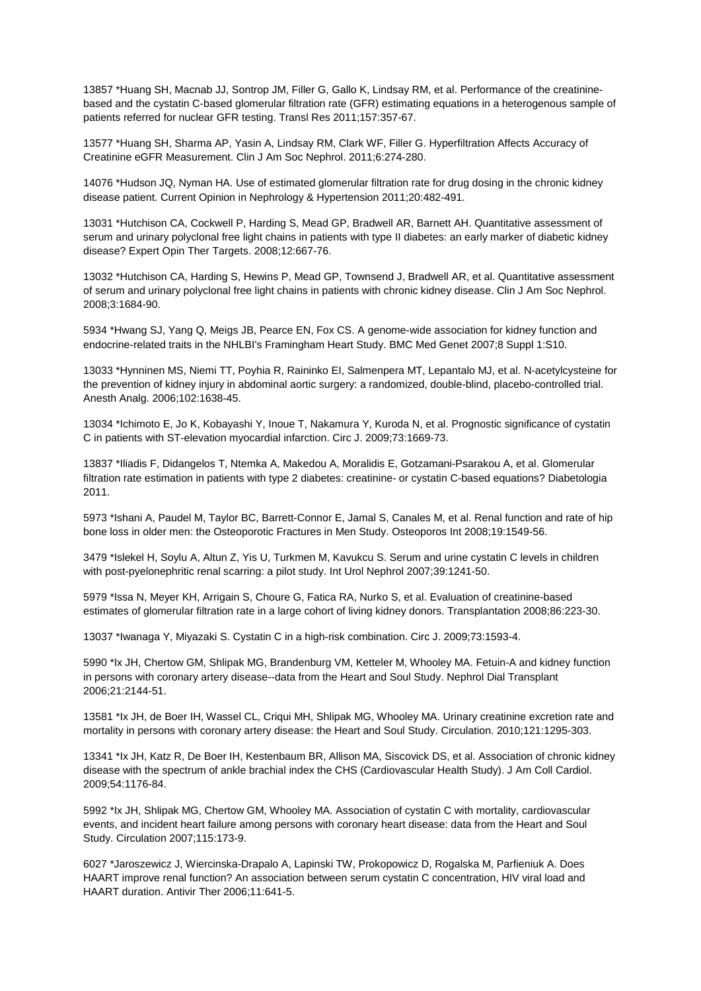13857 \*Huang SH, Macnab JJ, Sontrop JM, Filler G, Gallo K, Lindsay RM, et al. Performance of the creatininebased and the cystatin C-based glomerular filtration rate (GFR) estimating equations in a heterogenous sample of patients referred for nuclear GFR testing. Transl Res 2011;157:357-67.

13577 \*Huang SH, Sharma AP, Yasin A, Lindsay RM, Clark WF, Filler G. Hyperfiltration Affects Accuracy of Creatinine eGFR Measurement. Clin J Am Soc Nephrol. 2011;6:274-280.

14076 \*Hudson JQ, Nyman HA. Use of estimated glomerular filtration rate for drug dosing in the chronic kidney disease patient. Current Opinion in Nephrology & Hypertension 2011;20:482-491.

13031 \*Hutchison CA, Cockwell P, Harding S, Mead GP, Bradwell AR, Barnett AH. Quantitative assessment of serum and urinary polyclonal free light chains in patients with type II diabetes: an early marker of diabetic kidney disease? Expert Opin Ther Targets. 2008;12:667-76.

13032 \*Hutchison CA, Harding S, Hewins P, Mead GP, Townsend J, Bradwell AR, et al. Quantitative assessment of serum and urinary polyclonal free light chains in patients with chronic kidney disease. Clin J Am Soc Nephrol. 2008;3:1684-90.

5934 \*Hwang SJ, Yang Q, Meigs JB, Pearce EN, Fox CS. A genome-wide association for kidney function and endocrine-related traits in the NHLBI's Framingham Heart Study. BMC Med Genet 2007;8 Suppl 1:S10.

13033 \*Hynninen MS, Niemi TT, Poyhia R, Raininko EI, Salmenpera MT, Lepantalo MJ, et al. N-acetylcysteine for the prevention of kidney injury in abdominal aortic surgery: a randomized, double-blind, placebo-controlled trial. Anesth Analg. 2006;102:1638-45.

13034 \*Ichimoto E, Jo K, Kobayashi Y, Inoue T, Nakamura Y, Kuroda N, et al. Prognostic significance of cystatin C in patients with ST-elevation myocardial infarction. Circ J. 2009;73:1669-73.

13837 \*Iliadis F, Didangelos T, Ntemka A, Makedou A, Moralidis E, Gotzamani-Psarakou A, et al. Glomerular filtration rate estimation in patients with type 2 diabetes: creatinine- or cystatin C-based equations? Diabetologia 2011.

5973 \*Ishani A, Paudel M, Taylor BC, Barrett-Connor E, Jamal S, Canales M, et al. Renal function and rate of hip bone loss in older men: the Osteoporotic Fractures in Men Study. Osteoporos Int 2008;19:1549-56.

3479 \*Islekel H, Soylu A, Altun Z, Yis U, Turkmen M, Kavukcu S. Serum and urine cystatin C levels in children with post-pyelonephritic renal scarring: a pilot study. Int Urol Nephrol 2007;39:1241-50.

5979 \*Issa N, Meyer KH, Arrigain S, Choure G, Fatica RA, Nurko S, et al. Evaluation of creatinine-based estimates of glomerular filtration rate in a large cohort of living kidney donors. Transplantation 2008;86:223-30.

13037 \*Iwanaga Y, Miyazaki S. Cystatin C in a high-risk combination. Circ J. 2009;73:1593-4.

5990 \*Ix JH, Chertow GM, Shlipak MG, Brandenburg VM, Ketteler M, Whooley MA. Fetuin-A and kidney function in persons with coronary artery disease--data from the Heart and Soul Study. Nephrol Dial Transplant 2006;21:2144-51.

13581 \*Ix JH, de Boer IH, Wassel CL, Criqui MH, Shlipak MG, Whooley MA. Urinary creatinine excretion rate and mortality in persons with coronary artery disease: the Heart and Soul Study. Circulation. 2010;121:1295-303.

13341 \*Ix JH, Katz R, De Boer IH, Kestenbaum BR, Allison MA, Siscovick DS, et al. Association of chronic kidney disease with the spectrum of ankle brachial index the CHS (Cardiovascular Health Study). J Am Coll Cardiol. 2009;54:1176-84.

5992 \*Ix JH, Shlipak MG, Chertow GM, Whooley MA. Association of cystatin C with mortality, cardiovascular events, and incident heart failure among persons with coronary heart disease: data from the Heart and Soul Study. Circulation 2007;115:173-9.

6027 \*Jaroszewicz J, Wiercinska-Drapalo A, Lapinski TW, Prokopowicz D, Rogalska M, Parfieniuk A. Does HAART improve renal function? An association between serum cystatin C concentration, HIV viral load and HAART duration. Antivir Ther 2006;11:641-5.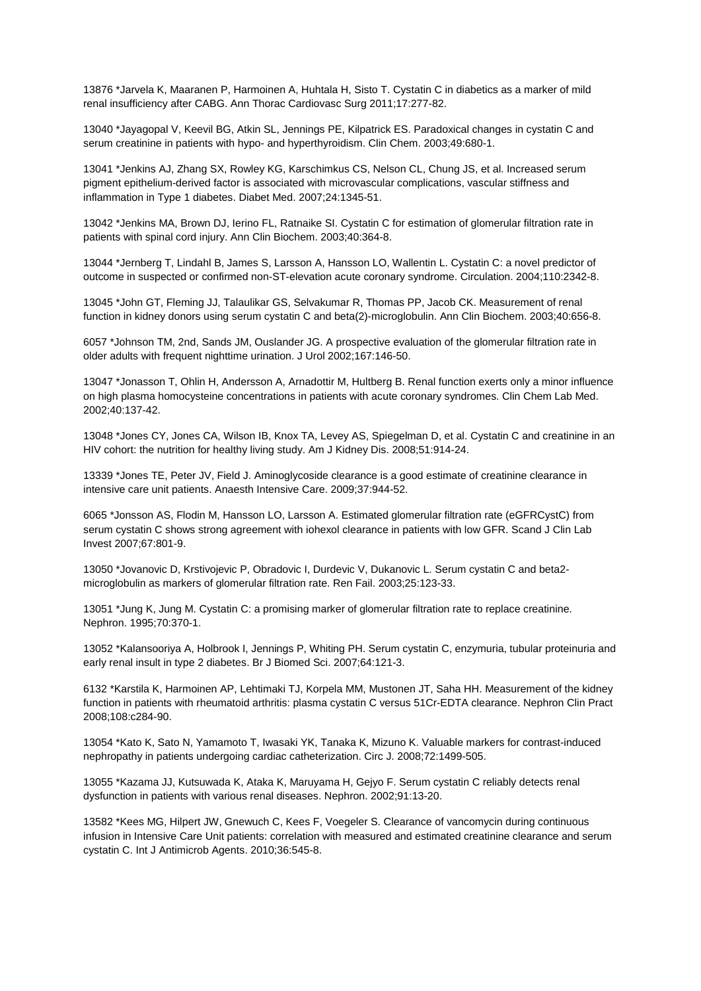13876 \*Jarvela K, Maaranen P, Harmoinen A, Huhtala H, Sisto T. Cystatin C in diabetics as a marker of mild renal insufficiency after CABG. Ann Thorac Cardiovasc Surg 2011;17:277-82.

13040 \*Jayagopal V, Keevil BG, Atkin SL, Jennings PE, Kilpatrick ES. Paradoxical changes in cystatin C and serum creatinine in patients with hypo- and hyperthyroidism. Clin Chem. 2003;49:680-1.

13041 \*Jenkins AJ, Zhang SX, Rowley KG, Karschimkus CS, Nelson CL, Chung JS, et al. Increased serum pigment epithelium-derived factor is associated with microvascular complications, vascular stiffness and inflammation in Type 1 diabetes. Diabet Med. 2007;24:1345-51.

13042 \*Jenkins MA, Brown DJ, Ierino FL, Ratnaike SI. Cystatin C for estimation of glomerular filtration rate in patients with spinal cord injury. Ann Clin Biochem. 2003;40:364-8.

13044 \*Jernberg T, Lindahl B, James S, Larsson A, Hansson LO, Wallentin L. Cystatin C: a novel predictor of outcome in suspected or confirmed non-ST-elevation acute coronary syndrome. Circulation. 2004;110:2342-8.

13045 \*John GT, Fleming JJ, Talaulikar GS, Selvakumar R, Thomas PP, Jacob CK. Measurement of renal function in kidney donors using serum cystatin C and beta(2)-microglobulin. Ann Clin Biochem. 2003;40:656-8.

6057 \*Johnson TM, 2nd, Sands JM, Ouslander JG. A prospective evaluation of the glomerular filtration rate in older adults with frequent nighttime urination. J Urol 2002;167:146-50.

13047 \*Jonasson T, Ohlin H, Andersson A, Arnadottir M, Hultberg B. Renal function exerts only a minor influence on high plasma homocysteine concentrations in patients with acute coronary syndromes. Clin Chem Lab Med. 2002;40:137-42.

13048 \*Jones CY, Jones CA, Wilson IB, Knox TA, Levey AS, Spiegelman D, et al. Cystatin C and creatinine in an HIV cohort: the nutrition for healthy living study. Am J Kidney Dis. 2008;51:914-24.

13339 \*Jones TE, Peter JV, Field J. Aminoglycoside clearance is a good estimate of creatinine clearance in intensive care unit patients. Anaesth Intensive Care. 2009;37:944-52.

6065 \*Jonsson AS, Flodin M, Hansson LO, Larsson A. Estimated glomerular filtration rate (eGFRCystC) from serum cystatin C shows strong agreement with iohexol clearance in patients with low GFR. Scand J Clin Lab Invest 2007;67:801-9.

13050 \*Jovanovic D, Krstivojevic P, Obradovic I, Durdevic V, Dukanovic L. Serum cystatin C and beta2 microglobulin as markers of glomerular filtration rate. Ren Fail. 2003;25:123-33.

13051 \*Jung K, Jung M. Cystatin C: a promising marker of glomerular filtration rate to replace creatinine. Nephron. 1995;70:370-1.

13052 \*Kalansooriya A, Holbrook I, Jennings P, Whiting PH. Serum cystatin C, enzymuria, tubular proteinuria and early renal insult in type 2 diabetes. Br J Biomed Sci. 2007;64:121-3.

6132 \*Karstila K, Harmoinen AP, Lehtimaki TJ, Korpela MM, Mustonen JT, Saha HH. Measurement of the kidney function in patients with rheumatoid arthritis: plasma cystatin C versus 51Cr-EDTA clearance. Nephron Clin Pract 2008;108:c284-90.

13054 \*Kato K, Sato N, Yamamoto T, Iwasaki YK, Tanaka K, Mizuno K. Valuable markers for contrast-induced nephropathy in patients undergoing cardiac catheterization. Circ J. 2008;72:1499-505.

13055 \*Kazama JJ, Kutsuwada K, Ataka K, Maruyama H, Gejyo F. Serum cystatin C reliably detects renal dysfunction in patients with various renal diseases. Nephron. 2002;91:13-20.

13582 \*Kees MG, Hilpert JW, Gnewuch C, Kees F, Voegeler S. Clearance of vancomycin during continuous infusion in Intensive Care Unit patients: correlation with measured and estimated creatinine clearance and serum cystatin C. Int J Antimicrob Agents. 2010;36:545-8.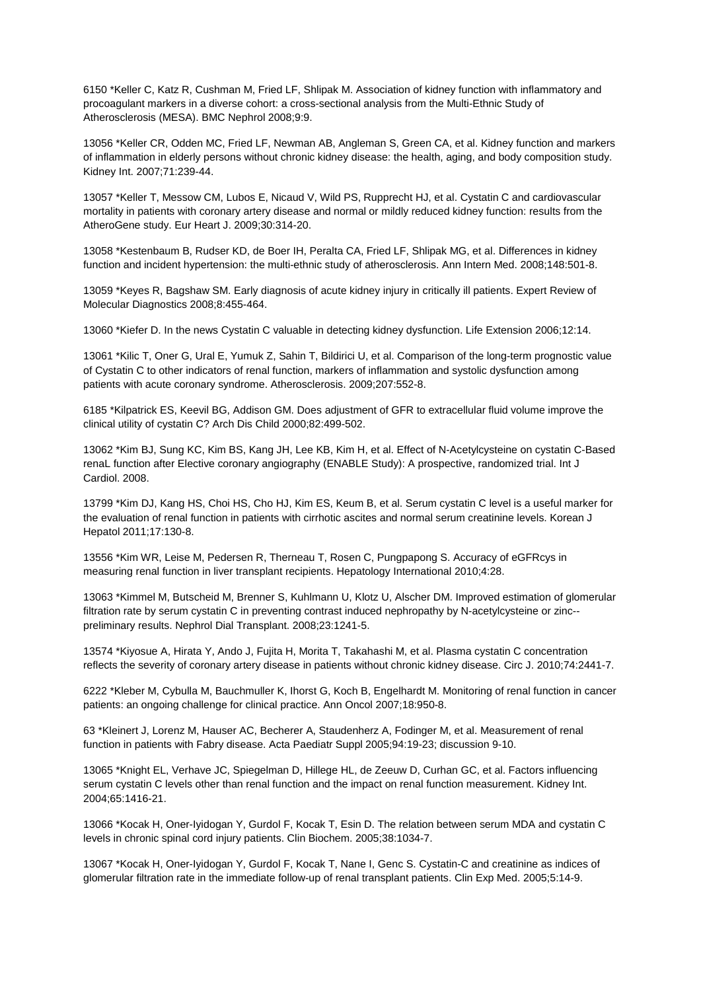6150 \*Keller C, Katz R, Cushman M, Fried LF, Shlipak M. Association of kidney function with inflammatory and procoagulant markers in a diverse cohort: a cross-sectional analysis from the Multi-Ethnic Study of Atherosclerosis (MESA). BMC Nephrol 2008;9:9.

13056 \*Keller CR, Odden MC, Fried LF, Newman AB, Angleman S, Green CA, et al. Kidney function and markers of inflammation in elderly persons without chronic kidney disease: the health, aging, and body composition study. Kidney Int. 2007;71:239-44.

13057 \*Keller T, Messow CM, Lubos E, Nicaud V, Wild PS, Rupprecht HJ, et al. Cystatin C and cardiovascular mortality in patients with coronary artery disease and normal or mildly reduced kidney function: results from the AtheroGene study. Eur Heart J. 2009;30:314-20.

13058 \*Kestenbaum B, Rudser KD, de Boer IH, Peralta CA, Fried LF, Shlipak MG, et al. Differences in kidney function and incident hypertension: the multi-ethnic study of atherosclerosis. Ann Intern Med. 2008;148:501-8.

13059 \*Keyes R, Bagshaw SM. Early diagnosis of acute kidney injury in critically ill patients. Expert Review of Molecular Diagnostics 2008;8:455-464.

13060 \*Kiefer D. In the news Cystatin C valuable in detecting kidney dysfunction. Life Extension 2006;12:14.

13061 \*Kilic T, Oner G, Ural E, Yumuk Z, Sahin T, Bildirici U, et al. Comparison of the long-term prognostic value of Cystatin C to other indicators of renal function, markers of inflammation and systolic dysfunction among patients with acute coronary syndrome. Atherosclerosis. 2009;207:552-8.

6185 \*Kilpatrick ES, Keevil BG, Addison GM. Does adjustment of GFR to extracellular fluid volume improve the clinical utility of cystatin C? Arch Dis Child 2000;82:499-502.

13062 \*Kim BJ, Sung KC, Kim BS, Kang JH, Lee KB, Kim H, et al. Effect of N-Acetylcysteine on cystatin C-Based renaL function after Elective coronary angiography (ENABLE Study): A prospective, randomized trial. Int J Cardiol. 2008.

13799 \*Kim DJ, Kang HS, Choi HS, Cho HJ, Kim ES, Keum B, et al. Serum cystatin C level is a useful marker for the evaluation of renal function in patients with cirrhotic ascites and normal serum creatinine levels. Korean J Hepatol 2011;17:130-8.

13556 \*Kim WR, Leise M, Pedersen R, Therneau T, Rosen C, Pungpapong S. Accuracy of eGFRcys in measuring renal function in liver transplant recipients. Hepatology International 2010;4:28.

13063 \*Kimmel M, Butscheid M, Brenner S, Kuhlmann U, Klotz U, Alscher DM. Improved estimation of glomerular filtration rate by serum cystatin C in preventing contrast induced nephropathy by N-acetylcysteine or zinc- preliminary results. Nephrol Dial Transplant. 2008;23:1241-5.

13574 \*Kiyosue A, Hirata Y, Ando J, Fujita H, Morita T, Takahashi M, et al. Plasma cystatin C concentration reflects the severity of coronary artery disease in patients without chronic kidney disease. Circ J. 2010;74:2441-7.

6222 \*Kleber M, Cybulla M, Bauchmuller K, Ihorst G, Koch B, Engelhardt M. Monitoring of renal function in cancer patients: an ongoing challenge for clinical practice. Ann Oncol 2007;18:950-8.

63 \*Kleinert J, Lorenz M, Hauser AC, Becherer A, Staudenherz A, Fodinger M, et al. Measurement of renal function in patients with Fabry disease. Acta Paediatr Suppl 2005;94:19-23; discussion 9-10.

13065 \*Knight EL, Verhave JC, Spiegelman D, Hillege HL, de Zeeuw D, Curhan GC, et al. Factors influencing serum cystatin C levels other than renal function and the impact on renal function measurement. Kidney Int. 2004;65:1416-21.

13066 \*Kocak H, Oner-Iyidogan Y, Gurdol F, Kocak T, Esin D. The relation between serum MDA and cystatin C levels in chronic spinal cord injury patients. Clin Biochem. 2005;38:1034-7.

13067 \*Kocak H, Oner-Iyidogan Y, Gurdol F, Kocak T, Nane I, Genc S. Cystatin-C and creatinine as indices of glomerular filtration rate in the immediate follow-up of renal transplant patients. Clin Exp Med. 2005;5:14-9.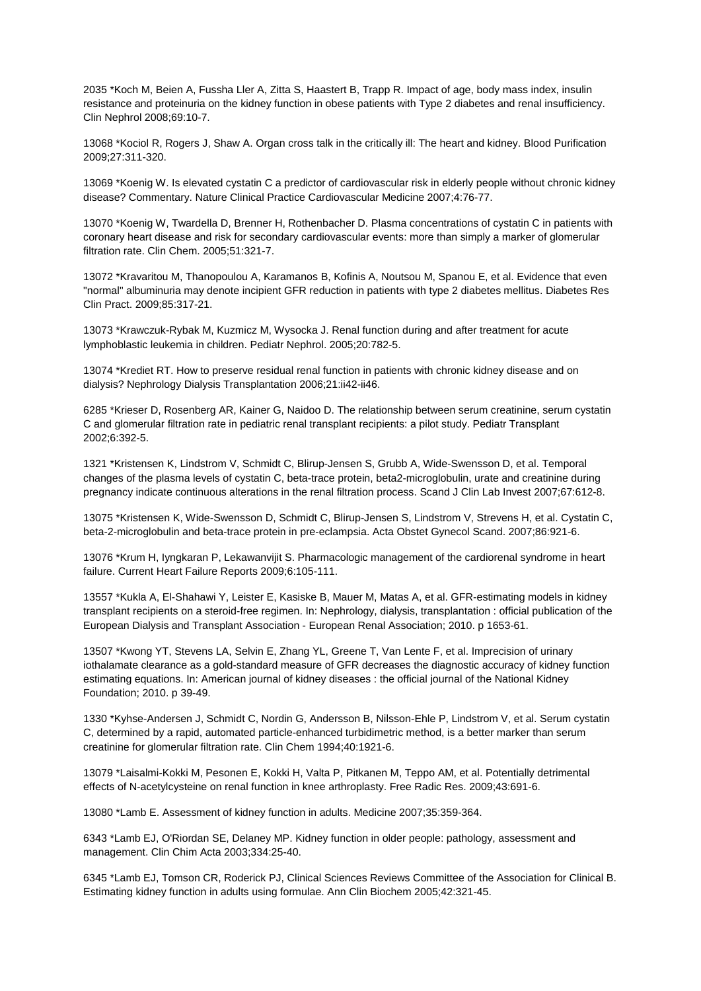2035 \*Koch M, Beien A, Fussha Ller A, Zitta S, Haastert B, Trapp R. Impact of age, body mass index, insulin resistance and proteinuria on the kidney function in obese patients with Type 2 diabetes and renal insufficiency. Clin Nephrol 2008;69:10-7.

13068 \*Kociol R, Rogers J, Shaw A. Organ cross talk in the critically ill: The heart and kidney. Blood Purification 2009;27:311-320.

13069 \*Koenig W. Is elevated cystatin C a predictor of cardiovascular risk in elderly people without chronic kidney disease? Commentary. Nature Clinical Practice Cardiovascular Medicine 2007;4:76-77.

13070 \*Koenig W, Twardella D, Brenner H, Rothenbacher D. Plasma concentrations of cystatin C in patients with coronary heart disease and risk for secondary cardiovascular events: more than simply a marker of glomerular filtration rate. Clin Chem. 2005;51:321-7.

13072 \*Kravaritou M, Thanopoulou A, Karamanos B, Kofinis A, Noutsou M, Spanou E, et al. Evidence that even "normal" albuminuria may denote incipient GFR reduction in patients with type 2 diabetes mellitus. Diabetes Res Clin Pract. 2009;85:317-21.

13073 \*Krawczuk-Rybak M, Kuzmicz M, Wysocka J. Renal function during and after treatment for acute lymphoblastic leukemia in children. Pediatr Nephrol. 2005;20:782-5.

13074 \*Krediet RT. How to preserve residual renal function in patients with chronic kidney disease and on dialysis? Nephrology Dialysis Transplantation 2006;21:ii42-ii46.

6285 \*Krieser D, Rosenberg AR, Kainer G, Naidoo D. The relationship between serum creatinine, serum cystatin C and glomerular filtration rate in pediatric renal transplant recipients: a pilot study. Pediatr Transplant 2002;6:392-5.

1321 \*Kristensen K, Lindstrom V, Schmidt C, Blirup-Jensen S, Grubb A, Wide-Swensson D, et al. Temporal changes of the plasma levels of cystatin C, beta-trace protein, beta2-microglobulin, urate and creatinine during pregnancy indicate continuous alterations in the renal filtration process. Scand J Clin Lab Invest 2007;67:612-8.

13075 \*Kristensen K, Wide-Swensson D, Schmidt C, Blirup-Jensen S, Lindstrom V, Strevens H, et al. Cystatin C, beta-2-microglobulin and beta-trace protein in pre-eclampsia. Acta Obstet Gynecol Scand. 2007;86:921-6.

13076 \*Krum H, Iyngkaran P, Lekawanvijit S. Pharmacologic management of the cardiorenal syndrome in heart failure. Current Heart Failure Reports 2009;6:105-111.

13557 \*Kukla A, El-Shahawi Y, Leister E, Kasiske B, Mauer M, Matas A, et al. GFR-estimating models in kidney transplant recipients on a steroid-free regimen. In: Nephrology, dialysis, transplantation : official publication of the European Dialysis and Transplant Association - European Renal Association; 2010. p 1653-61.

13507 \*Kwong YT, Stevens LA, Selvin E, Zhang YL, Greene T, Van Lente F, et al. Imprecision of urinary iothalamate clearance as a gold-standard measure of GFR decreases the diagnostic accuracy of kidney function estimating equations. In: American journal of kidney diseases : the official journal of the National Kidney Foundation; 2010. p 39-49.

1330 \*Kyhse-Andersen J, Schmidt C, Nordin G, Andersson B, Nilsson-Ehle P, Lindstrom V, et al. Serum cystatin C, determined by a rapid, automated particle-enhanced turbidimetric method, is a better marker than serum creatinine for glomerular filtration rate. Clin Chem 1994;40:1921-6.

13079 \*Laisalmi-Kokki M, Pesonen E, Kokki H, Valta P, Pitkanen M, Teppo AM, et al. Potentially detrimental effects of N-acetylcysteine on renal function in knee arthroplasty. Free Radic Res. 2009;43:691-6.

13080 \*Lamb E. Assessment of kidney function in adults. Medicine 2007;35:359-364.

6343 \*Lamb EJ, O'Riordan SE, Delaney MP. Kidney function in older people: pathology, assessment and management. Clin Chim Acta 2003;334:25-40.

6345 \*Lamb EJ, Tomson CR, Roderick PJ, Clinical Sciences Reviews Committee of the Association for Clinical B. Estimating kidney function in adults using formulae. Ann Clin Biochem 2005;42:321-45.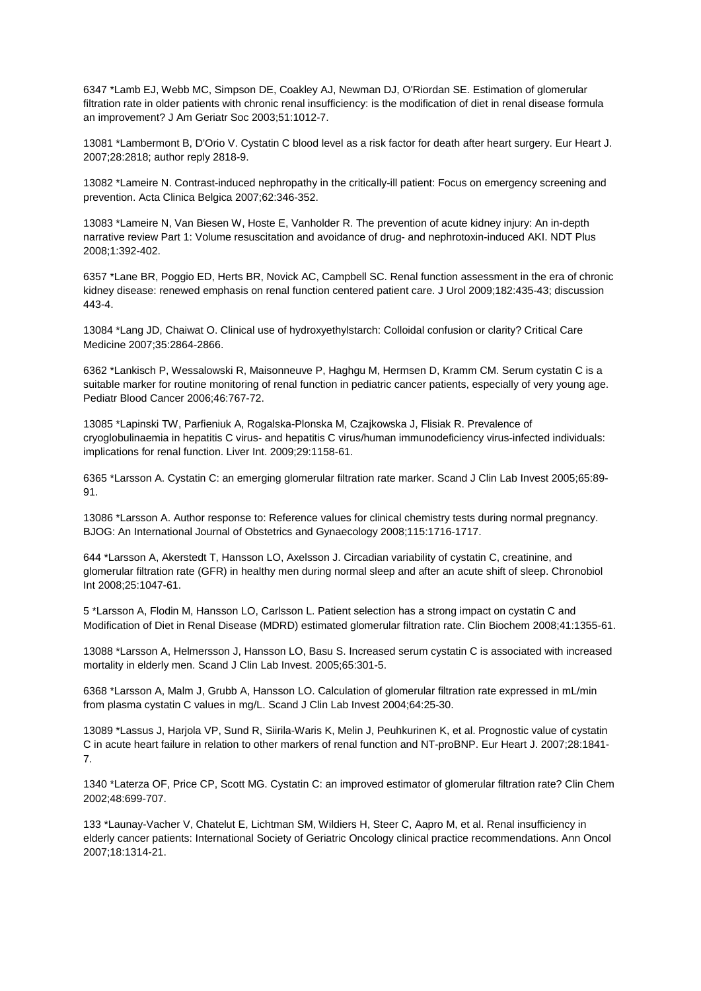6347 \*Lamb EJ, Webb MC, Simpson DE, Coakley AJ, Newman DJ, O'Riordan SE. Estimation of glomerular filtration rate in older patients with chronic renal insufficiency: is the modification of diet in renal disease formula an improvement? J Am Geriatr Soc 2003;51:1012-7.

13081 \*Lambermont B, D'Orio V. Cystatin C blood level as a risk factor for death after heart surgery. Eur Heart J. 2007;28:2818; author reply 2818-9.

13082 \*Lameire N. Contrast-induced nephropathy in the critically-ill patient: Focus on emergency screening and prevention. Acta Clinica Belgica 2007;62:346-352.

13083 \*Lameire N, Van Biesen W, Hoste E, Vanholder R. The prevention of acute kidney injury: An in-depth narrative review Part 1: Volume resuscitation and avoidance of drug- and nephrotoxin-induced AKI. NDT Plus 2008;1:392-402.

6357 \*Lane BR, Poggio ED, Herts BR, Novick AC, Campbell SC. Renal function assessment in the era of chronic kidney disease: renewed emphasis on renal function centered patient care. J Urol 2009;182:435-43; discussion 443-4.

13084 \*Lang JD, Chaiwat O. Clinical use of hydroxyethylstarch: Colloidal confusion or clarity? Critical Care Medicine 2007;35:2864-2866.

6362 \*Lankisch P, Wessalowski R, Maisonneuve P, Haghgu M, Hermsen D, Kramm CM. Serum cystatin C is a suitable marker for routine monitoring of renal function in pediatric cancer patients, especially of very young age. Pediatr Blood Cancer 2006;46:767-72.

13085 \*Lapinski TW, Parfieniuk A, Rogalska-Plonska M, Czajkowska J, Flisiak R. Prevalence of cryoglobulinaemia in hepatitis C virus- and hepatitis C virus/human immunodeficiency virus-infected individuals: implications for renal function. Liver Int. 2009;29:1158-61.

6365 \*Larsson A. Cystatin C: an emerging glomerular filtration rate marker. Scand J Clin Lab Invest 2005;65:89- 91.

13086 \*Larsson A. Author response to: Reference values for clinical chemistry tests during normal pregnancy. BJOG: An International Journal of Obstetrics and Gynaecology 2008;115:1716-1717.

644 \*Larsson A, Akerstedt T, Hansson LO, Axelsson J. Circadian variability of cystatin C, creatinine, and glomerular filtration rate (GFR) in healthy men during normal sleep and after an acute shift of sleep. Chronobiol Int 2008;25:1047-61.

5 \*Larsson A, Flodin M, Hansson LO, Carlsson L. Patient selection has a strong impact on cystatin C and Modification of Diet in Renal Disease (MDRD) estimated glomerular filtration rate. Clin Biochem 2008;41:1355-61.

13088 \*Larsson A, Helmersson J, Hansson LO, Basu S. Increased serum cystatin C is associated with increased mortality in elderly men. Scand J Clin Lab Invest. 2005;65:301-5.

6368 \*Larsson A, Malm J, Grubb A, Hansson LO. Calculation of glomerular filtration rate expressed in mL/min from plasma cystatin C values in mg/L. Scand J Clin Lab Invest 2004;64:25-30.

13089 \*Lassus J, Harjola VP, Sund R, Siirila-Waris K, Melin J, Peuhkurinen K, et al. Prognostic value of cystatin C in acute heart failure in relation to other markers of renal function and NT-proBNP. Eur Heart J. 2007;28:1841- 7.

1340 \*Laterza OF, Price CP, Scott MG. Cystatin C: an improved estimator of glomerular filtration rate? Clin Chem 2002;48:699-707.

133 \*Launay-Vacher V, Chatelut E, Lichtman SM, Wildiers H, Steer C, Aapro M, et al. Renal insufficiency in elderly cancer patients: International Society of Geriatric Oncology clinical practice recommendations. Ann Oncol 2007;18:1314-21.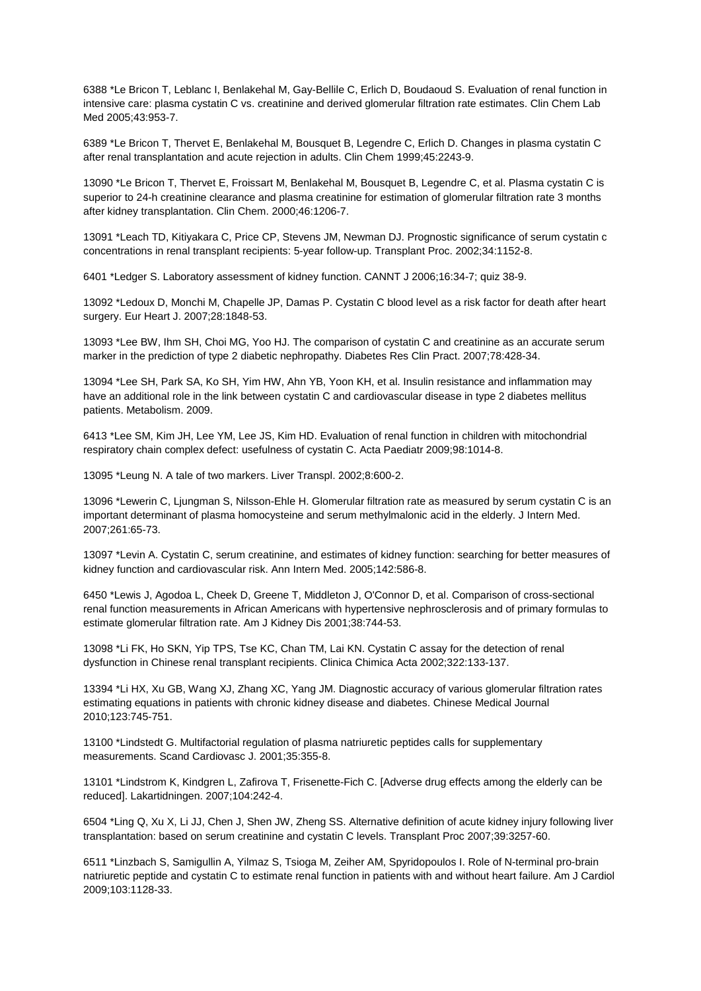6388 \*Le Bricon T, Leblanc I, Benlakehal M, Gay-Bellile C, Erlich D, Boudaoud S. Evaluation of renal function in intensive care: plasma cystatin C vs. creatinine and derived glomerular filtration rate estimates. Clin Chem Lab Med 2005;43:953-7.

6389 \*Le Bricon T, Thervet E, Benlakehal M, Bousquet B, Legendre C, Erlich D. Changes in plasma cystatin C after renal transplantation and acute rejection in adults. Clin Chem 1999;45:2243-9.

13090 \*Le Bricon T, Thervet E, Froissart M, Benlakehal M, Bousquet B, Legendre C, et al. Plasma cystatin C is superior to 24-h creatinine clearance and plasma creatinine for estimation of glomerular filtration rate 3 months after kidney transplantation. Clin Chem. 2000;46:1206-7.

13091 \*Leach TD, Kitiyakara C, Price CP, Stevens JM, Newman DJ. Prognostic significance of serum cystatin c concentrations in renal transplant recipients: 5-year follow-up. Transplant Proc. 2002;34:1152-8.

6401 \*Ledger S. Laboratory assessment of kidney function. CANNT J 2006;16:34-7; quiz 38-9.

13092 \*Ledoux D, Monchi M, Chapelle JP, Damas P. Cystatin C blood level as a risk factor for death after heart surgery. Eur Heart J. 2007;28:1848-53.

13093 \*Lee BW, Ihm SH, Choi MG, Yoo HJ. The comparison of cystatin C and creatinine as an accurate serum marker in the prediction of type 2 diabetic nephropathy. Diabetes Res Clin Pract. 2007;78:428-34.

13094 \*Lee SH, Park SA, Ko SH, Yim HW, Ahn YB, Yoon KH, et al. Insulin resistance and inflammation may have an additional role in the link between cystatin C and cardiovascular disease in type 2 diabetes mellitus patients. Metabolism. 2009.

6413 \*Lee SM, Kim JH, Lee YM, Lee JS, Kim HD. Evaluation of renal function in children with mitochondrial respiratory chain complex defect: usefulness of cystatin C. Acta Paediatr 2009;98:1014-8.

13095 \*Leung N. A tale of two markers. Liver Transpl. 2002;8:600-2.

13096 \*Lewerin C, Ljungman S, Nilsson-Ehle H. Glomerular filtration rate as measured by serum cystatin C is an important determinant of plasma homocysteine and serum methylmalonic acid in the elderly. J Intern Med. 2007;261:65-73.

13097 \*Levin A. Cystatin C, serum creatinine, and estimates of kidney function: searching for better measures of kidney function and cardiovascular risk. Ann Intern Med. 2005;142:586-8.

6450 \*Lewis J, Agodoa L, Cheek D, Greene T, Middleton J, O'Connor D, et al. Comparison of cross-sectional renal function measurements in African Americans with hypertensive nephrosclerosis and of primary formulas to estimate glomerular filtration rate. Am J Kidney Dis 2001;38:744-53.

13098 \*Li FK, Ho SKN, Yip TPS, Tse KC, Chan TM, Lai KN. Cystatin C assay for the detection of renal dysfunction in Chinese renal transplant recipients. Clinica Chimica Acta 2002;322:133-137.

13394 \*Li HX, Xu GB, Wang XJ, Zhang XC, Yang JM. Diagnostic accuracy of various glomerular filtration rates estimating equations in patients with chronic kidney disease and diabetes. Chinese Medical Journal 2010;123:745-751.

13100 \*Lindstedt G. Multifactorial regulation of plasma natriuretic peptides calls for supplementary measurements. Scand Cardiovasc J. 2001;35:355-8.

13101 \*Lindstrom K, Kindgren L, Zafirova T, Frisenette-Fich C. [Adverse drug effects among the elderly can be reduced]. Lakartidningen. 2007;104:242-4.

6504 \*Ling Q, Xu X, Li JJ, Chen J, Shen JW, Zheng SS. Alternative definition of acute kidney injury following liver transplantation: based on serum creatinine and cystatin C levels. Transplant Proc 2007;39:3257-60.

6511 \*Linzbach S, Samigullin A, Yilmaz S, Tsioga M, Zeiher AM, Spyridopoulos I. Role of N-terminal pro-brain natriuretic peptide and cystatin C to estimate renal function in patients with and without heart failure. Am J Cardiol 2009;103:1128-33.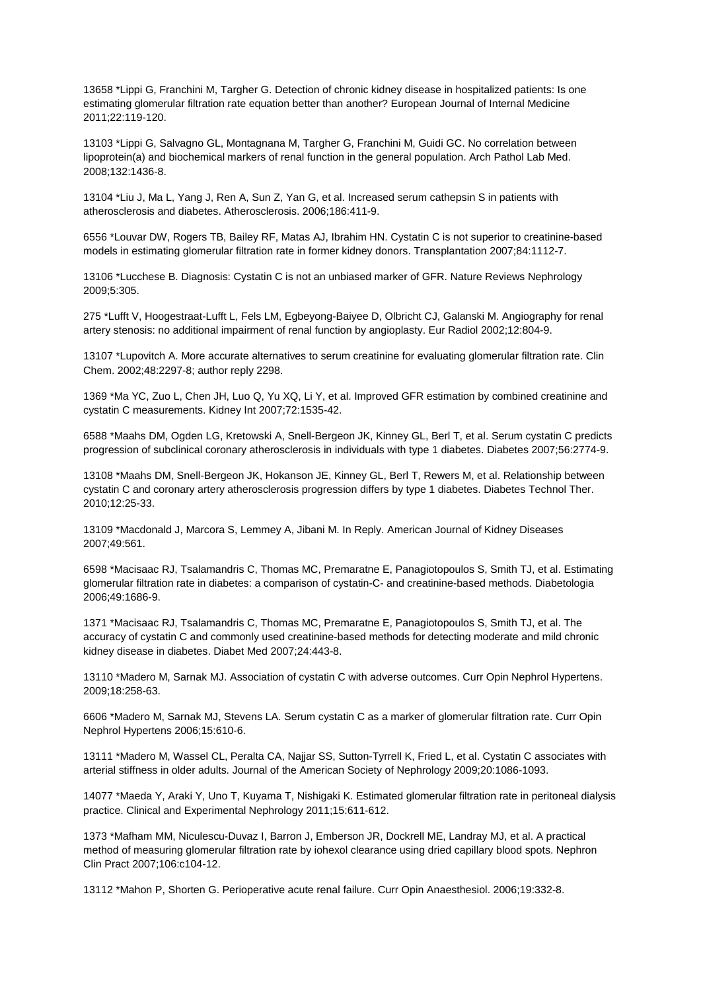13658 \*Lippi G, Franchini M, Targher G. Detection of chronic kidney disease in hospitalized patients: Is one estimating glomerular filtration rate equation better than another? European Journal of Internal Medicine 2011;22:119-120.

13103 \*Lippi G, Salvagno GL, Montagnana M, Targher G, Franchini M, Guidi GC. No correlation between lipoprotein(a) and biochemical markers of renal function in the general population. Arch Pathol Lab Med. 2008;132:1436-8.

13104 \*Liu J, Ma L, Yang J, Ren A, Sun Z, Yan G, et al. Increased serum cathepsin S in patients with atherosclerosis and diabetes. Atherosclerosis. 2006;186:411-9.

6556 \*Louvar DW, Rogers TB, Bailey RF, Matas AJ, Ibrahim HN. Cystatin C is not superior to creatinine-based models in estimating glomerular filtration rate in former kidney donors. Transplantation 2007;84:1112-7.

13106 \*Lucchese B. Diagnosis: Cystatin C is not an unbiased marker of GFR. Nature Reviews Nephrology 2009;5:305.

275 \*Lufft V, Hoogestraat-Lufft L, Fels LM, Egbeyong-Baiyee D, Olbricht CJ, Galanski M. Angiography for renal artery stenosis: no additional impairment of renal function by angioplasty. Eur Radiol 2002;12:804-9.

13107 \*Lupovitch A. More accurate alternatives to serum creatinine for evaluating glomerular filtration rate. Clin Chem. 2002;48:2297-8; author reply 2298.

1369 \*Ma YC, Zuo L, Chen JH, Luo Q, Yu XQ, Li Y, et al. Improved GFR estimation by combined creatinine and cystatin C measurements. Kidney Int 2007;72:1535-42.

6588 \*Maahs DM, Ogden LG, Kretowski A, Snell-Bergeon JK, Kinney GL, Berl T, et al. Serum cystatin C predicts progression of subclinical coronary atherosclerosis in individuals with type 1 diabetes. Diabetes 2007;56:2774-9.

13108 \*Maahs DM, Snell-Bergeon JK, Hokanson JE, Kinney GL, Berl T, Rewers M, et al. Relationship between cystatin C and coronary artery atherosclerosis progression differs by type 1 diabetes. Diabetes Technol Ther. 2010;12:25-33.

13109 \*Macdonald J, Marcora S, Lemmey A, Jibani M. In Reply. American Journal of Kidney Diseases 2007;49:561.

6598 \*Macisaac RJ, Tsalamandris C, Thomas MC, Premaratne E, Panagiotopoulos S, Smith TJ, et al. Estimating glomerular filtration rate in diabetes: a comparison of cystatin-C- and creatinine-based methods. Diabetologia 2006;49:1686-9.

1371 \*Macisaac RJ, Tsalamandris C, Thomas MC, Premaratne E, Panagiotopoulos S, Smith TJ, et al. The accuracy of cystatin C and commonly used creatinine-based methods for detecting moderate and mild chronic kidney disease in diabetes. Diabet Med 2007;24:443-8.

13110 \*Madero M, Sarnak MJ. Association of cystatin C with adverse outcomes. Curr Opin Nephrol Hypertens. 2009;18:258-63.

6606 \*Madero M, Sarnak MJ, Stevens LA. Serum cystatin C as a marker of glomerular filtration rate. Curr Opin Nephrol Hypertens 2006;15:610-6.

13111 \*Madero M, Wassel CL, Peralta CA, Najjar SS, Sutton-Tyrrell K, Fried L, et al. Cystatin C associates with arterial stiffness in older adults. Journal of the American Society of Nephrology 2009;20:1086-1093.

14077 \*Maeda Y, Araki Y, Uno T, Kuyama T, Nishigaki K. Estimated glomerular filtration rate in peritoneal dialysis practice. Clinical and Experimental Nephrology 2011;15:611-612.

1373 \*Mafham MM, Niculescu-Duvaz I, Barron J, Emberson JR, Dockrell ME, Landray MJ, et al. A practical method of measuring glomerular filtration rate by iohexol clearance using dried capillary blood spots. Nephron Clin Pract 2007;106:c104-12.

13112 \*Mahon P, Shorten G. Perioperative acute renal failure. Curr Opin Anaesthesiol. 2006;19:332-8.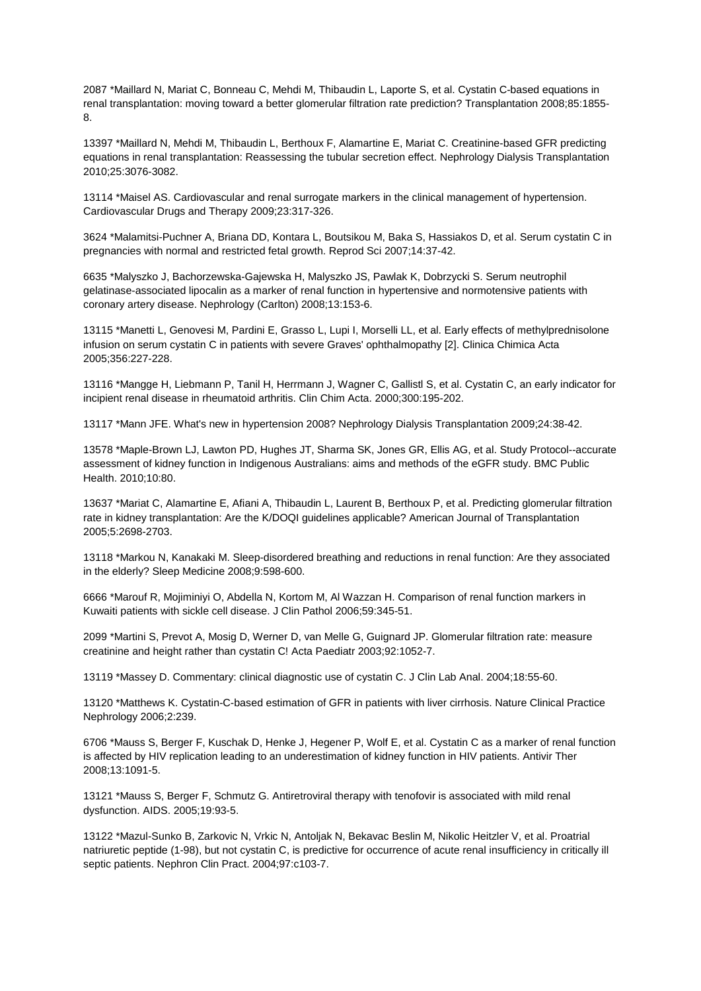2087 \*Maillard N, Mariat C, Bonneau C, Mehdi M, Thibaudin L, Laporte S, et al. Cystatin C-based equations in renal transplantation: moving toward a better glomerular filtration rate prediction? Transplantation 2008;85:1855- 8.

13397 \*Maillard N, Mehdi M, Thibaudin L, Berthoux F, Alamartine E, Mariat C. Creatinine-based GFR predicting equations in renal transplantation: Reassessing the tubular secretion effect. Nephrology Dialysis Transplantation 2010;25:3076-3082.

13114 \*Maisel AS. Cardiovascular and renal surrogate markers in the clinical management of hypertension. Cardiovascular Drugs and Therapy 2009;23:317-326.

3624 \*Malamitsi-Puchner A, Briana DD, Kontara L, Boutsikou M, Baka S, Hassiakos D, et al. Serum cystatin C in pregnancies with normal and restricted fetal growth. Reprod Sci 2007;14:37-42.

6635 \*Malyszko J, Bachorzewska-Gajewska H, Malyszko JS, Pawlak K, Dobrzycki S. Serum neutrophil gelatinase-associated lipocalin as a marker of renal function in hypertensive and normotensive patients with coronary artery disease. Nephrology (Carlton) 2008;13:153-6.

13115 \*Manetti L, Genovesi M, Pardini E, Grasso L, Lupi I, Morselli LL, et al. Early effects of methylprednisolone infusion on serum cystatin C in patients with severe Graves' ophthalmopathy [2]. Clinica Chimica Acta 2005;356:227-228.

13116 \*Mangge H, Liebmann P, Tanil H, Herrmann J, Wagner C, Gallistl S, et al. Cystatin C, an early indicator for incipient renal disease in rheumatoid arthritis. Clin Chim Acta. 2000;300:195-202.

13117 \*Mann JFE. What's new in hypertension 2008? Nephrology Dialysis Transplantation 2009;24:38-42.

13578 \*Maple-Brown LJ, Lawton PD, Hughes JT, Sharma SK, Jones GR, Ellis AG, et al. Study Protocol--accurate assessment of kidney function in Indigenous Australians: aims and methods of the eGFR study. BMC Public Health. 2010;10:80.

13637 \*Mariat C, Alamartine E, Afiani A, Thibaudin L, Laurent B, Berthoux P, et al. Predicting glomerular filtration rate in kidney transplantation: Are the K/DOQI guidelines applicable? American Journal of Transplantation 2005;5:2698-2703.

13118 \*Markou N, Kanakaki M. Sleep-disordered breathing and reductions in renal function: Are they associated in the elderly? Sleep Medicine 2008;9:598-600.

6666 \*Marouf R, Mojiminiyi O, Abdella N, Kortom M, Al Wazzan H. Comparison of renal function markers in Kuwaiti patients with sickle cell disease. J Clin Pathol 2006;59:345-51.

2099 \*Martini S, Prevot A, Mosig D, Werner D, van Melle G, Guignard JP. Glomerular filtration rate: measure creatinine and height rather than cystatin C! Acta Paediatr 2003;92:1052-7.

13119 \*Massey D. Commentary: clinical diagnostic use of cystatin C. J Clin Lab Anal. 2004;18:55-60.

13120 \*Matthews K. Cystatin-C-based estimation of GFR in patients with liver cirrhosis. Nature Clinical Practice Nephrology 2006;2:239.

6706 \*Mauss S, Berger F, Kuschak D, Henke J, Hegener P, Wolf E, et al. Cystatin C as a marker of renal function is affected by HIV replication leading to an underestimation of kidney function in HIV patients. Antivir Ther 2008;13:1091-5.

13121 \*Mauss S, Berger F, Schmutz G. Antiretroviral therapy with tenofovir is associated with mild renal dysfunction. AIDS. 2005;19:93-5.

13122 \*Mazul-Sunko B, Zarkovic N, Vrkic N, Antoljak N, Bekavac Beslin M, Nikolic Heitzler V, et al. Proatrial natriuretic peptide (1-98), but not cystatin C, is predictive for occurrence of acute renal insufficiency in critically ill septic patients. Nephron Clin Pract. 2004;97:c103-7.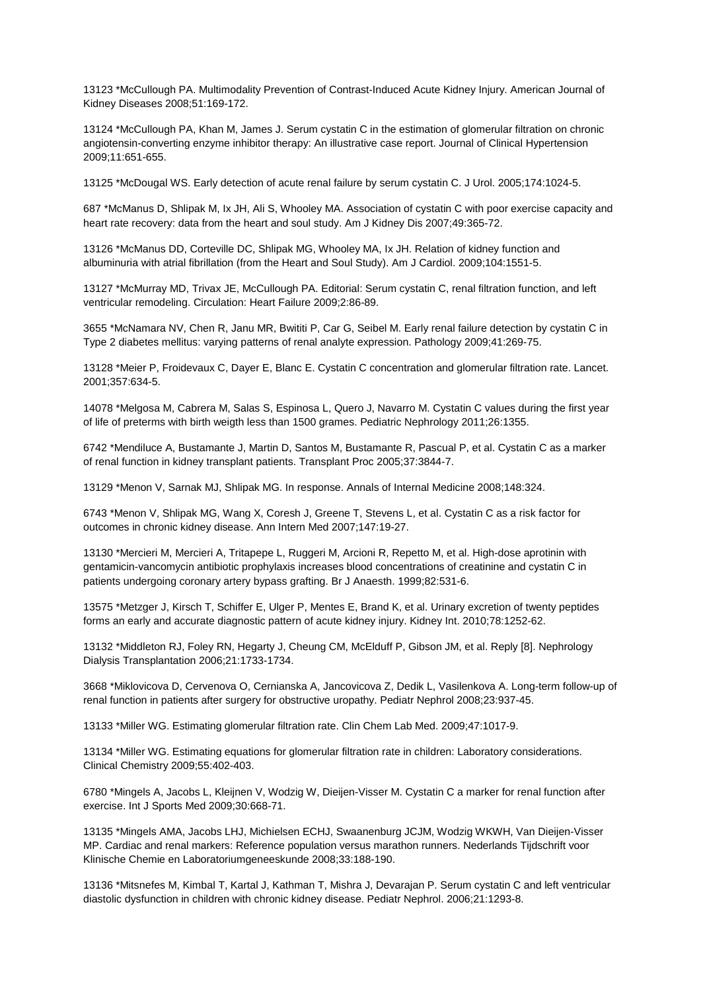13123 \*McCullough PA. Multimodality Prevention of Contrast-Induced Acute Kidney Injury. American Journal of Kidney Diseases 2008;51:169-172.

13124 \*McCullough PA, Khan M, James J. Serum cystatin C in the estimation of glomerular filtration on chronic angiotensin-converting enzyme inhibitor therapy: An illustrative case report. Journal of Clinical Hypertension 2009;11:651-655.

13125 \*McDougal WS. Early detection of acute renal failure by serum cystatin C. J Urol. 2005;174:1024-5.

687 \*McManus D, Shlipak M, Ix JH, Ali S, Whooley MA. Association of cystatin C with poor exercise capacity and heart rate recovery: data from the heart and soul study. Am J Kidney Dis 2007;49:365-72.

13126 \*McManus DD, Corteville DC, Shlipak MG, Whooley MA, Ix JH. Relation of kidney function and albuminuria with atrial fibrillation (from the Heart and Soul Study). Am J Cardiol. 2009;104:1551-5.

13127 \*McMurray MD, Trivax JE, McCullough PA. Editorial: Serum cystatin C, renal filtration function, and left ventricular remodeling. Circulation: Heart Failure 2009;2:86-89.

3655 \*McNamara NV, Chen R, Janu MR, Bwititi P, Car G, Seibel M. Early renal failure detection by cystatin C in Type 2 diabetes mellitus: varying patterns of renal analyte expression. Pathology 2009;41:269-75.

13128 \*Meier P, Froidevaux C, Dayer E, Blanc E. Cystatin C concentration and glomerular filtration rate. Lancet. 2001;357:634-5.

14078 \*Melgosa M, Cabrera M, Salas S, Espinosa L, Quero J, Navarro M. Cystatin C values during the first year of life of preterms with birth weigth less than 1500 grames. Pediatric Nephrology 2011;26:1355.

6742 \*Mendiluce A, Bustamante J, Martin D, Santos M, Bustamante R, Pascual P, et al. Cystatin C as a marker of renal function in kidney transplant patients. Transplant Proc 2005;37:3844-7.

13129 \*Menon V, Sarnak MJ, Shlipak MG. In response. Annals of Internal Medicine 2008;148:324.

6743 \*Menon V, Shlipak MG, Wang X, Coresh J, Greene T, Stevens L, et al. Cystatin C as a risk factor for outcomes in chronic kidney disease. Ann Intern Med 2007;147:19-27.

13130 \*Mercieri M, Mercieri A, Tritapepe L, Ruggeri M, Arcioni R, Repetto M, et al. High-dose aprotinin with gentamicin-vancomycin antibiotic prophylaxis increases blood concentrations of creatinine and cystatin C in patients undergoing coronary artery bypass grafting. Br J Anaesth. 1999;82:531-6.

13575 \*Metzger J, Kirsch T, Schiffer E, Ulger P, Mentes E, Brand K, et al. Urinary excretion of twenty peptides forms an early and accurate diagnostic pattern of acute kidney injury. Kidney Int. 2010;78:1252-62.

13132 \*Middleton RJ, Foley RN, Hegarty J, Cheung CM, McElduff P, Gibson JM, et al. Reply [8]. Nephrology Dialysis Transplantation 2006;21:1733-1734.

3668 \*Miklovicova D, Cervenova O, Cernianska A, Jancovicova Z, Dedik L, Vasilenkova A. Long-term follow-up of renal function in patients after surgery for obstructive uropathy. Pediatr Nephrol 2008;23:937-45.

13133 \*Miller WG. Estimating glomerular filtration rate. Clin Chem Lab Med. 2009;47:1017-9.

13134 \*Miller WG. Estimating equations for glomerular filtration rate in children: Laboratory considerations. Clinical Chemistry 2009;55:402-403.

6780 \*Mingels A, Jacobs L, Kleijnen V, Wodzig W, Dieijen-Visser M. Cystatin C a marker for renal function after exercise. Int J Sports Med 2009;30:668-71.

13135 \*Mingels AMA, Jacobs LHJ, Michielsen ECHJ, Swaanenburg JCJM, Wodzig WKWH, Van Dieijen-Visser MP. Cardiac and renal markers: Reference population versus marathon runners. Nederlands Tijdschrift voor Klinische Chemie en Laboratoriumgeneeskunde 2008;33:188-190.

13136 \*Mitsnefes M, Kimbal T, Kartal J, Kathman T, Mishra J, Devarajan P. Serum cystatin C and left ventricular diastolic dysfunction in children with chronic kidney disease. Pediatr Nephrol. 2006;21:1293-8.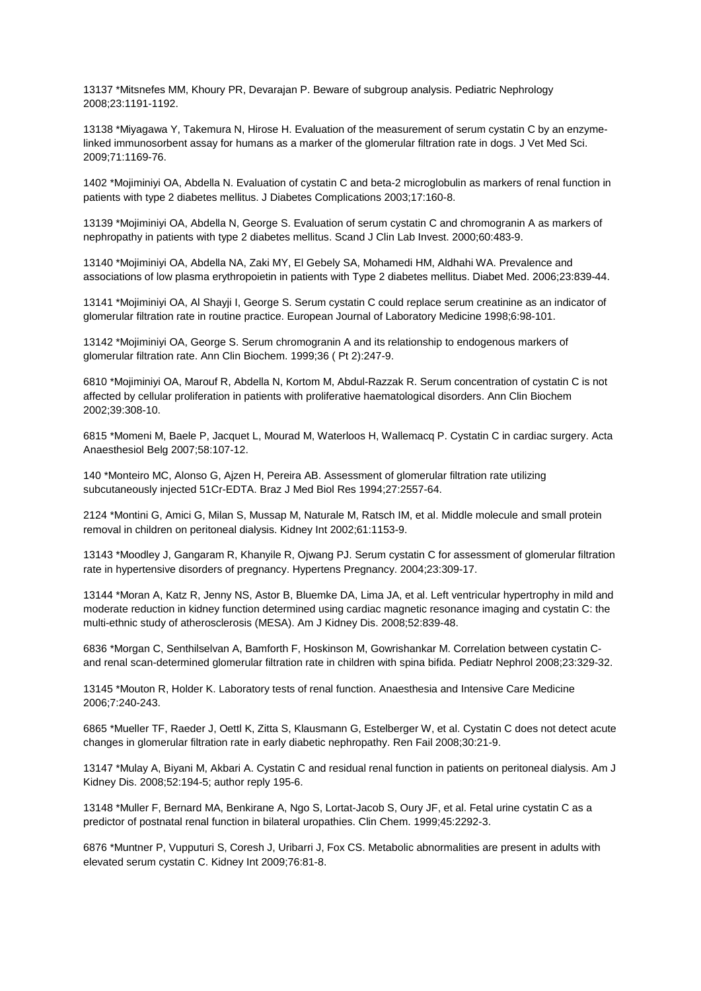13137 \*Mitsnefes MM, Khoury PR, Devarajan P. Beware of subgroup analysis. Pediatric Nephrology 2008;23:1191-1192.

13138 \*Miyagawa Y, Takemura N, Hirose H. Evaluation of the measurement of serum cystatin C by an enzymelinked immunosorbent assay for humans as a marker of the glomerular filtration rate in dogs. J Vet Med Sci. 2009;71:1169-76.

1402 \*Mojiminiyi OA, Abdella N. Evaluation of cystatin C and beta-2 microglobulin as markers of renal function in patients with type 2 diabetes mellitus. J Diabetes Complications 2003;17:160-8.

13139 \*Mojiminiyi OA, Abdella N, George S. Evaluation of serum cystatin C and chromogranin A as markers of nephropathy in patients with type 2 diabetes mellitus. Scand J Clin Lab Invest. 2000;60:483-9.

13140 \*Mojiminiyi OA, Abdella NA, Zaki MY, El Gebely SA, Mohamedi HM, Aldhahi WA. Prevalence and associations of low plasma erythropoietin in patients with Type 2 diabetes mellitus. Diabet Med. 2006;23:839-44.

13141 \*Mojiminiyi OA, Al Shayji I, George S. Serum cystatin C could replace serum creatinine as an indicator of glomerular filtration rate in routine practice. European Journal of Laboratory Medicine 1998;6:98-101.

13142 \*Mojiminiyi OA, George S. Serum chromogranin A and its relationship to endogenous markers of glomerular filtration rate. Ann Clin Biochem. 1999;36 ( Pt 2):247-9.

6810 \*Mojiminiyi OA, Marouf R, Abdella N, Kortom M, Abdul-Razzak R. Serum concentration of cystatin C is not affected by cellular proliferation in patients with proliferative haematological disorders. Ann Clin Biochem 2002;39:308-10.

6815 \*Momeni M, Baele P, Jacquet L, Mourad M, Waterloos H, Wallemacq P. Cystatin C in cardiac surgery. Acta Anaesthesiol Belg 2007;58:107-12.

140 \*Monteiro MC, Alonso G, Ajzen H, Pereira AB. Assessment of glomerular filtration rate utilizing subcutaneously injected 51Cr-EDTA. Braz J Med Biol Res 1994;27:2557-64.

2124 \*Montini G, Amici G, Milan S, Mussap M, Naturale M, Ratsch IM, et al. Middle molecule and small protein removal in children on peritoneal dialysis. Kidney Int 2002;61:1153-9.

13143 \*Moodley J, Gangaram R, Khanyile R, Ojwang PJ. Serum cystatin C for assessment of glomerular filtration rate in hypertensive disorders of pregnancy. Hypertens Pregnancy. 2004;23:309-17.

13144 \*Moran A, Katz R, Jenny NS, Astor B, Bluemke DA, Lima JA, et al. Left ventricular hypertrophy in mild and moderate reduction in kidney function determined using cardiac magnetic resonance imaging and cystatin C: the multi-ethnic study of atherosclerosis (MESA). Am J Kidney Dis. 2008;52:839-48.

6836 \*Morgan C, Senthilselvan A, Bamforth F, Hoskinson M, Gowrishankar M. Correlation between cystatin Cand renal scan-determined glomerular filtration rate in children with spina bifida. Pediatr Nephrol 2008;23:329-32.

13145 \*Mouton R, Holder K. Laboratory tests of renal function. Anaesthesia and Intensive Care Medicine 2006;7:240-243.

6865 \*Mueller TF, Raeder J, Oettl K, Zitta S, Klausmann G, Estelberger W, et al. Cystatin C does not detect acute changes in glomerular filtration rate in early diabetic nephropathy. Ren Fail 2008;30:21-9.

13147 \*Mulay A, Biyani M, Akbari A. Cystatin C and residual renal function in patients on peritoneal dialysis. Am J Kidney Dis. 2008;52:194-5; author reply 195-6.

13148 \*Muller F, Bernard MA, Benkirane A, Ngo S, Lortat-Jacob S, Oury JF, et al. Fetal urine cystatin C as a predictor of postnatal renal function in bilateral uropathies. Clin Chem. 1999;45:2292-3.

6876 \*Muntner P, Vupputuri S, Coresh J, Uribarri J, Fox CS. Metabolic abnormalities are present in adults with elevated serum cystatin C. Kidney Int 2009;76:81-8.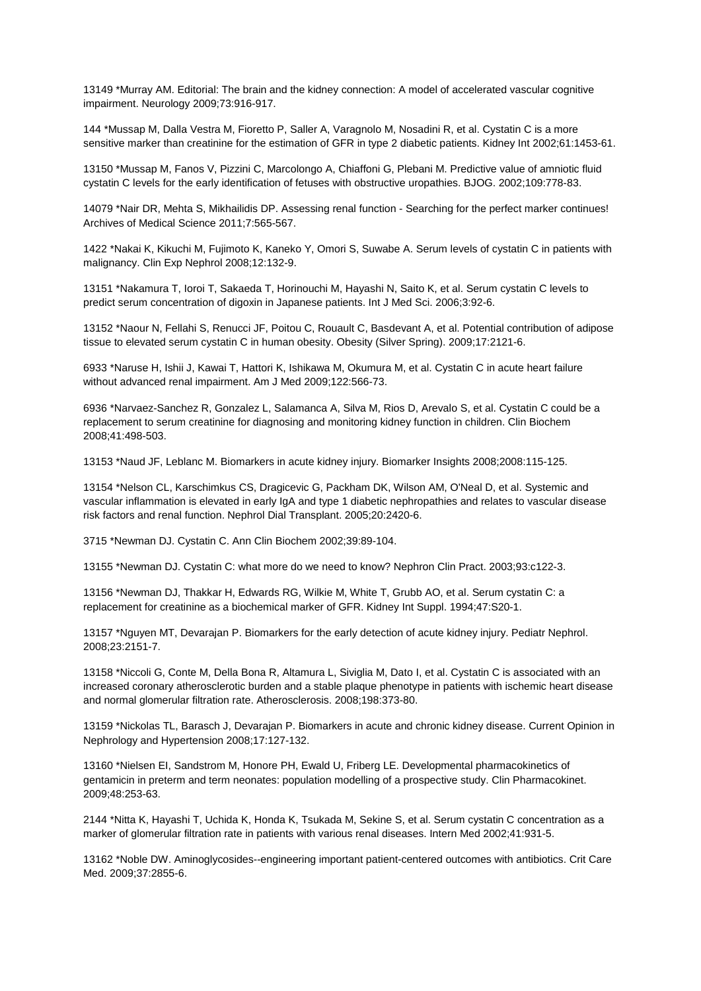13149 \*Murray AM. Editorial: The brain and the kidney connection: A model of accelerated vascular cognitive impairment. Neurology 2009;73:916-917.

144 \*Mussap M, Dalla Vestra M, Fioretto P, Saller A, Varagnolo M, Nosadini R, et al. Cystatin C is a more sensitive marker than creatinine for the estimation of GFR in type 2 diabetic patients. Kidney Int 2002;61:1453-61.

13150 \*Mussap M, Fanos V, Pizzini C, Marcolongo A, Chiaffoni G, Plebani M. Predictive value of amniotic fluid cystatin C levels for the early identification of fetuses with obstructive uropathies. BJOG. 2002;109:778-83.

14079 \*Nair DR, Mehta S, Mikhailidis DP. Assessing renal function - Searching for the perfect marker continues! Archives of Medical Science 2011;7:565-567.

1422 \*Nakai K, Kikuchi M, Fujimoto K, Kaneko Y, Omori S, Suwabe A. Serum levels of cystatin C in patients with malignancy. Clin Exp Nephrol 2008;12:132-9.

13151 \*Nakamura T, Ioroi T, Sakaeda T, Horinouchi M, Hayashi N, Saito K, et al. Serum cystatin C levels to predict serum concentration of digoxin in Japanese patients. Int J Med Sci. 2006;3:92-6.

13152 \*Naour N, Fellahi S, Renucci JF, Poitou C, Rouault C, Basdevant A, et al. Potential contribution of adipose tissue to elevated serum cystatin C in human obesity. Obesity (Silver Spring). 2009;17:2121-6.

6933 \*Naruse H, Ishii J, Kawai T, Hattori K, Ishikawa M, Okumura M, et al. Cystatin C in acute heart failure without advanced renal impairment. Am J Med 2009;122:566-73.

6936 \*Narvaez-Sanchez R, Gonzalez L, Salamanca A, Silva M, Rios D, Arevalo S, et al. Cystatin C could be a replacement to serum creatinine for diagnosing and monitoring kidney function in children. Clin Biochem 2008;41:498-503.

13153 \*Naud JF, Leblanc M. Biomarkers in acute kidney injury. Biomarker Insights 2008;2008:115-125.

13154 \*Nelson CL, Karschimkus CS, Dragicevic G, Packham DK, Wilson AM, O'Neal D, et al. Systemic and vascular inflammation is elevated in early IgA and type 1 diabetic nephropathies and relates to vascular disease risk factors and renal function. Nephrol Dial Transplant. 2005;20:2420-6.

3715 \*Newman DJ. Cystatin C. Ann Clin Biochem 2002;39:89-104.

13155 \*Newman DJ. Cystatin C: what more do we need to know? Nephron Clin Pract. 2003;93:c122-3.

13156 \*Newman DJ, Thakkar H, Edwards RG, Wilkie M, White T, Grubb AO, et al. Serum cystatin C: a replacement for creatinine as a biochemical marker of GFR. Kidney Int Suppl. 1994;47:S20-1.

13157 \*Nguyen MT, Devarajan P. Biomarkers for the early detection of acute kidney injury. Pediatr Nephrol. 2008;23:2151-7.

13158 \*Niccoli G, Conte M, Della Bona R, Altamura L, Siviglia M, Dato I, et al. Cystatin C is associated with an increased coronary atherosclerotic burden and a stable plaque phenotype in patients with ischemic heart disease and normal glomerular filtration rate. Atherosclerosis. 2008;198:373-80.

13159 \*Nickolas TL, Barasch J, Devarajan P. Biomarkers in acute and chronic kidney disease. Current Opinion in Nephrology and Hypertension 2008;17:127-132.

13160 \*Nielsen EI, Sandstrom M, Honore PH, Ewald U, Friberg LE. Developmental pharmacokinetics of gentamicin in preterm and term neonates: population modelling of a prospective study. Clin Pharmacokinet. 2009;48:253-63.

2144 \*Nitta K, Hayashi T, Uchida K, Honda K, Tsukada M, Sekine S, et al. Serum cystatin C concentration as a marker of glomerular filtration rate in patients with various renal diseases. Intern Med 2002;41:931-5.

13162 \*Noble DW. Aminoglycosides--engineering important patient-centered outcomes with antibiotics. Crit Care Med. 2009;37:2855-6.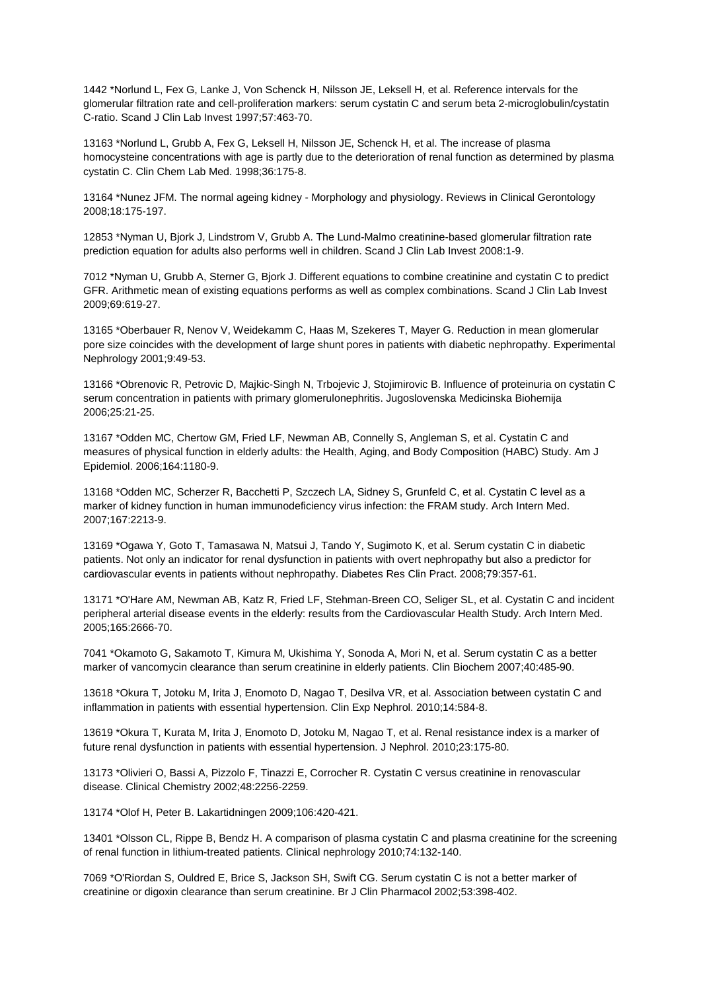1442 \*Norlund L, Fex G, Lanke J, Von Schenck H, Nilsson JE, Leksell H, et al. Reference intervals for the glomerular filtration rate and cell-proliferation markers: serum cystatin C and serum beta 2-microglobulin/cystatin C-ratio. Scand J Clin Lab Invest 1997;57:463-70.

13163 \*Norlund L, Grubb A, Fex G, Leksell H, Nilsson JE, Schenck H, et al. The increase of plasma homocysteine concentrations with age is partly due to the deterioration of renal function as determined by plasma cystatin C. Clin Chem Lab Med. 1998;36:175-8.

13164 \*Nunez JFM. The normal ageing kidney - Morphology and physiology. Reviews in Clinical Gerontology 2008;18:175-197.

12853 \*Nyman U, Bjork J, Lindstrom V, Grubb A. The Lund-Malmo creatinine-based glomerular filtration rate prediction equation for adults also performs well in children. Scand J Clin Lab Invest 2008:1-9.

7012 \*Nyman U, Grubb A, Sterner G, Bjork J. Different equations to combine creatinine and cystatin C to predict GFR. Arithmetic mean of existing equations performs as well as complex combinations. Scand J Clin Lab Invest 2009;69:619-27.

13165 \*Oberbauer R, Nenov V, Weidekamm C, Haas M, Szekeres T, Mayer G. Reduction in mean glomerular pore size coincides with the development of large shunt pores in patients with diabetic nephropathy. Experimental Nephrology 2001;9:49-53.

13166 \*Obrenovic R, Petrovic D, Majkic-Singh N, Trbojevic J, Stojimirovic B. Influence of proteinuria on cystatin C serum concentration in patients with primary glomerulonephritis. Jugoslovenska Medicinska Biohemija 2006;25:21-25.

13167 \*Odden MC, Chertow GM, Fried LF, Newman AB, Connelly S, Angleman S, et al. Cystatin C and measures of physical function in elderly adults: the Health, Aging, and Body Composition (HABC) Study. Am J Epidemiol. 2006;164:1180-9.

13168 \*Odden MC, Scherzer R, Bacchetti P, Szczech LA, Sidney S, Grunfeld C, et al. Cystatin C level as a marker of kidney function in human immunodeficiency virus infection: the FRAM study. Arch Intern Med. 2007;167:2213-9.

13169 \*Ogawa Y, Goto T, Tamasawa N, Matsui J, Tando Y, Sugimoto K, et al. Serum cystatin C in diabetic patients. Not only an indicator for renal dysfunction in patients with overt nephropathy but also a predictor for cardiovascular events in patients without nephropathy. Diabetes Res Clin Pract. 2008;79:357-61.

13171 \*O'Hare AM, Newman AB, Katz R, Fried LF, Stehman-Breen CO, Seliger SL, et al. Cystatin C and incident peripheral arterial disease events in the elderly: results from the Cardiovascular Health Study. Arch Intern Med. 2005;165:2666-70.

7041 \*Okamoto G, Sakamoto T, Kimura M, Ukishima Y, Sonoda A, Mori N, et al. Serum cystatin C as a better marker of vancomycin clearance than serum creatinine in elderly patients. Clin Biochem 2007;40:485-90.

13618 \*Okura T, Jotoku M, Irita J, Enomoto D, Nagao T, Desilva VR, et al. Association between cystatin C and inflammation in patients with essential hypertension. Clin Exp Nephrol. 2010;14:584-8.

13619 \*Okura T, Kurata M, Irita J, Enomoto D, Jotoku M, Nagao T, et al. Renal resistance index is a marker of future renal dysfunction in patients with essential hypertension. J Nephrol. 2010;23:175-80.

13173 \*Olivieri O, Bassi A, Pizzolo F, Tinazzi E, Corrocher R. Cystatin C versus creatinine in renovascular disease. Clinical Chemistry 2002;48:2256-2259.

13174 \*Olof H, Peter B. Lakartidningen 2009;106:420-421.

13401 \*Olsson CL, Rippe B, Bendz H. A comparison of plasma cystatin C and plasma creatinine for the screening of renal function in lithium-treated patients. Clinical nephrology 2010;74:132-140.

7069 \*O'Riordan S, Ouldred E, Brice S, Jackson SH, Swift CG. Serum cystatin C is not a better marker of creatinine or digoxin clearance than serum creatinine. Br J Clin Pharmacol 2002;53:398-402.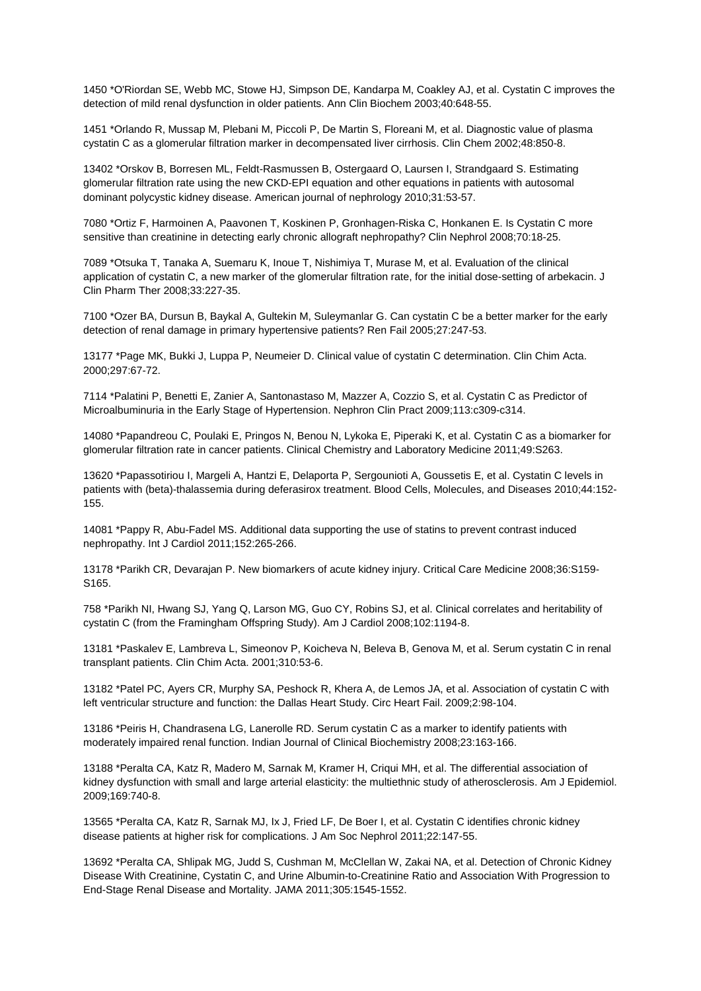1450 \*O'Riordan SE, Webb MC, Stowe HJ, Simpson DE, Kandarpa M, Coakley AJ, et al. Cystatin C improves the detection of mild renal dysfunction in older patients. Ann Clin Biochem 2003;40:648-55.

1451 \*Orlando R, Mussap M, Plebani M, Piccoli P, De Martin S, Floreani M, et al. Diagnostic value of plasma cystatin C as a glomerular filtration marker in decompensated liver cirrhosis. Clin Chem 2002;48:850-8.

13402 \*Orskov B, Borresen ML, Feldt-Rasmussen B, Ostergaard O, Laursen I, Strandgaard S. Estimating glomerular filtration rate using the new CKD-EPI equation and other equations in patients with autosomal dominant polycystic kidney disease. American journal of nephrology 2010;31:53-57.

7080 \*Ortiz F, Harmoinen A, Paavonen T, Koskinen P, Gronhagen-Riska C, Honkanen E. Is Cystatin C more sensitive than creatinine in detecting early chronic allograft nephropathy? Clin Nephrol 2008;70:18-25.

7089 \*Otsuka T, Tanaka A, Suemaru K, Inoue T, Nishimiya T, Murase M, et al. Evaluation of the clinical application of cystatin C, a new marker of the glomerular filtration rate, for the initial dose-setting of arbekacin. J Clin Pharm Ther 2008;33:227-35.

7100 \*Ozer BA, Dursun B, Baykal A, Gultekin M, Suleymanlar G. Can cystatin C be a better marker for the early detection of renal damage in primary hypertensive patients? Ren Fail 2005;27:247-53.

13177 \*Page MK, Bukki J, Luppa P, Neumeier D. Clinical value of cystatin C determination. Clin Chim Acta. 2000;297:67-72.

7114 \*Palatini P, Benetti E, Zanier A, Santonastaso M, Mazzer A, Cozzio S, et al. Cystatin C as Predictor of Microalbuminuria in the Early Stage of Hypertension. Nephron Clin Pract 2009;113:c309-c314.

14080 \*Papandreou C, Poulaki E, Pringos N, Benou N, Lykoka E, Piperaki K, et al. Cystatin C as a biomarker for glomerular filtration rate in cancer patients. Clinical Chemistry and Laboratory Medicine 2011;49:S263.

13620 \*Papassotiriou I, Margeli A, Hantzi E, Delaporta P, Sergounioti A, Goussetis E, et al. Cystatin C levels in patients with (beta)-thalassemia during deferasirox treatment. Blood Cells, Molecules, and Diseases 2010;44:152- 155.

14081 \*Pappy R, Abu-Fadel MS. Additional data supporting the use of statins to prevent contrast induced nephropathy. Int J Cardiol 2011;152:265-266.

13178 \*Parikh CR, Devarajan P. New biomarkers of acute kidney injury. Critical Care Medicine 2008;36:S159- S165.

758 \*Parikh NI, Hwang SJ, Yang Q, Larson MG, Guo CY, Robins SJ, et al. Clinical correlates and heritability of cystatin C (from the Framingham Offspring Study). Am J Cardiol 2008;102:1194-8.

13181 \*Paskalev E, Lambreva L, Simeonov P, Koicheva N, Beleva B, Genova M, et al. Serum cystatin C in renal transplant patients. Clin Chim Acta. 2001;310:53-6.

13182 \*Patel PC, Ayers CR, Murphy SA, Peshock R, Khera A, de Lemos JA, et al. Association of cystatin C with left ventricular structure and function: the Dallas Heart Study. Circ Heart Fail. 2009;2:98-104.

13186 \*Peiris H, Chandrasena LG, Lanerolle RD. Serum cystatin C as a marker to identify patients with moderately impaired renal function. Indian Journal of Clinical Biochemistry 2008;23:163-166.

13188 \*Peralta CA, Katz R, Madero M, Sarnak M, Kramer H, Criqui MH, et al. The differential association of kidney dysfunction with small and large arterial elasticity: the multiethnic study of atherosclerosis. Am J Epidemiol. 2009;169:740-8.

13565 \*Peralta CA, Katz R, Sarnak MJ, Ix J, Fried LF, De Boer I, et al. Cystatin C identifies chronic kidney disease patients at higher risk for complications. J Am Soc Nephrol 2011;22:147-55.

13692 \*Peralta CA, Shlipak MG, Judd S, Cushman M, McClellan W, Zakai NA, et al. Detection of Chronic Kidney Disease With Creatinine, Cystatin C, and Urine Albumin-to-Creatinine Ratio and Association With Progression to End-Stage Renal Disease and Mortality. JAMA 2011;305:1545-1552.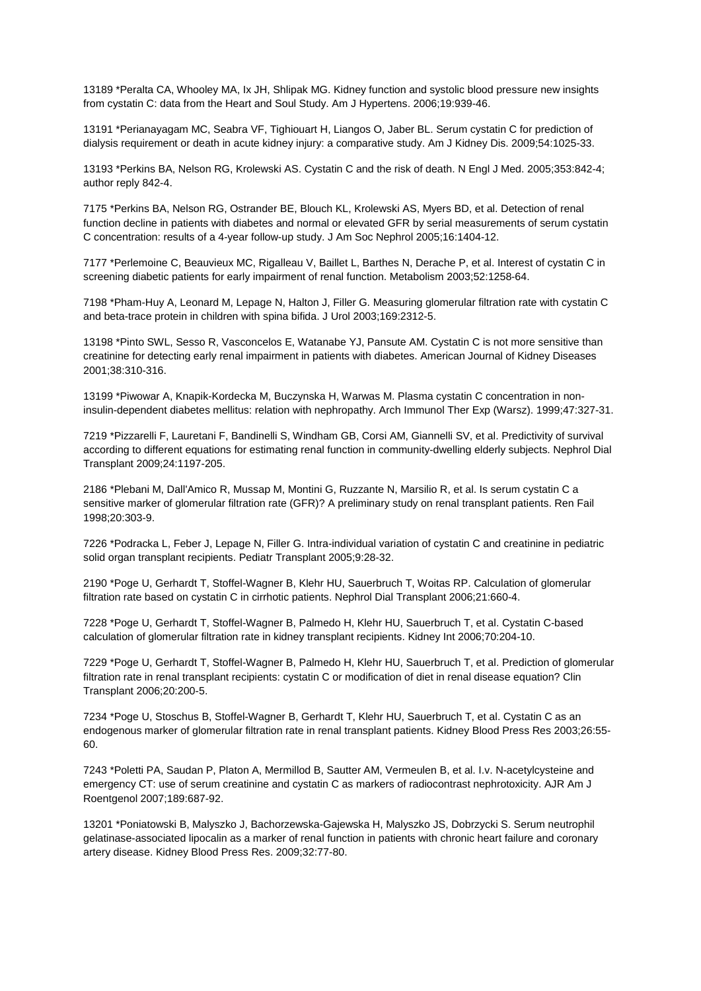13189 \*Peralta CA, Whooley MA, Ix JH, Shlipak MG. Kidney function and systolic blood pressure new insights from cystatin C: data from the Heart and Soul Study. Am J Hypertens. 2006;19:939-46.

13191 \*Perianayagam MC, Seabra VF, Tighiouart H, Liangos O, Jaber BL. Serum cystatin C for prediction of dialysis requirement or death in acute kidney injury: a comparative study. Am J Kidney Dis. 2009;54:1025-33.

13193 \*Perkins BA, Nelson RG, Krolewski AS. Cystatin C and the risk of death. N Engl J Med. 2005;353:842-4; author reply 842-4.

7175 \*Perkins BA, Nelson RG, Ostrander BE, Blouch KL, Krolewski AS, Myers BD, et al. Detection of renal function decline in patients with diabetes and normal or elevated GFR by serial measurements of serum cystatin C concentration: results of a 4-year follow-up study. J Am Soc Nephrol 2005;16:1404-12.

7177 \*Perlemoine C, Beauvieux MC, Rigalleau V, Baillet L, Barthes N, Derache P, et al. Interest of cystatin C in screening diabetic patients for early impairment of renal function. Metabolism 2003;52:1258-64.

7198 \*Pham-Huy A, Leonard M, Lepage N, Halton J, Filler G. Measuring glomerular filtration rate with cystatin C and beta-trace protein in children with spina bifida. J Urol 2003;169:2312-5.

13198 \*Pinto SWL, Sesso R, Vasconcelos E, Watanabe YJ, Pansute AM. Cystatin C is not more sensitive than creatinine for detecting early renal impairment in patients with diabetes. American Journal of Kidney Diseases 2001;38:310-316.

13199 \*Piwowar A, Knapik-Kordecka M, Buczynska H, Warwas M. Plasma cystatin C concentration in noninsulin-dependent diabetes mellitus: relation with nephropathy. Arch Immunol Ther Exp (Warsz). 1999;47:327-31.

7219 \*Pizzarelli F, Lauretani F, Bandinelli S, Windham GB, Corsi AM, Giannelli SV, et al. Predictivity of survival according to different equations for estimating renal function in community-dwelling elderly subjects. Nephrol Dial Transplant 2009;24:1197-205.

2186 \*Plebani M, Dall'Amico R, Mussap M, Montini G, Ruzzante N, Marsilio R, et al. Is serum cystatin C a sensitive marker of glomerular filtration rate (GFR)? A preliminary study on renal transplant patients. Ren Fail 1998;20:303-9.

7226 \*Podracka L, Feber J, Lepage N, Filler G. Intra-individual variation of cystatin C and creatinine in pediatric solid organ transplant recipients. Pediatr Transplant 2005;9:28-32.

2190 \*Poge U, Gerhardt T, Stoffel-Wagner B, Klehr HU, Sauerbruch T, Woitas RP. Calculation of glomerular filtration rate based on cystatin C in cirrhotic patients. Nephrol Dial Transplant 2006;21:660-4.

7228 \*Poge U, Gerhardt T, Stoffel-Wagner B, Palmedo H, Klehr HU, Sauerbruch T, et al. Cystatin C-based calculation of glomerular filtration rate in kidney transplant recipients. Kidney Int 2006;70:204-10.

7229 \*Poge U, Gerhardt T, Stoffel-Wagner B, Palmedo H, Klehr HU, Sauerbruch T, et al. Prediction of glomerular filtration rate in renal transplant recipients: cystatin C or modification of diet in renal disease equation? Clin Transplant 2006;20:200-5.

7234 \*Poge U, Stoschus B, Stoffel-Wagner B, Gerhardt T, Klehr HU, Sauerbruch T, et al. Cystatin C as an endogenous marker of glomerular filtration rate in renal transplant patients. Kidney Blood Press Res 2003;26:55- 60.

7243 \*Poletti PA, Saudan P, Platon A, Mermillod B, Sautter AM, Vermeulen B, et al. I.v. N-acetylcysteine and emergency CT: use of serum creatinine and cystatin C as markers of radiocontrast nephrotoxicity. AJR Am J Roentgenol 2007;189:687-92.

13201 \*Poniatowski B, Malyszko J, Bachorzewska-Gajewska H, Malyszko JS, Dobrzycki S. Serum neutrophil gelatinase-associated lipocalin as a marker of renal function in patients with chronic heart failure and coronary artery disease. Kidney Blood Press Res. 2009;32:77-80.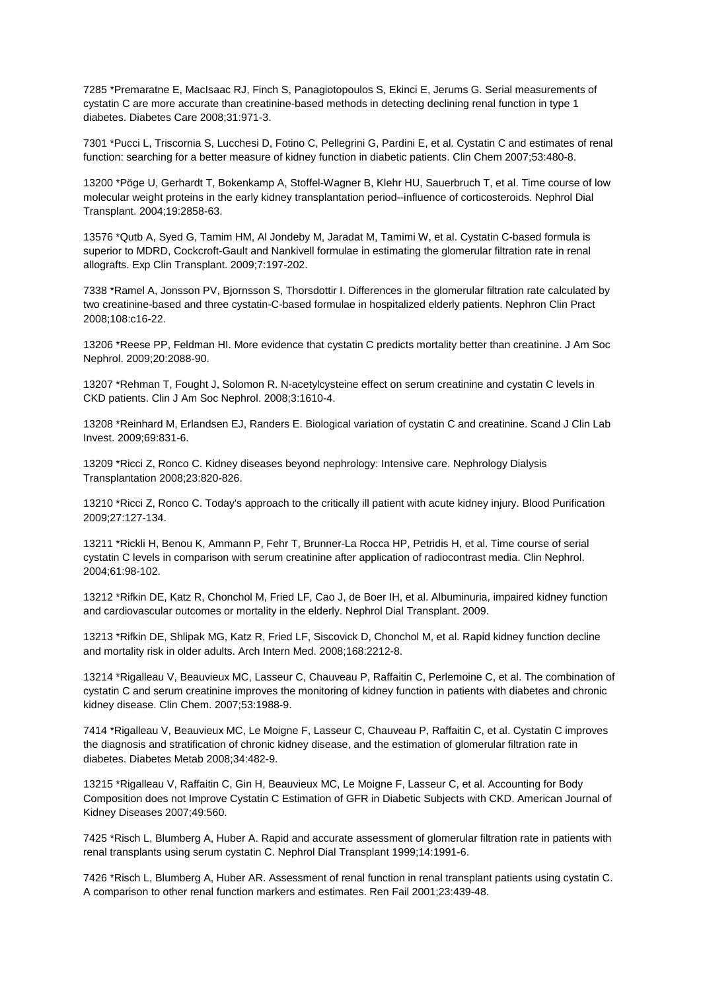7285 \*Premaratne E, MacIsaac RJ, Finch S, Panagiotopoulos S, Ekinci E, Jerums G. Serial measurements of cystatin C are more accurate than creatinine-based methods in detecting declining renal function in type 1 diabetes. Diabetes Care 2008;31:971-3.

7301 \*Pucci L, Triscornia S, Lucchesi D, Fotino C, Pellegrini G, Pardini E, et al. Cystatin C and estimates of renal function: searching for a better measure of kidney function in diabetic patients. Clin Chem 2007;53:480-8.

13200 \*Pöge U, Gerhardt T, Bokenkamp A, Stoffel-Wagner B, Klehr HU, Sauerbruch T, et al. Time course of low molecular weight proteins in the early kidney transplantation period--influence of corticosteroids. Nephrol Dial Transplant. 2004;19:2858-63.

13576 \*Qutb A, Syed G, Tamim HM, Al Jondeby M, Jaradat M, Tamimi W, et al. Cystatin C-based formula is superior to MDRD, Cockcroft-Gault and Nankivell formulae in estimating the glomerular filtration rate in renal allografts. Exp Clin Transplant. 2009;7:197-202.

7338 \*Ramel A, Jonsson PV, Bjornsson S, Thorsdottir I. Differences in the glomerular filtration rate calculated by two creatinine-based and three cystatin-C-based formulae in hospitalized elderly patients. Nephron Clin Pract 2008;108:c16-22.

13206 \*Reese PP, Feldman HI. More evidence that cystatin C predicts mortality better than creatinine. J Am Soc Nephrol. 2009;20:2088-90.

13207 \*Rehman T, Fought J, Solomon R. N-acetylcysteine effect on serum creatinine and cystatin C levels in CKD patients. Clin J Am Soc Nephrol. 2008;3:1610-4.

13208 \*Reinhard M, Erlandsen EJ, Randers E. Biological variation of cystatin C and creatinine. Scand J Clin Lab Invest. 2009;69:831-6.

13209 \*Ricci Z, Ronco C. Kidney diseases beyond nephrology: Intensive care. Nephrology Dialysis Transplantation 2008;23:820-826.

13210 \*Ricci Z, Ronco C. Today's approach to the critically ill patient with acute kidney injury. Blood Purification 2009;27:127-134.

13211 \*Rickli H, Benou K, Ammann P, Fehr T, Brunner-La Rocca HP, Petridis H, et al. Time course of serial cystatin C levels in comparison with serum creatinine after application of radiocontrast media. Clin Nephrol. 2004;61:98-102.

13212 \*Rifkin DE, Katz R, Chonchol M, Fried LF, Cao J, de Boer IH, et al. Albuminuria, impaired kidney function and cardiovascular outcomes or mortality in the elderly. Nephrol Dial Transplant. 2009.

13213 \*Rifkin DE, Shlipak MG, Katz R, Fried LF, Siscovick D, Chonchol M, et al. Rapid kidney function decline and mortality risk in older adults. Arch Intern Med. 2008;168:2212-8.

13214 \*Rigalleau V, Beauvieux MC, Lasseur C, Chauveau P, Raffaitin C, Perlemoine C, et al. The combination of cystatin C and serum creatinine improves the monitoring of kidney function in patients with diabetes and chronic kidney disease. Clin Chem. 2007;53:1988-9.

7414 \*Rigalleau V, Beauvieux MC, Le Moigne F, Lasseur C, Chauveau P, Raffaitin C, et al. Cystatin C improves the diagnosis and stratification of chronic kidney disease, and the estimation of glomerular filtration rate in diabetes. Diabetes Metab 2008;34:482-9.

13215 \*Rigalleau V, Raffaitin C, Gin H, Beauvieux MC, Le Moigne F, Lasseur C, et al. Accounting for Body Composition does not Improve Cystatin C Estimation of GFR in Diabetic Subjects with CKD. American Journal of Kidney Diseases 2007;49:560.

7425 \*Risch L, Blumberg A, Huber A. Rapid and accurate assessment of glomerular filtration rate in patients with renal transplants using serum cystatin C. Nephrol Dial Transplant 1999;14:1991-6.

7426 \*Risch L, Blumberg A, Huber AR. Assessment of renal function in renal transplant patients using cystatin C. A comparison to other renal function markers and estimates. Ren Fail 2001;23:439-48.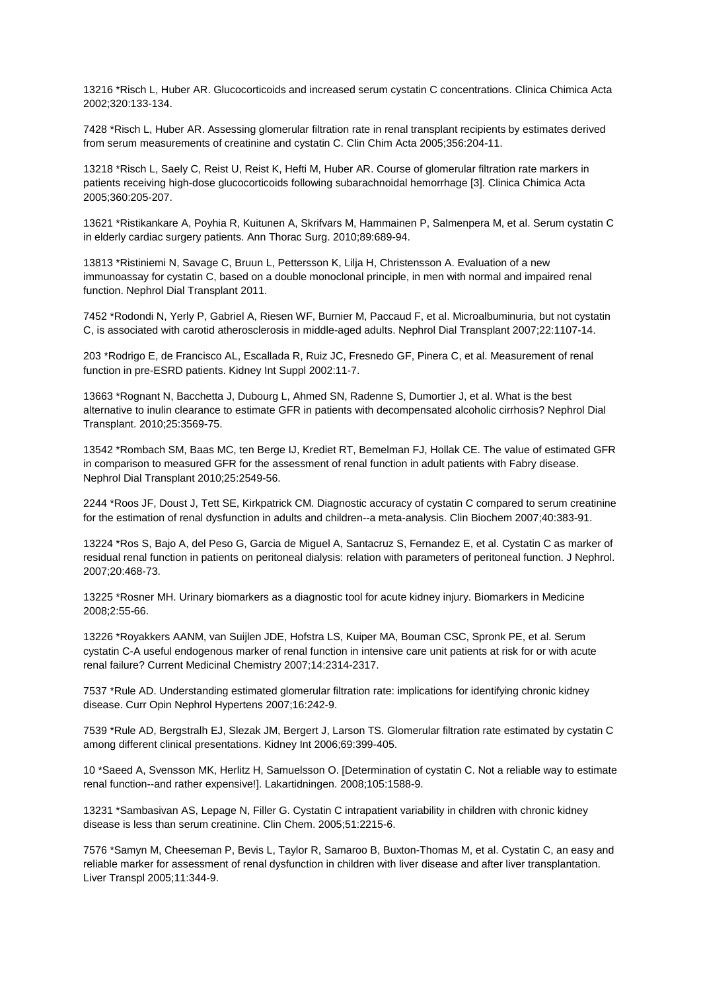13216 \*Risch L, Huber AR. Glucocorticoids and increased serum cystatin C concentrations. Clinica Chimica Acta 2002;320:133-134.

7428 \*Risch L, Huber AR. Assessing glomerular filtration rate in renal transplant recipients by estimates derived from serum measurements of creatinine and cystatin C. Clin Chim Acta 2005;356:204-11.

13218 \*Risch L, Saely C, Reist U, Reist K, Hefti M, Huber AR. Course of glomerular filtration rate markers in patients receiving high-dose glucocorticoids following subarachnoidal hemorrhage [3]. Clinica Chimica Acta 2005;360:205-207.

13621 \*Ristikankare A, Poyhia R, Kuitunen A, Skrifvars M, Hammainen P, Salmenpera M, et al. Serum cystatin C in elderly cardiac surgery patients. Ann Thorac Surg. 2010;89:689-94.

13813 \*Ristiniemi N, Savage C, Bruun L, Pettersson K, Lilja H, Christensson A. Evaluation of a new immunoassay for cystatin C, based on a double monoclonal principle, in men with normal and impaired renal function. Nephrol Dial Transplant 2011.

7452 \*Rodondi N, Yerly P, Gabriel A, Riesen WF, Burnier M, Paccaud F, et al. Microalbuminuria, but not cystatin C, is associated with carotid atherosclerosis in middle-aged adults. Nephrol Dial Transplant 2007;22:1107-14.

203 \*Rodrigo E, de Francisco AL, Escallada R, Ruiz JC, Fresnedo GF, Pinera C, et al. Measurement of renal function in pre-ESRD patients. Kidney Int Suppl 2002:11-7.

13663 \*Rognant N, Bacchetta J, Dubourg L, Ahmed SN, Radenne S, Dumortier J, et al. What is the best alternative to inulin clearance to estimate GFR in patients with decompensated alcoholic cirrhosis? Nephrol Dial Transplant. 2010;25:3569-75.

13542 \*Rombach SM, Baas MC, ten Berge IJ, Krediet RT, Bemelman FJ, Hollak CE. The value of estimated GFR in comparison to measured GFR for the assessment of renal function in adult patients with Fabry disease. Nephrol Dial Transplant 2010;25:2549-56.

2244 \*Roos JF, Doust J, Tett SE, Kirkpatrick CM. Diagnostic accuracy of cystatin C compared to serum creatinine for the estimation of renal dysfunction in adults and children--a meta-analysis. Clin Biochem 2007;40:383-91.

13224 \*Ros S, Bajo A, del Peso G, Garcia de Miguel A, Santacruz S, Fernandez E, et al. Cystatin C as marker of residual renal function in patients on peritoneal dialysis: relation with parameters of peritoneal function. J Nephrol. 2007;20:468-73.

13225 \*Rosner MH. Urinary biomarkers as a diagnostic tool for acute kidney injury. Biomarkers in Medicine 2008;2:55-66.

13226 \*Royakkers AANM, van Suijlen JDE, Hofstra LS, Kuiper MA, Bouman CSC, Spronk PE, et al. Serum cystatin C-A useful endogenous marker of renal function in intensive care unit patients at risk for or with acute renal failure? Current Medicinal Chemistry 2007;14:2314-2317.

7537 \*Rule AD. Understanding estimated glomerular filtration rate: implications for identifying chronic kidney disease. Curr Opin Nephrol Hypertens 2007;16:242-9.

7539 \*Rule AD, Bergstralh EJ, Slezak JM, Bergert J, Larson TS. Glomerular filtration rate estimated by cystatin C among different clinical presentations. Kidney Int 2006;69:399-405.

10 \*Saeed A, Svensson MK, Herlitz H, Samuelsson O. [Determination of cystatin C. Not a reliable way to estimate renal function--and rather expensive!]. Lakartidningen. 2008;105:1588-9.

13231 \*Sambasivan AS, Lepage N, Filler G. Cystatin C intrapatient variability in children with chronic kidney disease is less than serum creatinine. Clin Chem. 2005;51:2215-6.

7576 \*Samyn M, Cheeseman P, Bevis L, Taylor R, Samaroo B, Buxton-Thomas M, et al. Cystatin C, an easy and reliable marker for assessment of renal dysfunction in children with liver disease and after liver transplantation. Liver Transpl 2005;11:344-9.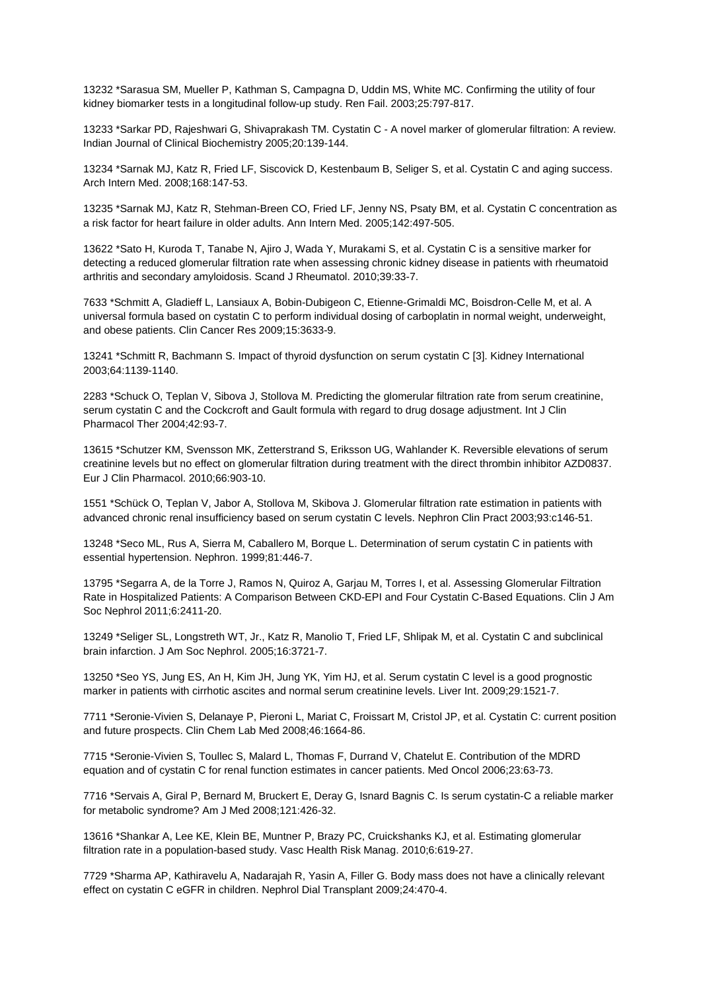13232 \*Sarasua SM, Mueller P, Kathman S, Campagna D, Uddin MS, White MC. Confirming the utility of four kidney biomarker tests in a longitudinal follow-up study. Ren Fail. 2003;25:797-817.

13233 \*Sarkar PD, Rajeshwari G, Shivaprakash TM. Cystatin C - A novel marker of glomerular filtration: A review. Indian Journal of Clinical Biochemistry 2005;20:139-144.

13234 \*Sarnak MJ, Katz R, Fried LF, Siscovick D, Kestenbaum B, Seliger S, et al. Cystatin C and aging success. Arch Intern Med. 2008;168:147-53.

13235 \*Sarnak MJ, Katz R, Stehman-Breen CO, Fried LF, Jenny NS, Psaty BM, et al. Cystatin C concentration as a risk factor for heart failure in older adults. Ann Intern Med. 2005;142:497-505.

13622 \*Sato H, Kuroda T, Tanabe N, Ajiro J, Wada Y, Murakami S, et al. Cystatin C is a sensitive marker for detecting a reduced glomerular filtration rate when assessing chronic kidney disease in patients with rheumatoid arthritis and secondary amyloidosis. Scand J Rheumatol. 2010;39:33-7.

7633 \*Schmitt A, Gladieff L, Lansiaux A, Bobin-Dubigeon C, Etienne-Grimaldi MC, Boisdron-Celle M, et al. A universal formula based on cystatin C to perform individual dosing of carboplatin in normal weight, underweight, and obese patients. Clin Cancer Res 2009;15:3633-9.

13241 \*Schmitt R, Bachmann S. Impact of thyroid dysfunction on serum cystatin C [3]. Kidney International 2003;64:1139-1140.

2283 \*Schuck O, Teplan V, Sibova J, Stollova M. Predicting the glomerular filtration rate from serum creatinine, serum cystatin C and the Cockcroft and Gault formula with regard to drug dosage adjustment. Int J Clin Pharmacol Ther 2004;42:93-7.

13615 \*Schutzer KM, Svensson MK, Zetterstrand S, Eriksson UG, Wahlander K. Reversible elevations of serum creatinine levels but no effect on glomerular filtration during treatment with the direct thrombin inhibitor AZD0837. Eur J Clin Pharmacol. 2010;66:903-10.

1551 \*Schück O, Teplan V, Jabor A, Stollova M, Skibova J. Glomerular filtration rate estimation in patients with advanced chronic renal insufficiency based on serum cystatin C levels. Nephron Clin Pract 2003;93:c146-51.

13248 \*Seco ML, Rus A, Sierra M, Caballero M, Borque L. Determination of serum cystatin C in patients with essential hypertension. Nephron. 1999;81:446-7.

13795 \*Segarra A, de la Torre J, Ramos N, Quiroz A, Garjau M, Torres I, et al. Assessing Glomerular Filtration Rate in Hospitalized Patients: A Comparison Between CKD-EPI and Four Cystatin C-Based Equations. Clin J Am Soc Nephrol 2011;6:2411-20.

13249 \*Seliger SL, Longstreth WT, Jr., Katz R, Manolio T, Fried LF, Shlipak M, et al. Cystatin C and subclinical brain infarction. J Am Soc Nephrol. 2005;16:3721-7.

13250 \*Seo YS, Jung ES, An H, Kim JH, Jung YK, Yim HJ, et al. Serum cystatin C level is a good prognostic marker in patients with cirrhotic ascites and normal serum creatinine levels. Liver Int. 2009;29:1521-7.

7711 \*Seronie-Vivien S, Delanaye P, Pieroni L, Mariat C, Froissart M, Cristol JP, et al. Cystatin C: current position and future prospects. Clin Chem Lab Med 2008;46:1664-86.

7715 \*Seronie-Vivien S, Toullec S, Malard L, Thomas F, Durrand V, Chatelut E. Contribution of the MDRD equation and of cystatin C for renal function estimates in cancer patients. Med Oncol 2006;23:63-73.

7716 \*Servais A, Giral P, Bernard M, Bruckert E, Deray G, Isnard Bagnis C. Is serum cystatin-C a reliable marker for metabolic syndrome? Am J Med 2008;121:426-32.

13616 \*Shankar A, Lee KE, Klein BE, Muntner P, Brazy PC, Cruickshanks KJ, et al. Estimating glomerular filtration rate in a population-based study. Vasc Health Risk Manag. 2010;6:619-27.

7729 \*Sharma AP, Kathiravelu A, Nadarajah R, Yasin A, Filler G. Body mass does not have a clinically relevant effect on cystatin C eGFR in children. Nephrol Dial Transplant 2009;24:470-4.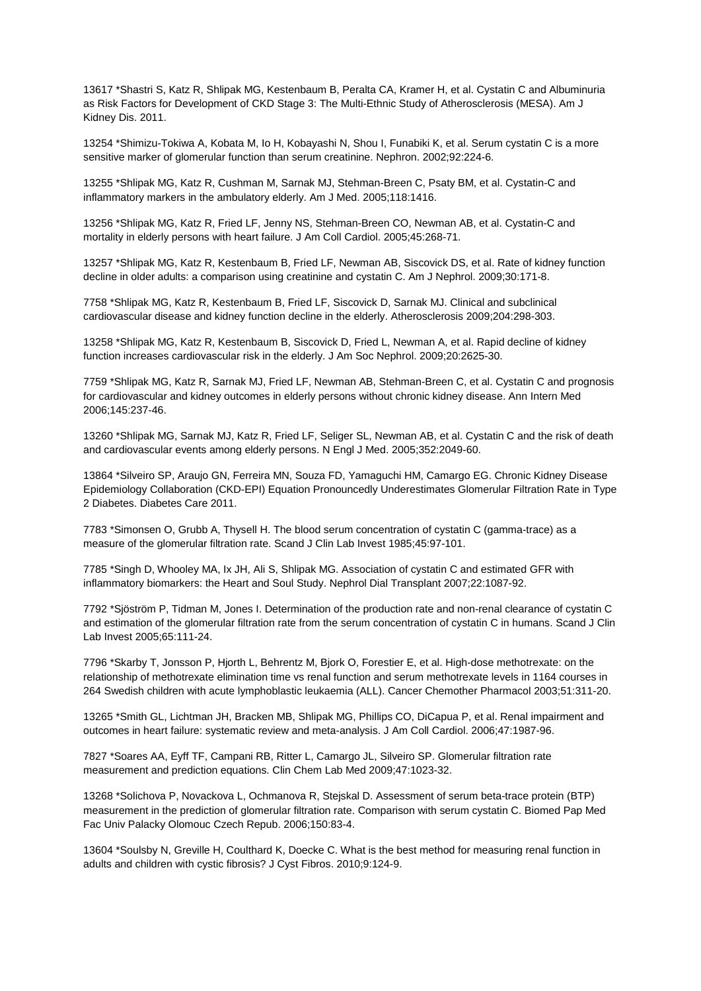13617 \*Shastri S, Katz R, Shlipak MG, Kestenbaum B, Peralta CA, Kramer H, et al. Cystatin C and Albuminuria as Risk Factors for Development of CKD Stage 3: The Multi-Ethnic Study of Atherosclerosis (MESA). Am J Kidney Dis. 2011.

13254 \*Shimizu-Tokiwa A, Kobata M, Io H, Kobayashi N, Shou I, Funabiki K, et al. Serum cystatin C is a more sensitive marker of glomerular function than serum creatinine. Nephron. 2002;92:224-6.

13255 \*Shlipak MG, Katz R, Cushman M, Sarnak MJ, Stehman-Breen C, Psaty BM, et al. Cystatin-C and inflammatory markers in the ambulatory elderly. Am J Med. 2005;118:1416.

13256 \*Shlipak MG, Katz R, Fried LF, Jenny NS, Stehman-Breen CO, Newman AB, et al. Cystatin-C and mortality in elderly persons with heart failure. J Am Coll Cardiol. 2005;45:268-71.

13257 \*Shlipak MG, Katz R, Kestenbaum B, Fried LF, Newman AB, Siscovick DS, et al. Rate of kidney function decline in older adults: a comparison using creatinine and cystatin C. Am J Nephrol. 2009;30:171-8.

7758 \*Shlipak MG, Katz R, Kestenbaum B, Fried LF, Siscovick D, Sarnak MJ. Clinical and subclinical cardiovascular disease and kidney function decline in the elderly. Atherosclerosis 2009;204:298-303.

13258 \*Shlipak MG, Katz R, Kestenbaum B, Siscovick D, Fried L, Newman A, et al. Rapid decline of kidney function increases cardiovascular risk in the elderly. J Am Soc Nephrol. 2009;20:2625-30.

7759 \*Shlipak MG, Katz R, Sarnak MJ, Fried LF, Newman AB, Stehman-Breen C, et al. Cystatin C and prognosis for cardiovascular and kidney outcomes in elderly persons without chronic kidney disease. Ann Intern Med 2006;145:237-46.

13260 \*Shlipak MG, Sarnak MJ, Katz R, Fried LF, Seliger SL, Newman AB, et al. Cystatin C and the risk of death and cardiovascular events among elderly persons. N Engl J Med. 2005;352:2049-60.

13864 \*Silveiro SP, Araujo GN, Ferreira MN, Souza FD, Yamaguchi HM, Camargo EG. Chronic Kidney Disease Epidemiology Collaboration (CKD-EPI) Equation Pronouncedly Underestimates Glomerular Filtration Rate in Type 2 Diabetes. Diabetes Care 2011.

7783 \*Simonsen O, Grubb A, Thysell H. The blood serum concentration of cystatin C (gamma-trace) as a measure of the glomerular filtration rate. Scand J Clin Lab Invest 1985;45:97-101.

7785 \*Singh D, Whooley MA, Ix JH, Ali S, Shlipak MG. Association of cystatin C and estimated GFR with inflammatory biomarkers: the Heart and Soul Study. Nephrol Dial Transplant 2007;22:1087-92.

7792 \*Sjöström P, Tidman M, Jones I. Determination of the production rate and non-renal clearance of cystatin C and estimation of the glomerular filtration rate from the serum concentration of cystatin C in humans. Scand J Clin Lab Invest 2005;65:111-24.

7796 \*Skarby T, Jonsson P, Hjorth L, Behrentz M, Bjork O, Forestier E, et al. High-dose methotrexate: on the relationship of methotrexate elimination time vs renal function and serum methotrexate levels in 1164 courses in 264 Swedish children with acute lymphoblastic leukaemia (ALL). Cancer Chemother Pharmacol 2003;51:311-20.

13265 \*Smith GL, Lichtman JH, Bracken MB, Shlipak MG, Phillips CO, DiCapua P, et al. Renal impairment and outcomes in heart failure: systematic review and meta-analysis. J Am Coll Cardiol. 2006;47:1987-96.

7827 \*Soares AA, Eyff TF, Campani RB, Ritter L, Camargo JL, Silveiro SP. Glomerular filtration rate measurement and prediction equations. Clin Chem Lab Med 2009;47:1023-32.

13268 \*Solichova P, Novackova L, Ochmanova R, Stejskal D. Assessment of serum beta-trace protein (BTP) measurement in the prediction of glomerular filtration rate. Comparison with serum cystatin C. Biomed Pap Med Fac Univ Palacky Olomouc Czech Repub. 2006;150:83-4.

13604 \*Soulsby N, Greville H, Coulthard K, Doecke C. What is the best method for measuring renal function in adults and children with cystic fibrosis? J Cyst Fibros. 2010;9:124-9.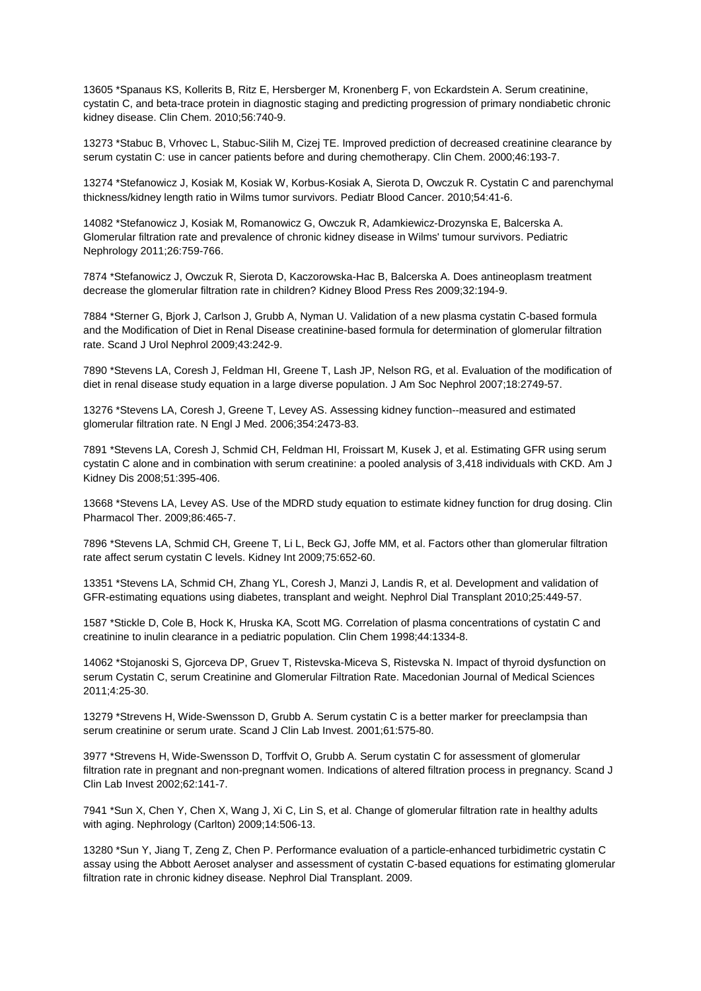13605 \*Spanaus KS, Kollerits B, Ritz E, Hersberger M, Kronenberg F, von Eckardstein A. Serum creatinine, cystatin C, and beta-trace protein in diagnostic staging and predicting progression of primary nondiabetic chronic kidney disease. Clin Chem. 2010;56:740-9.

13273 \*Stabuc B, Vrhovec L, Stabuc-Silih M, Cizej TE. Improved prediction of decreased creatinine clearance by serum cystatin C: use in cancer patients before and during chemotherapy. Clin Chem. 2000;46:193-7.

13274 \*Stefanowicz J, Kosiak M, Kosiak W, Korbus-Kosiak A, Sierota D, Owczuk R. Cystatin C and parenchymal thickness/kidney length ratio in Wilms tumor survivors. Pediatr Blood Cancer. 2010;54:41-6.

14082 \*Stefanowicz J, Kosiak M, Romanowicz G, Owczuk R, Adamkiewicz-Drozynska E, Balcerska A. Glomerular filtration rate and prevalence of chronic kidney disease in Wilms' tumour survivors. Pediatric Nephrology 2011;26:759-766.

7874 \*Stefanowicz J, Owczuk R, Sierota D, Kaczorowska-Hac B, Balcerska A. Does antineoplasm treatment decrease the glomerular filtration rate in children? Kidney Blood Press Res 2009;32:194-9.

7884 \*Sterner G, Bjork J, Carlson J, Grubb A, Nyman U. Validation of a new plasma cystatin C-based formula and the Modification of Diet in Renal Disease creatinine-based formula for determination of glomerular filtration rate. Scand J Urol Nephrol 2009;43:242-9.

7890 \*Stevens LA, Coresh J, Feldman HI, Greene T, Lash JP, Nelson RG, et al. Evaluation of the modification of diet in renal disease study equation in a large diverse population. J Am Soc Nephrol 2007;18:2749-57.

13276 \*Stevens LA, Coresh J, Greene T, Levey AS. Assessing kidney function--measured and estimated glomerular filtration rate. N Engl J Med. 2006;354:2473-83.

7891 \*Stevens LA, Coresh J, Schmid CH, Feldman HI, Froissart M, Kusek J, et al. Estimating GFR using serum cystatin C alone and in combination with serum creatinine: a pooled analysis of 3,418 individuals with CKD. Am J Kidney Dis 2008;51:395-406.

13668 \*Stevens LA, Levey AS. Use of the MDRD study equation to estimate kidney function for drug dosing. Clin Pharmacol Ther. 2009;86:465-7.

7896 \*Stevens LA, Schmid CH, Greene T, Li L, Beck GJ, Joffe MM, et al. Factors other than glomerular filtration rate affect serum cystatin C levels. Kidney Int 2009;75:652-60.

13351 \*Stevens LA, Schmid CH, Zhang YL, Coresh J, Manzi J, Landis R, et al. Development and validation of GFR-estimating equations using diabetes, transplant and weight. Nephrol Dial Transplant 2010;25:449-57.

1587 \*Stickle D, Cole B, Hock K, Hruska KA, Scott MG. Correlation of plasma concentrations of cystatin C and creatinine to inulin clearance in a pediatric population. Clin Chem 1998;44:1334-8.

14062 \*Stojanoski S, Gjorceva DP, Gruev T, Ristevska-Miceva S, Ristevska N. Impact of thyroid dysfunction on serum Cystatin C, serum Creatinine and Glomerular Filtration Rate. Macedonian Journal of Medical Sciences 2011;4:25-30.

13279 \*Strevens H, Wide-Swensson D, Grubb A. Serum cystatin C is a better marker for preeclampsia than serum creatinine or serum urate. Scand J Clin Lab Invest. 2001;61:575-80.

3977 \*Strevens H, Wide-Swensson D, Torffvit O, Grubb A. Serum cystatin C for assessment of glomerular filtration rate in pregnant and non-pregnant women. Indications of altered filtration process in pregnancy. Scand J Clin Lab Invest 2002;62:141-7.

7941 \*Sun X, Chen Y, Chen X, Wang J, Xi C, Lin S, et al. Change of glomerular filtration rate in healthy adults with aging. Nephrology (Carlton) 2009;14:506-13.

13280 \*Sun Y, Jiang T, Zeng Z, Chen P. Performance evaluation of a particle-enhanced turbidimetric cystatin C assay using the Abbott Aeroset analyser and assessment of cystatin C-based equations for estimating glomerular filtration rate in chronic kidney disease. Nephrol Dial Transplant. 2009.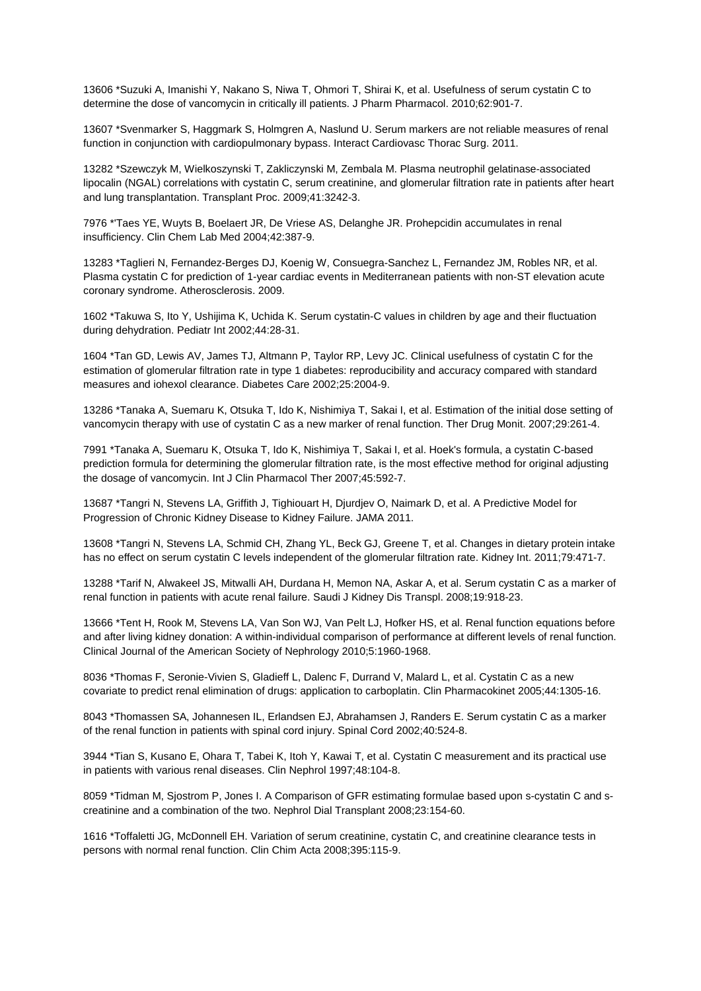13606 \*Suzuki A, Imanishi Y, Nakano S, Niwa T, Ohmori T, Shirai K, et al. Usefulness of serum cystatin C to determine the dose of vancomycin in critically ill patients. J Pharm Pharmacol. 2010;62:901-7.

13607 \*Svenmarker S, Haggmark S, Holmgren A, Naslund U. Serum markers are not reliable measures of renal function in conjunction with cardiopulmonary bypass. Interact Cardiovasc Thorac Surg. 2011.

13282 \*Szewczyk M, Wielkoszynski T, Zakliczynski M, Zembala M. Plasma neutrophil gelatinase-associated lipocalin (NGAL) correlations with cystatin C, serum creatinine, and glomerular filtration rate in patients after heart and lung transplantation. Transplant Proc. 2009;41:3242-3.

7976 \*'Taes YE, Wuyts B, Boelaert JR, De Vriese AS, Delanghe JR. Prohepcidin accumulates in renal insufficiency. Clin Chem Lab Med 2004;42:387-9.

13283 \*Taglieri N, Fernandez-Berges DJ, Koenig W, Consuegra-Sanchez L, Fernandez JM, Robles NR, et al. Plasma cystatin C for prediction of 1-year cardiac events in Mediterranean patients with non-ST elevation acute coronary syndrome. Atherosclerosis. 2009.

1602 \*Takuwa S, Ito Y, Ushijima K, Uchida K. Serum cystatin-C values in children by age and their fluctuation during dehydration. Pediatr Int 2002;44:28-31.

1604 \*Tan GD, Lewis AV, James TJ, Altmann P, Taylor RP, Levy JC. Clinical usefulness of cystatin C for the estimation of glomerular filtration rate in type 1 diabetes: reproducibility and accuracy compared with standard measures and iohexol clearance. Diabetes Care 2002;25:2004-9.

13286 \*Tanaka A, Suemaru K, Otsuka T, Ido K, Nishimiya T, Sakai I, et al. Estimation of the initial dose setting of vancomycin therapy with use of cystatin C as a new marker of renal function. Ther Drug Monit. 2007;29:261-4.

7991 \*Tanaka A, Suemaru K, Otsuka T, Ido K, Nishimiya T, Sakai I, et al. Hoek's formula, a cystatin C-based prediction formula for determining the glomerular filtration rate, is the most effective method for original adjusting the dosage of vancomycin. Int J Clin Pharmacol Ther 2007;45:592-7.

13687 \*Tangri N, Stevens LA, Griffith J, Tighiouart H, Djurdjev O, Naimark D, et al. A Predictive Model for Progression of Chronic Kidney Disease to Kidney Failure. JAMA 2011.

13608 \*Tangri N, Stevens LA, Schmid CH, Zhang YL, Beck GJ, Greene T, et al. Changes in dietary protein intake has no effect on serum cystatin C levels independent of the glomerular filtration rate. Kidney Int. 2011;79:471-7.

13288 \*Tarif N, Alwakeel JS, Mitwalli AH, Durdana H, Memon NA, Askar A, et al. Serum cystatin C as a marker of renal function in patients with acute renal failure. Saudi J Kidney Dis Transpl. 2008;19:918-23.

13666 \*Tent H, Rook M, Stevens LA, Van Son WJ, Van Pelt LJ, Hofker HS, et al. Renal function equations before and after living kidney donation: A within-individual comparison of performance at different levels of renal function. Clinical Journal of the American Society of Nephrology 2010;5:1960-1968.

8036 \*Thomas F, Seronie-Vivien S, Gladieff L, Dalenc F, Durrand V, Malard L, et al. Cystatin C as a new covariate to predict renal elimination of drugs: application to carboplatin. Clin Pharmacokinet 2005;44:1305-16.

8043 \*Thomassen SA, Johannesen IL, Erlandsen EJ, Abrahamsen J, Randers E. Serum cystatin C as a marker of the renal function in patients with spinal cord injury. Spinal Cord 2002;40:524-8.

3944 \*Tian S, Kusano E, Ohara T, Tabei K, Itoh Y, Kawai T, et al. Cystatin C measurement and its practical use in patients with various renal diseases. Clin Nephrol 1997;48:104-8.

8059 \*Tidman M, Siostrom P, Jones I, A Comparison of GFR estimating formulae based upon s-cystatin C and screatinine and a combination of the two. Nephrol Dial Transplant 2008;23:154-60.

1616 \*Toffaletti JG, McDonnell EH. Variation of serum creatinine, cystatin C, and creatinine clearance tests in persons with normal renal function. Clin Chim Acta 2008;395:115-9.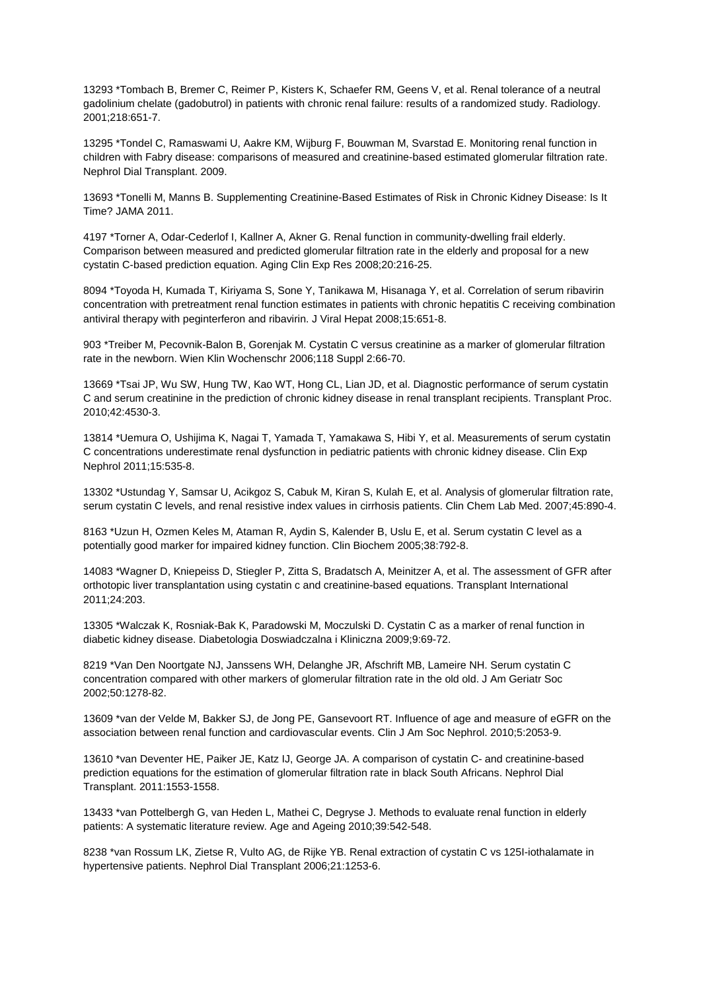13293 \*Tombach B, Bremer C, Reimer P, Kisters K, Schaefer RM, Geens V, et al. Renal tolerance of a neutral gadolinium chelate (gadobutrol) in patients with chronic renal failure: results of a randomized study. Radiology. 2001;218:651-7.

13295 \*Tondel C, Ramaswami U, Aakre KM, Wijburg F, Bouwman M, Svarstad E. Monitoring renal function in children with Fabry disease: comparisons of measured and creatinine-based estimated glomerular filtration rate. Nephrol Dial Transplant. 2009.

13693 \*Tonelli M, Manns B. Supplementing Creatinine-Based Estimates of Risk in Chronic Kidney Disease: Is It Time? JAMA 2011.

4197 \*Torner A, Odar-Cederlof I, Kallner A, Akner G. Renal function in community-dwelling frail elderly. Comparison between measured and predicted glomerular filtration rate in the elderly and proposal for a new cystatin C-based prediction equation. Aging Clin Exp Res 2008;20:216-25.

8094 \*Toyoda H, Kumada T, Kiriyama S, Sone Y, Tanikawa M, Hisanaga Y, et al. Correlation of serum ribavirin concentration with pretreatment renal function estimates in patients with chronic hepatitis C receiving combination antiviral therapy with peginterferon and ribavirin. J Viral Hepat 2008;15:651-8.

903 \*Treiber M, Pecovnik-Balon B, Gorenjak M. Cystatin C versus creatinine as a marker of glomerular filtration rate in the newborn. Wien Klin Wochenschr 2006;118 Suppl 2:66-70.

13669 \*Tsai JP, Wu SW, Hung TW, Kao WT, Hong CL, Lian JD, et al. Diagnostic performance of serum cystatin C and serum creatinine in the prediction of chronic kidney disease in renal transplant recipients. Transplant Proc. 2010;42:4530-3.

13814 \*Uemura O, Ushijima K, Nagai T, Yamada T, Yamakawa S, Hibi Y, et al. Measurements of serum cystatin C concentrations underestimate renal dysfunction in pediatric patients with chronic kidney disease. Clin Exp Nephrol 2011;15:535-8.

13302 \*Ustundag Y, Samsar U, Acikgoz S, Cabuk M, Kiran S, Kulah E, et al. Analysis of glomerular filtration rate, serum cystatin C levels, and renal resistive index values in cirrhosis patients. Clin Chem Lab Med. 2007;45:890-4.

8163 \*Uzun H, Ozmen Keles M, Ataman R, Aydin S, Kalender B, Uslu E, et al. Serum cystatin C level as a potentially good marker for impaired kidney function. Clin Biochem 2005;38:792-8.

14083 \*Wagner D, Kniepeiss D, Stiegler P, Zitta S, Bradatsch A, Meinitzer A, et al. The assessment of GFR after orthotopic liver transplantation using cystatin c and creatinine-based equations. Transplant International 2011;24:203.

13305 \*Walczak K, Rosniak-Bak K, Paradowski M, Moczulski D. Cystatin C as a marker of renal function in diabetic kidney disease. Diabetologia Doswiadczalna i Kliniczna 2009;9:69-72.

8219 \*Van Den Noortgate NJ, Janssens WH, Delanghe JR, Afschrift MB, Lameire NH. Serum cystatin C concentration compared with other markers of glomerular filtration rate in the old old. J Am Geriatr Soc 2002;50:1278-82.

13609 \*van der Velde M, Bakker SJ, de Jong PE, Gansevoort RT. Influence of age and measure of eGFR on the association between renal function and cardiovascular events. Clin J Am Soc Nephrol. 2010;5:2053-9.

13610 \*van Deventer HE, Paiker JE, Katz IJ, George JA. A comparison of cystatin C- and creatinine-based prediction equations for the estimation of glomerular filtration rate in black South Africans. Nephrol Dial Transplant. 2011:1553-1558.

13433 \*van Pottelbergh G, van Heden L, Mathei C, Degryse J. Methods to evaluate renal function in elderly patients: A systematic literature review. Age and Ageing 2010;39:542-548.

8238 \*van Rossum LK, Zietse R, Vulto AG, de Rijke YB. Renal extraction of cystatin C vs 125I-iothalamate in hypertensive patients. Nephrol Dial Transplant 2006;21:1253-6.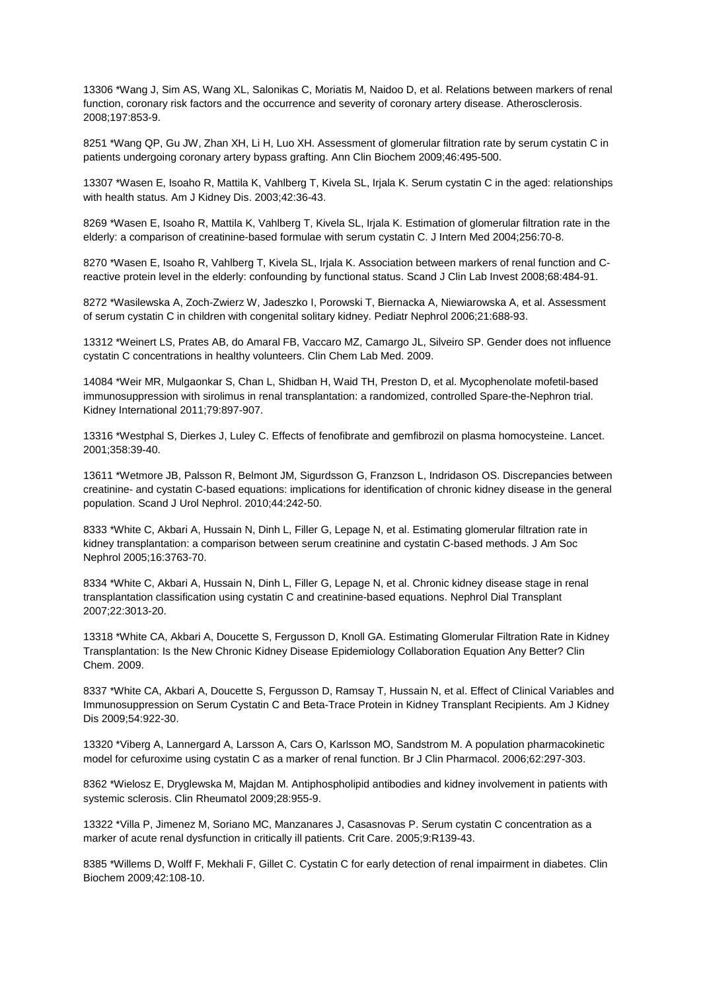13306 \*Wang J, Sim AS, Wang XL, Salonikas C, Moriatis M, Naidoo D, et al. Relations between markers of renal function, coronary risk factors and the occurrence and severity of coronary artery disease. Atherosclerosis. 2008;197:853-9.

8251 \*Wang QP, Gu JW, Zhan XH, Li H, Luo XH. Assessment of glomerular filtration rate by serum cystatin C in patients undergoing coronary artery bypass grafting. Ann Clin Biochem 2009;46:495-500.

13307 \*Wasen E, Isoaho R, Mattila K, Vahlberg T, Kivela SL, Irjala K. Serum cystatin C in the aged: relationships with health status. Am J Kidney Dis. 2003;42:36-43.

8269 \*Wasen E, Isoaho R, Mattila K, Vahlberg T, Kivela SL, Irjala K. Estimation of glomerular filtration rate in the elderly: a comparison of creatinine-based formulae with serum cystatin C. J Intern Med 2004;256:70-8.

8270 \*Wasen E, Isoaho R, Vahlberg T, Kivela SL, Irjala K. Association between markers of renal function and Creactive protein level in the elderly: confounding by functional status. Scand J Clin Lab Invest 2008;68:484-91.

8272 \*Wasilewska A, Zoch-Zwierz W, Jadeszko I, Porowski T, Biernacka A, Niewiarowska A, et al. Assessment of serum cystatin C in children with congenital solitary kidney. Pediatr Nephrol 2006;21:688-93.

13312 \*Weinert LS, Prates AB, do Amaral FB, Vaccaro MZ, Camargo JL, Silveiro SP. Gender does not influence cystatin C concentrations in healthy volunteers. Clin Chem Lab Med. 2009.

14084 \*Weir MR, Mulgaonkar S, Chan L, Shidban H, Waid TH, Preston D, et al. Mycophenolate mofetil-based immunosuppression with sirolimus in renal transplantation: a randomized, controlled Spare-the-Nephron trial. Kidney International 2011;79:897-907.

13316 \*Westphal S, Dierkes J, Luley C. Effects of fenofibrate and gemfibrozil on plasma homocysteine. Lancet. 2001;358:39-40.

13611 \*Wetmore JB, Palsson R, Belmont JM, Sigurdsson G, Franzson L, Indridason OS. Discrepancies between creatinine- and cystatin C-based equations: implications for identification of chronic kidney disease in the general population. Scand J Urol Nephrol. 2010;44:242-50.

8333 \*White C, Akbari A, Hussain N, Dinh L, Filler G, Lepage N, et al. Estimating glomerular filtration rate in kidney transplantation: a comparison between serum creatinine and cystatin C-based methods. J Am Soc Nephrol 2005;16:3763-70.

8334 \*White C, Akbari A, Hussain N, Dinh L, Filler G, Lepage N, et al. Chronic kidney disease stage in renal transplantation classification using cystatin C and creatinine-based equations. Nephrol Dial Transplant 2007;22:3013-20.

13318 \*White CA, Akbari A, Doucette S, Fergusson D, Knoll GA. Estimating Glomerular Filtration Rate in Kidney Transplantation: Is the New Chronic Kidney Disease Epidemiology Collaboration Equation Any Better? Clin Chem. 2009.

8337 \*White CA, Akbari A, Doucette S, Fergusson D, Ramsay T, Hussain N, et al. Effect of Clinical Variables and Immunosuppression on Serum Cystatin C and Beta-Trace Protein in Kidney Transplant Recipients. Am J Kidney Dis 2009;54:922-30.

13320 \*Viberg A, Lannergard A, Larsson A, Cars O, Karlsson MO, Sandstrom M. A population pharmacokinetic model for cefuroxime using cystatin C as a marker of renal function. Br J Clin Pharmacol. 2006;62:297-303.

8362 \*Wielosz E, Dryglewska M, Majdan M. Antiphospholipid antibodies and kidney involvement in patients with systemic sclerosis. Clin Rheumatol 2009;28:955-9.

13322 \*Villa P, Jimenez M, Soriano MC, Manzanares J, Casasnovas P. Serum cystatin C concentration as a marker of acute renal dysfunction in critically ill patients. Crit Care. 2005;9:R139-43.

8385 \*Willems D, Wolff F, Mekhali F, Gillet C. Cystatin C for early detection of renal impairment in diabetes. Clin Biochem 2009;42:108-10.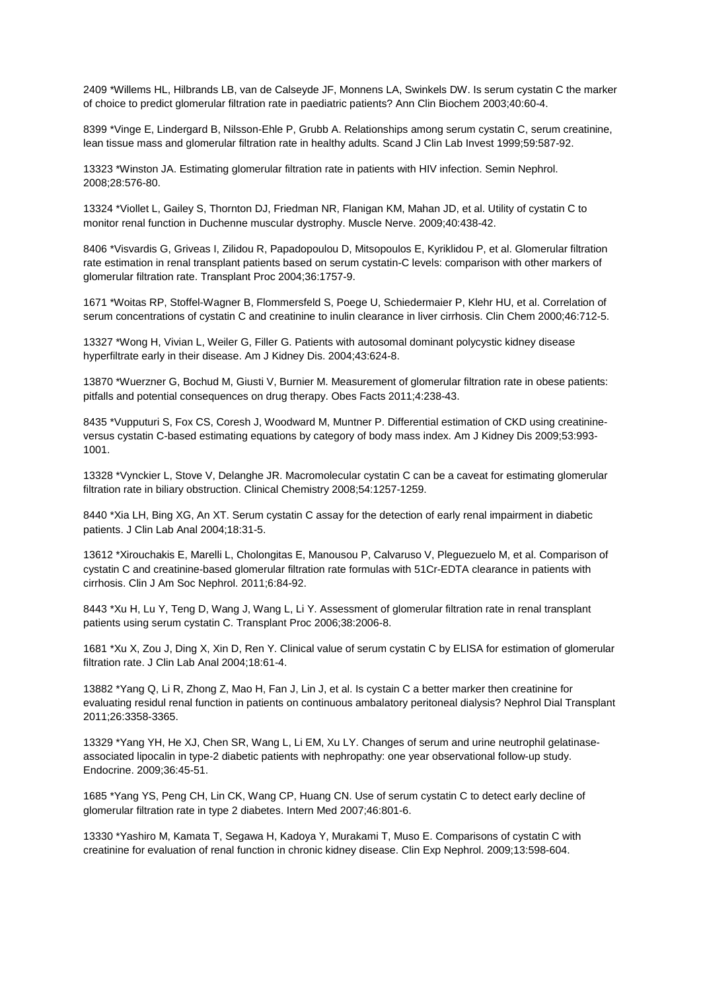2409 \*Willems HL, Hilbrands LB, van de Calseyde JF, Monnens LA, Swinkels DW. Is serum cystatin C the marker of choice to predict glomerular filtration rate in paediatric patients? Ann Clin Biochem 2003;40:60-4.

8399 \*Vinge E, Lindergard B, Nilsson-Ehle P, Grubb A. Relationships among serum cystatin C, serum creatinine, lean tissue mass and glomerular filtration rate in healthy adults. Scand J Clin Lab Invest 1999;59:587-92.

13323 \*Winston JA. Estimating glomerular filtration rate in patients with HIV infection. Semin Nephrol. 2008;28:576-80.

13324 \*Viollet L, Gailey S, Thornton DJ, Friedman NR, Flanigan KM, Mahan JD, et al. Utility of cystatin C to monitor renal function in Duchenne muscular dystrophy. Muscle Nerve. 2009;40:438-42.

8406 \*Visvardis G, Griveas I, Zilidou R, Papadopoulou D, Mitsopoulos E, Kyriklidou P, et al. Glomerular filtration rate estimation in renal transplant patients based on serum cystatin-C levels: comparison with other markers of glomerular filtration rate. Transplant Proc 2004;36:1757-9.

1671 \*Woitas RP, Stoffel-Wagner B, Flommersfeld S, Poege U, Schiedermaier P, Klehr HU, et al. Correlation of serum concentrations of cystatin C and creatinine to inulin clearance in liver cirrhosis. Clin Chem 2000;46:712-5.

13327 \*Wong H, Vivian L, Weiler G, Filler G. Patients with autosomal dominant polycystic kidney disease hyperfiltrate early in their disease. Am J Kidney Dis. 2004;43:624-8.

13870 \*Wuerzner G, Bochud M, Giusti V, Burnier M. Measurement of glomerular filtration rate in obese patients: pitfalls and potential consequences on drug therapy. Obes Facts 2011;4:238-43.

8435 \*Vupputuri S, Fox CS, Coresh J, Woodward M, Muntner P. Differential estimation of CKD using creatinineversus cystatin C-based estimating equations by category of body mass index. Am J Kidney Dis 2009;53:993- 1001.

13328 \*Vynckier L, Stove V, Delanghe JR. Macromolecular cystatin C can be a caveat for estimating glomerular filtration rate in biliary obstruction. Clinical Chemistry 2008;54:1257-1259.

8440 \*Xia LH, Bing XG, An XT. Serum cystatin C assay for the detection of early renal impairment in diabetic patients. J Clin Lab Anal 2004;18:31-5.

13612 \*Xirouchakis E, Marelli L, Cholongitas E, Manousou P, Calvaruso V, Pleguezuelo M, et al. Comparison of cystatin C and creatinine-based glomerular filtration rate formulas with 51Cr-EDTA clearance in patients with cirrhosis. Clin J Am Soc Nephrol. 2011;6:84-92.

8443 \*Xu H, Lu Y, Teng D, Wang J, Wang L, Li Y. Assessment of glomerular filtration rate in renal transplant patients using serum cystatin C. Transplant Proc 2006;38:2006-8.

1681 \*Xu X, Zou J, Ding X, Xin D, Ren Y. Clinical value of serum cystatin C by ELISA for estimation of glomerular filtration rate. J Clin Lab Anal 2004;18:61-4.

13882 \*Yang Q, Li R, Zhong Z, Mao H, Fan J, Lin J, et al. Is cystain C a better marker then creatinine for evaluating residul renal function in patients on continuous ambalatory peritoneal dialysis? Nephrol Dial Transplant 2011;26:3358-3365.

13329 \*Yang YH, He XJ, Chen SR, Wang L, Li EM, Xu LY. Changes of serum and urine neutrophil gelatinaseassociated lipocalin in type-2 diabetic patients with nephropathy: one year observational follow-up study. Endocrine. 2009;36:45-51.

1685 \*Yang YS, Peng CH, Lin CK, Wang CP, Huang CN. Use of serum cystatin C to detect early decline of glomerular filtration rate in type 2 diabetes. Intern Med 2007;46:801-6.

13330 \*Yashiro M, Kamata T, Segawa H, Kadoya Y, Murakami T, Muso E. Comparisons of cystatin C with creatinine for evaluation of renal function in chronic kidney disease. Clin Exp Nephrol. 2009;13:598-604.